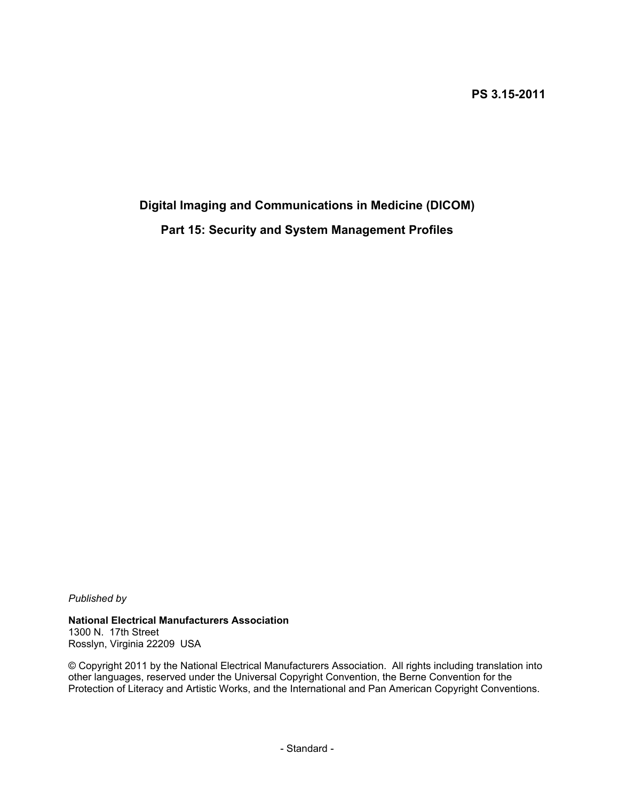# **Digital Imaging and Communications in Medicine (DICOM) Part 15: Security and System Management Profiles**

*Published by*

**National Electrical Manufacturers Association** 1300 N. 17th Street Rosslyn, Virginia 22209 USA

© Copyright 2011 by the National Electrical Manufacturers Association. All rights including translation into other languages, reserved under the Universal Copyright Convention, the Berne Convention for the Protection of Literacy and Artistic Works, and the International and Pan American Copyright Conventions.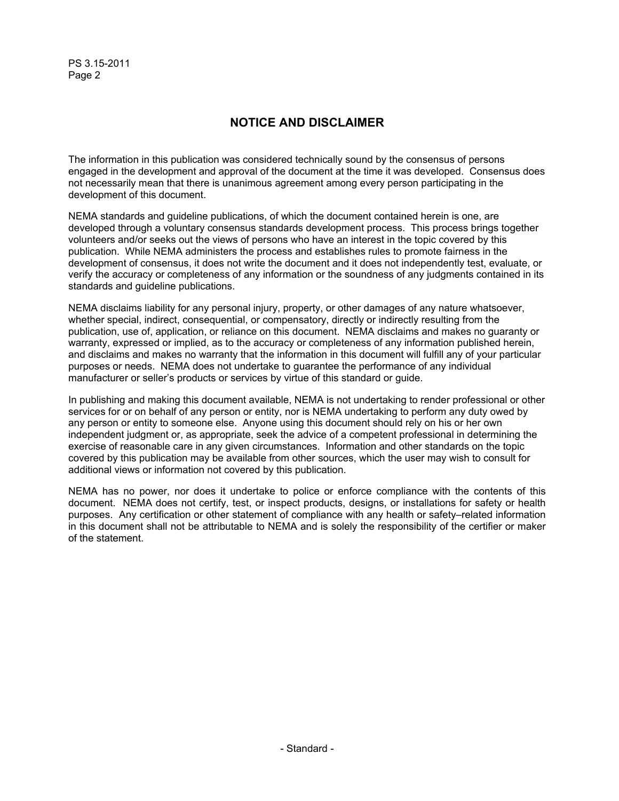## **NOTICE AND DISCLAIMER**

The information in this publication was considered technically sound by the consensus of persons engaged in the development and approval of the document at the time it was developed. Consensus does not necessarily mean that there is unanimous agreement among every person participating in the development of this document.

NEMA standards and guideline publications, of which the document contained herein is one, are developed through a voluntary consensus standards development process. This process brings together volunteers and/or seeks out the views of persons who have an interest in the topic covered by this publication. While NEMA administers the process and establishes rules to promote fairness in the development of consensus, it does not write the document and it does not independently test, evaluate, or verify the accuracy or completeness of any information or the soundness of any judgments contained in its standards and guideline publications.

NEMA disclaims liability for any personal injury, property, or other damages of any nature whatsoever, whether special, indirect, consequential, or compensatory, directly or indirectly resulting from the publication, use of, application, or reliance on this document. NEMA disclaims and makes no guaranty or warranty, expressed or implied, as to the accuracy or completeness of any information published herein, and disclaims and makes no warranty that the information in this document will fulfill any of your particular purposes or needs. NEMA does not undertake to guarantee the performance of any individual manufacturer or seller's products or services by virtue of this standard or guide.

In publishing and making this document available, NEMA is not undertaking to render professional or other services for or on behalf of any person or entity, nor is NEMA undertaking to perform any duty owed by any person or entity to someone else. Anyone using this document should rely on his or her own independent judgment or, as appropriate, seek the advice of a competent professional in determining the exercise of reasonable care in any given circumstances. Information and other standards on the topic covered by this publication may be available from other sources, which the user may wish to consult for additional views or information not covered by this publication.

NEMA has no power, nor does it undertake to police or enforce compliance with the contents of this document. NEMA does not certify, test, or inspect products, designs, or installations for safety or health purposes. Any certification or other statement of compliance with any health or safety–related information in this document shall not be attributable to NEMA and is solely the responsibility of the certifier or maker of the statement.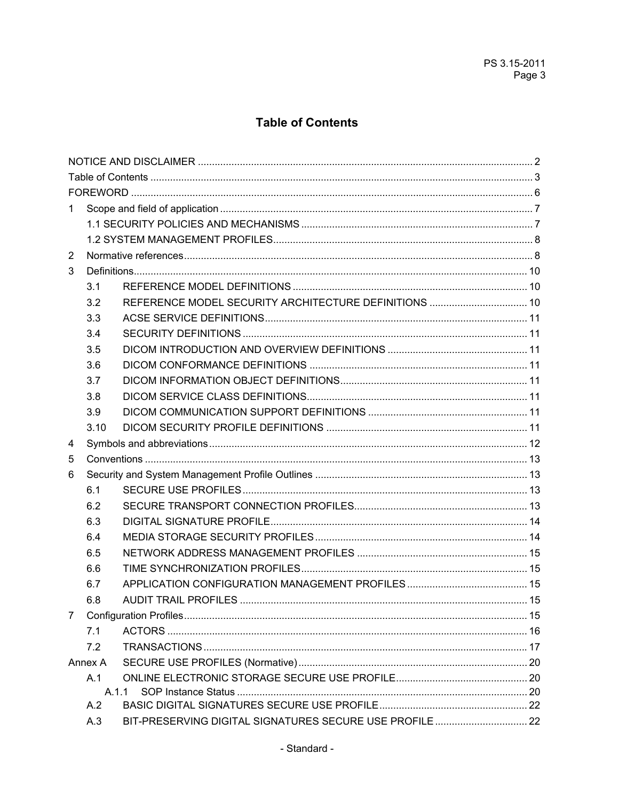## **Table of Contents**

| 1.             |         |                                                       |  |  |  |  |  |
|----------------|---------|-------------------------------------------------------|--|--|--|--|--|
|                |         |                                                       |  |  |  |  |  |
|                |         |                                                       |  |  |  |  |  |
| $\overline{2}$ |         |                                                       |  |  |  |  |  |
| 3              |         |                                                       |  |  |  |  |  |
|                | 3.1     |                                                       |  |  |  |  |  |
|                | 3.2     | REFERENCE MODEL SECURITY ARCHITECTURE DEFINITIONS  10 |  |  |  |  |  |
|                | 3.3     |                                                       |  |  |  |  |  |
|                | 3.4     |                                                       |  |  |  |  |  |
|                | 3.5     |                                                       |  |  |  |  |  |
|                | 3.6     |                                                       |  |  |  |  |  |
|                | 3.7     |                                                       |  |  |  |  |  |
|                | 3.8     |                                                       |  |  |  |  |  |
|                | 3.9     |                                                       |  |  |  |  |  |
|                | 3.10    |                                                       |  |  |  |  |  |
| 4              |         |                                                       |  |  |  |  |  |
| 5              |         |                                                       |  |  |  |  |  |
| 6              |         |                                                       |  |  |  |  |  |
|                | 6.1     |                                                       |  |  |  |  |  |
|                | 6.2     |                                                       |  |  |  |  |  |
|                | 6.3     |                                                       |  |  |  |  |  |
|                | 6.4     |                                                       |  |  |  |  |  |
|                | 6.5     |                                                       |  |  |  |  |  |
|                | 6.6     |                                                       |  |  |  |  |  |
|                | 6.7     |                                                       |  |  |  |  |  |
|                | 6.8     |                                                       |  |  |  |  |  |
| 7              |         |                                                       |  |  |  |  |  |
|                | 7.1     |                                                       |  |  |  |  |  |
|                | 7.2     |                                                       |  |  |  |  |  |
|                | Annex A |                                                       |  |  |  |  |  |
|                | A.1     |                                                       |  |  |  |  |  |
|                | A.1.1   |                                                       |  |  |  |  |  |
|                | A.2     |                                                       |  |  |  |  |  |
|                | A.3     |                                                       |  |  |  |  |  |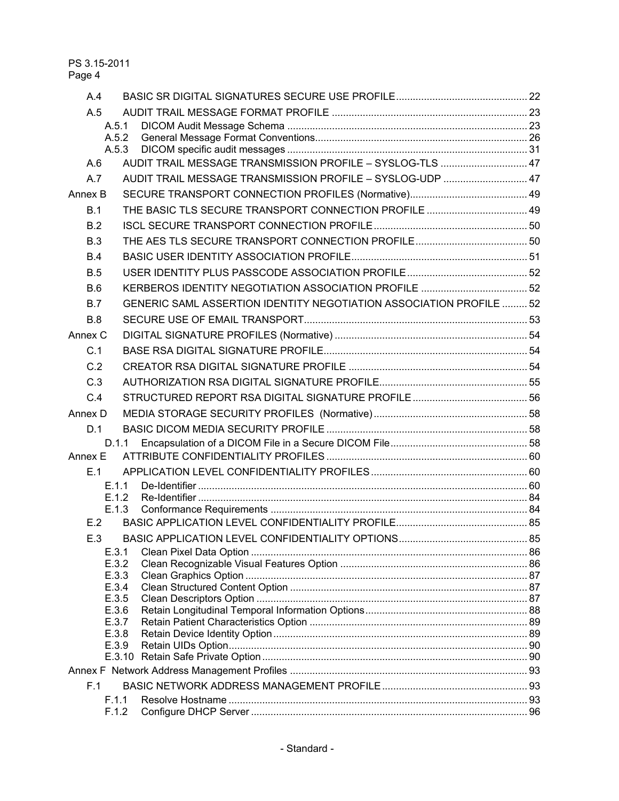# PS 3.15-2011

## Page 4

| A.4            |                                                                     |  |
|----------------|---------------------------------------------------------------------|--|
| A.5            |                                                                     |  |
| A.5.1          |                                                                     |  |
| A.5.2          |                                                                     |  |
| A.5.3          | AUDIT TRAIL MESSAGE TRANSMISSION PROFILE - SYSLOG-TLS  47           |  |
| A.6            |                                                                     |  |
| A.7            | AUDIT TRAIL MESSAGE TRANSMISSION PROFILE - SYSLOG-UDP  47           |  |
| Annex B        |                                                                     |  |
| B.1            | THE BASIC TLS SECURE TRANSPORT CONNECTION PROFILE  49               |  |
| B.2            |                                                                     |  |
| B.3            |                                                                     |  |
| B.4            |                                                                     |  |
| B.5            |                                                                     |  |
| B.6            |                                                                     |  |
| B.7            | GENERIC SAML ASSERTION IDENTITY NEGOTIATION ASSOCIATION PROFILE  52 |  |
| B.8            |                                                                     |  |
| Annex C        |                                                                     |  |
| C.1            |                                                                     |  |
| C.2            |                                                                     |  |
| C.3            |                                                                     |  |
|                |                                                                     |  |
| C.4            |                                                                     |  |
| Annex D        |                                                                     |  |
| D.1            |                                                                     |  |
| D.1.1          |                                                                     |  |
| Annex E        |                                                                     |  |
| E.1<br>E.1.1   |                                                                     |  |
| E.1.2          |                                                                     |  |
| E.1.3          |                                                                     |  |
| E.2            |                                                                     |  |
| E.3            |                                                                     |  |
| E.3.1          |                                                                     |  |
| E.3.2          |                                                                     |  |
| E.3.3<br>E.3.4 |                                                                     |  |
| E.3.5          |                                                                     |  |
| E.3.6          |                                                                     |  |
| E.3.7          |                                                                     |  |
| E.3.8<br>E.3.9 |                                                                     |  |
|                |                                                                     |  |
|                |                                                                     |  |
| F.1            |                                                                     |  |
| F.1.1          |                                                                     |  |
| F.1.2          |                                                                     |  |
|                |                                                                     |  |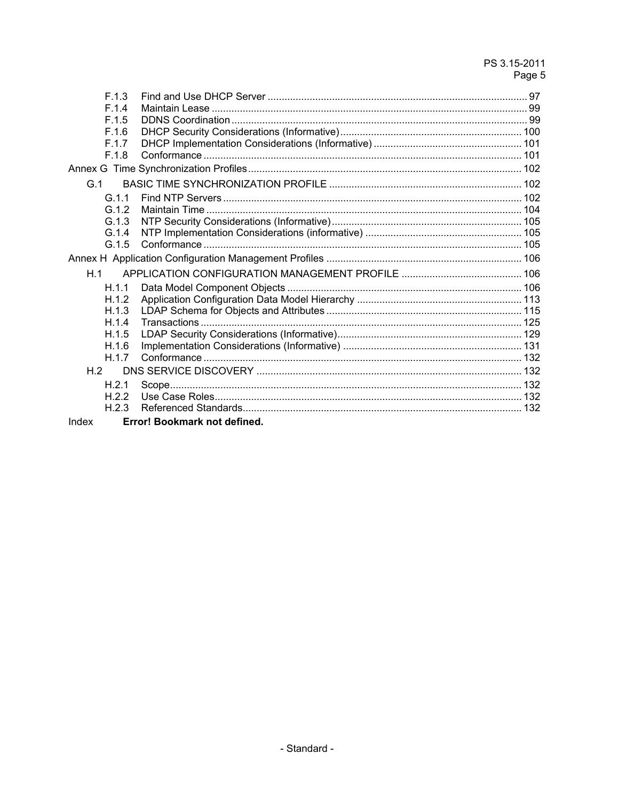| F.1.3                                 |  |  |  |  |
|---------------------------------------|--|--|--|--|
| F.1.4                                 |  |  |  |  |
| F.1.5                                 |  |  |  |  |
| F.1.6                                 |  |  |  |  |
| F.1.7                                 |  |  |  |  |
| F.1.8                                 |  |  |  |  |
|                                       |  |  |  |  |
| G.1                                   |  |  |  |  |
| G.1.1                                 |  |  |  |  |
| G.1.2                                 |  |  |  |  |
| G.1.3                                 |  |  |  |  |
| G.1.4                                 |  |  |  |  |
| G.1.5                                 |  |  |  |  |
|                                       |  |  |  |  |
|                                       |  |  |  |  |
| H.1                                   |  |  |  |  |
| H.1.1                                 |  |  |  |  |
| H.1.2                                 |  |  |  |  |
| H.1.3                                 |  |  |  |  |
| H.1.4                                 |  |  |  |  |
| H.1.5                                 |  |  |  |  |
| H.1.6                                 |  |  |  |  |
| H.1.7                                 |  |  |  |  |
| H.2                                   |  |  |  |  |
| H.2.1                                 |  |  |  |  |
| H.2.2                                 |  |  |  |  |
| H.2.3                                 |  |  |  |  |
| Error! Bookmark not defined.<br>Index |  |  |  |  |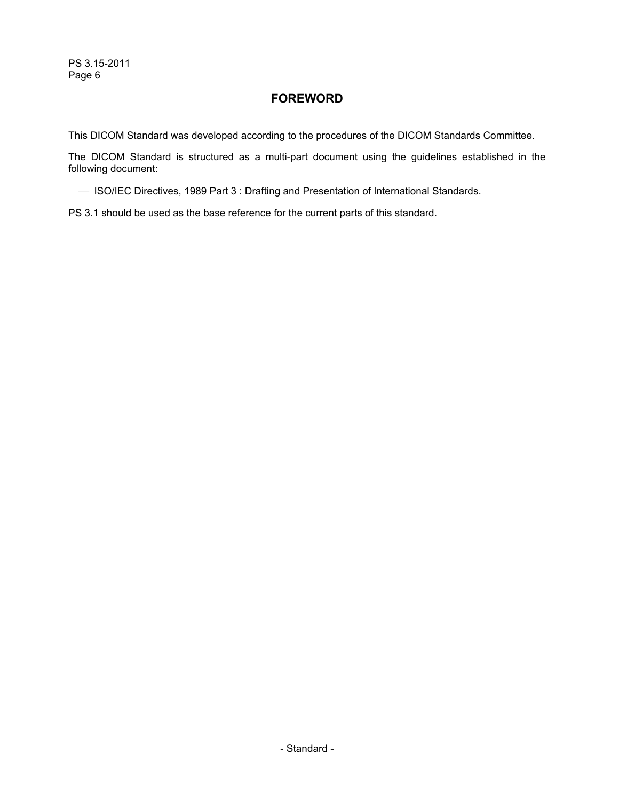## **FOREWORD**

This DICOM Standard was developed according to the procedures of the DICOM Standards Committee.

The DICOM Standard is structured as a multi-part document using the guidelines established in the following document:

- ISO/IEC Directives, 1989 Part 3 : Drafting and Presentation of International Standards.

PS 3.1 should be used as the base reference for the current parts of this standard.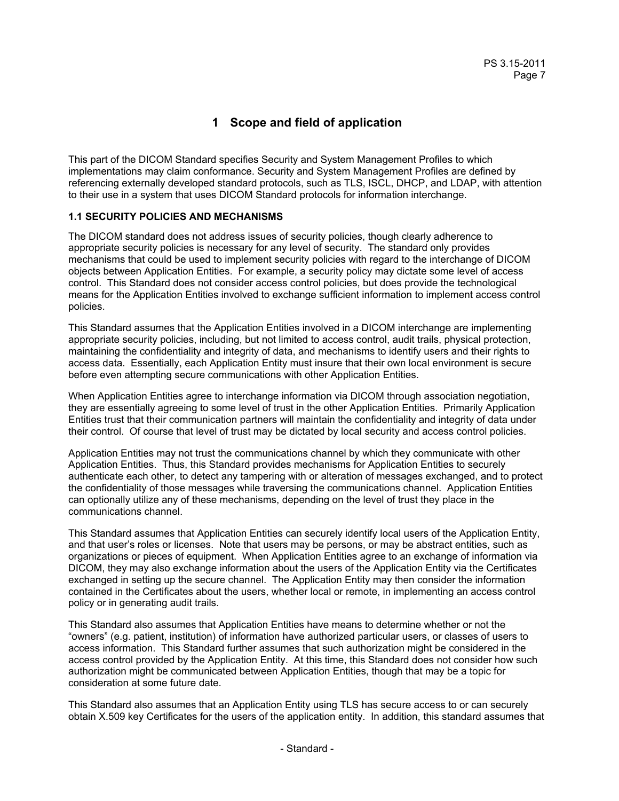## **1 Scope and field of application**

This part of the DICOM Standard specifies Security and System Management Profiles to which implementations may claim conformance. Security and System Management Profiles are defined by referencing externally developed standard protocols, such as TLS, ISCL, DHCP, and LDAP, with attention to their use in a system that uses DICOM Standard protocols for information interchange.

### **1.1 SECURITY POLICIES AND MECHANISMS**

The DICOM standard does not address issues of security policies, though clearly adherence to appropriate security policies is necessary for any level of security. The standard only provides mechanisms that could be used to implement security policies with regard to the interchange of DICOM objects between Application Entities. For example, a security policy may dictate some level of access control. This Standard does not consider access control policies, but does provide the technological means for the Application Entities involved to exchange sufficient information to implement access control policies.

This Standard assumes that the Application Entities involved in a DICOM interchange are implementing appropriate security policies, including, but not limited to access control, audit trails, physical protection, maintaining the confidentiality and integrity of data, and mechanisms to identify users and their rights to access data. Essentially, each Application Entity must insure that their own local environment is secure before even attempting secure communications with other Application Entities.

When Application Entities agree to interchange information via DICOM through association negotiation, they are essentially agreeing to some level of trust in the other Application Entities. Primarily Application Entities trust that their communication partners will maintain the confidentiality and integrity of data under their control. Of course that level of trust may be dictated by local security and access control policies.

Application Entities may not trust the communications channel by which they communicate with other Application Entities. Thus, this Standard provides mechanisms for Application Entities to securely authenticate each other, to detect any tampering with or alteration of messages exchanged, and to protect the confidentiality of those messages while traversing the communications channel. Application Entities can optionally utilize any of these mechanisms, depending on the level of trust they place in the communications channel.

This Standard assumes that Application Entities can securely identify local users of the Application Entity, and that user's roles or licenses. Note that users may be persons, or may be abstract entities, such as organizations or pieces of equipment. When Application Entities agree to an exchange of information via DICOM, they may also exchange information about the users of the Application Entity via the Certificates exchanged in setting up the secure channel. The Application Entity may then consider the information contained in the Certificates about the users, whether local or remote, in implementing an access control policy or in generating audit trails.

This Standard also assumes that Application Entities have means to determine whether or not the "owners" (e.g. patient, institution) of information have authorized particular users, or classes of users to access information. This Standard further assumes that such authorization might be considered in the access control provided by the Application Entity. At this time, this Standard does not consider how such authorization might be communicated between Application Entities, though that may be a topic for consideration at some future date.

This Standard also assumes that an Application Entity using TLS has secure access to or can securely obtain X.509 key Certificates for the users of the application entity. In addition, this standard assumes that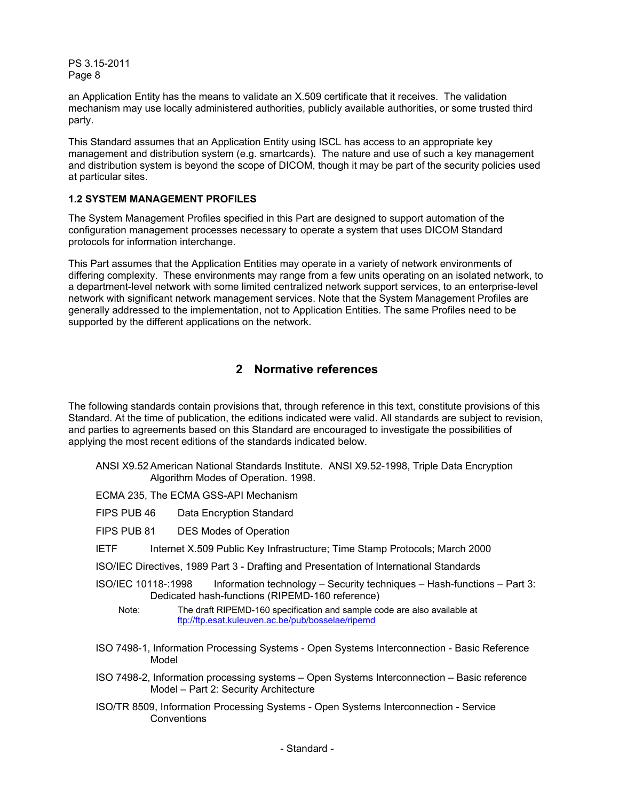an Application Entity has the means to validate an X.509 certificate that it receives. The validation mechanism may use locally administered authorities, publicly available authorities, or some trusted third party.

This Standard assumes that an Application Entity using ISCL has access to an appropriate key management and distribution system (e.g. smartcards). The nature and use of such a key management and distribution system is beyond the scope of DICOM, though it may be part of the security policies used at particular sites.

### **1.2 SYSTEM MANAGEMENT PROFILES**

The System Management Profiles specified in this Part are designed to support automation of the configuration management processes necessary to operate a system that uses DICOM Standard protocols for information interchange.

This Part assumes that the Application Entities may operate in a variety of network environments of differing complexity. These environments may range from a few units operating on an isolated network, to a department-level network with some limited centralized network support services, to an enterprise-level network with significant network management services. Note that the System Management Profiles are generally addressed to the implementation, not to Application Entities. The same Profiles need to be supported by the different applications on the network.

## **2 Normative references**

The following standards contain provisions that, through reference in this text, constitute provisions of this Standard. At the time of publication, the editions indicated were valid. All standards are subject to revision, and parties to agreements based on this Standard are encouraged to investigate the possibilities of applying the most recent editions of the standards indicated below.

- ANSI X9.52 American National Standards Institute. ANSI X9.52-1998, Triple Data Encryption Algorithm Modes of Operation. 1998.
- ECMA 235, The ECMA GSS-API Mechanism
- FIPS PUB 46 Data Encryption Standard
- FIPS PUB 81 DES Modes of Operation
- IETF Internet X.509 Public Key Infrastructure; Time Stamp Protocols; March 2000
- ISO/IEC Directives, 1989 Part 3 Drafting and Presentation of International Standards
- ISO/IEC 10118-:1998 Information technology Security techniques Hash-functions Part 3: Dedicated hash-functions (RIPEMD-160 reference)
	- Note: The draft RIPEMD-160 specification and sample code are also available at ftp://ftp.esat.kuleuven.ac.be/pub/bosselae/ripemd
- ISO 7498-1, Information Processing Systems Open Systems Interconnection Basic Reference Model
- ISO 7498-2, Information processing systems Open Systems Interconnection Basic reference Model – Part 2: Security Architecture
- ISO/TR 8509, Information Processing Systems Open Systems Interconnection Service **Conventions**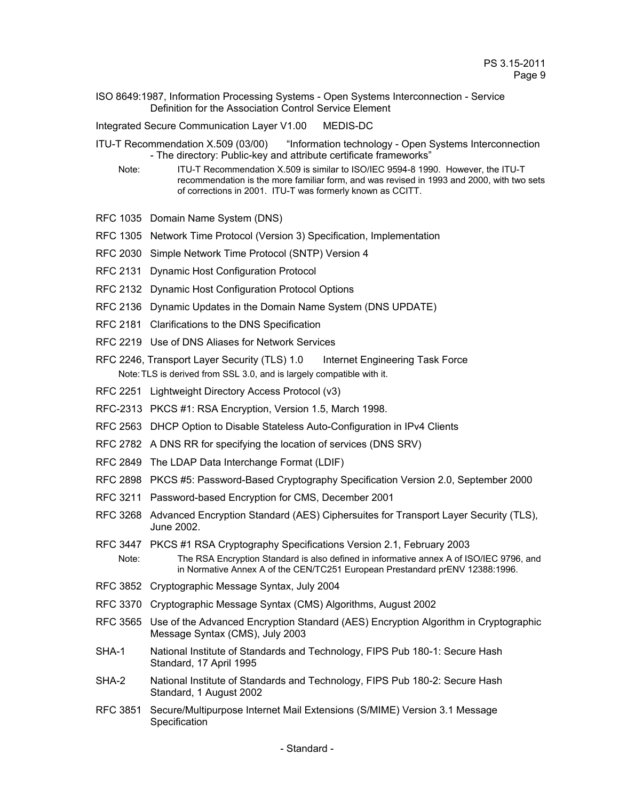ISO 8649:1987, Information Processing Systems - Open Systems Interconnection - Service Definition for the Association Control Service Element

Integrated Secure Communication Layer V1.00 MEDIS-DC

- ITU-T Recommendation X.509 (03/00) "Information technology Open Systems Interconnection - The directory: Public-key and attribute certificate frameworks"
	- Note: ITU-T Recommendation X.509 is similar to ISO/IEC 9594-8 1990. However, the ITU-T recommendation is the more familiar form, and was revised in 1993 and 2000, with two sets of corrections in 2001. ITU-T was formerly known as CCITT.
- RFC 1035 Domain Name System (DNS)
- RFC 1305 Network Time Protocol (Version 3) Specification, Implementation
- RFC 2030 Simple Network Time Protocol (SNTP) Version 4
- RFC 2131 Dynamic Host Configuration Protocol
- RFC 2132 Dynamic Host Configuration Protocol Options
- RFC 2136 Dynamic Updates in the Domain Name System (DNS UPDATE)
- RFC 2181 Clarifications to the DNS Specification
- RFC 2219 Use of DNS Aliases for Network Services
- RFC 2246, Transport Layer Security (TLS) 1.0 Internet Engineering Task Force Note: TLS is derived from SSL 3.0, and is largely compatible with it.
- RFC 2251 Lightweight Directory Access Protocol (v3)
- RFC-2313 PKCS #1: RSA Encryption, Version 1.5, March 1998.
- RFC 2563 DHCP Option to Disable Stateless Auto-Configuration in IPv4 Clients
- RFC 2782 A DNS RR for specifying the location of services (DNS SRV)
- RFC 2849 The LDAP Data Interchange Format (LDIF)
- RFC 2898 PKCS #5: Password-Based Cryptography Specification Version 2.0, September 2000
- RFC 3211 Password-based Encryption for CMS, December 2001
- RFC 3268 Advanced Encryption Standard (AES) Ciphersuites for Transport Layer Security (TLS), June 2002.
- RFC 3447 PKCS #1 RSA Cryptography Specifications Version 2.1, February 2003 Note: The RSA Encryption Standard is also defined in informative annex A of ISO/IEC 9796, and in Normative Annex A of the CEN/TC251 European Prestandard prENV 12388:1996.
- RFC 3852 Cryptographic Message Syntax, July 2004
- RFC 3370 Cryptographic Message Syntax (CMS) Algorithms, August 2002
- RFC 3565 Use of the Advanced Encryption Standard (AES) Encryption Algorithm in Cryptographic Message Syntax (CMS), July 2003
- SHA-1 National Institute of Standards and Technology, FIPS Pub 180-1: Secure Hash Standard, 17 April 1995
- SHA-2 National Institute of Standards and Technology, FIPS Pub 180-2: Secure Hash Standard, 1 August 2002
- RFC 3851 Secure/Multipurpose Internet Mail Extensions (S/MIME) Version 3.1 Message **Specification**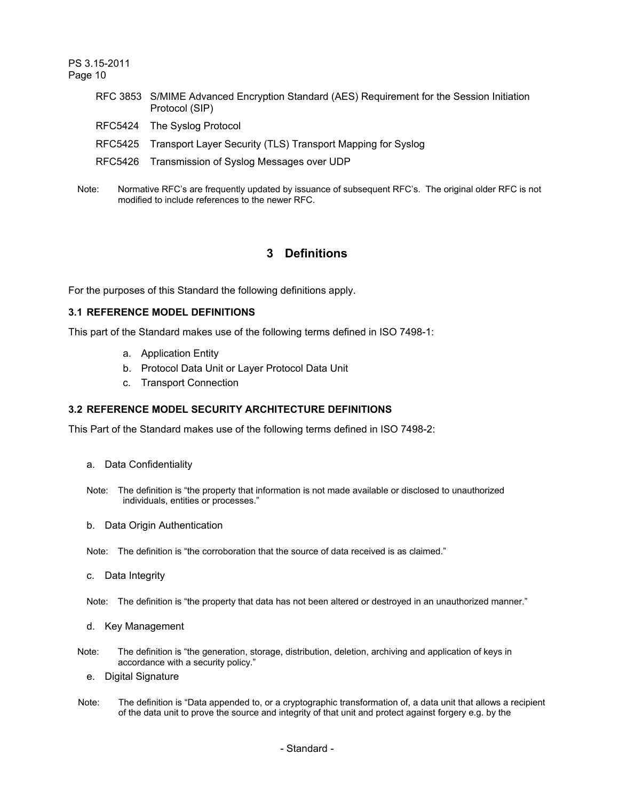- RFC 3853 S/MIME Advanced Encryption Standard (AES) Requirement for the Session Initiation Protocol (SIP)
- RFC5424 The Syslog Protocol
- RFC5425 Transport Layer Security (TLS) Transport Mapping for Syslog
- RFC5426 Transmission of Syslog Messages over UDP
- Note: Normative RFC's are frequently updated by issuance of subsequent RFC's. The original older RFC is not modified to include references to the newer RFC.

## **3 Definitions**

For the purposes of this Standard the following definitions apply.

### **3.1 REFERENCE MODEL DEFINITIONS**

This part of the Standard makes use of the following terms defined in ISO 7498-1:

- a. Application Entity
- b. Protocol Data Unit or Layer Protocol Data Unit
- c. Transport Connection

#### **3.2 REFERENCE MODEL SECURITY ARCHITECTURE DEFINITIONS**

This Part of the Standard makes use of the following terms defined in ISO 7498-2:

- a. Data Confidentiality
- Note: The definition is "the property that information is not made available or disclosed to unauthorized individuals, entities or processes."
- b. Data Origin Authentication
- Note: The definition is "the corroboration that the source of data received is as claimed."
- c. Data Integrity

Note: The definition is "the property that data has not been altered or destroyed in an unauthorized manner."

- d. Key Management
- Note: The definition is "the generation, storage, distribution, deletion, archiving and application of keys in accordance with a security policy."
	- e. Digital Signature
- Note: The definition is "Data appended to, or a cryptographic transformation of, a data unit that allows a recipient of the data unit to prove the source and integrity of that unit and protect against forgery e.g. by the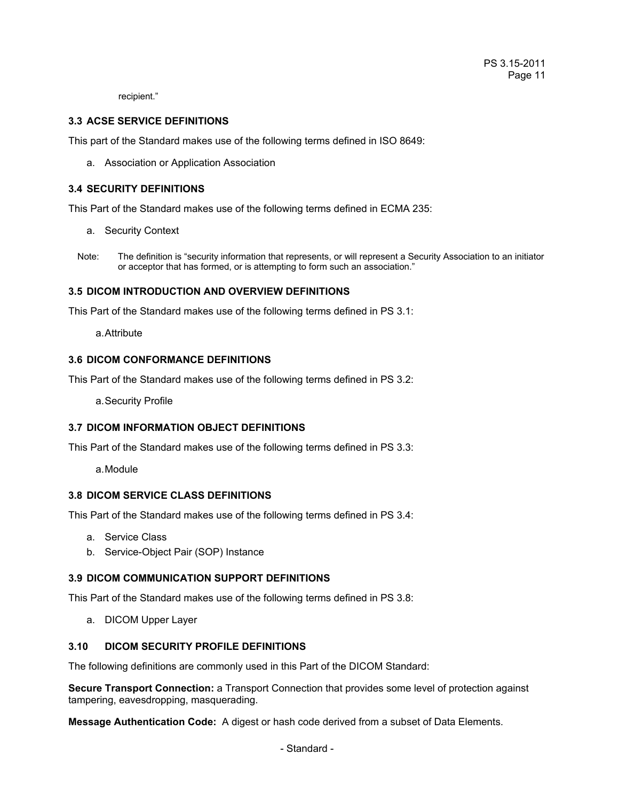recipient."

#### **3.3 ACSE SERVICE DEFINITIONS**

This part of the Standard makes use of the following terms defined in ISO 8649:

a. Association or Application Association

#### **3.4 SECURITY DEFINITIONS**

This Part of the Standard makes use of the following terms defined in ECMA 235:

- a. Security Context
- Note: The definition is "security information that represents, or will represent a Security Association to an initiator or acceptor that has formed, or is attempting to form such an association."

#### **3.5 DICOM INTRODUCTION AND OVERVIEW DEFINITIONS**

This Part of the Standard makes use of the following terms defined in PS 3.1:

a. Attribute

#### **3.6 DICOM CONFORMANCE DEFINITIONS**

This Part of the Standard makes use of the following terms defined in PS 3.2:

a. Security Profile

#### **3.7 DICOM INFORMATION OBJECT DEFINITIONS**

This Part of the Standard makes use of the following terms defined in PS 3.3:

a. Module

#### **3.8 DICOM SERVICE CLASS DEFINITIONS**

This Part of the Standard makes use of the following terms defined in PS 3.4:

- a. Service Class
- b. Service-Object Pair (SOP) Instance

#### **3.9 DICOM COMMUNICATION SUPPORT DEFINITIONS**

This Part of the Standard makes use of the following terms defined in PS 3.8:

a. DICOM Upper Layer

#### **3.10 DICOM SECURITY PROFILE DEFINITIONS**

The following definitions are commonly used in this Part of the DICOM Standard:

**Secure Transport Connection:** a Transport Connection that provides some level of protection against tampering, eavesdropping, masquerading.

**Message Authentication Code:** A digest or hash code derived from a subset of Data Elements.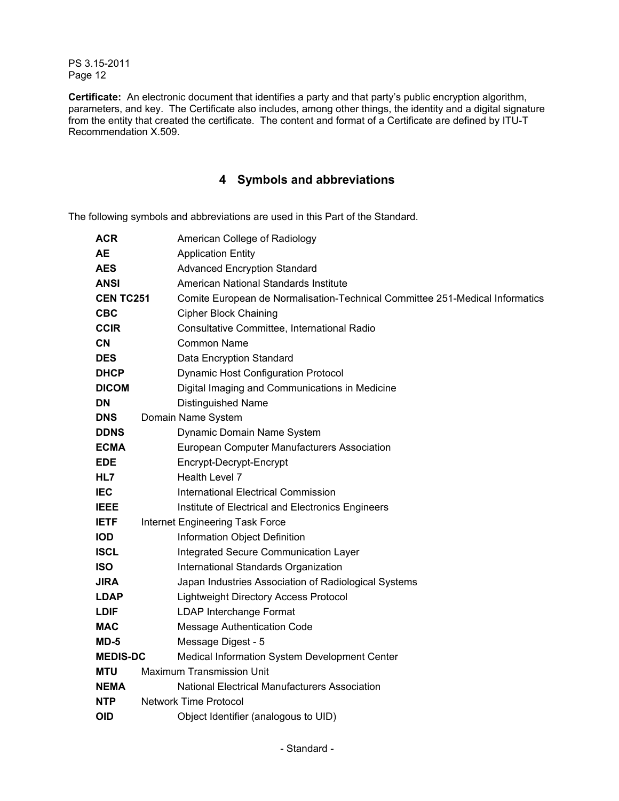**Certificate:** An electronic document that identifies a party and that party's public encryption algorithm, parameters, and key. The Certificate also includes, among other things, the identity and a digital signature from the entity that created the certificate. The content and format of a Certificate are defined by ITU-T Recommendation X.509.

## **4 Symbols and abbreviations**

The following symbols and abbreviations are used in this Part of the Standard.

| <b>ACR</b>       | American College of Radiology                                                |
|------------------|------------------------------------------------------------------------------|
| <b>AE</b>        | <b>Application Entity</b>                                                    |
| <b>AES</b>       | <b>Advanced Encryption Standard</b>                                          |
| <b>ANSI</b>      | American National Standards Institute                                        |
| <b>CEN TC251</b> | Comite European de Normalisation-Technical Committee 251-Medical Informatics |
| <b>CBC</b>       | <b>Cipher Block Chaining</b>                                                 |
| <b>CCIR</b>      | Consultative Committee, International Radio                                  |
| <b>CN</b>        | <b>Common Name</b>                                                           |
| <b>DES</b>       | Data Encryption Standard                                                     |
| <b>DHCP</b>      | <b>Dynamic Host Configuration Protocol</b>                                   |
| <b>DICOM</b>     | Digital Imaging and Communications in Medicine                               |
| <b>DN</b>        | <b>Distinguished Name</b>                                                    |
| <b>DNS</b>       | Domain Name System                                                           |
| <b>DDNS</b>      | Dynamic Domain Name System                                                   |
| <b>ECMA</b>      | European Computer Manufacturers Association                                  |
| <b>EDE</b>       | Encrypt-Decrypt-Encrypt                                                      |
| HL7              | Health Level 7                                                               |
| <b>IEC</b>       | <b>International Electrical Commission</b>                                   |
| <b>IEEE</b>      | Institute of Electrical and Electronics Engineers                            |
| <b>IETF</b>      | Internet Engineering Task Force                                              |
| <b>IOD</b>       | Information Object Definition                                                |
| <b>ISCL</b>      | Integrated Secure Communication Layer                                        |
| <b>ISO</b>       | International Standards Organization                                         |
| <b>JIRA</b>      | Japan Industries Association of Radiological Systems                         |
| <b>LDAP</b>      | <b>Lightweight Directory Access Protocol</b>                                 |
| <b>LDIF</b>      | <b>LDAP Interchange Format</b>                                               |
| <b>MAC</b>       | Message Authentication Code                                                  |
| $MD-5$           | Message Digest - 5                                                           |
| <b>MEDIS-DC</b>  | Medical Information System Development Center                                |
| <b>MTU</b>       | <b>Maximum Transmission Unit</b>                                             |
| <b>NEMA</b>      | <b>National Electrical Manufacturers Association</b>                         |
| <b>NTP</b>       | <b>Network Time Protocol</b>                                                 |
| <b>OID</b>       | Object Identifier (analogous to UID)                                         |
|                  |                                                                              |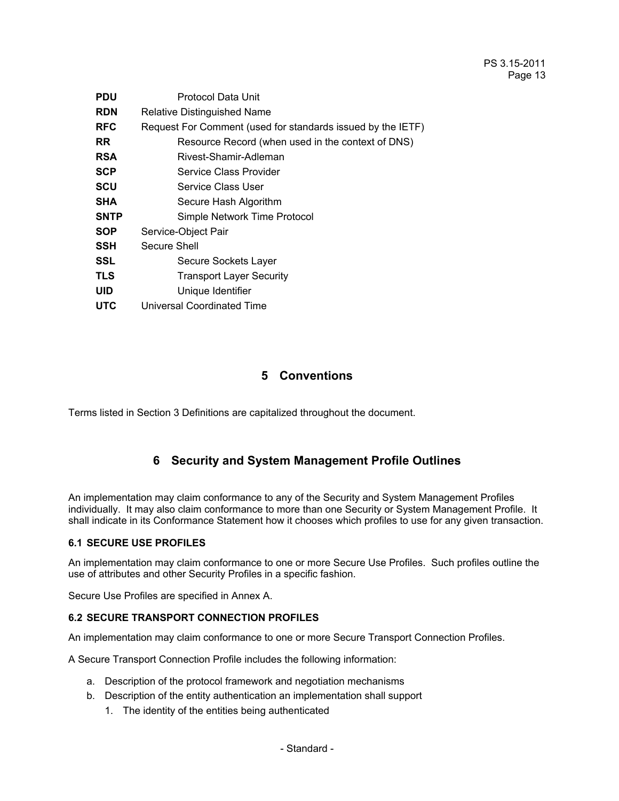| <b>PDU</b>  | Protocol Data Unit                                          |
|-------------|-------------------------------------------------------------|
| <b>RDN</b>  | Relative Distinguished Name                                 |
| <b>RFC</b>  | Request For Comment (used for standards issued by the IETF) |
| RR.         | Resource Record (when used in the context of DNS)           |
| <b>RSA</b>  | Rivest-Shamir-Adleman                                       |
| <b>SCP</b>  | Service Class Provider                                      |
| <b>SCU</b>  | Service Class User                                          |
| <b>SHA</b>  | Secure Hash Algorithm                                       |
| <b>SNTP</b> | Simple Network Time Protocol                                |
| <b>SOP</b>  | Service-Object Pair                                         |
| <b>SSH</b>  | Secure Shell                                                |
| SSL         | Secure Sockets Layer                                        |
| <b>TLS</b>  | <b>Transport Layer Security</b>                             |
| <b>UID</b>  | Unique Identifier                                           |
| <b>UTC</b>  | Universal Coordinated Time                                  |

## **5 Conventions**

Terms listed in Section 3 Definitions are capitalized throughout the document.

## **6 Security and System Management Profile Outlines**

An implementation may claim conformance to any of the Security and System Management Profiles individually. It may also claim conformance to more than one Security or System Management Profile. It shall indicate in its Conformance Statement how it chooses which profiles to use for any given transaction.

## **6.1 SECURE USE PROFILES**

An implementation may claim conformance to one or more Secure Use Profiles. Such profiles outline the use of attributes and other Security Profiles in a specific fashion.

Secure Use Profiles are specified in Annex A.

## **6.2 SECURE TRANSPORT CONNECTION PROFILES**

An implementation may claim conformance to one or more Secure Transport Connection Profiles.

A Secure Transport Connection Profile includes the following information:

- a. Description of the protocol framework and negotiation mechanisms
- b. Description of the entity authentication an implementation shall support
	- 1. The identity of the entities being authenticated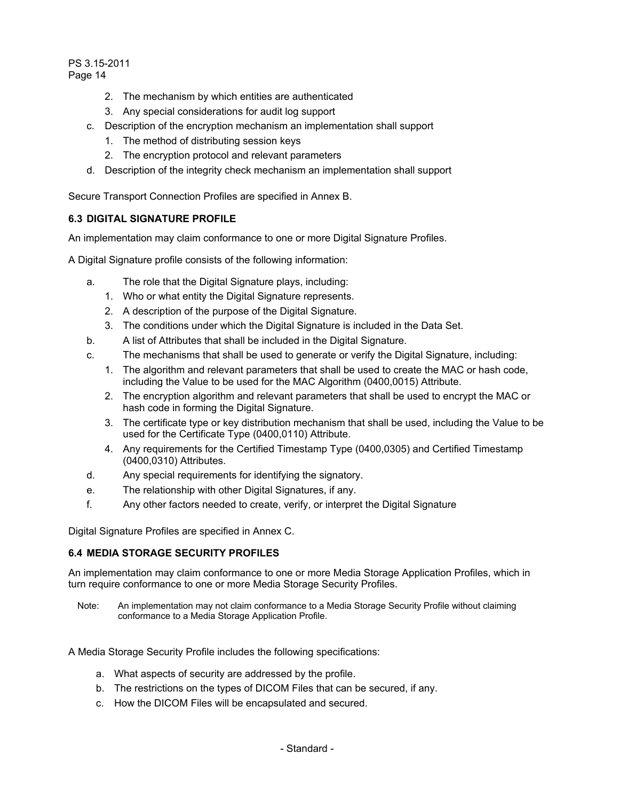- 2. The mechanism by which entities are authenticated
- 3. Any special considerations for audit log support
- c. Description of the encryption mechanism an implementation shall support
	- 1. The method of distributing session keys
	- 2. The encryption protocol and relevant parameters
- d. Description of the integrity check mechanism an implementation shall support

Secure Transport Connection Profiles are specified in Annex B.

## **6.3 DIGITAL SIGNATURE PROFILE**

An implementation may claim conformance to one or more Digital Signature Profiles.

A Digital Signature profile consists of the following information:

- a. The role that the Digital Signature plays, including:
	- 1. Who or what entity the Digital Signature represents.
	- 2. A description of the purpose of the Digital Signature.
	- 3. The conditions under which the Digital Signature is included in the Data Set.
- b. A list of Attributes that shall be included in the Digital Signature.
- c. The mechanisms that shall be used to generate or verify the Digital Signature, including:
	- 1. The algorithm and relevant parameters that shall be used to create the MAC or hash code, including the Value to be used for the MAC Algorithm (0400,0015) Attribute.
	- 2. The encryption algorithm and relevant parameters that shall be used to encrypt the MAC or hash code in forming the Digital Signature.
	- 3. The certificate type or key distribution mechanism that shall be used, including the Value to be used for the Certificate Type (0400,0110) Attribute.
	- 4. Any requirements for the Certified Timestamp Type (0400,0305) and Certified Timestamp (0400,0310) Attributes.
- d. Any special requirements for identifying the signatory.
- e. The relationship with other Digital Signatures, if any.
- f. Any other factors needed to create, verify, or interpret the Digital Signature

Digital Signature Profiles are specified in Annex C.

## **6.4 MEDIA STORAGE SECURITY PROFILES**

An implementation may claim conformance to one or more Media Storage Application Profiles, which in turn require conformance to one or more Media Storage Security Profiles.

Note: An implementation may not claim conformance to a Media Storage Security Profile without claiming conformance to a Media Storage Application Profile.

A Media Storage Security Profile includes the following specifications:

- a. What aspects of security are addressed by the profile.
- b. The restrictions on the types of DICOM Files that can be secured, if any.
- c. How the DICOM Files will be encapsulated and secured.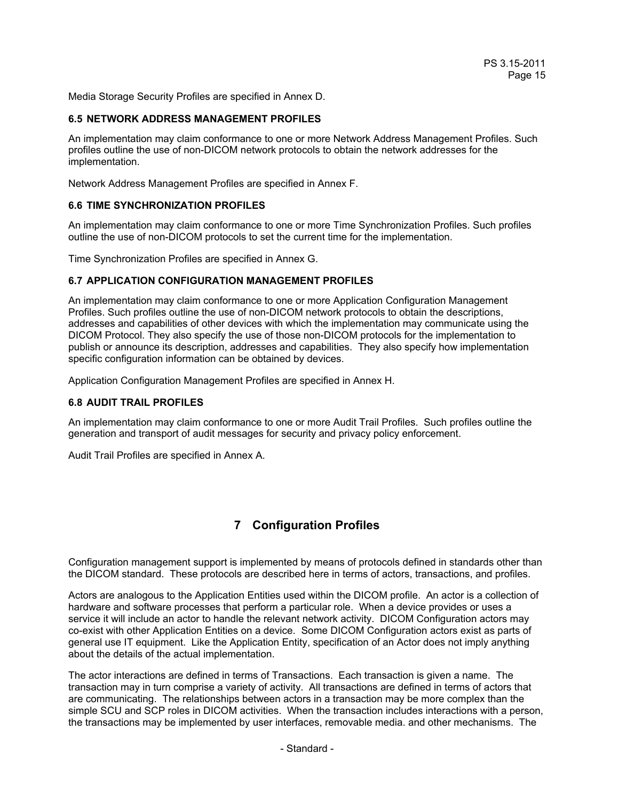Media Storage Security Profiles are specified in Annex D.

#### **6.5 NETWORK ADDRESS MANAGEMENT PROFILES**

An implementation may claim conformance to one or more Network Address Management Profiles. Such profiles outline the use of non-DICOM network protocols to obtain the network addresses for the implementation.

Network Address Management Profiles are specified in Annex F.

## **6.6 TIME SYNCHRONIZATION PROFILES**

An implementation may claim conformance to one or more Time Synchronization Profiles. Such profiles outline the use of non-DICOM protocols to set the current time for the implementation.

Time Synchronization Profiles are specified in Annex G.

## **6.7 APPLICATION CONFIGURATION MANAGEMENT PROFILES**

An implementation may claim conformance to one or more Application Configuration Management Profiles. Such profiles outline the use of non-DICOM network protocols to obtain the descriptions, addresses and capabilities of other devices with which the implementation may communicate using the DICOM Protocol. They also specify the use of those non-DICOM protocols for the implementation to publish or announce its description, addresses and capabilities. They also specify how implementation specific configuration information can be obtained by devices.

Application Configuration Management Profiles are specified in Annex H.

#### **6.8 AUDIT TRAIL PROFILES**

An implementation may claim conformance to one or more Audit Trail Profiles. Such profiles outline the generation and transport of audit messages for security and privacy policy enforcement.

Audit Trail Profiles are specified in Annex A.

## **7 Configuration Profiles**

Configuration management support is implemented by means of protocols defined in standards other than the DICOM standard. These protocols are described here in terms of actors, transactions, and profiles.

Actors are analogous to the Application Entities used within the DICOM profile. An actor is a collection of hardware and software processes that perform a particular role. When a device provides or uses a service it will include an actor to handle the relevant network activity. DICOM Configuration actors may co-exist with other Application Entities on a device. Some DICOM Configuration actors exist as parts of general use IT equipment. Like the Application Entity, specification of an Actor does not imply anything about the details of the actual implementation.

The actor interactions are defined in terms of Transactions. Each transaction is given a name. The transaction may in turn comprise a variety of activity. All transactions are defined in terms of actors that are communicating. The relationships between actors in a transaction may be more complex than the simple SCU and SCP roles in DICOM activities. When the transaction includes interactions with a person, the transactions may be implemented by user interfaces, removable media. and other mechanisms. The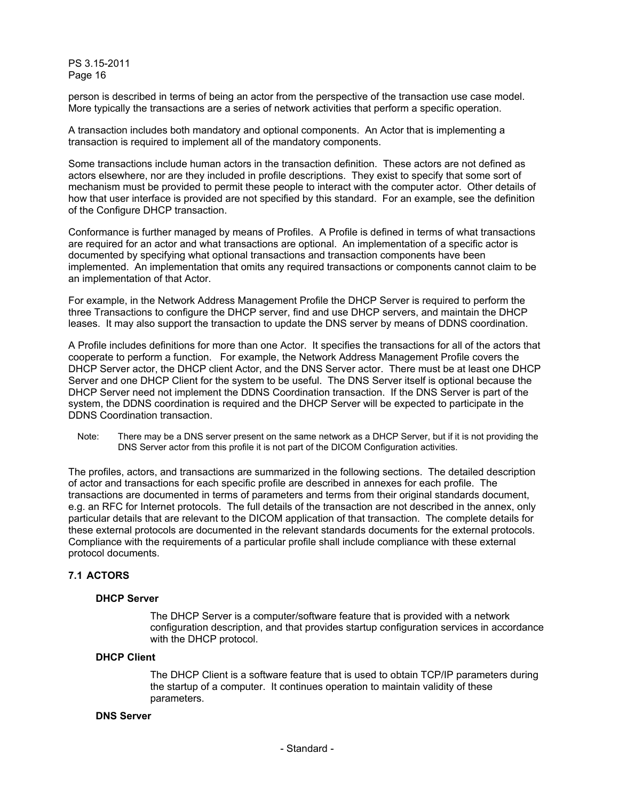person is described in terms of being an actor from the perspective of the transaction use case model. More typically the transactions are a series of network activities that perform a specific operation.

A transaction includes both mandatory and optional components. An Actor that is implementing a transaction is required to implement all of the mandatory components.

Some transactions include human actors in the transaction definition. These actors are not defined as actors elsewhere, nor are they included in profile descriptions. They exist to specify that some sort of mechanism must be provided to permit these people to interact with the computer actor. Other details of how that user interface is provided are not specified by this standard. For an example, see the definition of the Configure DHCP transaction.

Conformance is further managed by means of Profiles. A Profile is defined in terms of what transactions are required for an actor and what transactions are optional. An implementation of a specific actor is documented by specifying what optional transactions and transaction components have been implemented. An implementation that omits any required transactions or components cannot claim to be an implementation of that Actor.

For example, in the Network Address Management Profile the DHCP Server is required to perform the three Transactions to configure the DHCP server, find and use DHCP servers, and maintain the DHCP leases. It may also support the transaction to update the DNS server by means of DDNS coordination.

A Profile includes definitions for more than one Actor. It specifies the transactions for all of the actors that cooperate to perform a function. For example, the Network Address Management Profile covers the DHCP Server actor, the DHCP client Actor, and the DNS Server actor. There must be at least one DHCP Server and one DHCP Client for the system to be useful. The DNS Server itself is optional because the DHCP Server need not implement the DDNS Coordination transaction. If the DNS Server is part of the system, the DDNS coordination is required and the DHCP Server will be expected to participate in the DDNS Coordination transaction.

Note: There may be a DNS server present on the same network as a DHCP Server, but if it is not providing the DNS Server actor from this profile it is not part of the DICOM Configuration activities.

The profiles, actors, and transactions are summarized in the following sections. The detailed description of actor and transactions for each specific profile are described in annexes for each profile. The transactions are documented in terms of parameters and terms from their original standards document, e.g. an RFC for Internet protocols. The full details of the transaction are not described in the annex, only particular details that are relevant to the DICOM application of that transaction. The complete details for these external protocols are documented in the relevant standards documents for the external protocols. Compliance with the requirements of a particular profile shall include compliance with these external protocol documents.

## **7.1 ACTORS**

#### **DHCP Server**

The DHCP Server is a computer/software feature that is provided with a network configuration description, and that provides startup configuration services in accordance with the DHCP protocol.

## **DHCP Client**

The DHCP Client is a software feature that is used to obtain TCP/IP parameters during the startup of a computer. It continues operation to maintain validity of these parameters.

#### **DNS Server**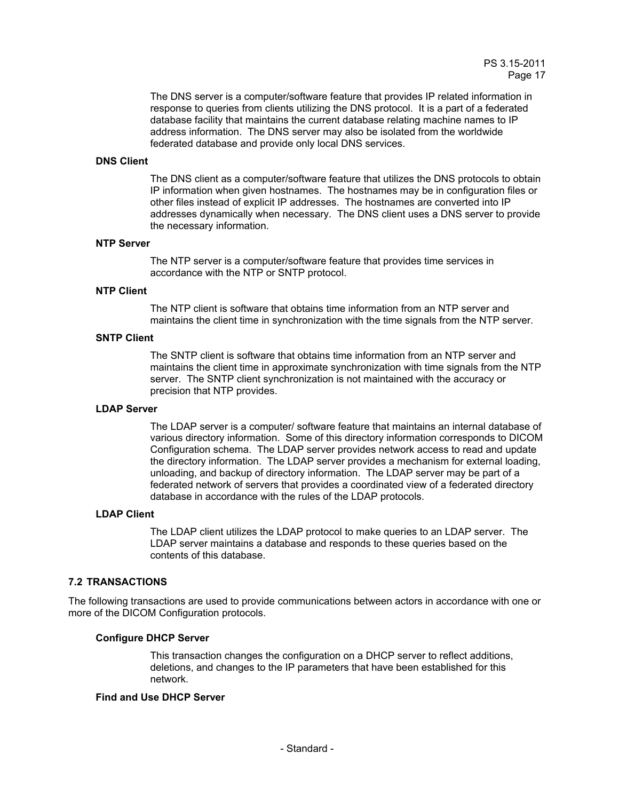The DNS server is a computer/software feature that provides IP related information in response to queries from clients utilizing the DNS protocol. It is a part of a federated database facility that maintains the current database relating machine names to IP address information. The DNS server may also be isolated from the worldwide federated database and provide only local DNS services.

#### **DNS Client**

 The DNS client as a computer/software feature that utilizes the DNS protocols to obtain IP information when given hostnames. The hostnames may be in configuration files or other files instead of explicit IP addresses. The hostnames are converted into IP addresses dynamically when necessary. The DNS client uses a DNS server to provide the necessary information.

#### **NTP Server**

The NTP server is a computer/software feature that provides time services in accordance with the NTP or SNTP protocol.

## **NTP Client**

The NTP client is software that obtains time information from an NTP server and maintains the client time in synchronization with the time signals from the NTP server.

#### **SNTP Client**

The SNTP client is software that obtains time information from an NTP server and maintains the client time in approximate synchronization with time signals from the NTP server. The SNTP client synchronization is not maintained with the accuracy or precision that NTP provides.

#### **LDAP Server**

The LDAP server is a computer/ software feature that maintains an internal database of various directory information. Some of this directory information corresponds to DICOM Configuration schema. The LDAP server provides network access to read and update the directory information. The LDAP server provides a mechanism for external loading, unloading, and backup of directory information. The LDAP server may be part of a federated network of servers that provides a coordinated view of a federated directory database in accordance with the rules of the LDAP protocols.

#### **LDAP Client**

The LDAP client utilizes the LDAP protocol to make queries to an LDAP server. The LDAP server maintains a database and responds to these queries based on the contents of this database.

#### **7.2 TRANSACTIONS**

The following transactions are used to provide communications between actors in accordance with one or more of the DICOM Configuration protocols.

#### **Configure DHCP Server**

 This transaction changes the configuration on a DHCP server to reflect additions, deletions, and changes to the IP parameters that have been established for this network.

#### **Find and Use DHCP Server**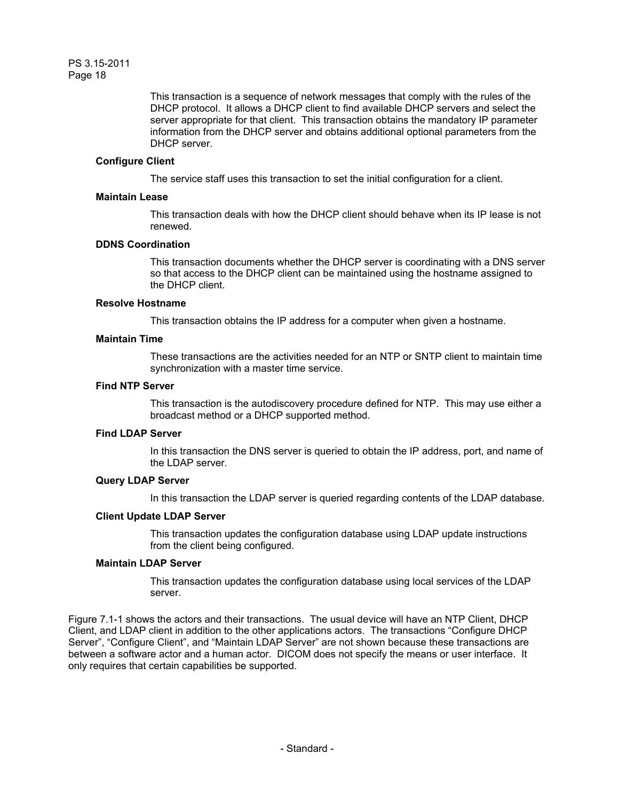This transaction is a sequence of network messages that comply with the rules of the DHCP protocol. It allows a DHCP client to find available DHCP servers and select the server appropriate for that client. This transaction obtains the mandatory IP parameter information from the DHCP server and obtains additional optional parameters from the DHCP server.

### **Configure Client**

The service staff uses this transaction to set the initial configuration for a client.

## **Maintain Lease**

 This transaction deals with how the DHCP client should behave when its IP lease is not renewed.

## **DDNS Coordination**

 This transaction documents whether the DHCP server is coordinating with a DNS server so that access to the DHCP client can be maintained using the hostname assigned to the DHCP client.

#### **Resolve Hostname**

This transaction obtains the IP address for a computer when given a hostname.

#### **Maintain Time**

 These transactions are the activities needed for an NTP or SNTP client to maintain time synchronization with a master time service.

### **Find NTP Server**

 This transaction is the autodiscovery procedure defined for NTP. This may use either a broadcast method or a DHCP supported method.

## **Find LDAP Server**

 In this transaction the DNS server is queried to obtain the IP address, port, and name of the LDAP server.

#### **Query LDAP Server**

In this transaction the LDAP server is queried regarding contents of the LDAP database.

#### **Client Update LDAP Server**

 This transaction updates the configuration database using LDAP update instructions from the client being configured.

#### **Maintain LDAP Server**

 This transaction updates the configuration database using local services of the LDAP server.

Figure 7.1-1 shows the actors and their transactions. The usual device will have an NTP Client, DHCP Client, and LDAP client in addition to the other applications actors. The transactions "Configure DHCP Server", "Configure Client", and "Maintain LDAP Server" are not shown because these transactions are between a software actor and a human actor. DICOM does not specify the means or user interface. It only requires that certain capabilities be supported.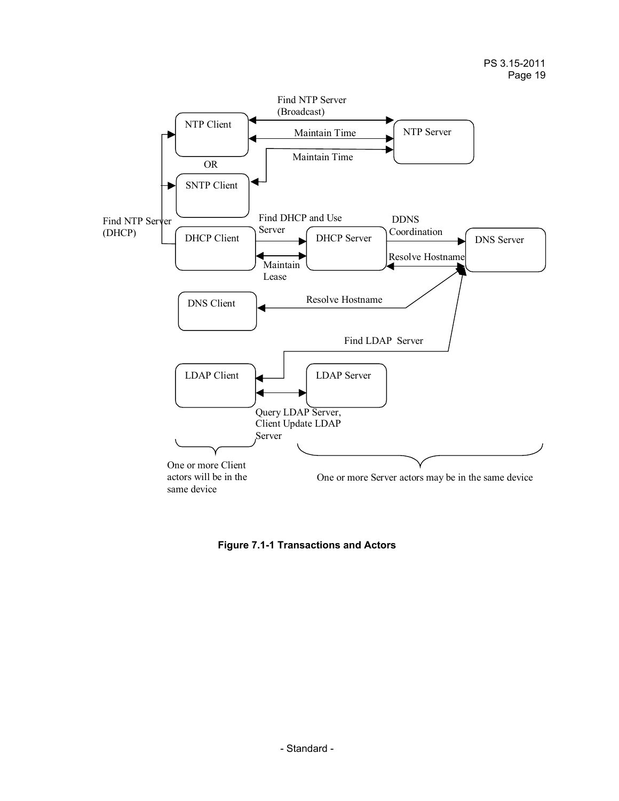

**Figure 7.1-1 Transactions and Actors**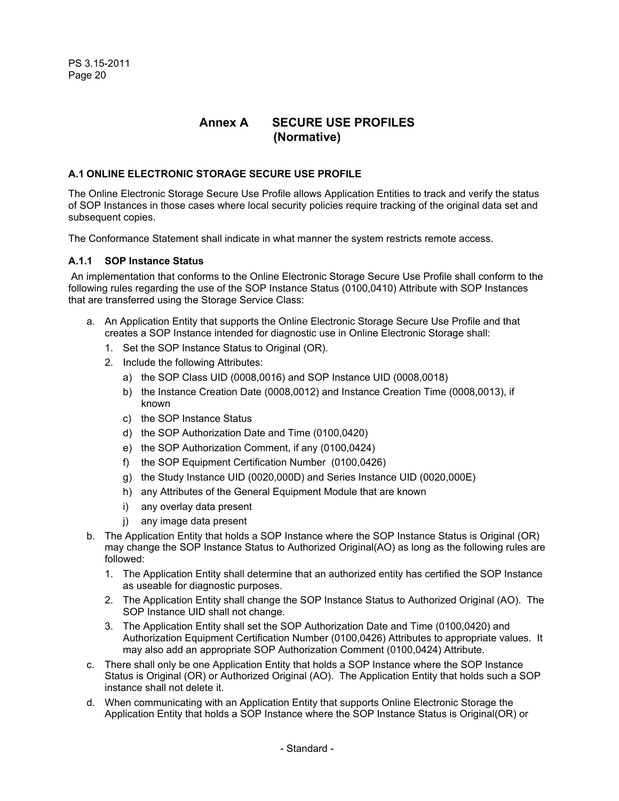## **Annex A SECURE USE PROFILES (Normative)**

## **A.1 ONLINE ELECTRONIC STORAGE SECURE USE PROFILE**

The Online Electronic Storage Secure Use Profile allows Application Entities to track and verify the status of SOP Instances in those cases where local security policies require tracking of the original data set and subsequent copies.

The Conformance Statement shall indicate in what manner the system restricts remote access.

## **A.1.1 SOP Instance Status**

 An implementation that conforms to the Online Electronic Storage Secure Use Profile shall conform to the following rules regarding the use of the SOP Instance Status (0100,0410) Attribute with SOP Instances that are transferred using the Storage Service Class:

- a. An Application Entity that supports the Online Electronic Storage Secure Use Profile and that creates a SOP Instance intended for diagnostic use in Online Electronic Storage shall:
	- 1. Set the SOP Instance Status to Original (OR).
	- 2. Include the following Attributes:
		- a) the SOP Class UID (0008,0016) and SOP Instance UID (0008,0018)
		- b) the Instance Creation Date (0008,0012) and Instance Creation Time (0008,0013), if known
		- c) the SOP Instance Status
		- d) the SOP Authorization Date and Time (0100,0420)
		- e) the SOP Authorization Comment, if any (0100,0424)
		- f) the SOP Equipment Certification Number (0100,0426)
		- g) the Study Instance UID (0020,000D) and Series Instance UID (0020,000E)
		- h) any Attributes of the General Equipment Module that are known
		- i) any overlay data present
		- j) any image data present
- b. The Application Entity that holds a SOP Instance where the SOP Instance Status is Original (OR) may change the SOP Instance Status to Authorized Original(AO) as long as the following rules are followed:
	- 1. The Application Entity shall determine that an authorized entity has certified the SOP Instance as useable for diagnostic purposes.
	- 2. The Application Entity shall change the SOP Instance Status to Authorized Original (AO). The SOP Instance UID shall not change.
	- 3. The Application Entity shall set the SOP Authorization Date and Time (0100,0420) and Authorization Equipment Certification Number (0100,0426) Attributes to appropriate values. It may also add an appropriate SOP Authorization Comment (0100,0424) Attribute.
- c. There shall only be one Application Entity that holds a SOP Instance where the SOP Instance Status is Original (OR) or Authorized Original (AO). The Application Entity that holds such a SOP instance shall not delete it.
- d. When communicating with an Application Entity that supports Online Electronic Storage the Application Entity that holds a SOP Instance where the SOP Instance Status is Original(OR) or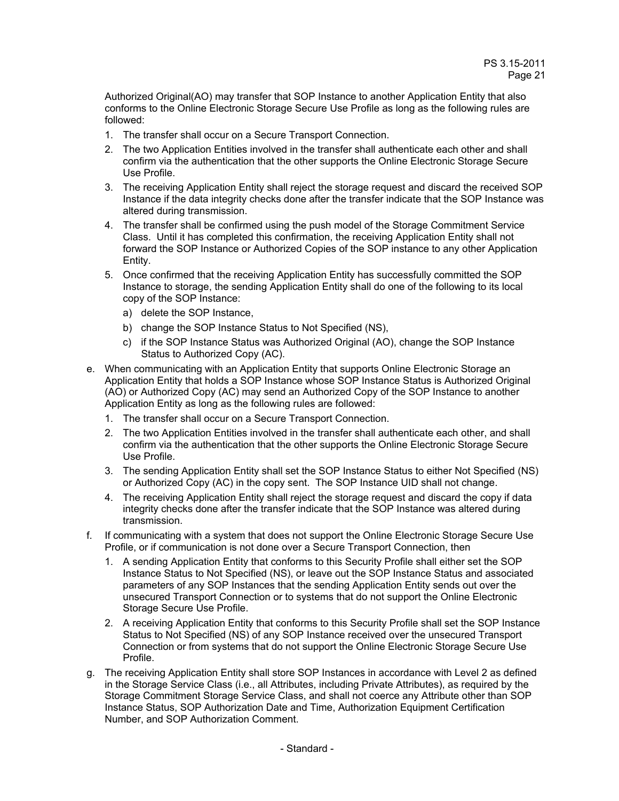Authorized Original(AO) may transfer that SOP Instance to another Application Entity that also conforms to the Online Electronic Storage Secure Use Profile as long as the following rules are followed:

- 1. The transfer shall occur on a Secure Transport Connection.
- 2. The two Application Entities involved in the transfer shall authenticate each other and shall confirm via the authentication that the other supports the Online Electronic Storage Secure Use Profile.
- 3. The receiving Application Entity shall reject the storage request and discard the received SOP Instance if the data integrity checks done after the transfer indicate that the SOP Instance was altered during transmission.
- 4. The transfer shall be confirmed using the push model of the Storage Commitment Service Class. Until it has completed this confirmation, the receiving Application Entity shall not forward the SOP Instance or Authorized Copies of the SOP instance to any other Application Entity.
- 5. Once confirmed that the receiving Application Entity has successfully committed the SOP Instance to storage, the sending Application Entity shall do one of the following to its local copy of the SOP Instance:
	- a) delete the SOP Instance,
	- b) change the SOP Instance Status to Not Specified (NS),
	- c) if the SOP Instance Status was Authorized Original (AO), change the SOP Instance Status to Authorized Copy (AC).
- e. When communicating with an Application Entity that supports Online Electronic Storage an Application Entity that holds a SOP Instance whose SOP Instance Status is Authorized Original (AO) or Authorized Copy (AC) may send an Authorized Copy of the SOP Instance to another Application Entity as long as the following rules are followed:
	- 1. The transfer shall occur on a Secure Transport Connection.
	- 2. The two Application Entities involved in the transfer shall authenticate each other, and shall confirm via the authentication that the other supports the Online Electronic Storage Secure Use Profile.
	- 3. The sending Application Entity shall set the SOP Instance Status to either Not Specified (NS) or Authorized Copy (AC) in the copy sent. The SOP Instance UID shall not change.
	- 4. The receiving Application Entity shall reject the storage request and discard the copy if data integrity checks done after the transfer indicate that the SOP Instance was altered during transmission.
- f. If communicating with a system that does not support the Online Electronic Storage Secure Use Profile, or if communication is not done over a Secure Transport Connection, then
	- 1. A sending Application Entity that conforms to this Security Profile shall either set the SOP Instance Status to Not Specified (NS), or leave out the SOP Instance Status and associated parameters of any SOP Instances that the sending Application Entity sends out over the unsecured Transport Connection or to systems that do not support the Online Electronic Storage Secure Use Profile.
	- 2. A receiving Application Entity that conforms to this Security Profile shall set the SOP Instance Status to Not Specified (NS) of any SOP Instance received over the unsecured Transport Connection or from systems that do not support the Online Electronic Storage Secure Use Profile.
- g. The receiving Application Entity shall store SOP Instances in accordance with Level 2 as defined in the Storage Service Class (i.e., all Attributes, including Private Attributes), as required by the Storage Commitment Storage Service Class, and shall not coerce any Attribute other than SOP Instance Status, SOP Authorization Date and Time, Authorization Equipment Certification Number, and SOP Authorization Comment.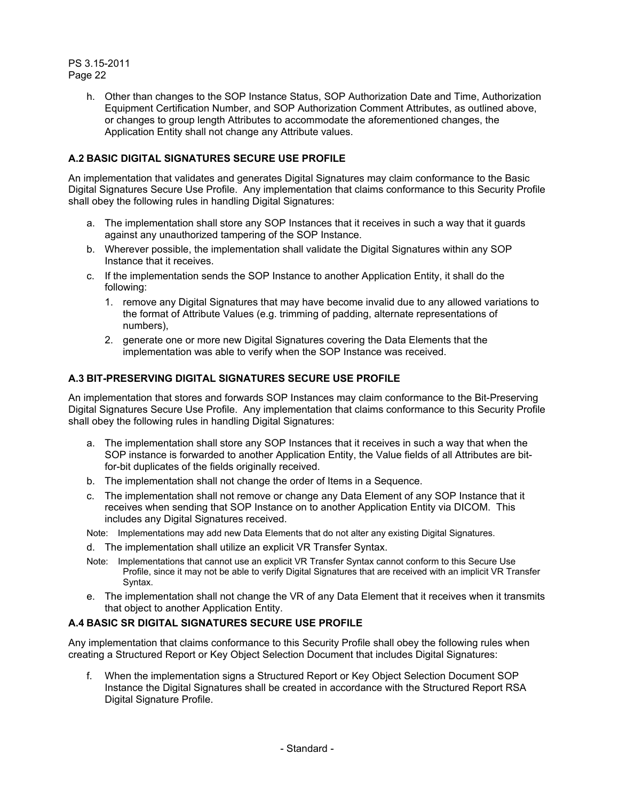> h. Other than changes to the SOP Instance Status, SOP Authorization Date and Time, Authorization Equipment Certification Number, and SOP Authorization Comment Attributes, as outlined above, or changes to group length Attributes to accommodate the aforementioned changes, the Application Entity shall not change any Attribute values.

## **A.2 BASIC DIGITAL SIGNATURES SECURE USE PROFILE**

An implementation that validates and generates Digital Signatures may claim conformance to the Basic Digital Signatures Secure Use Profile. Any implementation that claims conformance to this Security Profile shall obey the following rules in handling Digital Signatures:

- a. The implementation shall store any SOP Instances that it receives in such a way that it guards against any unauthorized tampering of the SOP Instance.
- b. Wherever possible, the implementation shall validate the Digital Signatures within any SOP Instance that it receives.
- c. If the implementation sends the SOP Instance to another Application Entity, it shall do the following:
	- 1. remove any Digital Signatures that may have become invalid due to any allowed variations to the format of Attribute Values (e.g. trimming of padding, alternate representations of numbers),
	- 2. generate one or more new Digital Signatures covering the Data Elements that the implementation was able to verify when the SOP Instance was received.

## **A.3 BIT-PRESERVING DIGITAL SIGNATURES SECURE USE PROFILE**

An implementation that stores and forwards SOP Instances may claim conformance to the Bit-Preserving Digital Signatures Secure Use Profile. Any implementation that claims conformance to this Security Profile shall obey the following rules in handling Digital Signatures:

- a. The implementation shall store any SOP Instances that it receives in such a way that when the SOP instance is forwarded to another Application Entity, the Value fields of all Attributes are bitfor-bit duplicates of the fields originally received.
- b. The implementation shall not change the order of Items in a Sequence.
- c. The implementation shall not remove or change any Data Element of any SOP Instance that it receives when sending that SOP Instance on to another Application Entity via DICOM. This includes any Digital Signatures received.
- Note: Implementations may add new Data Elements that do not alter any existing Digital Signatures.
- d. The implementation shall utilize an explicit VR Transfer Syntax.
- Note: Implementations that cannot use an explicit VR Transfer Syntax cannot conform to this Secure Use Profile, since it may not be able to verify Digital Signatures that are received with an implicit VR Transfer Syntax.
- e. The implementation shall not change the VR of any Data Element that it receives when it transmits that object to another Application Entity.

## **A.4 BASIC SR DIGITAL SIGNATURES SECURE USE PROFILE**

Any implementation that claims conformance to this Security Profile shall obey the following rules when creating a Structured Report or Key Object Selection Document that includes Digital Signatures:

f. When the implementation signs a Structured Report or Key Object Selection Document SOP Instance the Digital Signatures shall be created in accordance with the Structured Report RSA Digital Signature Profile.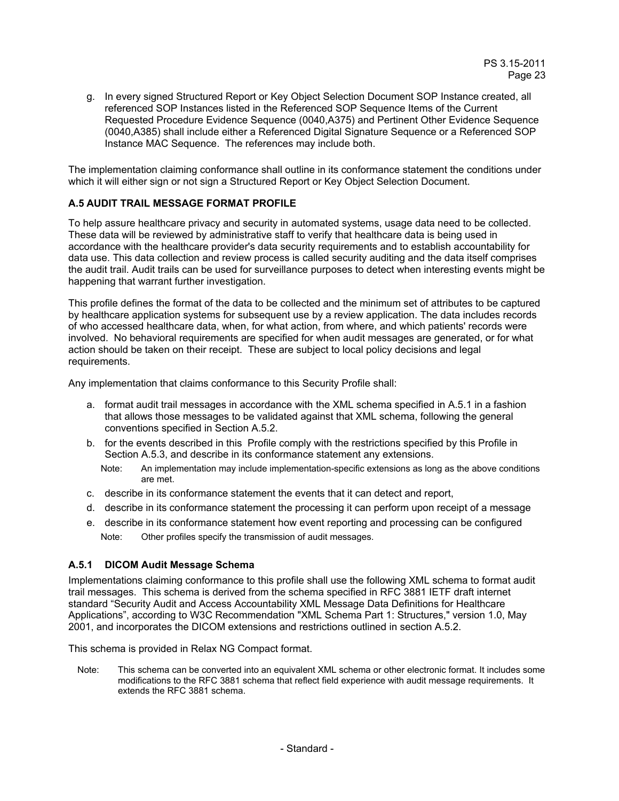g. In every signed Structured Report or Key Object Selection Document SOP Instance created, all referenced SOP Instances listed in the Referenced SOP Sequence Items of the Current Requested Procedure Evidence Sequence (0040,A375) and Pertinent Other Evidence Sequence (0040,A385) shall include either a Referenced Digital Signature Sequence or a Referenced SOP Instance MAC Sequence. The references may include both.

The implementation claiming conformance shall outline in its conformance statement the conditions under which it will either sign or not sign a Structured Report or Key Object Selection Document.

## **A.5 AUDIT TRAIL MESSAGE FORMAT PROFILE**

To help assure healthcare privacy and security in automated systems, usage data need to be collected. These data will be reviewed by administrative staff to verify that healthcare data is being used in accordance with the healthcare provider's data security requirements and to establish accountability for data use. This data collection and review process is called security auditing and the data itself comprises the audit trail. Audit trails can be used for surveillance purposes to detect when interesting events might be happening that warrant further investigation.

This profile defines the format of the data to be collected and the minimum set of attributes to be captured by healthcare application systems for subsequent use by a review application. The data includes records of who accessed healthcare data, when, for what action, from where, and which patients' records were involved. No behavioral requirements are specified for when audit messages are generated, or for what action should be taken on their receipt. These are subject to local policy decisions and legal requirements.

Any implementation that claims conformance to this Security Profile shall:

- a. format audit trail messages in accordance with the XML schema specified in A.5.1 in a fashion that allows those messages to be validated against that XML schema, following the general conventions specified in Section A.5.2.
- b. for the events described in this Profile comply with the restrictions specified by this Profile in Section A.5.3, and describe in its conformance statement any extensions.
	- Note: An implementation may include implementation-specific extensions as long as the above conditions are met.
- c. describe in its conformance statement the events that it can detect and report,
- d. describe in its conformance statement the processing it can perform upon receipt of a message
- e. describe in its conformance statement how event reporting and processing can be configured Note: Other profiles specify the transmission of audit messages.

#### **A.5.1 DICOM Audit Message Schema**

Implementations claiming conformance to this profile shall use the following XML schema to format audit trail messages. This schema is derived from the schema specified in RFC 3881 IETF draft internet standard "Security Audit and Access Accountability XML Message Data Definitions for Healthcare Applications", according to W3C Recommendation "XML Schema Part 1: Structures," version 1.0, May 2001, and incorporates the DICOM extensions and restrictions outlined in section A.5.2.

This schema is provided in Relax NG Compact format.

Note: This schema can be converted into an equivalent XML schema or other electronic format. It includes some modifications to the RFC 3881 schema that reflect field experience with audit message requirements. It extends the RFC 3881 schema.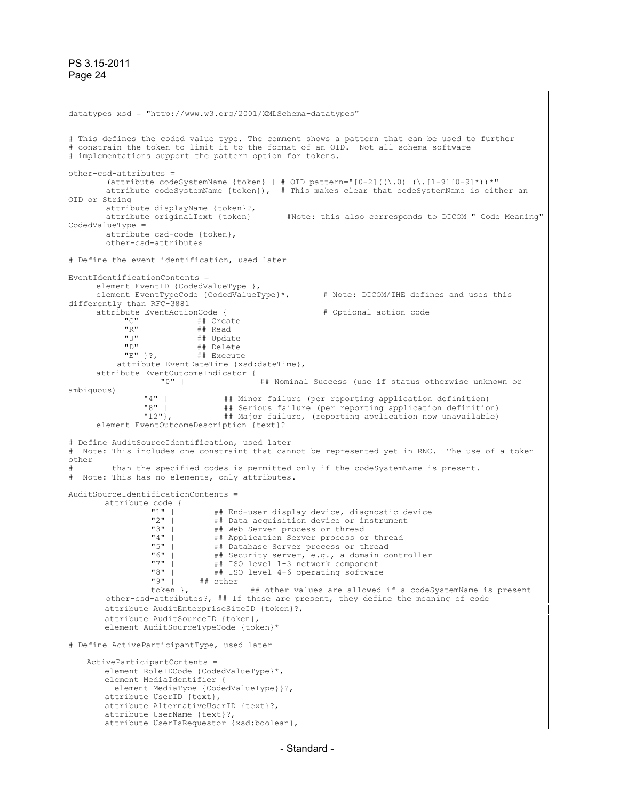```
datatypes xsd = "http://www.w3.org/2001/XMLSchema-datatypes" 
# This defines the coded value type. The comment shows a pattern that can be used to further 
# constrain the token to limit it to the format of an OID. Not all schema software 
# implementations support the pattern option for tokens. 
other-csd-attributes = 
         (attribute codeSystemName {token} | # OID pattern="[0-2]((\lambda.0)|(\lambda.[1-9][0-9]^*))*" attribute codeSystemName {token}), # This makes clear that codeSystemName is either an 
OID or String 
         attribute displayName {token}?, 
                                                 #Note: this also corresponds to DICOM " Code Meaning"
CodedValueType = 
         attribute csd-code {token}, 
         other-csd-attributes 
# Define the event identification, used later 
EventIdentificationContents = 
      element EventID {CodedValueType },
       element EventTypeCode {CodedValueType}*, # Note: DICOM/IHE defines and uses this 
differently than RFC-3881 
      attribute EventActionCode { \qquad # Optional action code \qquad "C" | \qquad # Create
             "C" | ## Create<br>"R" | ## Read
             "R" | ## Read<br>"II" | ## Updat
             "U" | ## Update<br>"D" | ## Delete
             "D" | ## Delete<br>"E" }?, ## Execut
                              ## Execute
            attribute EventDateTime {xsd:dateTime}, 
      attribute EventOutcomeIndicator {<br>"0" |
                                              ## Nominal Success (use if status otherwise unknown or
ambiguous)
                  "4" | ## Minor failure (per reporting application definition) 
                  "8" |           ## Serious failure (per reporting application definition)<br>"12"},           ## Major failure, (reporting application now unavailable)
                                     ## Major failure, (reporting application now unavailable)
       element EventOutcomeDescription {text}? 
# Define AuditSourceIdentification, used later 
# Note: This includes one constraint that cannot be represented yet in RNC. The use of a token 
other 
          than the specified codes is permitted only if the codeSystemName is present.
 Note: This has no elements, only attributes.
AuditSourceIdentificationContents = 
        attribute code {<br>"1" |
                   "1" | ## End-user display device, diagnostic device<br>"2" | ## Data acquisition device or instrument
                   "2" | ## Data acquisition device or instrument<br>"3" | ## Web Server process or thread
                   "3" | # Web Server process or thread<br>"4" | # Application Server process of
                   "4" | ## Application Server process or thread<br>"5" | ## Database Server process or thread
                    "5" | ## Database Server process or thread 
                   "6" | ## Security server, e.g., a domain controller<br>"7" | ## ISO level 1-3 network component
                   "7" | ## ISO level 1-3 network component<br>"8" | ## ISO level 4-6 operating software
                    "8" | ## ISO level 4-6 operating software 
                   "9" | ## other<br>token },## other values are allowed if a codeSystemName is present
         other-csd-attributes?, ## If these are present, they define the meaning of code 
         attribute AuditEnterpriseSiteID {token}?, 
         attribute AuditSourceID {token}, 
         element AuditSourceTypeCode {token}* 
# Define ActiveParticipantType, used later 
     ActiveParticipantContents = 
        element RoleIDCode {CodedValueType}*,
         element MediaIdentifier { 
           element MediaType {CodedValueType}}?, 
         attribute UserID {text}, 
         attribute AlternativeUserID {text}?, 
         attribute UserName {text}?, 
         attribute UserIsRequestor {xsd:boolean},
```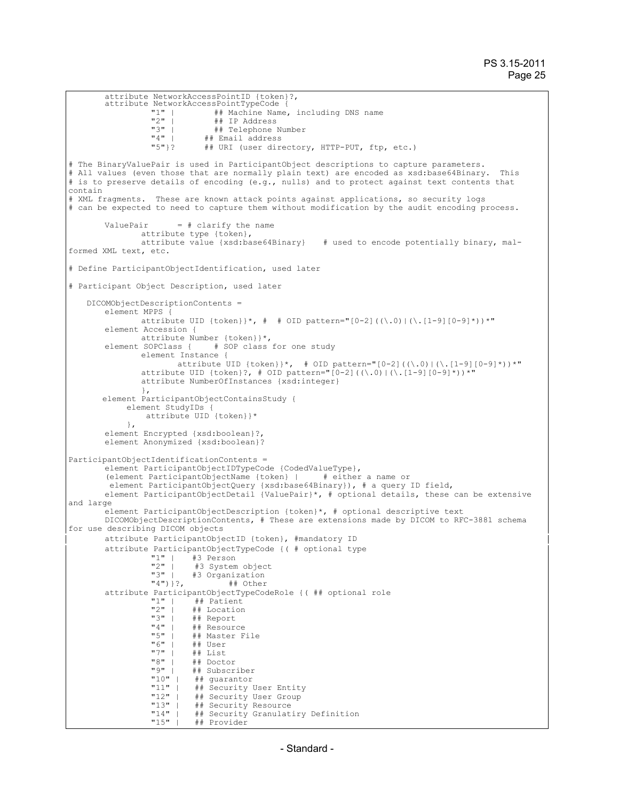```
 attribute NetworkAccessPointID {token}?, 
        attribute NetworkAccessPointTypeCode {<br>"1" | ## Machine Name
                   "1" | \# Machine Name, including DNS name<br>"2" | \# TP Address
                   "2" | ## IP Address<br>"3" | ## Telephone N
                   "3" | ## Telephone Number<br>"4" | ## Email address
                   "4" | ## Email address<br>"5"}? ## URI (user dir
                                ## URI (user directory, HTTP-PUT, ftp, etc.)
# The BinaryValuePair is used in ParticipantObject descriptions to capture parameters. 
# All values (even those that are normally plain text) are encoded as xsd:base64Binary. This 
# is to preserve details of encoding (e.g., nulls) and to protect against text contents that
contain 
# XML fragments. These are known attack points against applications, so security logs 
# can be expected to need to capture them without modification by the audit encoding process. 
        ValuePair = \# clarify the name
                  attribute type {token}, 
                  attribute value {xsd:base64Binary} # used to encode potentially binary, mal-
formed XML text, etc. 
# Define ParticipantObjectIdentification, used later 
# Participant Object Description, used later 
     DICOMObjectDescriptionContents = 
         element MPPS { 
                 attribute UID {token}}*, # # OID pattern="[0-2] ((\.0) | (\.1-9] [0-9]*) *"
         element Accession { 
                  attribute Number {token}}*, 
         element SOPClass { # SOP class for one study 
                  element Instance { 
attribute UID {token}}*, \# OID pattern="[0-2]((\.0)|(\.[1-9][0-9]*))*"
attribute UID {token}?, # OID pattern="[0-2]((\.0)|(\.[1-9][0-9]*))*"
                  attribute NumberOfInstances {xsd:integer} 
\}, \}, \}, \}, \}, \}, \}, \}, \}, \}, \}, \}, \}, \}, \}, \}, \}, \}, \}, \}, \}, \}, \}, \}, \}, \}, \}, \}, \}, \}, \}, \}, \}, \}, \}, \}, \},
         element ParticipantObjectContainsStudy { 
              element StudyIDs { 
                   attribute UID {token}}* 
              }, 
         element Encrypted {xsd:boolean}?, 
         element Anonymized {xsd:boolean}? 
ParticipantObjectIdentificationContents = 
        element ParticipantObjectIDTypeCode {CodedValueType},
         (element ParticipantObjectName {token} | # either a name or 
          element ParticipantObjectQuery {xsd:base64Binary}), # a query ID field, 
        element ParticipantObjectDetail (ValuePair)*, # optional details, these can be extensive
and large 
         element ParticipantObjectDescription {token}*, # optional descriptive text 
         DICOMObjectDescriptionContents, # These are extensions made by DICOM to RFC-3881 schema 
for use describing DICOM objects 
         attribute ParticipantObjectID {token}, #mandatory ID 
         attribute ParticipantObjectTypeCode {( # optional type 
                   "1" | #3 Person<br>"2" | #3 System
                   "2" | #3 System object<br>"3" | #3 Organization
                    "3" | #3 Organization 
                                      ## Other
         attribute ParticipantObjectTypeCodeRole {( ## optional role 
                   "1" | " ## Patient<br>"2" | ## Location
                   "2" | ## Location<br>"3" | ## Report
                    "3" | ## Report 
                   "4" | ## Resource<br>"5" | ## Master F
                    "5" | ## Master File 
                    "6" | ## User 
                    "7" | ## List 
                    "8" | ## Doctor 
                    "9" | ## Subscriber 
                   "10" | \## guarantor<br>"11" | \## Security I
                   "11" | ## Security User Entity<br>"12" | ## Security User Group
                    "12" | ## Security User Group 
                   "13" | ## Security Resource<br>"14" | ## Security Granulat
                   "14" | \# Security Granulatiry Definition<br>"15" | \# Provider
                              ## Provider
```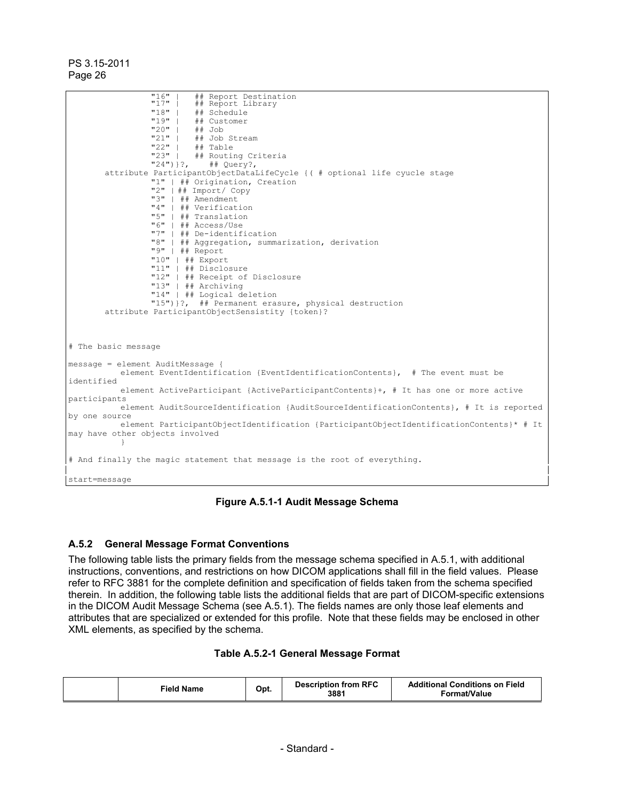```
 "16" | ## Report Destination 
                   "17" | ## Report Library<br>"18" | ## Schedule
                   "18" | ## Schedule<br>"19" | ## Customer
                   "19" | ## Customer<br>"20" | ## Job
                    "20" | ## Job 
                   "21" | \# Job Stream<br>"22" | \# Table
                   "22" | ## Table<br>"23" | ## Routin
                   "23" | \# Routing Criteria<br>"24") }?, \# Query?,
                               ## Query?,
         attribute ParticipantObjectDataLifeCycle {( # optional life cyucle stage 
                    "1" | ## Origination, Creation 
                    "2" | ## Import/ Copy 
                    "3" | ## Amendment 
                    "4" | ## Verification 
                    "5" | ## Translation 
                    "6" | ## Access/Use 
                    "7" | ## De-identification 
                    "8" | ## Aggregation, summarization, derivation 
                    "9" | ## Report 
                    "10" | ## Export 
                    "11" | ## Disclosure 
                    "12" | ## Receipt of Disclosure 
                    "13" | ## Archiving 
                    "14" | ## Logical deletion 
                    "15")}?, ## Permanent erasure, physical destruction 
         attribute ParticipantObjectSensistity {token}? 
# The basic message 
message = element AuditMessage { 
             element EventIdentification {EventIdentificationContents}, # The event must be 
identified 
             element ActiveParticipant {ActiveParticipantContents}+, # It has one or more active 
participants 
             element AuditSourceIdentification {AuditSourceIdentificationContents}, # It is reported 
by one source 
            element ParticipantObjectIdentification {ParticipantObjectIdentificationContents}* # It 
may have other objects involved 
 } 
# And finally the magic statement that message is the root of everything. 
start=message
```
## **Figure A.5.1-1 Audit Message Schema**

## **A.5.2 General Message Format Conventions**

The following table lists the primary fields from the message schema specified in A.5.1, with additional instructions, conventions, and restrictions on how DICOM applications shall fill in the field values. Please refer to RFC 3881 for the complete definition and specification of fields taken from the schema specified therein. In addition, the following table lists the additional fields that are part of DICOM-specific extensions in the DICOM Audit Message Schema (see A.5.1). The fields names are only those leaf elements and attributes that are specialized or extended for this profile. Note that these fields may be enclosed in other XML elements, as specified by the schema.

| Table A.5.2-1 General Message Format |  |  |  |
|--------------------------------------|--|--|--|
|--------------------------------------|--|--|--|

| Field Name | Opt. | <b>Description from RFC</b><br>3881 | <b>Additional Conditions on Field</b><br><sup>=</sup> ormat/Value |
|------------|------|-------------------------------------|-------------------------------------------------------------------|
|------------|------|-------------------------------------|-------------------------------------------------------------------|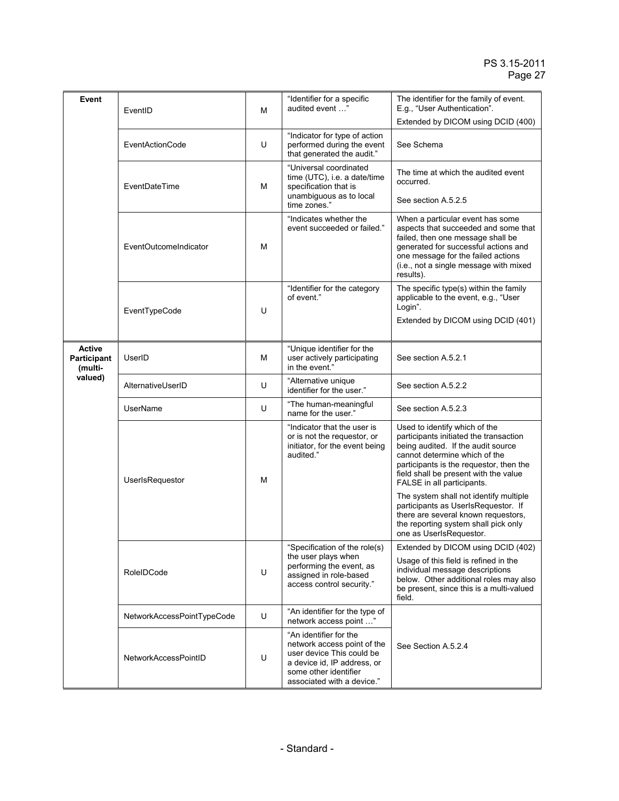| Event                                          | EventID                    | м | "Identifier for a specific<br>audited event '                                                                                                                            | The identifier for the family of event.<br>E.g., "User Authentication".                                                                                                                                                                                          |
|------------------------------------------------|----------------------------|---|--------------------------------------------------------------------------------------------------------------------------------------------------------------------------|------------------------------------------------------------------------------------------------------------------------------------------------------------------------------------------------------------------------------------------------------------------|
|                                                |                            |   | "Indicator for type of action                                                                                                                                            | Extended by DICOM using DCID (400)                                                                                                                                                                                                                               |
|                                                | EventActionCode            | U | performed during the event<br>that generated the audit."                                                                                                                 | See Schema                                                                                                                                                                                                                                                       |
|                                                | EventDateTime              | м | "Universal coordinated<br>time (UTC), i.e. a date/time<br>specification that is<br>unambiguous as to local                                                               | The time at which the audited event<br>occurred.<br>See section A.5.2.5                                                                                                                                                                                          |
|                                                |                            |   | time zones."                                                                                                                                                             |                                                                                                                                                                                                                                                                  |
|                                                | EventOutcomeIndicator      | М | "Indicates whether the<br>event succeeded or failed."                                                                                                                    | When a particular event has some<br>aspects that succeeded and some that<br>failed, then one message shall be<br>generated for successful actions and<br>one message for the failed actions<br>(i.e., not a single message with mixed<br>results).               |
|                                                | EventTypeCode              | U | "Identifier for the category<br>of event."                                                                                                                               | The specific type(s) within the family<br>applicable to the event, e.g., "User<br>Login".<br>Extended by DICOM using DCID (401)                                                                                                                                  |
| <b>Active</b><br><b>Participant</b><br>(multi- | UserID                     | м | "Unique identifier for the<br>user actively participating<br>in the event."                                                                                              | See section A.5.2.1                                                                                                                                                                                                                                              |
| valued)                                        | AlternativeUserID          | U | "Alternative unique<br>identifier for the user."                                                                                                                         | See section A.5.2.2                                                                                                                                                                                                                                              |
|                                                | <b>UserName</b>            | U | "The human-meaningful<br>name for the user."                                                                                                                             | See section A.5.2.3                                                                                                                                                                                                                                              |
|                                                | UserIsRequestor            | М | "Indicator that the user is<br>or is not the requestor, or<br>initiator, for the event being<br>audited."                                                                | Used to identify which of the<br>participants initiated the transaction<br>being audited. If the audit source<br>cannot determine which of the<br>participants is the requestor, then the<br>field shall be present with the value<br>FALSE in all participants. |
|                                                |                            |   |                                                                                                                                                                          | The system shall not identify multiple<br>participants as UserIsRequestor. If<br>there are several known requestors,<br>the reporting system shall pick only<br>one as UserIsRequestor.                                                                          |
|                                                |                            |   | "Specification of the role(s)                                                                                                                                            | Extended by DICOM using DCID (402)                                                                                                                                                                                                                               |
|                                                | RoleIDCode                 | U | the user plays when<br>performing the event, as<br>assigned in role-based<br>access control security."                                                                   | Usage of this field is refined in the<br>individual message descriptions<br>below. Other additional roles may also<br>be present, since this is a multi-valued<br>field.                                                                                         |
|                                                | NetworkAccessPointTypeCode | U | "An identifier for the type of<br>network access point "                                                                                                                 |                                                                                                                                                                                                                                                                  |
|                                                | NetworkAccessPointID       | U | "An identifier for the<br>network access point of the<br>user device This could be<br>a device id, IP address, or<br>some other identifier<br>associated with a device." | See Section A.5.2.4                                                                                                                                                                                                                                              |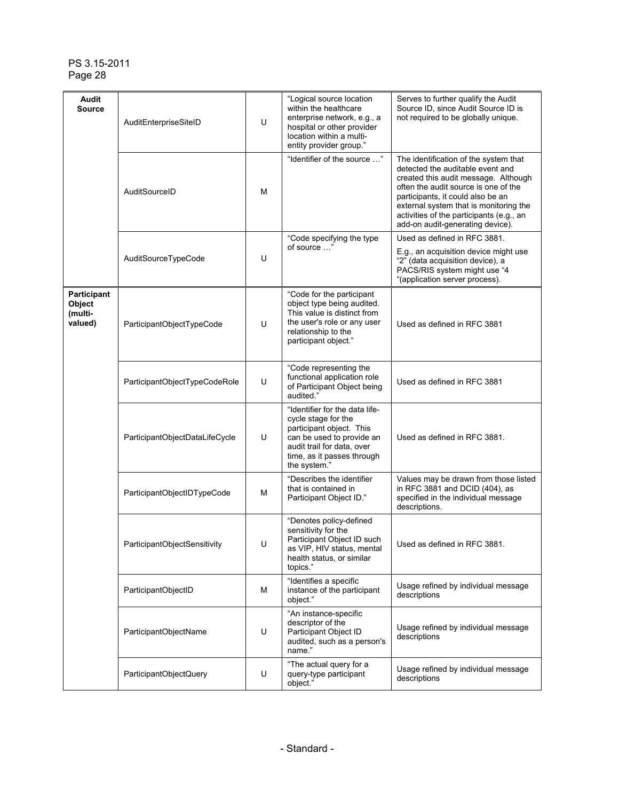| Audit<br><b>Source</b>                      | AuditEnterpriseSiteID          | U | "Logical source location<br>within the healthcare<br>enterprise network, e.g., a<br>hospital or other provider<br>location within a multi-<br>entity provider group."                      | Serves to further qualify the Audit<br>Source ID, since Audit Source ID is<br>not required to be globally unique.                                                                                                                                                                                                        |
|---------------------------------------------|--------------------------------|---|--------------------------------------------------------------------------------------------------------------------------------------------------------------------------------------------|--------------------------------------------------------------------------------------------------------------------------------------------------------------------------------------------------------------------------------------------------------------------------------------------------------------------------|
|                                             | AuditSourceID                  | М | "Identifier of the source "                                                                                                                                                                | The identification of the system that<br>detected the auditable event and<br>created this audit message. Although<br>often the audit source is one of the<br>participants, it could also be an<br>external system that is monitoring the<br>activities of the participants (e.g., an<br>add-on audit-generating device). |
|                                             | AuditSourceTypeCode            | U | "Code specifying the type<br>of source '                                                                                                                                                   | Used as defined in RFC 3881.<br>E.g., an acquisition device might use<br>"2" (data acquisition device), a<br>PACS/RIS system might use "4<br>"(application server process).                                                                                                                                              |
| Participant<br>Object<br>(multi-<br>valued) | ParticipantObjectTypeCode      | U | "Code for the participant<br>object type being audited.<br>This value is distinct from<br>the user's role or any user<br>relationship to the<br>participant object."                       | Used as defined in RFC 3881                                                                                                                                                                                                                                                                                              |
|                                             | ParticipantObjectTypeCodeRole  | U | "Code representing the<br>functional application role<br>of Participant Object being<br>audited."                                                                                          | Used as defined in RFC 3881                                                                                                                                                                                                                                                                                              |
|                                             | ParticipantObjectDataLifeCycle | U | "Identifier for the data life-<br>cycle stage for the<br>participant object. This<br>can be used to provide an<br>audit trail for data, over<br>time, as it passes through<br>the system." | Used as defined in RFC 3881.                                                                                                                                                                                                                                                                                             |
|                                             | ParticipantObjectIDTypeCode    | М | "Describes the identifier<br>that is contained in<br>Participant Object ID."                                                                                                               | Values may be drawn from those listed<br>in RFC 3881 and DCID (404), as<br>specified in the individual message<br>descriptions.                                                                                                                                                                                          |
|                                             | ParticipantObjectSensitivity   | U | "Denotes policy-defined<br>sensitivity for the<br>Participant Object ID such<br>as VIP, HIV status, mental<br>health status, or similar<br>topics."                                        | Used as defined in RFC 3881.                                                                                                                                                                                                                                                                                             |
|                                             | ParticipantObjectID            | M | "Identifies a specific<br>instance of the participant<br>object."                                                                                                                          | Usage refined by individual message<br>descriptions                                                                                                                                                                                                                                                                      |
|                                             | ParticipantObjectName          | U | "An instance-specific<br>descriptor of the<br>Participant Object ID<br>audited, such as a person's<br>name."                                                                               | Usage refined by individual message<br>descriptions                                                                                                                                                                                                                                                                      |
|                                             | ParticipantObjectQuery         | U | "The actual query for a<br>query-type participant<br>object."                                                                                                                              | Usage refined by individual message<br>descriptions                                                                                                                                                                                                                                                                      |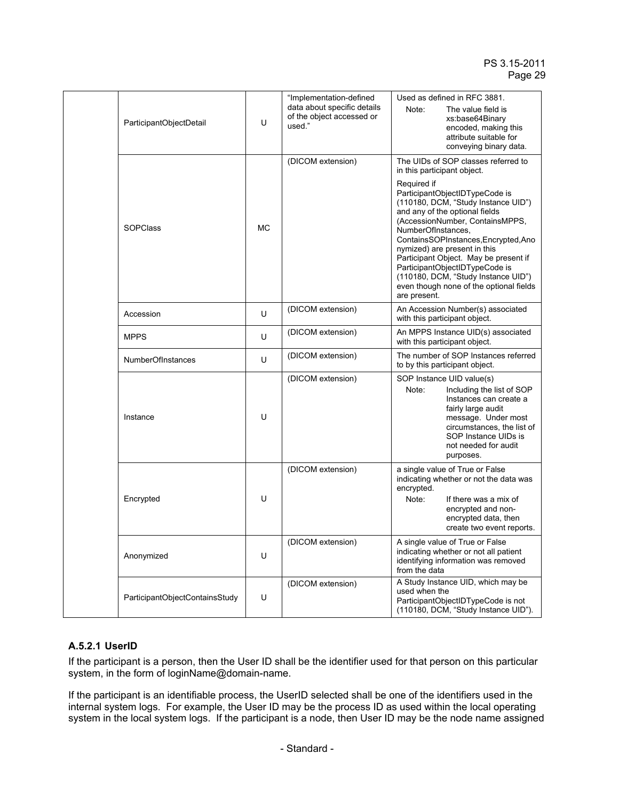|  | ParticipantObjectDetail        | U  | "Implementation-defined<br>data about specific details<br>of the object accessed or<br>used." | Used as defined in RFC 3881.<br>Note:<br>The value field is<br>xs:base64Binary<br>encoded, making this<br>attribute suitable for<br>conveying binary data.                                                                                                                                                                                                                                                                                                                                                 |
|--|--------------------------------|----|-----------------------------------------------------------------------------------------------|------------------------------------------------------------------------------------------------------------------------------------------------------------------------------------------------------------------------------------------------------------------------------------------------------------------------------------------------------------------------------------------------------------------------------------------------------------------------------------------------------------|
|  | <b>SOPClass</b>                | МC | (DICOM extension)                                                                             | The UIDs of SOP classes referred to<br>in this participant object.<br>Required if<br>ParticipantObjectIDTypeCode is<br>(110180, DCM, "Study Instance UID")<br>and any of the optional fields<br>(AccessionNumber, ContainsMPPS,<br>NumberOfInstances,<br>ContainsSOPInstances, Encrypted, Ano<br>nymized) are present in this<br>Participant Object. May be present if<br>ParticipantObjectIDTypeCode is<br>(110180, DCM, "Study Instance UID")<br>even though none of the optional fields<br>are present. |
|  | Accession                      | U  | (DICOM extension)                                                                             | An Accession Number(s) associated<br>with this participant object.                                                                                                                                                                                                                                                                                                                                                                                                                                         |
|  | <b>MPPS</b>                    | U  | (DICOM extension)                                                                             | An MPPS Instance UID(s) associated<br>with this participant object.                                                                                                                                                                                                                                                                                                                                                                                                                                        |
|  | <b>NumberOfInstances</b>       | U  | (DICOM extension)                                                                             | The number of SOP Instances referred<br>to by this participant object.                                                                                                                                                                                                                                                                                                                                                                                                                                     |
|  | Instance                       | U  | (DICOM extension)                                                                             | SOP Instance UID value(s)<br>Including the list of SOP<br>Note:<br>Instances can create a<br>fairly large audit<br>message. Under most<br>circumstances, the list of<br>SOP Instance UIDs is<br>not needed for audit<br>purposes.                                                                                                                                                                                                                                                                          |
|  | Encrypted                      | U  | (DICOM extension)                                                                             | a single value of True or False<br>indicating whether or not the data was<br>encrypted.<br>Note:<br>If there was a mix of<br>encrypted and non-<br>encrypted data, then<br>create two event reports.                                                                                                                                                                                                                                                                                                       |
|  | Anonymized                     | U  | (DICOM extension)                                                                             | A single value of True or False<br>indicating whether or not all patient<br>identifying information was removed<br>from the data                                                                                                                                                                                                                                                                                                                                                                           |
|  | ParticipantObjectContainsStudy | U  | (DICOM extension)                                                                             | A Study Instance UID, which may be<br>used when the<br>ParticipantObjectIDTypeCode is not<br>(110180, DCM, "Study Instance UID").                                                                                                                                                                                                                                                                                                                                                                          |

## **A.5.2.1 UserID**

If the participant is a person, then the User ID shall be the identifier used for that person on this particular system, in the form of loginName@domain-name.

If the participant is an identifiable process, the UserID selected shall be one of the identifiers used in the internal system logs. For example, the User ID may be the process ID as used within the local operating system in the local system logs. If the participant is a node, then User ID may be the node name assigned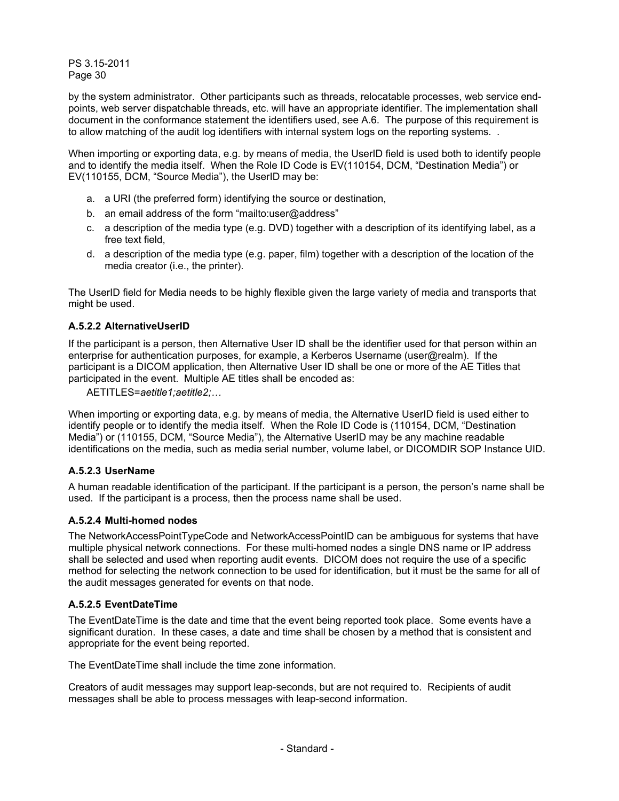by the system administrator. Other participants such as threads, relocatable processes, web service endpoints, web server dispatchable threads, etc. will have an appropriate identifier. The implementation shall document in the conformance statement the identifiers used, see A.6. The purpose of this requirement is to allow matching of the audit log identifiers with internal system logs on the reporting systems. .

When importing or exporting data, e.g. by means of media, the UserID field is used both to identify people and to identify the media itself. When the Role ID Code is EV(110154, DCM, "Destination Media") or EV(110155, DCM, "Source Media"), the UserID may be:

- a. a URI (the preferred form) identifying the source or destination,
- b. an email address of the form "mailto:user@address"
- c. a description of the media type (e.g. DVD) together with a description of its identifying label, as a free text field,
- d. a description of the media type (e.g. paper, film) together with a description of the location of the media creator (i.e., the printer).

The UserID field for Media needs to be highly flexible given the large variety of media and transports that might be used.

## **A.5.2.2 AlternativeUserID**

If the participant is a person, then Alternative User ID shall be the identifier used for that person within an enterprise for authentication purposes, for example, a Kerberos Username (user@realm). If the participant is a DICOM application, then Alternative User ID shall be one or more of the AE Titles that participated in the event. Multiple AE titles shall be encoded as:

AETITLES=*aetitle1;aetitle2;…*

When importing or exporting data, e.g. by means of media, the Alternative UserID field is used either to identify people or to identify the media itself. When the Role ID Code is (110154, DCM, "Destination Media") or (110155, DCM, "Source Media"), the Alternative UserID may be any machine readable identifications on the media, such as media serial number, volume label, or DICOMDIR SOP Instance UID.

## **A.5.2.3 UserName**

A human readable identification of the participant. If the participant is a person, the person's name shall be used. If the participant is a process, then the process name shall be used.

## **A.5.2.4 Multi-homed nodes**

The NetworkAccessPointTypeCode and NetworkAccessPointID can be ambiguous for systems that have multiple physical network connections. For these multi-homed nodes a single DNS name or IP address shall be selected and used when reporting audit events. DICOM does not require the use of a specific method for selecting the network connection to be used for identification, but it must be the same for all of the audit messages generated for events on that node.

## **A.5.2.5 EventDateTime**

The EventDateTime is the date and time that the event being reported took place. Some events have a significant duration. In these cases, a date and time shall be chosen by a method that is consistent and appropriate for the event being reported.

The EventDateTime shall include the time zone information.

Creators of audit messages may support leap-seconds, but are not required to. Recipients of audit messages shall be able to process messages with leap-second information.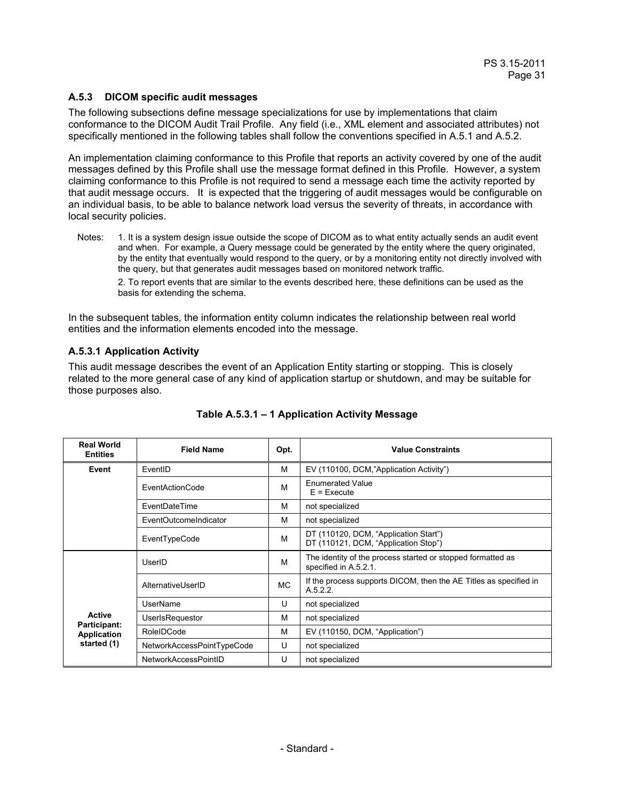## **A.5.3 DICOM specific audit messages**

The following subsections define message specializations for use by implementations that claim conformance to the DICOM Audit Trail Profile. Any field (i.e., XML element and associated attributes) not specifically mentioned in the following tables shall follow the conventions specified in A.5.1 and A.5.2.

An implementation claiming conformance to this Profile that reports an activity covered by one of the audit messages defined by this Profile shall use the message format defined in this Profile. However, a system claiming conformance to this Profile is not required to send a message each time the activity reported by that audit message occurs. It is expected that the triggering of audit messages would be configurable on an individual basis, to be able to balance network load versus the severity of threats, in accordance with local security policies.

Notes: 1. It is a system design issue outside the scope of DICOM as to what entity actually sends an audit event and when. For example, a Query message could be generated by the entity where the query originated, by the entity that eventually would respond to the query, or by a monitoring entity not directly involved with the query, but that generates audit messages based on monitored network traffic.

 2. To report events that are similar to the events described here, these definitions can be used as the basis for extending the schema.

In the subsequent tables, the information entity column indicates the relationship between real world entities and the information elements encoded into the message.

### **A.5.3.1 Application Activity**

This audit message describes the event of an Application Entity starting or stopping. This is closely related to the more general case of any kind of application startup or shutdown, and may be suitable for those purposes also.

| <b>Real World</b><br><b>Entities</b> | <b>Field Name</b>          | Opt.      | <b>Value Constraints</b>                                                             |
|--------------------------------------|----------------------------|-----------|--------------------------------------------------------------------------------------|
| Event                                | EventID                    | м         | EV (110100, DCM,"Application Activity")                                              |
|                                      | EventActionCode            | м         | <b>Enumerated Value</b><br>$E = Execute$                                             |
|                                      | EventDateTime              | м         | not specialized                                                                      |
|                                      | EventOutcomeIndicator      | м         | not specialized                                                                      |
|                                      | EventTypeCode              | M         | DT (110120, DCM, "Application Start")<br>DT (110121, DCM, "Application Stop")        |
|                                      | UserID                     | M         | The identity of the process started or stopped formatted as<br>specified in A.5.2.1. |
|                                      | AlternativeUserID          | <b>MC</b> | If the process supports DICOM, then the AE Titles as specified in<br>A.5.2.2.        |
|                                      | UserName                   | U         | not specialized                                                                      |
| <b>Active</b>                        | <b>UserIsRequestor</b>     | м         | not specialized                                                                      |
| Participant:<br><b>Application</b>   | RoleIDCode                 | м         | EV (110150, DCM, "Application")                                                      |
| started (1)                          | NetworkAccessPointTypeCode | U         | not specialized                                                                      |
|                                      | NetworkAccessPointID       | U         | not specialized                                                                      |

## **Table A.5.3.1 – 1 Application Activity Message**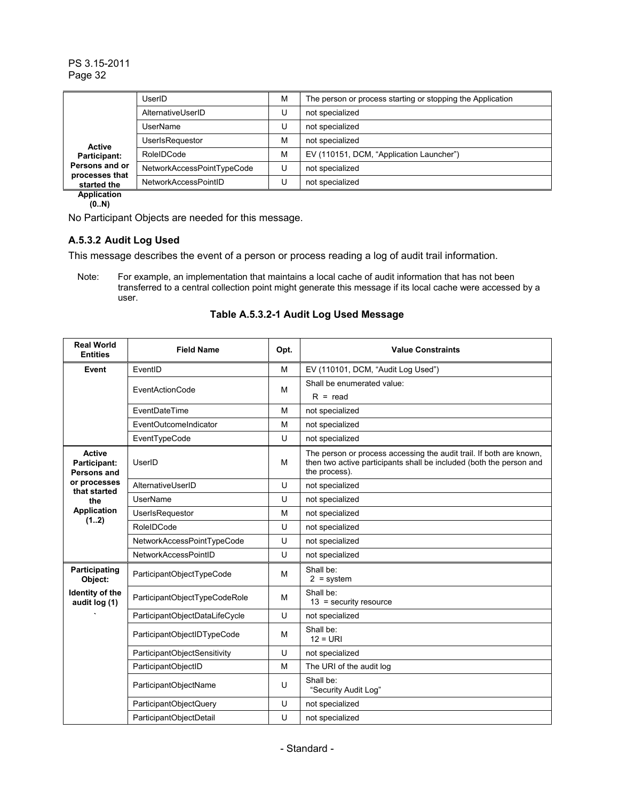|                               | UserID                     | M | The person or process starting or stopping the Application |
|-------------------------------|----------------------------|---|------------------------------------------------------------|
|                               | AlternativeUserID          | U | not specialized                                            |
|                               | <b>UserName</b>            | U | not specialized                                            |
| <b>Active</b>                 | <b>UserIsRequestor</b>     | M | not specialized                                            |
| Participant:                  | RoleIDCode                 | М | EV (110151, DCM, "Application Launcher")                   |
| Persons and or                | NetworkAccessPointTypeCode |   | not specialized                                            |
| processes that<br>started the | NetworkAccessPointID       | U | not specialized                                            |
| Application                   |                            |   |                                                            |

**(0..N)** 

No Participant Objects are needed for this message.

## **A.5.3.2 Audit Log Used**

This message describes the event of a person or process reading a log of audit trail information.

Note: For example, an implementation that maintains a local cache of audit information that has not been transferred to a central collection point might generate this message if its local cache were accessed by a user.

**Table A.5.3.2-1 Audit Log Used Message** 

| <b>Real World</b><br><b>Entities</b>                | <b>Field Name</b>              | Opt. | <b>Value Constraints</b>                                                                                                                                    |
|-----------------------------------------------------|--------------------------------|------|-------------------------------------------------------------------------------------------------------------------------------------------------------------|
| Event                                               | EventID                        | M    | EV (110101, DCM, "Audit Log Used")                                                                                                                          |
|                                                     | <b>EventActionCode</b>         | M    | Shall be enumerated value:                                                                                                                                  |
|                                                     |                                |      | $R = read$                                                                                                                                                  |
|                                                     | EventDateTime                  | M    | not specialized                                                                                                                                             |
|                                                     | EventOutcomeIndicator          | M    | not specialized                                                                                                                                             |
|                                                     | EventTypeCode                  | U    | not specialized                                                                                                                                             |
| <b>Active</b><br><b>Participant:</b><br>Persons and | UserID                         | M    | The person or process accessing the audit trail. If both are known,<br>then two active participants shall be included (both the person and<br>the process). |
| or processes<br>that started                        | AlternativeUserID              | U    | not specialized                                                                                                                                             |
| the                                                 | UserName                       | U    | not specialized                                                                                                                                             |
| <b>Application</b><br>(12)                          | UserIsRequestor                | M    | not specialized                                                                                                                                             |
|                                                     | RoleIDCode                     | U    | not specialized                                                                                                                                             |
|                                                     | NetworkAccessPointTypeCode     | U    | not specialized                                                                                                                                             |
|                                                     | NetworkAccessPointID           | U    | not specialized                                                                                                                                             |
| Participating<br>Object:                            | ParticipantObjectTypeCode      | M    | Shall be:<br>$2 = system$                                                                                                                                   |
| Identity of the<br>audit log (1)                    | ParticipantObjectTypeCodeRole  | M    | Shall be:<br>$13$ = security resource                                                                                                                       |
|                                                     | ParticipantObjectDataLifeCycle | U    | not specialized                                                                                                                                             |
|                                                     | ParticipantObjectIDTypeCode    | M    | Shall be:<br>$12 = URI$                                                                                                                                     |
|                                                     | ParticipantObjectSensitivity   | U    | not specialized                                                                                                                                             |
|                                                     | ParticipantObjectID            | M    | The URI of the audit log                                                                                                                                    |
|                                                     | ParticipantObjectName          | U    | Shall be:<br>"Security Audit Log"                                                                                                                           |
|                                                     | ParticipantObjectQuery         | U    | not specialized                                                                                                                                             |
|                                                     | ParticipantObjectDetail        | U    | not specialized                                                                                                                                             |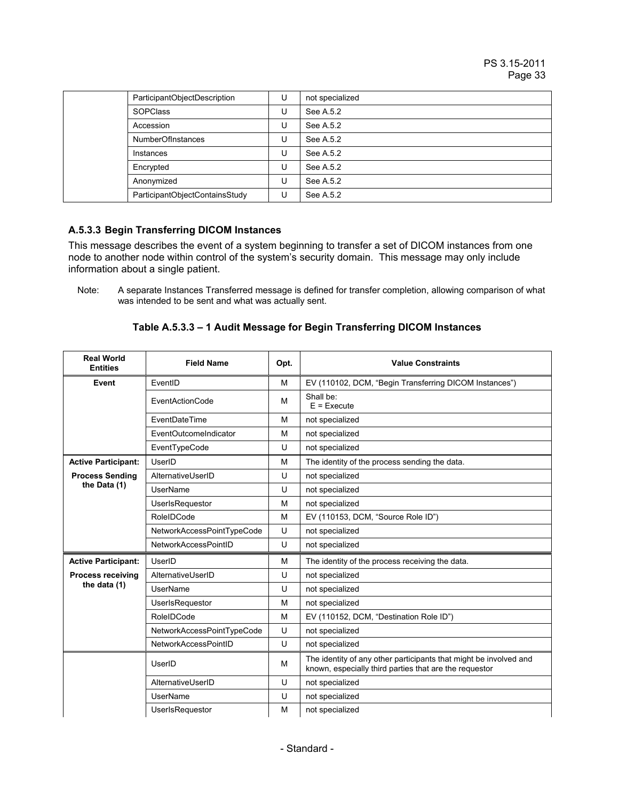| ParticipantObjectDescription   | U | not specialized |
|--------------------------------|---|-----------------|
| <b>SOPCIASS</b>                | U | See A.5.2       |
| Accession                      | U | See A.5.2       |
| <b>NumberOfInstances</b>       | U | See A.5.2       |
| Instances                      | U | See A.5.2       |
| Encrypted                      | U | See A.5.2       |
| Anonymized                     | U | See A.5.2       |
| ParticipantObjectContainsStudy | U | See A.5.2       |

## **A.5.3.3 Begin Transferring DICOM Instances**

This message describes the event of a system beginning to transfer a set of DICOM instances from one node to another node within control of the system's security domain. This message may only include information about a single patient.

Note: A separate Instances Transferred message is defined for transfer completion, allowing comparison of what was intended to be sent and what was actually sent.

| <b>Real World</b><br><b>Entities</b> | <b>Field Name</b>          | Opt. | <b>Value Constraints</b>                                                                                                    |
|--------------------------------------|----------------------------|------|-----------------------------------------------------------------------------------------------------------------------------|
| Event                                | EventID                    | M    | EV (110102, DCM, "Begin Transferring DICOM Instances")                                                                      |
|                                      | EventActionCode            | м    | Shall be:<br>$E = Execute$                                                                                                  |
|                                      | EventDateTime              | M    | not specialized                                                                                                             |
|                                      | EventOutcomeIndicator      | M    | not specialized                                                                                                             |
|                                      | EventTypeCode              | U    | not specialized                                                                                                             |
| <b>Active Participant:</b>           | UserID                     | м    | The identity of the process sending the data.                                                                               |
| <b>Process Sending</b>               | AlternativeUserID          | U    | not specialized                                                                                                             |
| the Data (1)                         | UserName                   | U    | not specialized                                                                                                             |
|                                      | UserIsRequestor            | M    | not specialized                                                                                                             |
|                                      | RoleIDCode                 | M    | EV (110153, DCM, "Source Role ID")                                                                                          |
|                                      | NetworkAccessPointTypeCode | U    | not specialized                                                                                                             |
|                                      | NetworkAccessPointID       | U    | not specialized                                                                                                             |
| <b>Active Participant:</b>           | UserID                     | M    | The identity of the process receiving the data.                                                                             |
| <b>Process receiving</b>             | AlternativeUserID          | U    | not specialized                                                                                                             |
| the data (1)                         | UserName                   | U    | not specialized                                                                                                             |
|                                      | UserIsRequestor            | M    | not specialized                                                                                                             |
|                                      | RoleIDCode                 | M    | EV (110152, DCM, "Destination Role ID")                                                                                     |
|                                      | NetworkAccessPointTypeCode | U    | not specialized                                                                                                             |
|                                      | NetworkAccessPointID       | U    | not specialized                                                                                                             |
|                                      | UserID                     | м    | The identity of any other participants that might be involved and<br>known, especially third parties that are the requestor |
|                                      | AlternativeUserID          | U    | not specialized                                                                                                             |
|                                      | <b>UserName</b>            | U    | not specialized                                                                                                             |
|                                      | <b>UserIsRequestor</b>     | M    | not specialized                                                                                                             |

**Table A.5.3.3 – 1 Audit Message for Begin Transferring DICOM Instances**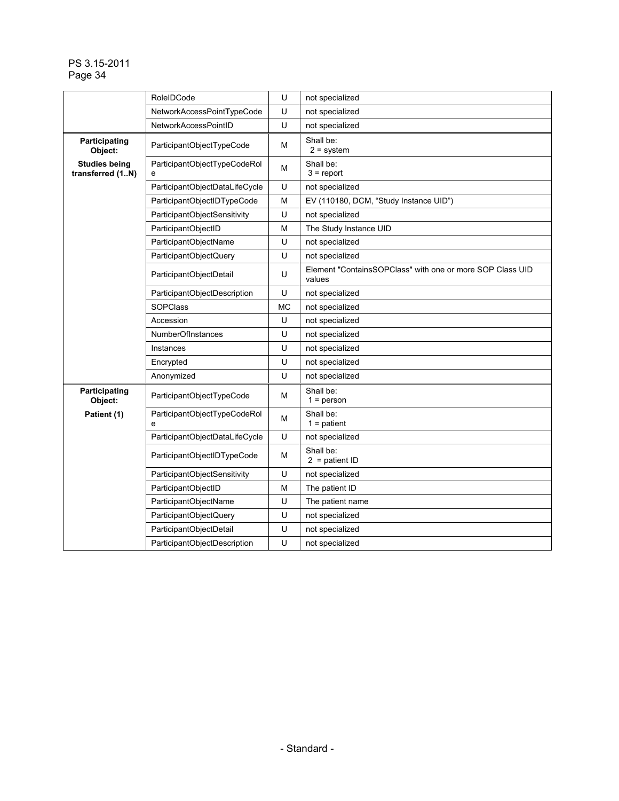|                                          | RoleIDCode                        | U         | not specialized                                                     |
|------------------------------------------|-----------------------------------|-----------|---------------------------------------------------------------------|
|                                          | NetworkAccessPointTypeCode        | U         | not specialized                                                     |
|                                          | NetworkAccessPointID              | U         | not specialized                                                     |
| Participating<br>Object:                 | ParticipantObjectTypeCode         | М         | Shall be:<br>$2 = system$                                           |
| <b>Studies being</b><br>transferred (1N) | ParticipantObjectTypeCodeRol<br>e | м         | Shall be:<br>$3 =$ report                                           |
|                                          | ParticipantObjectDataLifeCycle    | U         | not specialized                                                     |
|                                          | ParticipantObjectIDTypeCode       | М         | EV (110180, DCM, "Study Instance UID")                              |
|                                          | ParticipantObjectSensitivity      | U         | not specialized                                                     |
|                                          | ParticipantObjectID               | M         | The Study Instance UID                                              |
|                                          | ParticipantObjectName             | U         | not specialized                                                     |
|                                          | ParticipantObjectQuery            | U         | not specialized                                                     |
|                                          | ParticipantObjectDetail           | U         | Element "ContainsSOPClass" with one or more SOP Class UID<br>values |
|                                          | ParticipantObjectDescription      | U         | not specialized                                                     |
|                                          | <b>SOPClass</b>                   | <b>MC</b> | not specialized                                                     |
|                                          | Accession                         | U         | not specialized                                                     |
|                                          | <b>NumberOfInstances</b>          | U         | not specialized                                                     |
|                                          | Instances                         | U         | not specialized                                                     |
|                                          | Encrypted                         | U         | not specialized                                                     |
|                                          | Anonymized                        | U         | not specialized                                                     |
| Participating<br>Object:                 | ParticipantObjectTypeCode         | М         | Shall be:<br>$1 = person$                                           |
| Patient (1)                              | ParticipantObjectTypeCodeRol<br>e | М         | Shall be:<br>$1 =$ patient                                          |
|                                          | ParticipantObjectDataLifeCycle    | U         | not specialized                                                     |
|                                          | ParticipantObjectIDTypeCode       | М         | Shall be:<br>$2 =$ patient ID                                       |
|                                          | ParticipantObjectSensitivity      | U         | not specialized                                                     |
|                                          | ParticipantObjectID               | М         | The patient ID                                                      |
|                                          | ParticipantObjectName             | U         | The patient name                                                    |
|                                          | ParticipantObjectQuery            | U         | not specialized                                                     |
|                                          | ParticipantObjectDetail           | U         | not specialized                                                     |
|                                          | ParticipantObjectDescription      | U         | not specialized                                                     |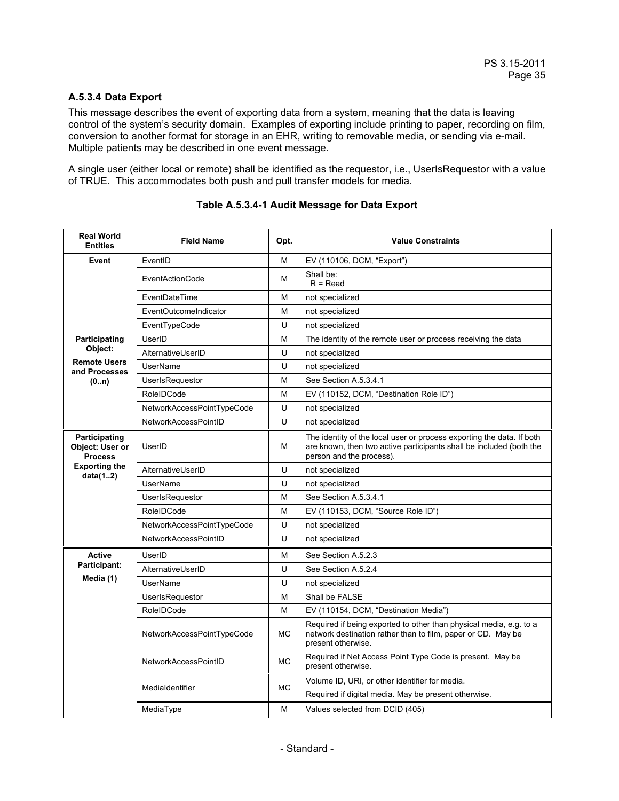## **A.5.3.4 Data Export**

This message describes the event of exporting data from a system, meaning that the data is leaving control of the system's security domain. Examples of exporting include printing to paper, recording on film, conversion to another format for storage in an EHR, writing to removable media, or sending via e-mail. Multiple patients may be described in one event message.

A single user (either local or remote) shall be identified as the requestor, i.e., UserIsRequestor with a value of TRUE. This accommodates both push and pull transfer models for media.

| <b>Real World</b><br><b>Entities</b>                                                   | <b>Field Name</b>           | Opt.      | <b>Value Constraints</b>                                                                                                                                                 |  |
|----------------------------------------------------------------------------------------|-----------------------------|-----------|--------------------------------------------------------------------------------------------------------------------------------------------------------------------------|--|
| Event                                                                                  | EventID                     | M         | EV (110106, DCM, "Export")                                                                                                                                               |  |
|                                                                                        | <b>EventActionCode</b>      | M         | Shall be:<br>$R = Read$                                                                                                                                                  |  |
|                                                                                        | EventDateTime               | M         | not specialized                                                                                                                                                          |  |
|                                                                                        | EventOutcomeIndicator       | M         | not specialized                                                                                                                                                          |  |
|                                                                                        | EventTypeCode               | U         | not specialized                                                                                                                                                          |  |
| Participating                                                                          | UserID                      | М         | The identity of the remote user or process receiving the data                                                                                                            |  |
| Object:                                                                                | AlternativeUserID           | U         | not specialized                                                                                                                                                          |  |
| <b>Remote Users</b><br>and Processes                                                   | UserName                    | U         | not specialized                                                                                                                                                          |  |
| (0n)                                                                                   | <b>UserIsRequestor</b>      | М         | See Section A.5.3.4.1                                                                                                                                                    |  |
|                                                                                        | RoleIDCode                  | М         | EV (110152, DCM, "Destination Role ID")                                                                                                                                  |  |
|                                                                                        | NetworkAccessPointTypeCode  | U         | not specialized                                                                                                                                                          |  |
|                                                                                        | NetworkAccessPointID        | U         | not specialized                                                                                                                                                          |  |
| Participating<br>Object: User or<br><b>Process</b><br><b>Exporting the</b><br>data(12) | UserID                      | М         | The identity of the local user or process exporting the data. If both<br>are known, then two active participants shall be included (both the<br>person and the process). |  |
|                                                                                        | AlternativeUserID           | U         | not specialized                                                                                                                                                          |  |
|                                                                                        | <b>UserName</b>             | U         | not specialized                                                                                                                                                          |  |
|                                                                                        | UserIsRequestor             | М         | See Section A.5.3.4.1                                                                                                                                                    |  |
|                                                                                        | RoleIDCode                  | М         | EV (110153, DCM, "Source Role ID")                                                                                                                                       |  |
|                                                                                        | NetworkAccessPointTypeCode  | U         | not specialized                                                                                                                                                          |  |
|                                                                                        | NetworkAccessPointID        | U         | not specialized                                                                                                                                                          |  |
| <b>Active</b>                                                                          | UserID                      | М         | See Section A.5.2.3                                                                                                                                                      |  |
| Participant:                                                                           | AlternativeUserID           | U         | See Section A.5.2.4                                                                                                                                                      |  |
| Media (1)                                                                              | <b>UserName</b>             | U         | not specialized                                                                                                                                                          |  |
|                                                                                        | <b>UserIsRequestor</b>      | M         | Shall be FALSE                                                                                                                                                           |  |
|                                                                                        | RoleIDCode                  | М         | EV (110154, DCM, "Destination Media")                                                                                                                                    |  |
|                                                                                        | NetworkAccessPointTypeCode  | <b>MC</b> | Required if being exported to other than physical media, e.g. to a<br>network destination rather than to film, paper or CD. May be<br>present otherwise.                 |  |
|                                                                                        | <b>NetworkAccessPointID</b> | МC        | Required if Net Access Point Type Code is present. May be<br>present otherwise.                                                                                          |  |
|                                                                                        | Medialdentifier             | <b>MC</b> | Volume ID, URI, or other identifier for media.<br>Required if digital media. May be present otherwise.                                                                   |  |
|                                                                                        | MediaType                   | М         | Values selected from DCID (405)                                                                                                                                          |  |

#### **Table A.5.3.4-1 Audit Message for Data Export**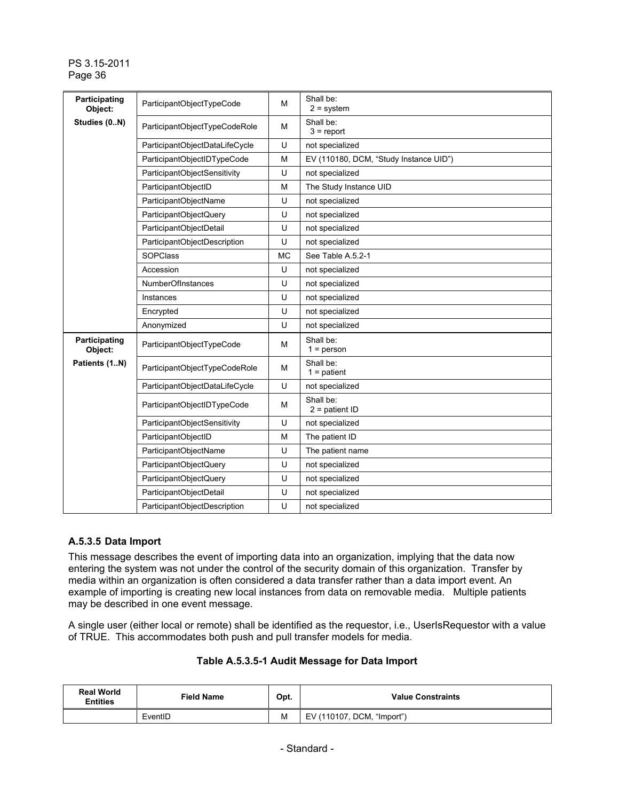| Participating<br>Object: | ParticipantObjectTypeCode      | М         | Shall be:<br>$2 = system$              |
|--------------------------|--------------------------------|-----------|----------------------------------------|
| Studies (0N)             | ParticipantObjectTypeCodeRole  | M         | Shall be:<br>$3$ = report              |
|                          | ParticipantObjectDataLifeCycle | U         | not specialized                        |
|                          | ParticipantObjectIDTypeCode    | M         | EV (110180, DCM, "Study Instance UID") |
|                          | ParticipantObjectSensitivity   | U         | not specialized                        |
|                          | ParticipantObjectID            | M         | The Study Instance UID                 |
|                          | ParticipantObjectName          | U         | not specialized                        |
|                          | ParticipantObjectQuery         | U         | not specialized                        |
|                          | ParticipantObjectDetail        | U         | not specialized                        |
|                          | ParticipantObjectDescription   | U         | not specialized                        |
|                          | <b>SOPClass</b>                | <b>MC</b> | See Table A.5.2-1                      |
|                          | Accession                      | U         | not specialized                        |
|                          | <b>NumberOfInstances</b>       | U         | not specialized                        |
|                          | Instances                      | U         | not specialized                        |
|                          | Encrypted                      | U         | not specialized                        |
|                          | Anonymized                     | U         | not specialized                        |
| Participating<br>Object: | ParticipantObjectTypeCode      | M         | Shall be:<br>$1 = person$              |
| Patients (1N)            | ParticipantObjectTypeCodeRole  | М         | Shall be:<br>$1 =$ patient             |
|                          | ParticipantObjectDataLifeCycle | U         | not specialized                        |
|                          | ParticipantObjectIDTypeCode    | M         | Shall be:<br>$2 =$ patient ID          |
|                          | ParticipantObjectSensitivity   | U         | not specialized                        |
|                          | ParticipantObjectID            | M         | The patient ID                         |
|                          | ParticipantObjectName          | U         | The patient name                       |
|                          | ParticipantObjectQuery         | U         | not specialized                        |
|                          | ParticipantObjectQuery         | U         | not specialized                        |
|                          | ParticipantObjectDetail        | U         | not specialized                        |
|                          | ParticipantObjectDescription   | U         | not specialized                        |

## **A.5.3.5 Data Import**

This message describes the event of importing data into an organization, implying that the data now entering the system was not under the control of the security domain of this organization. Transfer by media within an organization is often considered a data transfer rather than a data import event. An example of importing is creating new local instances from data on removable media. Multiple patients may be described in one event message.

A single user (either local or remote) shall be identified as the requestor, i.e., UserIsRequestor with a value of TRUE. This accommodates both push and pull transfer models for media.

|  | Table A.5.3.5-1 Audit Message for Data Import |  |
|--|-----------------------------------------------|--|
|--|-----------------------------------------------|--|

| <b>Real World</b><br><b>Entities</b> | <b>Field Name</b> | Opt. | <b>Value Constraints</b>   |
|--------------------------------------|-------------------|------|----------------------------|
|                                      | EventID           | М    | EV (110107, DCM, "Import") |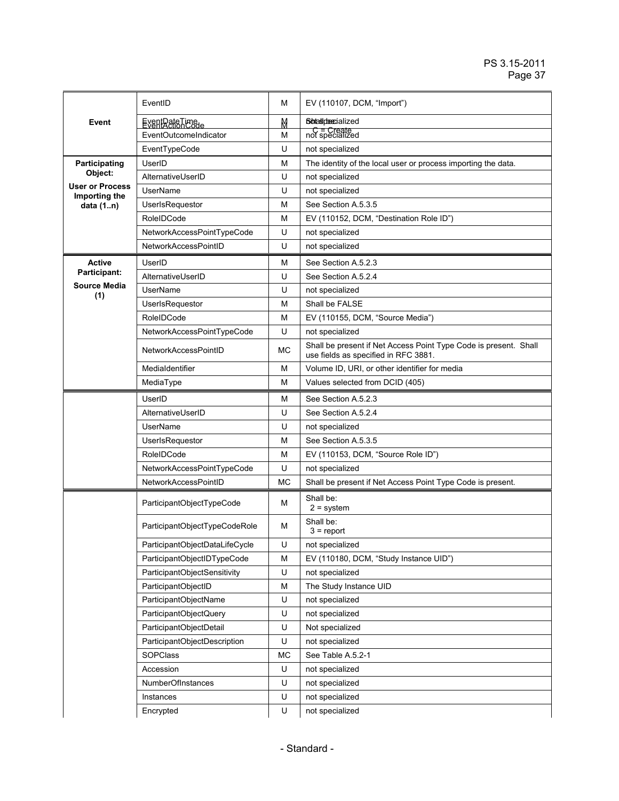|                                         | EventID                        | м         | EV (110107, DCM, "Import")                                                                               |
|-----------------------------------------|--------------------------------|-----------|----------------------------------------------------------------------------------------------------------|
| Event                                   | EventRateTime                  | М         | Sotashteecialized                                                                                        |
|                                         | EventOutcomeIndicator          | М         | not specialized                                                                                          |
|                                         | EventTypeCode                  | U         | not specialized                                                                                          |
| Participating                           | UserID                         | М         | The identity of the local user or process importing the data.                                            |
| Object:                                 | AlternativeUserID              | U         | not specialized                                                                                          |
| <b>User or Process</b><br>Importing the | <b>UserName</b>                | U         | not specialized                                                                                          |
| data (1n)                               | <b>UserIsRequestor</b>         | M         | See Section A.5.3.5                                                                                      |
|                                         | RoleIDCode                     | M         | EV (110152, DCM, "Destination Role ID")                                                                  |
|                                         | NetworkAccessPointTypeCode     | U         | not specialized                                                                                          |
|                                         | <b>NetworkAccessPointID</b>    | U         | not specialized                                                                                          |
| <b>Active</b>                           | UserID                         | M         | See Section A.5.2.3                                                                                      |
| Participant:                            | AlternativeUserID              | U         | See Section A.5.2.4                                                                                      |
| <b>Source Media</b><br>(1)              | <b>UserName</b>                | U         | not specialized                                                                                          |
|                                         | UserIsRequestor                | M         | Shall be FALSE                                                                                           |
|                                         | RoleIDCode                     | М         | EV (110155, DCM, "Source Media")                                                                         |
|                                         | NetworkAccessPointTypeCode     | U         | not specialized                                                                                          |
|                                         | NetworkAccessPointID           | МC        | Shall be present if Net Access Point Type Code is present. Shall<br>use fields as specified in RFC 3881. |
|                                         | Medialdentifier                | М         | Volume ID, URI, or other identifier for media                                                            |
|                                         | MediaType                      | M         | Values selected from DCID (405)                                                                          |
|                                         | UserID                         | Μ         | See Section A.5.2.3                                                                                      |
|                                         | AlternativeUserID              | U         | See Section A.5.2.4                                                                                      |
|                                         | <b>UserName</b>                | U         | not specialized                                                                                          |
|                                         | UserIsRequestor                | M         | See Section A.5.3.5                                                                                      |
|                                         | RoleIDCode                     | М         | EV (110153, DCM, "Source Role ID")                                                                       |
|                                         | NetworkAccessPointTypeCode     | U         | not specialized                                                                                          |
|                                         | NetworkAccessPointID           | <b>MC</b> | Shall be present if Net Access Point Type Code is present.                                               |
|                                         | ParticipantObjectTypeCode      | М         | Shall be:<br>$2 = system$                                                                                |
|                                         | ParticipantObjectTypeCodeRole  | М         | Shall be:<br>$3$ = report                                                                                |
|                                         | ParticipantObjectDataLifeCycle | U         | not specialized                                                                                          |
|                                         | ParticipantObjectIDTypeCode    | М         | EV (110180, DCM, "Study Instance UID")                                                                   |
|                                         | ParticipantObjectSensitivity   | U         | not specialized                                                                                          |
|                                         | ParticipantObjectID            | M         | The Study Instance UID                                                                                   |
|                                         | ParticipantObjectName          | U         | not specialized                                                                                          |
|                                         | ParticipantObjectQuery         | U         | not specialized                                                                                          |
|                                         | ParticipantObjectDetail        | U         | Not specialized                                                                                          |
|                                         | ParticipantObjectDescription   | U         | not specialized                                                                                          |
|                                         | SOPClass                       | MC        | See Table A.5.2-1                                                                                        |
|                                         | Accession                      | U         | not specialized                                                                                          |
|                                         | <b>NumberOfInstances</b>       | U         | not specialized                                                                                          |
|                                         | Instances                      | U         | not specialized                                                                                          |
|                                         | Encrypted                      | U         | not specialized                                                                                          |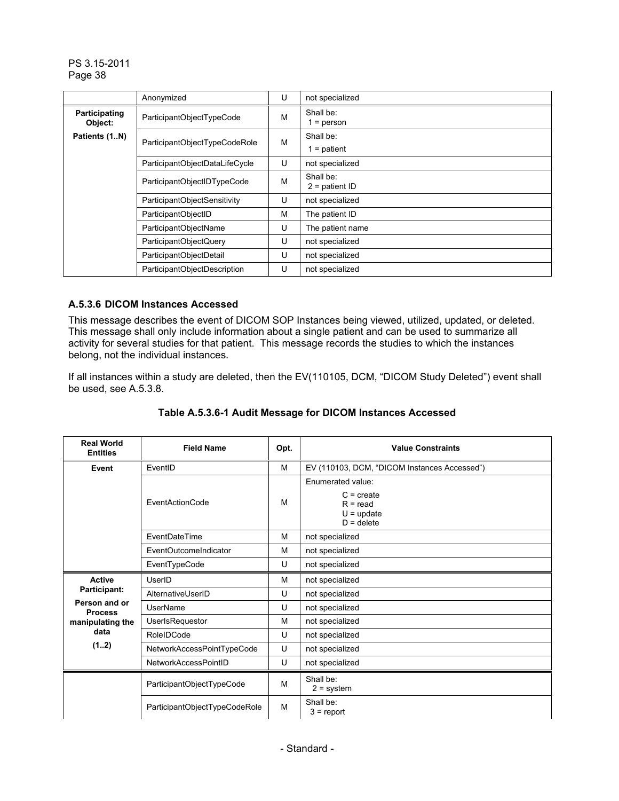|                          | Anonymized                     | U | not specialized               |
|--------------------------|--------------------------------|---|-------------------------------|
| Participating<br>Object: | ParticipantObjectTypeCode      | M | Shall be:<br>$=$ person       |
| Patients (1N)            | ParticipantObjectTypeCodeRole  | M | Shall be:<br>$l =$ patient    |
|                          | ParticipantObjectDataLifeCycle | U | not specialized               |
|                          | ParticipantObjectIDTypeCode    | M | Shall be:<br>$2$ = patient ID |
|                          | ParticipantObjectSensitivity   | U | not specialized               |
|                          | ParticipantObjectID            | M | The patient ID                |
|                          | ParticipantObjectName          | U | The patient name              |
|                          | ParticipantObjectQuery         | U | not specialized               |
|                          | ParticipantObjectDetail        | U | not specialized               |
|                          | ParticipantObjectDescription   | U | not specialized               |

#### **A.5.3.6 DICOM Instances Accessed**

This message describes the event of DICOM SOP Instances being viewed, utilized, updated, or deleted. This message shall only include information about a single patient and can be used to summarize all activity for several studies for that patient. This message records the studies to which the instances belong, not the individual instances.

If all instances within a study are deleted, then the EV(110105, DCM, "DICOM Study Deleted") event shall be used, see A.5.3.8.

| <b>Real World</b><br><b>Entities</b> | <b>Field Name</b>             | Opt. | <b>Value Constraints</b>                                                               |
|--------------------------------------|-------------------------------|------|----------------------------------------------------------------------------------------|
| Event                                | EventID                       | M    | EV (110103, DCM, "DICOM Instances Accessed")                                           |
|                                      | <b>EventActionCode</b>        | м    | Enumerated value:<br>$C = \text{create}$<br>$R = read$<br>$U = update$<br>$D =$ delete |
|                                      | EventDateTime                 | M    | not specialized                                                                        |
|                                      | EventOutcomeIndicator         | м    | not specialized                                                                        |
|                                      | EventTypeCode                 | U    | not specialized                                                                        |
| <b>Active</b>                        | UserID                        | M    | not specialized                                                                        |
| Participant:                         | AlternativeUserID             | U    | not specialized                                                                        |
| Person and or<br><b>Process</b>      | UserName                      | U    | not specialized                                                                        |
| manipulating the                     | UserIsRequestor               | M    | not specialized                                                                        |
| data                                 | RoleIDCode                    | U    | not specialized                                                                        |
| (12)                                 | NetworkAccessPointTypeCode    | U    | not specialized                                                                        |
|                                      | NetworkAccessPointID          | U    | not specialized                                                                        |
|                                      | ParticipantObjectTypeCode     | M    | Shall be:<br>$2 = system$                                                              |
|                                      | ParticipantObjectTypeCodeRole | M    | Shall be:<br>$3$ = report                                                              |

## **Table A.5.3.6-1 Audit Message for DICOM Instances Accessed**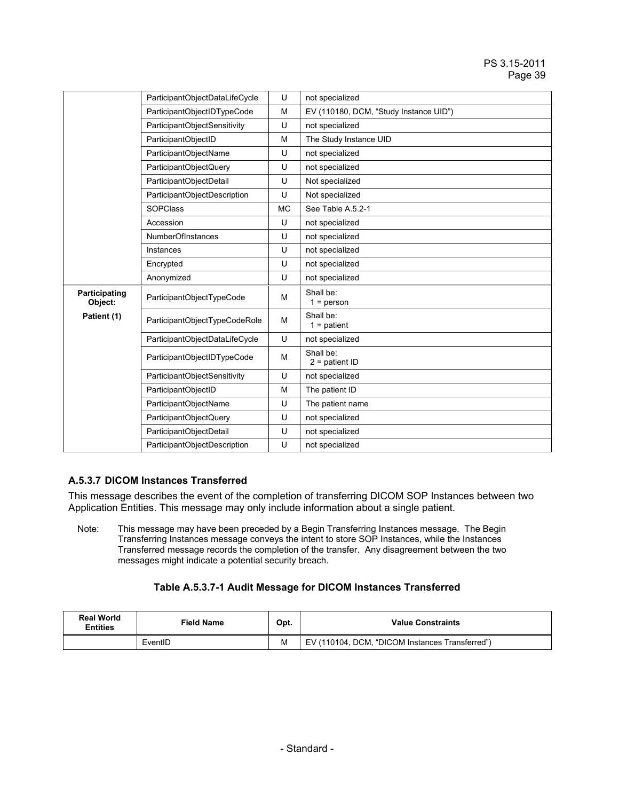|                          | ParticipantObjectDataLifeCycle | U         | not specialized                        |
|--------------------------|--------------------------------|-----------|----------------------------------------|
|                          | ParticipantObjectIDTypeCode    | M         | EV (110180, DCM, "Study Instance UID") |
|                          | ParticipantObjectSensitivity   | U         | not specialized                        |
|                          | ParticipantObjectID            | м         | The Study Instance UID                 |
|                          | ParticipantObjectName          | U         | not specialized                        |
|                          | ParticipantObjectQuery         | U         | not specialized                        |
|                          | ParticipantObjectDetail        | U         | Not specialized                        |
|                          | ParticipantObjectDescription   | U         | Not specialized                        |
|                          | <b>SOPClass</b>                | <b>MC</b> | See Table A.5.2-1                      |
|                          | Accession                      | U         | not specialized                        |
|                          | <b>NumberOfInstances</b>       | U         | not specialized                        |
|                          | Instances                      | U         | not specialized                        |
|                          | Encrypted                      | U         | not specialized                        |
|                          | Anonymized                     | U         | not specialized                        |
| Participating<br>Object: | ParticipantObjectTypeCode      | м         | Shall be:<br>$1 = person$              |
| Patient (1)              | ParticipantObjectTypeCodeRole  | M         | Shall be:<br>$1 =$ patient             |
|                          | ParticipantObjectDataLifeCycle | U         | not specialized                        |
|                          | ParticipantObjectIDTypeCode    | M         | Shall be:<br>$2 =$ patient ID          |
|                          | ParticipantObjectSensitivity   | U         | not specialized                        |
|                          | ParticipantObjectID            | M         | The patient ID                         |
|                          | ParticipantObjectName          | U         | The patient name                       |
|                          | ParticipantObjectQuery         | U         | not specialized                        |
|                          | ParticipantObjectDetail        | U         | not specialized                        |
|                          | ParticipantObjectDescription   | U         | not specialized                        |

## **A.5.3.7 DICOM Instances Transferred**

This message describes the event of the completion of transferring DICOM SOP Instances between two Application Entities. This message may only include information about a single patient.

Note: This message may have been preceded by a Begin Transferring Instances message. The Begin Transferring Instances message conveys the intent to store SOP Instances, while the Instances Transferred message records the completion of the transfer. Any disagreement between the two messages might indicate a potential security breach.

#### **Table A.5.3.7-1 Audit Message for DICOM Instances Transferred**

| <b>Real World</b><br><b>Entities</b> | <b>Field Name</b> | Opt. | <b>Value Constraints</b>                        |
|--------------------------------------|-------------------|------|-------------------------------------------------|
|                                      | EventID           | M    | EV (110104, DCM, "DICOM Instances Transferred") |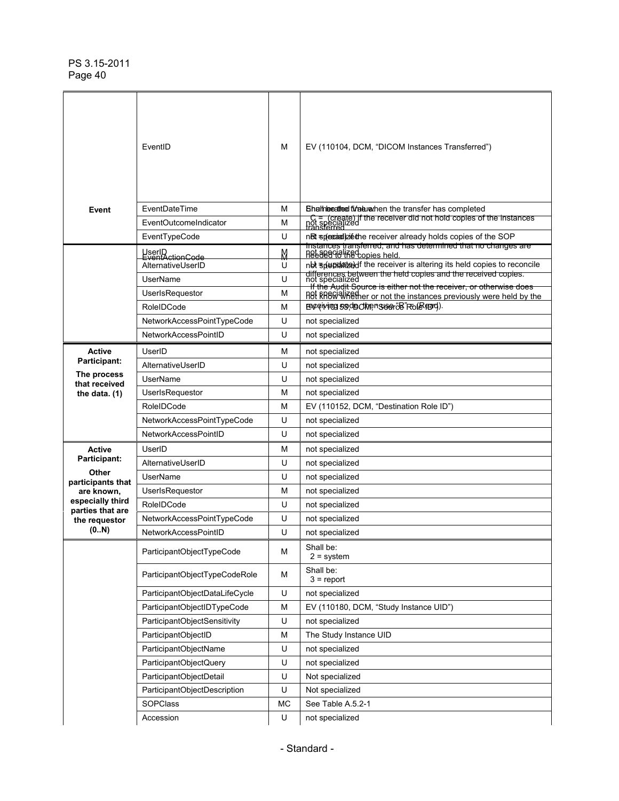|                                      | EventID                        | м  | EV (110104, DCM, "DICOM Instances Transferred")                                                                                                  |
|--------------------------------------|--------------------------------|----|--------------------------------------------------------------------------------------------------------------------------------------------------|
| Event                                | EventDateTime                  | М  | Shalhleedleel final union the transfer has completed                                                                                             |
|                                      | EventOutcomeIndicator          | M  | C = (create) if the receiver did not hold copies of the instances<br>not specialized<br>transferred –                                            |
|                                      | EventTypeCode                  | U  | net specialize the receiver already holds copies of the SOP                                                                                      |
|                                      | UserID<br>EventActionCode      | M  | <del>Instances transferred, and has determined that no changes are</del><br>Reeaeovelike Copies held.                                            |
|                                      | AlternativeUserID              | U  | not speciate of the receiver is altering its held copies to reconcile                                                                            |
|                                      | <b>UserName</b>                | U  | differences between the held copies and the received copies.                                                                                     |
|                                      | UserIsRequestor                | M  | If the Audit Source is either not the receiver, or otherwise does<br><b>ROF RAGGONTE The reader of the instances previously were held by the</b> |
|                                      | RoleIDCode                     | м  | receiving sodschen sog e role nad).                                                                                                              |
|                                      | NetworkAccessPointTypeCode     | U  | not specialized                                                                                                                                  |
|                                      | NetworkAccessPointID           | U  | not specialized                                                                                                                                  |
| <b>Active</b>                        | UserID                         | M  | not specialized                                                                                                                                  |
| Participant:                         | AlternativeUserID              | U  | not specialized                                                                                                                                  |
| The process<br>that received         | <b>UserName</b>                | U  | not specialized                                                                                                                                  |
| the data. $(1)$                      | UserIsRequestor                | M  | not specialized                                                                                                                                  |
|                                      | RoleIDCode                     | M  | EV (110152, DCM, "Destination Role ID")                                                                                                          |
|                                      | NetworkAccessPointTypeCode     | U  | not specialized                                                                                                                                  |
|                                      | NetworkAccessPointID           | U  | not specialized                                                                                                                                  |
| <b>Active</b>                        | UserID                         | M  | not specialized                                                                                                                                  |
| Participant:                         | AlternativeUserID              | U  | not specialized                                                                                                                                  |
| Other<br>participants that           | <b>UserName</b>                | U  | not specialized                                                                                                                                  |
| are known,                           | UserIsRequestor                | M  | not specialized                                                                                                                                  |
| especially third<br>parties that are | RoleIDCode                     | U  | not specialized                                                                                                                                  |
| the requestor                        | NetworkAccessPointTypeCode     | U  | not specialized                                                                                                                                  |
| (0N)                                 | <b>NetworkAccessPointID</b>    | U  | not specialized                                                                                                                                  |
|                                      | ParticipantObjectTypeCode      | М  | Shall be:<br>$2 = system$                                                                                                                        |
|                                      | ParticipantObjectTypeCodeRole  | М  | Shall be:<br>$3 =$ report                                                                                                                        |
|                                      | ParticipantObjectDataLifeCycle | U  | not specialized                                                                                                                                  |
|                                      | ParticipantObjectIDTypeCode    | M  | EV (110180, DCM, "Study Instance UID")                                                                                                           |
|                                      | ParticipantObjectSensitivity   | U  | not specialized                                                                                                                                  |
|                                      | ParticipantObjectID            | М  | The Study Instance UID                                                                                                                           |
|                                      | ParticipantObjectName          | U  | not specialized                                                                                                                                  |
|                                      | ParticipantObjectQuery         | U  | not specialized                                                                                                                                  |
|                                      | ParticipantObjectDetail        | U  | Not specialized                                                                                                                                  |
|                                      | ParticipantObjectDescription   | U  | Not specialized                                                                                                                                  |
|                                      | SOPClass                       | MC | See Table A.5.2-1                                                                                                                                |
|                                      | Accession                      | U  | not specialized                                                                                                                                  |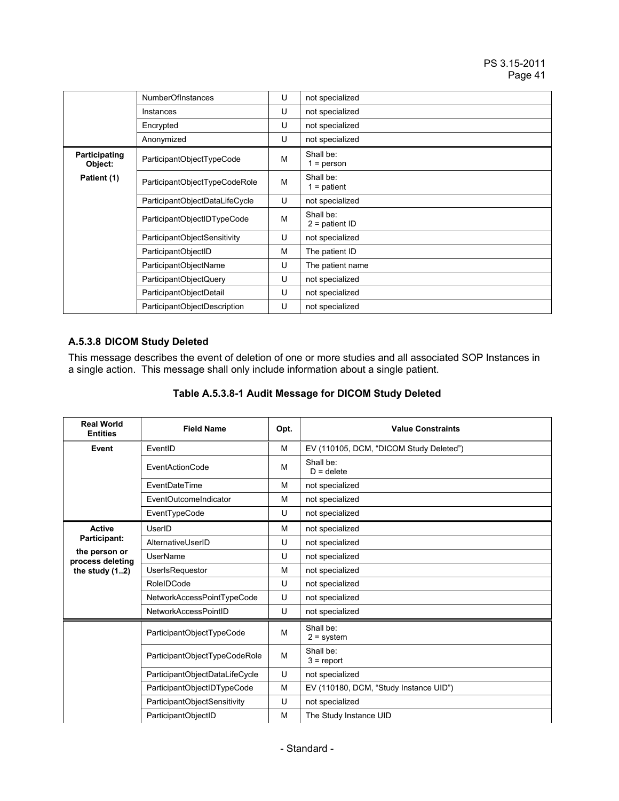|                          | <b>NumberOfInstances</b>       | U | not specialized               |
|--------------------------|--------------------------------|---|-------------------------------|
|                          | Instances                      | U | not specialized               |
|                          | Encrypted                      | U | not specialized               |
|                          | Anonymized                     | U | not specialized               |
| Participating<br>Object: | ParticipantObjectTypeCode      | M | Shall be:<br>$1 = person$     |
| Patient (1)              | ParticipantObjectTypeCodeRole  | M | Shall be:<br>$=$ patient      |
|                          | ParticipantObjectDataLifeCycle | U | not specialized               |
|                          | ParticipantObjectIDTypeCode    | M | Shall be:<br>$2$ = patient ID |
|                          | ParticipantObjectSensitivity   | U | not specialized               |
|                          | ParticipantObjectID            | M | The patient ID                |
|                          | ParticipantObjectName          | U | The patient name              |
|                          | ParticipantObjectQuery         | U | not specialized               |
|                          | ParticipantObjectDetail        | U | not specialized               |
|                          | ParticipantObjectDescription   | U | not specialized               |

## **A.5.3.8 DICOM Study Deleted**

This message describes the event of deletion of one or more studies and all associated SOP Instances in a single action. This message shall only include information about a single patient.

| <b>Real World</b><br><b>Entities</b> | <b>Field Name</b>              | Opt. | <b>Value Constraints</b>                |
|--------------------------------------|--------------------------------|------|-----------------------------------------|
| Event                                | EventID                        | M    | EV (110105, DCM, "DICOM Study Deleted") |
|                                      | EventActionCode                | M    | Shall be:<br>$D =$ delete               |
|                                      | EventDateTime                  | м    | not specialized                         |
|                                      | EventOutcomeIndicator          | M    | not specialized                         |
|                                      | EventTypeCode                  | U    | not specialized                         |
| <b>Active</b>                        | UserID                         | M    | not specialized                         |
| Participant:                         | AlternativeUserID              | U    | not specialized                         |
| the person or<br>process deleting    | UserName                       | U    | not specialized                         |
| the study $(12)$                     | UserIsRequestor                | M    | not specialized                         |
|                                      | RoleIDCode                     | U    | not specialized                         |
|                                      | NetworkAccessPointTypeCode     | U    | not specialized                         |
|                                      | NetworkAccessPointID           | U    | not specialized                         |
|                                      | ParticipantObjectTypeCode      | M    | Shall be:<br>$2 = system$               |
|                                      | ParticipantObjectTypeCodeRole  | M    | Shall be:<br>$3$ = report               |
|                                      | ParticipantObjectDataLifeCycle | U    | not specialized                         |
|                                      | ParticipantObjectIDTypeCode    | M    | EV (110180, DCM, "Study Instance UID")  |
|                                      | ParticipantObjectSensitivity   | U    | not specialized                         |
|                                      | ParticipantObjectID            | м    | The Study Instance UID                  |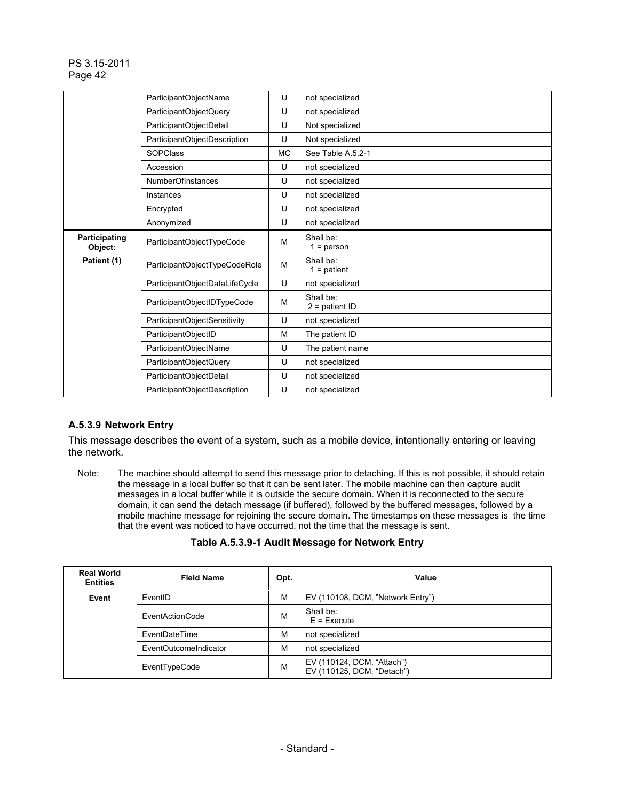#### PS 3.15-2011 Page 42

|                          | ParticipantObjectName          | U         | not specialized               |
|--------------------------|--------------------------------|-----------|-------------------------------|
|                          | ParticipantObjectQuery         | U         | not specialized               |
|                          | ParticipantObjectDetail        | U         | Not specialized               |
|                          | ParticipantObjectDescription   | U         | Not specialized               |
|                          | <b>SOPClass</b>                | <b>MC</b> | See Table A.5.2-1             |
|                          | Accession                      | U         | not specialized               |
|                          | <b>NumberOfInstances</b>       | U         | not specialized               |
|                          | Instances                      | U         | not specialized               |
|                          | Encrypted                      | U         | not specialized               |
|                          | Anonymized                     | U         | not specialized               |
| Participating<br>Object: | ParticipantObjectTypeCode      | M         | Shall be:<br>$1 = person$     |
| Patient (1)              | ParticipantObjectTypeCodeRole  | M         | Shall be:<br>$1 =$ patient    |
|                          | ParticipantObjectDataLifeCycle | U         | not specialized               |
|                          | ParticipantObjectIDTypeCode    | M         | Shall be:<br>$2$ = patient ID |
|                          | ParticipantObjectSensitivity   | U         | not specialized               |
|                          | ParticipantObjectID            | M         | The patient ID                |
|                          | ParticipantObjectName          | U         | The patient name              |
|                          | ParticipantObjectQuery         | U         | not specialized               |
|                          | ParticipantObjectDetail        | U         | not specialized               |
|                          | ParticipantObjectDescription   | U         | not specialized               |

#### **A.5.3.9 Network Entry**

This message describes the event of a system, such as a mobile device, intentionally entering or leaving the network.

Note: The machine should attempt to send this message prior to detaching. If this is not possible, it should retain the message in a local buffer so that it can be sent later. The mobile machine can then capture audit messages in a local buffer while it is outside the secure domain. When it is reconnected to the secure domain, it can send the detach message (if buffered), followed by the buffered messages, followed by a mobile machine message for rejoining the secure domain. The timestamps on these messages is the time that the event was noticed to have occurred, not the time that the message is sent.

| <b>Real World</b><br><b>Entities</b> | <b>Field Name</b>     | Opt. | Value                                                    |
|--------------------------------------|-----------------------|------|----------------------------------------------------------|
| Event                                | EventID               | М    | EV (110108, DCM, "Network Entry")                        |
|                                      | EventActionCode       | M    | Shall be:<br>$E = Execute$                               |
|                                      | EventDateTime         | M    | not specialized                                          |
|                                      | EventOutcomeIndicator | M    | not specialized                                          |
|                                      | EventTypeCode         | м    | EV (110124, DCM, "Attach")<br>EV (110125, DCM, "Detach") |

#### **Table A.5.3.9-1 Audit Message for Network Entry**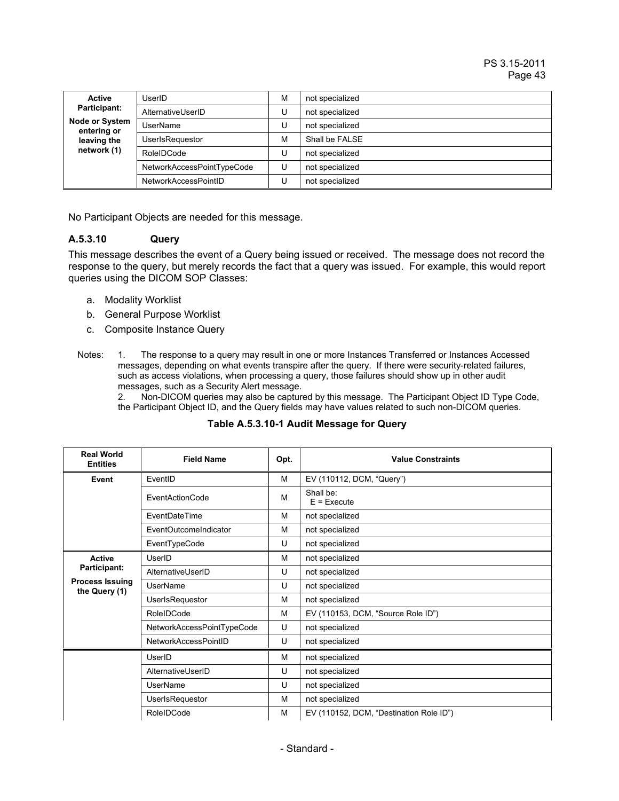| <b>Active</b>                 | UserID                     | M | not specialized |
|-------------------------------|----------------------------|---|-----------------|
| Participant:                  | AlternativeUserID          | U | not specialized |
| Node or System<br>entering or | UserName                   | U | not specialized |
| leaving the                   | <b>UserIsRequestor</b>     | м | Shall be FALSE  |
| network (1)                   | RoleIDCode                 | U | not specialized |
|                               | NetworkAccessPointTypeCode | U | not specialized |
|                               | NetworkAccessPointID       | U | not specialized |

No Participant Objects are needed for this message.

#### **A.5.3.10 Query**

This message describes the event of a Query being issued or received. The message does not record the response to the query, but merely records the fact that a query was issued. For example, this would report queries using the DICOM SOP Classes:

- a. Modality Worklist
- b. General Purpose Worklist
- c. Composite Instance Query
- Notes: 1. The response to a query may result in one or more Instances Transferred or Instances Accessed messages, depending on what events transpire after the query. If there were security-related failures, such as access violations, when processing a query, those failures should show up in other audit messages, such as a Security Alert message.

2. Non-DICOM queries may also be captured by this message. The Participant Object ID Type Code, the Participant Object ID, and the Query fields may have values related to such non-DICOM queries.

| Table A.5.3.10-1 Audit Message for Query |  |  |  |  |
|------------------------------------------|--|--|--|--|
|------------------------------------------|--|--|--|--|

| <b>Real World</b><br><b>Entities</b>    | <b>Field Name</b>          | Opt. | <b>Value Constraints</b>                |
|-----------------------------------------|----------------------------|------|-----------------------------------------|
| Event                                   | EventID                    | М    | EV (110112, DCM, "Query")               |
|                                         | EventActionCode            | М    | Shall be:<br>$E = Execute$              |
|                                         | EventDateTime              | M    | not specialized                         |
|                                         | EventOutcomeIndicator      | М    | not specialized                         |
|                                         | EventTypeCode              | U    | not specialized                         |
| <b>Active</b>                           | UserID                     | M    | not specialized                         |
| Participant:                            | AlternativeUserID          | U    | not specialized                         |
| <b>Process Issuing</b><br>the Query (1) | UserName                   | U    | not specialized                         |
|                                         | UserIsRequestor            | M    | not specialized                         |
|                                         | RoleIDCode                 | M    | EV (110153, DCM, "Source Role ID")      |
|                                         | NetworkAccessPointTypeCode | U    | not specialized                         |
|                                         | NetworkAccessPointID       | U    | not specialized                         |
|                                         | UserID                     | M    | not specialized                         |
|                                         | AlternativeUserID          | U    | not specialized                         |
|                                         | UserName                   | U    | not specialized                         |
|                                         | UserIsRequestor            | М    | not specialized                         |
|                                         | RoleIDCode                 | M    | EV (110152, DCM, "Destination Role ID") |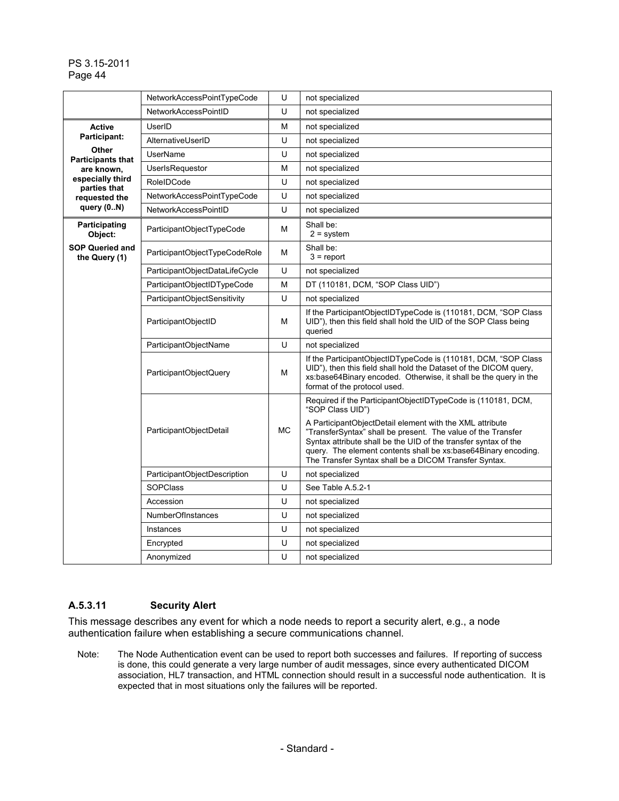#### PS 3.15-2011 Page 44

|                                         | NetworkAccessPointTypeCode     | U         | not specialized                                                                                                                                                                                                                                                                                                        |
|-----------------------------------------|--------------------------------|-----------|------------------------------------------------------------------------------------------------------------------------------------------------------------------------------------------------------------------------------------------------------------------------------------------------------------------------|
|                                         | <b>NetworkAccessPointID</b>    | U         | not specialized                                                                                                                                                                                                                                                                                                        |
| <b>Active</b>                           | UserID                         | M         | not specialized                                                                                                                                                                                                                                                                                                        |
| Participant:                            | AlternativeUserID              | U         | not specialized                                                                                                                                                                                                                                                                                                        |
| Other<br><b>Participants that</b>       | <b>UserName</b>                | U         | not specialized                                                                                                                                                                                                                                                                                                        |
| are known,                              | UserIsRequestor                | M         | not specialized                                                                                                                                                                                                                                                                                                        |
| especially third<br>parties that        | RoleIDCode                     | U         | not specialized                                                                                                                                                                                                                                                                                                        |
| requested the                           | NetworkAccessPointTypeCode     | U         | not specialized                                                                                                                                                                                                                                                                                                        |
| query $(0N)$                            | NetworkAccessPointID           | U         | not specialized                                                                                                                                                                                                                                                                                                        |
| Participating<br>Object:                | ParticipantObjectTypeCode      | м         | Shall be:<br>$2 = system$                                                                                                                                                                                                                                                                                              |
| <b>SOP Queried and</b><br>the Query (1) | ParticipantObjectTypeCodeRole  | M         | Shall be:<br>$3$ = report                                                                                                                                                                                                                                                                                              |
|                                         | ParticipantObjectDataLifeCycle | U         | not specialized                                                                                                                                                                                                                                                                                                        |
|                                         | ParticipantObjectIDTypeCode    | M         | DT (110181, DCM, "SOP Class UID")                                                                                                                                                                                                                                                                                      |
|                                         | ParticipantObjectSensitivity   | U         | not specialized                                                                                                                                                                                                                                                                                                        |
|                                         | ParticipantObjectID            | м         | If the ParticipantObjectIDTypeCode is (110181, DCM, "SOP Class<br>UID"), then this field shall hold the UID of the SOP Class being<br>queried                                                                                                                                                                          |
|                                         | ParticipantObjectName          | U         | not specialized                                                                                                                                                                                                                                                                                                        |
|                                         | ParticipantObjectQuery         | М         | If the ParticipantObjectIDTypeCode is (110181, DCM, "SOP Class<br>UID"), then this field shall hold the Dataset of the DICOM query,<br>xs:base64Binary encoded. Otherwise, it shall be the query in the<br>format of the protocol used.                                                                                |
|                                         |                                |           | Required if the ParticipantObjectIDTypeCode is (110181, DCM,<br>"SOP Class UID")                                                                                                                                                                                                                                       |
|                                         | ParticipantObjectDetail        | <b>MC</b> | A ParticipantObjectDetail element with the XML attribute<br>"TransferSyntax" shall be present. The value of the Transfer<br>Syntax attribute shall be the UID of the transfer syntax of the<br>query. The element contents shall be xs:base64Binary encoding.<br>The Transfer Syntax shall be a DICOM Transfer Syntax. |
|                                         | ParticipantObjectDescription   | U         | not specialized                                                                                                                                                                                                                                                                                                        |
|                                         | <b>SOPClass</b>                | U         | See Table A.5.2-1                                                                                                                                                                                                                                                                                                      |
|                                         | Accession                      | U         | not specialized                                                                                                                                                                                                                                                                                                        |
|                                         | <b>NumberOfInstances</b>       | U         | not specialized                                                                                                                                                                                                                                                                                                        |
|                                         | Instances                      | U         | not specialized                                                                                                                                                                                                                                                                                                        |
|                                         | Encrypted                      | U         | not specialized                                                                                                                                                                                                                                                                                                        |
|                                         | Anonymized                     | U         | not specialized                                                                                                                                                                                                                                                                                                        |

#### **A.5.3.11 Security Alert**

This message describes any event for which a node needs to report a security alert, e.g., a node authentication failure when establishing a secure communications channel.

Note: The Node Authentication event can be used to report both successes and failures. If reporting of success is done, this could generate a very large number of audit messages, since every authenticated DICOM association, HL7 transaction, and HTML connection should result in a successful node authentication. It is expected that in most situations only the failures will be reported.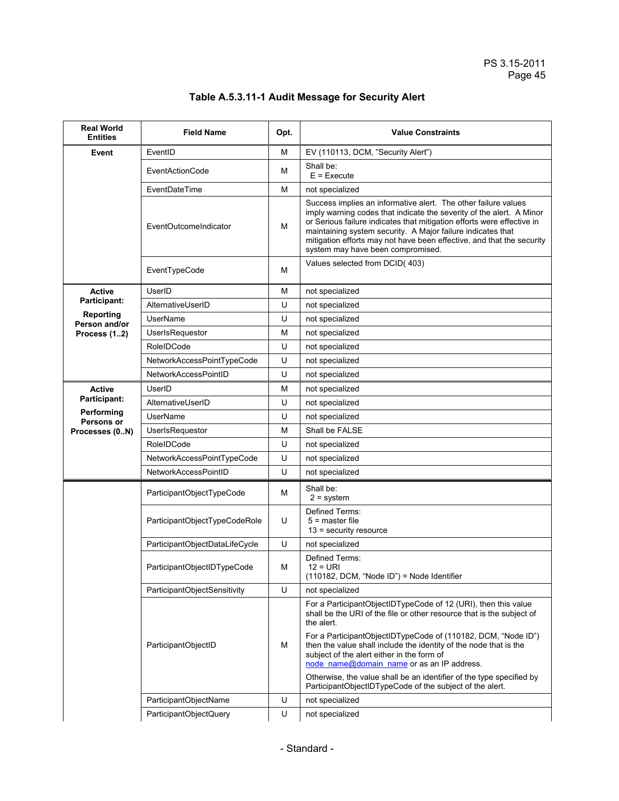| <b>Real World</b><br><b>Entities</b> | <b>Field Name</b>              | Opt. | <b>Value Constraints</b>                                                                                                                                                                                                                                                                                                                                                                                                                                        |
|--------------------------------------|--------------------------------|------|-----------------------------------------------------------------------------------------------------------------------------------------------------------------------------------------------------------------------------------------------------------------------------------------------------------------------------------------------------------------------------------------------------------------------------------------------------------------|
| Event                                | EventID                        | M    | EV (110113, DCM, "Security Alert")                                                                                                                                                                                                                                                                                                                                                                                                                              |
|                                      | <b>EventActionCode</b>         | М    | Shall be:<br>$E = Execute$                                                                                                                                                                                                                                                                                                                                                                                                                                      |
|                                      | EventDateTime                  | М    | not specialized                                                                                                                                                                                                                                                                                                                                                                                                                                                 |
|                                      | EventOutcomeIndicator          | М    | Success implies an informative alert. The other failure values<br>imply warning codes that indicate the severity of the alert. A Minor<br>or Serious failure indicates that mitigation efforts were effective in<br>maintaining system security. A Major failure indicates that<br>mitigation efforts may not have been effective, and that the security<br>system may have been compromised.                                                                   |
|                                      | EventTypeCode                  | М    | Values selected from DCID(403)                                                                                                                                                                                                                                                                                                                                                                                                                                  |
| <b>Active</b>                        | UserID                         | М    | not specialized                                                                                                                                                                                                                                                                                                                                                                                                                                                 |
| Participant:                         | AlternativeUserID              | U    | not specialized                                                                                                                                                                                                                                                                                                                                                                                                                                                 |
| Reporting<br>Person and/or           | UserName                       | U    | not specialized                                                                                                                                                                                                                                                                                                                                                                                                                                                 |
| Process (12)                         | <b>UserIsRequestor</b>         | M    | not specialized                                                                                                                                                                                                                                                                                                                                                                                                                                                 |
|                                      | RoleIDCode                     | U    | not specialized                                                                                                                                                                                                                                                                                                                                                                                                                                                 |
|                                      | NetworkAccessPointTypeCode     | U    | not specialized                                                                                                                                                                                                                                                                                                                                                                                                                                                 |
|                                      | NetworkAccessPointID           | U    | not specialized                                                                                                                                                                                                                                                                                                                                                                                                                                                 |
| <b>Active</b>                        | UserID                         | М    | not specialized                                                                                                                                                                                                                                                                                                                                                                                                                                                 |
| Participant:                         | AlternativeUserID              | U    | not specialized                                                                                                                                                                                                                                                                                                                                                                                                                                                 |
| Performing<br>Persons or             | UserName                       | U    | not specialized                                                                                                                                                                                                                                                                                                                                                                                                                                                 |
| Processes (0N)                       | UserIsRequestor                | M    | Shall be FALSE                                                                                                                                                                                                                                                                                                                                                                                                                                                  |
|                                      | RoleIDCode                     | U    | not specialized                                                                                                                                                                                                                                                                                                                                                                                                                                                 |
|                                      | NetworkAccessPointTypeCode     | U    | not specialized                                                                                                                                                                                                                                                                                                                                                                                                                                                 |
|                                      | NetworkAccessPointID           | U    | not specialized                                                                                                                                                                                                                                                                                                                                                                                                                                                 |
|                                      | ParticipantObjectTypeCode      | М    | Shall be:<br>$2 = system$                                                                                                                                                                                                                                                                                                                                                                                                                                       |
|                                      | ParticipantObjectTypeCodeRole  | U    | Defined Terms:<br>$5 =$ master file<br>$13$ = security resource                                                                                                                                                                                                                                                                                                                                                                                                 |
|                                      | ParticipantObjectDataLifeCycle | U    | not specialized                                                                                                                                                                                                                                                                                                                                                                                                                                                 |
|                                      | ParticipantObjectIDTypeCode    | М    | Defined Terms:<br>$12 = URI$<br>(110182, DCM, "Node ID") = Node Identifier                                                                                                                                                                                                                                                                                                                                                                                      |
|                                      | ParticipantObjectSensitivity   | U    | not specialized                                                                                                                                                                                                                                                                                                                                                                                                                                                 |
|                                      | ParticipantObjectID            | м    | For a ParticipantObjectIDTypeCode of 12 (URI), then this value<br>shall be the URI of the file or other resource that is the subject of<br>the alert.<br>For a ParticipantObjectIDTypeCode of (110182, DCM, "Node ID")<br>then the value shall include the identity of the node that is the<br>subject of the alert either in the form of<br>node name@domain name or as an IP address.<br>Otherwise, the value shall be an identifier of the type specified by |
|                                      |                                |      | ParticipantObjectIDTypeCode of the subject of the alert.                                                                                                                                                                                                                                                                                                                                                                                                        |
|                                      | ParticipantObjectName          | U    | not specialized                                                                                                                                                                                                                                                                                                                                                                                                                                                 |
|                                      | ParticipantObjectQuery         | U    | not specialized                                                                                                                                                                                                                                                                                                                                                                                                                                                 |

# **Table A.5.3.11-1 Audit Message for Security Alert**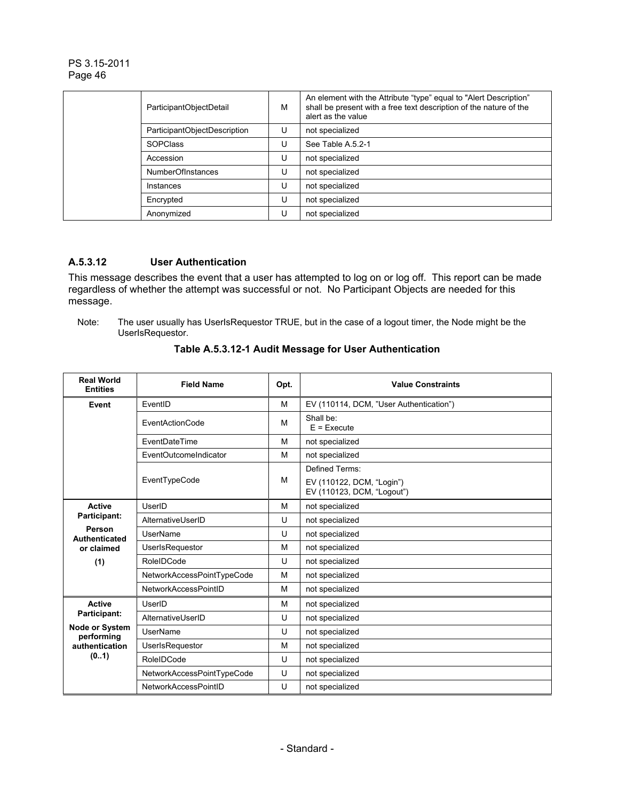| ParticipantObjectDetail      | м | An element with the Attribute "type" equal to "Alert Description"<br>shall be present with a free text description of the nature of the<br>alert as the value |
|------------------------------|---|---------------------------------------------------------------------------------------------------------------------------------------------------------------|
| ParticipantObjectDescription | U | not specialized                                                                                                                                               |
| <b>SOPCIASS</b>              | υ | See Table A.5.2-1                                                                                                                                             |
| Accession                    | υ | not specialized                                                                                                                                               |
| <b>NumberOfInstances</b>     | U | not specialized                                                                                                                                               |
| Instances                    | U | not specialized                                                                                                                                               |
| Encrypted                    | U | not specialized                                                                                                                                               |
| Anonymized                   | U | not specialized                                                                                                                                               |

## **A.5.3.12 User Authentication**

This message describes the event that a user has attempted to log on or log off. This report can be made regardless of whether the attempt was successful or not. No Participant Objects are needed for this message.

Note: The user usually has UserIsRequestor TRUE, but in the case of a logout timer, the Node might be the UserIsRequestor.

| <b>Real World</b><br><b>Entities</b> | <b>Field Name</b>           | Opt. | <b>Value Constraints</b>                                |
|--------------------------------------|-----------------------------|------|---------------------------------------------------------|
| Event                                | EventID                     | м    | EV (110114, DCM, "User Authentication")                 |
|                                      | EventActionCode             | M    | Shall be:<br>$E = Execute$                              |
|                                      | EventDateTime               | M    | not specialized                                         |
|                                      | EventOutcomeIndicator       | M    | not specialized                                         |
|                                      |                             |      | Defined Terms:                                          |
|                                      | EventTypeCode               | M    | EV (110122, DCM, "Login")<br>EV (110123, DCM, "Logout") |
| <b>Active</b>                        | UserID                      | м    | not specialized                                         |
| Participant:                         | AlternativeUserID           | U    | not specialized                                         |
| Person<br><b>Authenticated</b>       | UserName                    | U    | not specialized                                         |
| or claimed                           | UserIsRequestor             | M    | not specialized                                         |
| (1)                                  | RoleIDCode                  | U    | not specialized                                         |
|                                      | NetworkAccessPointTypeCode  | M    | not specialized                                         |
|                                      | NetworkAccessPointID        | M    | not specialized                                         |
| <b>Active</b>                        | UserID                      | M    | not specialized                                         |
| Participant:                         | AlternativeUserID           | U    | not specialized                                         |
| Node or System<br>performing         | UserName                    | U    | not specialized                                         |
| authentication                       | <b>UserIsRequestor</b>      | M    | not specialized                                         |
| (01)                                 | RoleIDCode                  | U    | not specialized                                         |
|                                      | NetworkAccessPointTypeCode  | U    | not specialized                                         |
|                                      | <b>NetworkAccessPointID</b> | U    | not specialized                                         |

**Table A.5.3.12-1 Audit Message for User Authentication**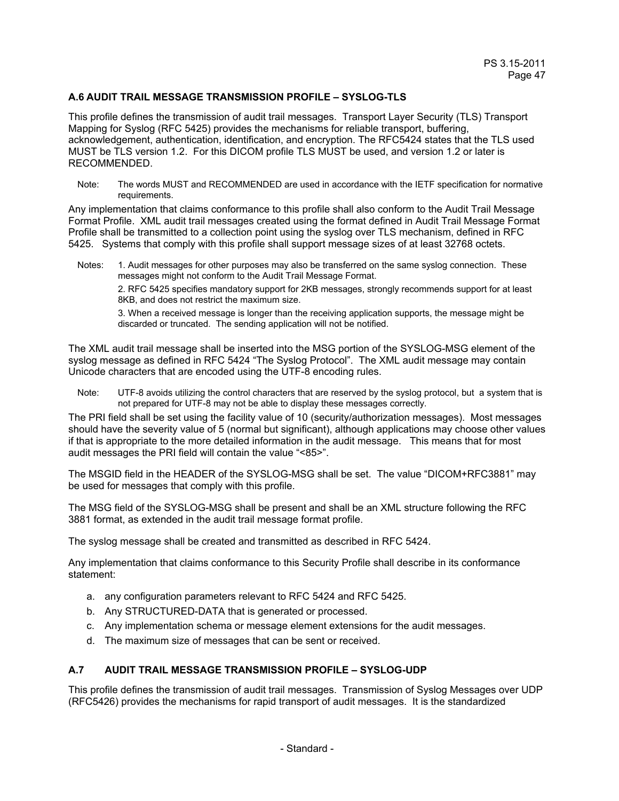#### **A.6 AUDIT TRAIL MESSAGE TRANSMISSION PROFILE – SYSLOG-TLS**

This profile defines the transmission of audit trail messages. Transport Layer Security (TLS) Transport Mapping for Syslog (RFC 5425) provides the mechanisms for reliable transport, buffering, acknowledgement, authentication, identification, and encryption. The RFC5424 states that the TLS used MUST be TLS version 1.2. For this DICOM profile TLS MUST be used, and version 1.2 or later is RECOMMENDED.

Note: The words MUST and RECOMMENDED are used in accordance with the IETF specification for normative requirements.

Any implementation that claims conformance to this profile shall also conform to the Audit Trail Message Format Profile. XML audit trail messages created using the format defined in Audit Trail Message Format Profile shall be transmitted to a collection point using the syslog over TLS mechanism, defined in RFC 5425. Systems that comply with this profile shall support message sizes of at least 32768 octets.

Notes: 1. Audit messages for other purposes may also be transferred on the same syslog connection. These messages might not conform to the Audit Trail Message Format.

 2. RFC 5425 specifies mandatory support for 2KB messages, strongly recommends support for at least 8KB, and does not restrict the maximum size.

 3. When a received message is longer than the receiving application supports, the message might be discarded or truncated. The sending application will not be notified.

The XML audit trail message shall be inserted into the MSG portion of the SYSLOG-MSG element of the syslog message as defined in RFC 5424 "The Syslog Protocol". The XML audit message may contain Unicode characters that are encoded using the UTF-8 encoding rules.

Note: UTF-8 avoids utilizing the control characters that are reserved by the syslog protocol, but a system that is not prepared for UTF-8 may not be able to display these messages correctly.

The PRI field shall be set using the facility value of 10 (security/authorization messages). Most messages should have the severity value of 5 (normal but significant), although applications may choose other values if that is appropriate to the more detailed information in the audit message. This means that for most audit messages the PRI field will contain the value "<85>".

The MSGID field in the HEADER of the SYSLOG-MSG shall be set. The value "DICOM+RFC3881" may be used for messages that comply with this profile.

The MSG field of the SYSLOG-MSG shall be present and shall be an XML structure following the RFC 3881 format, as extended in the audit trail message format profile.

The syslog message shall be created and transmitted as described in RFC 5424.

Any implementation that claims conformance to this Security Profile shall describe in its conformance statement:

- a. any configuration parameters relevant to RFC 5424 and RFC 5425.
- b. Any STRUCTURED-DATA that is generated or processed.
- c. Any implementation schema or message element extensions for the audit messages.
- d. The maximum size of messages that can be sent or received.

#### **A.7 AUDIT TRAIL MESSAGE TRANSMISSION PROFILE – SYSLOG-UDP**

This profile defines the transmission of audit trail messages. Transmission of Syslog Messages over UDP (RFC5426) provides the mechanisms for rapid transport of audit messages. It is the standardized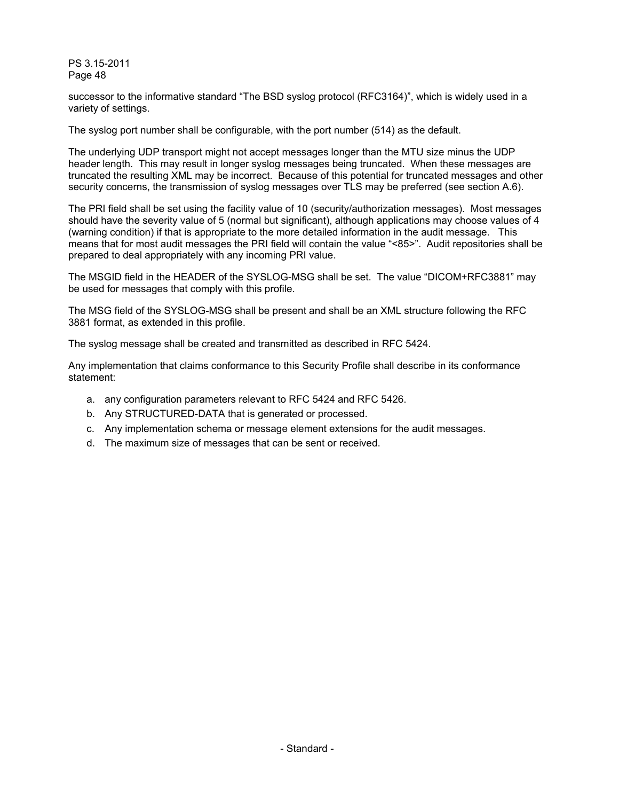PS 3.15-2011 Page 48

successor to the informative standard "The BSD syslog protocol (RFC3164)", which is widely used in a variety of settings.

The syslog port number shall be configurable, with the port number (514) as the default.

The underlying UDP transport might not accept messages longer than the MTU size minus the UDP header length. This may result in longer syslog messages being truncated. When these messages are truncated the resulting XML may be incorrect. Because of this potential for truncated messages and other security concerns, the transmission of syslog messages over TLS may be preferred (see section A.6).

The PRI field shall be set using the facility value of 10 (security/authorization messages). Most messages should have the severity value of 5 (normal but significant), although applications may choose values of 4 (warning condition) if that is appropriate to the more detailed information in the audit message. This means that for most audit messages the PRI field will contain the value "<85>". Audit repositories shall be prepared to deal appropriately with any incoming PRI value.

The MSGID field in the HEADER of the SYSLOG-MSG shall be set. The value "DICOM+RFC3881" may be used for messages that comply with this profile.

The MSG field of the SYSLOG-MSG shall be present and shall be an XML structure following the RFC 3881 format, as extended in this profile.

The syslog message shall be created and transmitted as described in RFC 5424.

Any implementation that claims conformance to this Security Profile shall describe in its conformance statement:

- a. any configuration parameters relevant to RFC 5424 and RFC 5426.
- b. Any STRUCTURED-DATA that is generated or processed.
- c. Any implementation schema or message element extensions for the audit messages.
- d. The maximum size of messages that can be sent or received.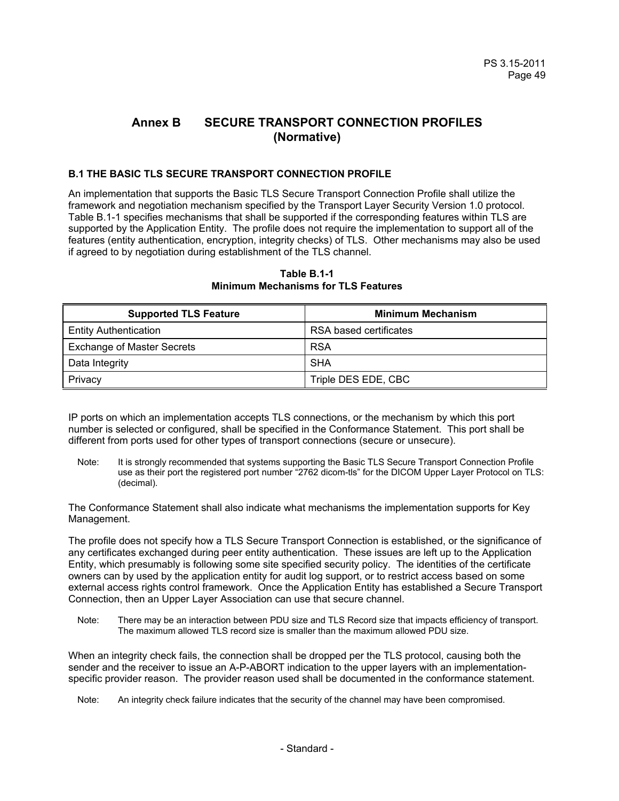# **Annex B SECURE TRANSPORT CONNECTION PROFILES (Normative)**

#### **B.1 THE BASIC TLS SECURE TRANSPORT CONNECTION PROFILE**

An implementation that supports the Basic TLS Secure Transport Connection Profile shall utilize the framework and negotiation mechanism specified by the Transport Layer Security Version 1.0 protocol. Table B.1-1 specifies mechanisms that shall be supported if the corresponding features within TLS are supported by the Application Entity. The profile does not require the implementation to support all of the features (entity authentication, encryption, integrity checks) of TLS. Other mechanisms may also be used if agreed to by negotiation during establishment of the TLS channel.

| <b>Supported TLS Feature</b>      | <b>Minimum Mechanism</b> |
|-----------------------------------|--------------------------|
| <b>Entity Authentication</b>      | RSA based certificates   |
| <b>Exchange of Master Secrets</b> | <b>RSA</b>               |
| Data Integrity                    | <b>SHA</b>               |
| Privacy                           | Triple DES EDE, CBC      |

#### **Table B.1-1 Minimum Mechanisms for TLS Features**

IP ports on which an implementation accepts TLS connections, or the mechanism by which this port number is selected or configured, shall be specified in the Conformance Statement. This port shall be different from ports used for other types of transport connections (secure or unsecure).

Note: It is strongly recommended that systems supporting the Basic TLS Secure Transport Connection Profile use as their port the registered port number "2762 dicom-tls" for the DICOM Upper Layer Protocol on TLS: (decimal).

The Conformance Statement shall also indicate what mechanisms the implementation supports for Key Management.

The profile does not specify how a TLS Secure Transport Connection is established, or the significance of any certificates exchanged during peer entity authentication. These issues are left up to the Application Entity, which presumably is following some site specified security policy. The identities of the certificate owners can by used by the application entity for audit log support, or to restrict access based on some external access rights control framework. Once the Application Entity has established a Secure Transport Connection, then an Upper Layer Association can use that secure channel.

Note: There may be an interaction between PDU size and TLS Record size that impacts efficiency of transport. The maximum allowed TLS record size is smaller than the maximum allowed PDU size.

When an integrity check fails, the connection shall be dropped per the TLS protocol, causing both the sender and the receiver to issue an A-P-ABORT indication to the upper layers with an implementationspecific provider reason. The provider reason used shall be documented in the conformance statement.

Note: An integrity check failure indicates that the security of the channel may have been compromised.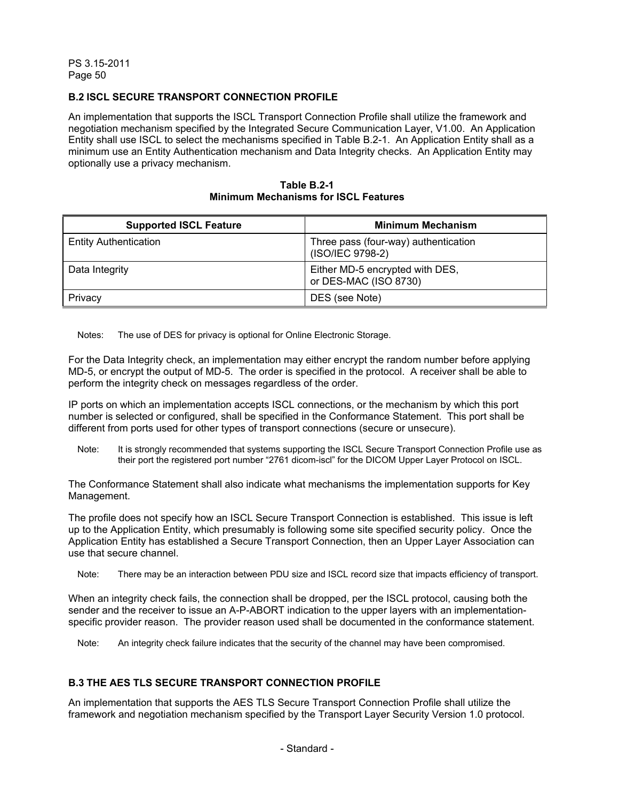### **B.2 ISCL SECURE TRANSPORT CONNECTION PROFILE**

An implementation that supports the ISCL Transport Connection Profile shall utilize the framework and negotiation mechanism specified by the Integrated Secure Communication Layer, V1.00. An Application Entity shall use ISCL to select the mechanisms specified in Table B.2-1. An Application Entity shall as a minimum use an Entity Authentication mechanism and Data Integrity checks. An Application Entity may optionally use a privacy mechanism.

| Table B.2-1                                 |  |
|---------------------------------------------|--|
| <b>Minimum Mechanisms for ISCL Features</b> |  |

| <b>Supported ISCL Feature</b> | <b>Minimum Mechanism</b>                                 |
|-------------------------------|----------------------------------------------------------|
| <b>Entity Authentication</b>  | Three pass (four-way) authentication<br>(ISO/IEC 9798-2) |
| Data Integrity                | Either MD-5 encrypted with DES,<br>or DES-MAC (ISO 8730) |
| Privacy                       | DES (see Note)                                           |

Notes: The use of DES for privacy is optional for Online Electronic Storage.

For the Data Integrity check, an implementation may either encrypt the random number before applying MD-5, or encrypt the output of MD-5. The order is specified in the protocol. A receiver shall be able to perform the integrity check on messages regardless of the order.

IP ports on which an implementation accepts ISCL connections, or the mechanism by which this port number is selected or configured, shall be specified in the Conformance Statement. This port shall be different from ports used for other types of transport connections (secure or unsecure).

Note: It is strongly recommended that systems supporting the ISCL Secure Transport Connection Profile use as their port the registered port number "2761 dicom-iscl" for the DICOM Upper Layer Protocol on ISCL.

The Conformance Statement shall also indicate what mechanisms the implementation supports for Key Management.

The profile does not specify how an ISCL Secure Transport Connection is established. This issue is left up to the Application Entity, which presumably is following some site specified security policy. Once the Application Entity has established a Secure Transport Connection, then an Upper Layer Association can use that secure channel.

Note: There may be an interaction between PDU size and ISCL record size that impacts efficiency of transport.

When an integrity check fails, the connection shall be dropped, per the ISCL protocol, causing both the sender and the receiver to issue an A-P-ABORT indication to the upper layers with an implementationspecific provider reason. The provider reason used shall be documented in the conformance statement.

Note: An integrity check failure indicates that the security of the channel may have been compromised.

#### **B.3 THE AES TLS SECURE TRANSPORT CONNECTION PROFILE**

An implementation that supports the AES TLS Secure Transport Connection Profile shall utilize the framework and negotiation mechanism specified by the Transport Layer Security Version 1.0 protocol.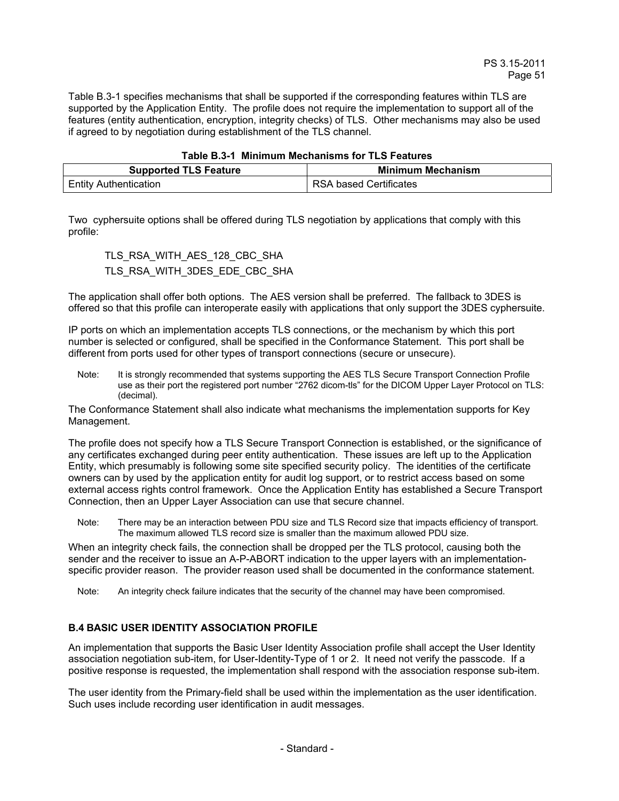Table B.3-1 specifies mechanisms that shall be supported if the corresponding features within TLS are supported by the Application Entity. The profile does not require the implementation to support all of the features (entity authentication, encryption, integrity checks) of TLS. Other mechanisms may also be used if agreed to by negotiation during establishment of the TLS channel.

| <b>Supported TLS Feature</b> | <b>Minimum Mechanism</b>      |  |
|------------------------------|-------------------------------|--|
| <b>Entity Authentication</b> | <b>RSA based Certificates</b> |  |

| Table B.3-1 Minimum Mechanisms for TLS Features |  |  |  |
|-------------------------------------------------|--|--|--|
|-------------------------------------------------|--|--|--|

Two cyphersuite options shall be offered during TLS negotiation by applications that comply with this profile:

 TLS\_RSA\_WITH\_AES\_128\_CBC\_SHA TLS\_RSA\_WITH\_3DES\_EDE\_CBC\_SHA

The application shall offer both options. The AES version shall be preferred. The fallback to 3DES is offered so that this profile can interoperate easily with applications that only support the 3DES cyphersuite.

IP ports on which an implementation accepts TLS connections, or the mechanism by which this port number is selected or configured, shall be specified in the Conformance Statement. This port shall be different from ports used for other types of transport connections (secure or unsecure).

Note: It is strongly recommended that systems supporting the AES TLS Secure Transport Connection Profile use as their port the registered port number "2762 dicom-tls" for the DICOM Upper Layer Protocol on TLS: (decimal).

The Conformance Statement shall also indicate what mechanisms the implementation supports for Key Management.

The profile does not specify how a TLS Secure Transport Connection is established, or the significance of any certificates exchanged during peer entity authentication. These issues are left up to the Application Entity, which presumably is following some site specified security policy. The identities of the certificate owners can by used by the application entity for audit log support, or to restrict access based on some external access rights control framework. Once the Application Entity has established a Secure Transport Connection, then an Upper Layer Association can use that secure channel.

Note: There may be an interaction between PDU size and TLS Record size that impacts efficiency of transport. The maximum allowed TLS record size is smaller than the maximum allowed PDU size.

When an integrity check fails, the connection shall be dropped per the TLS protocol, causing both the sender and the receiver to issue an A-P-ABORT indication to the upper layers with an implementationspecific provider reason. The provider reason used shall be documented in the conformance statement.

Note: An integrity check failure indicates that the security of the channel may have been compromised.

#### **B.4 BASIC USER IDENTITY ASSOCIATION PROFILE**

An implementation that supports the Basic User Identity Association profile shall accept the User Identity association negotiation sub-item, for User-Identity-Type of 1 or 2. It need not verify the passcode. If a positive response is requested, the implementation shall respond with the association response sub-item.

The user identity from the Primary-field shall be used within the implementation as the user identification. Such uses include recording user identification in audit messages.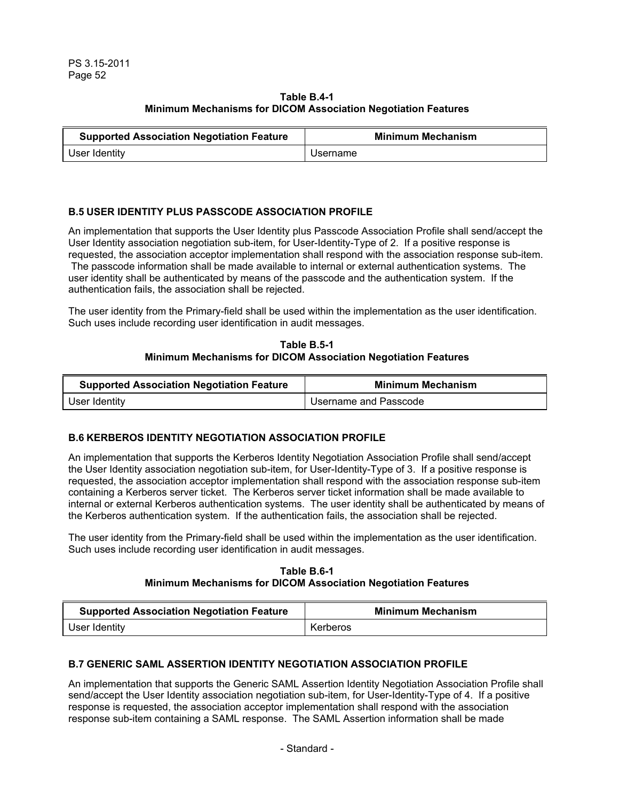#### **Table B.4-1 Minimum Mechanisms for DICOM Association Negotiation Features**

| <b>Supported Association Negotiation Feature</b> | <b>Minimum Mechanism</b> |
|--------------------------------------------------|--------------------------|
| User Identity                                    | Username                 |

#### **B.5 USER IDENTITY PLUS PASSCODE ASSOCIATION PROFILE**

An implementation that supports the User Identity plus Passcode Association Profile shall send/accept the User Identity association negotiation sub-item, for User-Identity-Type of 2. If a positive response is requested, the association acceptor implementation shall respond with the association response sub-item. The passcode information shall be made available to internal or external authentication systems. The user identity shall be authenticated by means of the passcode and the authentication system. If the authentication fails, the association shall be rejected.

The user identity from the Primary-field shall be used within the implementation as the user identification. Such uses include recording user identification in audit messages.

#### **Table B.5-1 Minimum Mechanisms for DICOM Association Negotiation Features**

| <b>Supported Association Negotiation Feature</b> | <b>Minimum Mechanism</b> |
|--------------------------------------------------|--------------------------|
| User Identity                                    | Username and Passcode    |

#### **B.6 KERBEROS IDENTITY NEGOTIATION ASSOCIATION PROFILE**

An implementation that supports the Kerberos Identity Negotiation Association Profile shall send/accept the User Identity association negotiation sub-item, for User-Identity-Type of 3. If a positive response is requested, the association acceptor implementation shall respond with the association response sub-item containing a Kerberos server ticket. The Kerberos server ticket information shall be made available to internal or external Kerberos authentication systems. The user identity shall be authenticated by means of the Kerberos authentication system. If the authentication fails, the association shall be rejected.

The user identity from the Primary-field shall be used within the implementation as the user identification. Such uses include recording user identification in audit messages.

**Table B.6-1 Minimum Mechanisms for DICOM Association Negotiation Features** 

| <b>Supported Association Negotiation Feature</b> | <b>Minimum Mechanism</b> |
|--------------------------------------------------|--------------------------|
| User Identity                                    | Kerberos                 |

## **B.7 GENERIC SAML ASSERTION IDENTITY NEGOTIATION ASSOCIATION PROFILE**

An implementation that supports the Generic SAML Assertion Identity Negotiation Association Profile shall send/accept the User Identity association negotiation sub-item, for User-Identity-Type of 4. If a positive response is requested, the association acceptor implementation shall respond with the association response sub-item containing a SAML response. The SAML Assertion information shall be made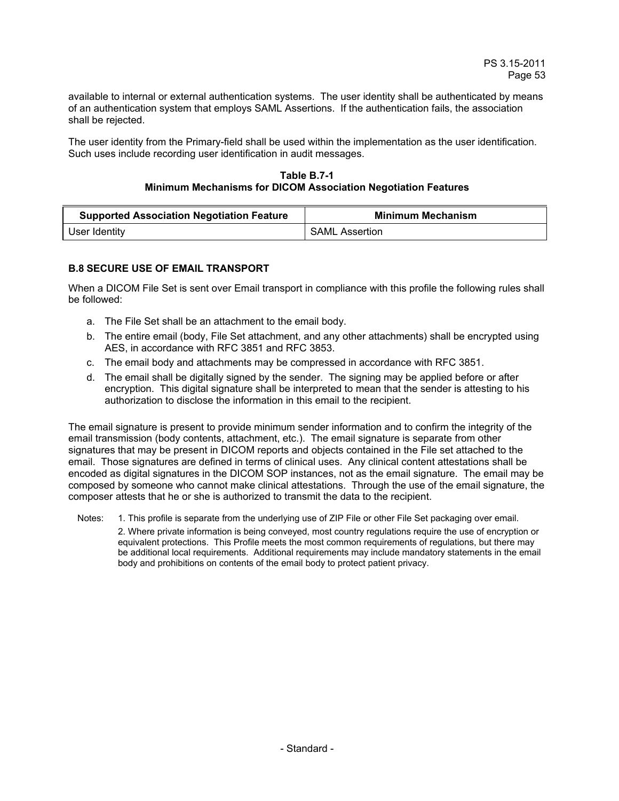available to internal or external authentication systems. The user identity shall be authenticated by means of an authentication system that employs SAML Assertions. If the authentication fails, the association shall be rejected.

The user identity from the Primary-field shall be used within the implementation as the user identification. Such uses include recording user identification in audit messages.

**Table B.7-1 Minimum Mechanisms for DICOM Association Negotiation Features** 

| <b>Supported Association Negotiation Feature</b> | <b>Minimum Mechanism</b> |
|--------------------------------------------------|--------------------------|
| User Identity                                    | SAML Assertion           |

#### **B.8 SECURE USE OF EMAIL TRANSPORT**

When a DICOM File Set is sent over Email transport in compliance with this profile the following rules shall be followed:

- a. The File Set shall be an attachment to the email body.
- b. The entire email (body, File Set attachment, and any other attachments) shall be encrypted using AES, in accordance with RFC 3851 and RFC 3853.
- c. The email body and attachments may be compressed in accordance with RFC 3851.
- d. The email shall be digitally signed by the sender. The signing may be applied before or after encryption. This digital signature shall be interpreted to mean that the sender is attesting to his authorization to disclose the information in this email to the recipient.

The email signature is present to provide minimum sender information and to confirm the integrity of the email transmission (body contents, attachment, etc.). The email signature is separate from other signatures that may be present in DICOM reports and objects contained in the File set attached to the email. Those signatures are defined in terms of clinical uses. Any clinical content attestations shall be encoded as digital signatures in the DICOM SOP instances, not as the email signature. The email may be composed by someone who cannot make clinical attestations. Through the use of the email signature, the composer attests that he or she is authorized to transmit the data to the recipient.

Notes: 1. This profile is separate from the underlying use of ZIP File or other File Set packaging over email. 2. Where private information is being conveyed, most country regulations require the use of encryption or equivalent protections. This Profile meets the most common requirements of regulations, but there may be additional local requirements. Additional requirements may include mandatory statements in the email body and prohibitions on contents of the email body to protect patient privacy.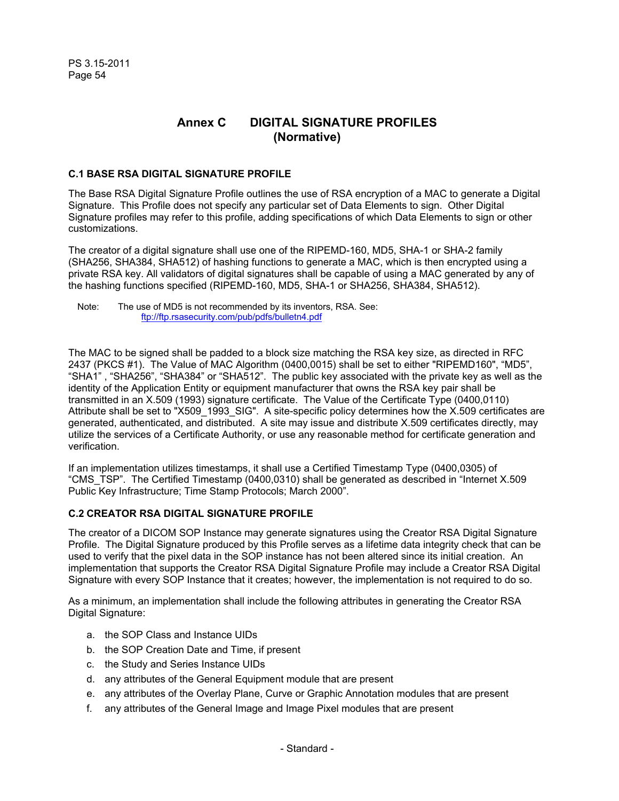# **Annex C DIGITAL SIGNATURE PROFILES (Normative)**

#### **C.1 BASE RSA DIGITAL SIGNATURE PROFILE**

The Base RSA Digital Signature Profile outlines the use of RSA encryption of a MAC to generate a Digital Signature. This Profile does not specify any particular set of Data Elements to sign. Other Digital Signature profiles may refer to this profile, adding specifications of which Data Elements to sign or other customizations.

The creator of a digital signature shall use one of the RIPEMD-160, MD5, SHA-1 or SHA-2 family (SHA256, SHA384, SHA512) of hashing functions to generate a MAC, which is then encrypted using a private RSA key. All validators of digital signatures shall be capable of using a MAC generated by any of the hashing functions specified (RIPEMD-160, MD5, SHA-1 or SHA256, SHA384, SHA512).

Note: The use of MD5 is not recommended by its inventors, RSA. See: ftp://ftp.rsasecurity.com/pub/pdfs/bulletn4.pdf

The MAC to be signed shall be padded to a block size matching the RSA key size, as directed in RFC 2437 (PKCS #1). The Value of MAC Algorithm (0400,0015) shall be set to either "RIPEMD160", "MD5", "SHA1" , "SHA256", "SHA384" or "SHA512". The public key associated with the private key as well as the identity of the Application Entity or equipment manufacturer that owns the RSA key pair shall be transmitted in an X.509 (1993) signature certificate. The Value of the Certificate Type (0400,0110) Attribute shall be set to "X509\_1993\_SIG". A site-specific policy determines how the X.509 certificates are generated, authenticated, and distributed. A site may issue and distribute X.509 certificates directly, may utilize the services of a Certificate Authority, or use any reasonable method for certificate generation and verification.

If an implementation utilizes timestamps, it shall use a Certified Timestamp Type (0400,0305) of "CMS\_TSP". The Certified Timestamp (0400,0310) shall be generated as described in "Internet X.509 Public Key Infrastructure; Time Stamp Protocols; March 2000".

#### **C.2 CREATOR RSA DIGITAL SIGNATURE PROFILE**

The creator of a DICOM SOP Instance may generate signatures using the Creator RSA Digital Signature Profile. The Digital Signature produced by this Profile serves as a lifetime data integrity check that can be used to verify that the pixel data in the SOP instance has not been altered since its initial creation. An implementation that supports the Creator RSA Digital Signature Profile may include a Creator RSA Digital Signature with every SOP Instance that it creates; however, the implementation is not required to do so.

As a minimum, an implementation shall include the following attributes in generating the Creator RSA Digital Signature:

- a. the SOP Class and Instance UIDs
- b. the SOP Creation Date and Time, if present
- c. the Study and Series Instance UIDs
- d. any attributes of the General Equipment module that are present
- e. any attributes of the Overlay Plane, Curve or Graphic Annotation modules that are present
- f. any attributes of the General Image and Image Pixel modules that are present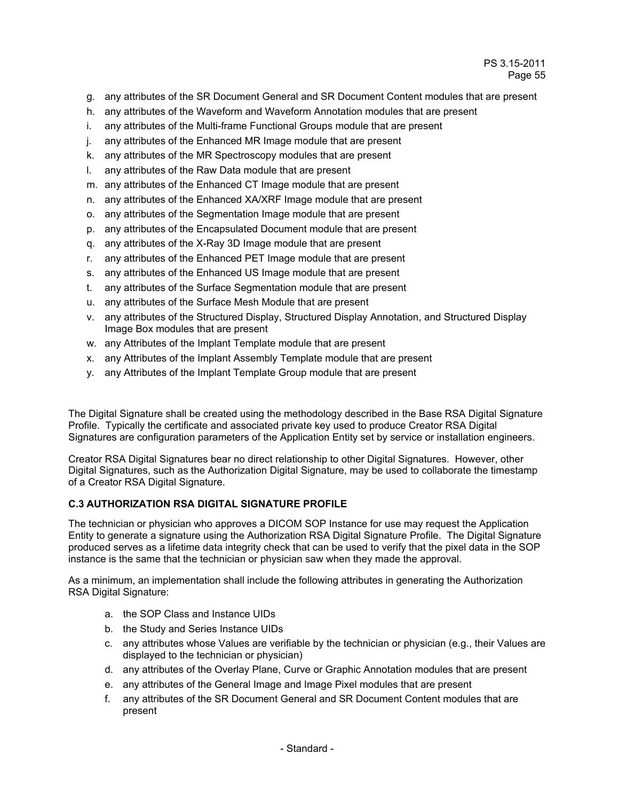- g. any attributes of the SR Document General and SR Document Content modules that are present
- h. any attributes of the Waveform and Waveform Annotation modules that are present
- i. any attributes of the Multi-frame Functional Groups module that are present
- j. any attributes of the Enhanced MR Image module that are present
- k. any attributes of the MR Spectroscopy modules that are present
- l. any attributes of the Raw Data module that are present
- m. any attributes of the Enhanced CT Image module that are present
- n. any attributes of the Enhanced XA/XRF Image module that are present
- o. any attributes of the Segmentation Image module that are present
- p. any attributes of the Encapsulated Document module that are present
- q. any attributes of the X-Ray 3D Image module that are present
- r. any attributes of the Enhanced PET Image module that are present
- s. any attributes of the Enhanced US Image module that are present
- t. any attributes of the Surface Segmentation module that are present
- u. any attributes of the Surface Mesh Module that are present
- v. any attributes of the Structured Display, Structured Display Annotation, and Structured Display Image Box modules that are present
- w. any Attributes of the Implant Template module that are present
- x. any Attributes of the Implant Assembly Template module that are present
- y. any Attributes of the Implant Template Group module that are present

The Digital Signature shall be created using the methodology described in the Base RSA Digital Signature Profile. Typically the certificate and associated private key used to produce Creator RSA Digital Signatures are configuration parameters of the Application Entity set by service or installation engineers.

Creator RSA Digital Signatures bear no direct relationship to other Digital Signatures. However, other Digital Signatures, such as the Authorization Digital Signature, may be used to collaborate the timestamp of a Creator RSA Digital Signature.

#### **C.3 AUTHORIZATION RSA DIGITAL SIGNATURE PROFILE**

The technician or physician who approves a DICOM SOP Instance for use may request the Application Entity to generate a signature using the Authorization RSA Digital Signature Profile. The Digital Signature produced serves as a lifetime data integrity check that can be used to verify that the pixel data in the SOP instance is the same that the technician or physician saw when they made the approval.

As a minimum, an implementation shall include the following attributes in generating the Authorization RSA Digital Signature:

- a. the SOP Class and Instance UIDs
- b. the Study and Series Instance UIDs
- c. any attributes whose Values are verifiable by the technician or physician (e.g., their Values are displayed to the technician or physician)
- d. any attributes of the Overlay Plane, Curve or Graphic Annotation modules that are present
- e. any attributes of the General Image and Image Pixel modules that are present
- f. any attributes of the SR Document General and SR Document Content modules that are present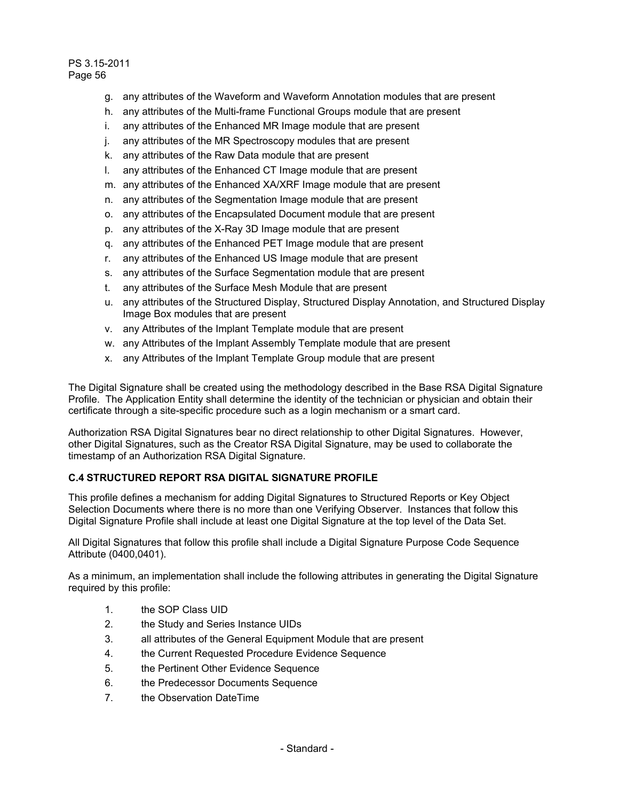#### PS 3.15-2011 Page 56

- g. any attributes of the Waveform and Waveform Annotation modules that are present
- h. any attributes of the Multi-frame Functional Groups module that are present
- i. any attributes of the Enhanced MR Image module that are present
- j. any attributes of the MR Spectroscopy modules that are present
- k. any attributes of the Raw Data module that are present
- l. any attributes of the Enhanced CT Image module that are present
- m. any attributes of the Enhanced XA/XRF Image module that are present
- n. any attributes of the Segmentation Image module that are present
- o. any attributes of the Encapsulated Document module that are present
- p. any attributes of the X-Ray 3D Image module that are present
- q. any attributes of the Enhanced PET Image module that are present
- r. any attributes of the Enhanced US Image module that are present
- s. any attributes of the Surface Segmentation module that are present
- t. any attributes of the Surface Mesh Module that are present
- u. any attributes of the Structured Display, Structured Display Annotation, and Structured Display Image Box modules that are present
- v. any Attributes of the Implant Template module that are present
- w. any Attributes of the Implant Assembly Template module that are present
- x. any Attributes of the Implant Template Group module that are present

The Digital Signature shall be created using the methodology described in the Base RSA Digital Signature Profile. The Application Entity shall determine the identity of the technician or physician and obtain their certificate through a site-specific procedure such as a login mechanism or a smart card.

Authorization RSA Digital Signatures bear no direct relationship to other Digital Signatures. However, other Digital Signatures, such as the Creator RSA Digital Signature, may be used to collaborate the timestamp of an Authorization RSA Digital Signature.

#### **C.4 STRUCTURED REPORT RSA DIGITAL SIGNATURE PROFILE**

This profile defines a mechanism for adding Digital Signatures to Structured Reports or Key Object Selection Documents where there is no more than one Verifying Observer. Instances that follow this Digital Signature Profile shall include at least one Digital Signature at the top level of the Data Set.

All Digital Signatures that follow this profile shall include a Digital Signature Purpose Code Sequence Attribute (0400,0401).

As a minimum, an implementation shall include the following attributes in generating the Digital Signature required by this profile:

- 1. the SOP Class UID
- 2. the Study and Series Instance UIDs
- 3. all attributes of the General Equipment Module that are present
- 4. the Current Requested Procedure Evidence Sequence
- 5. the Pertinent Other Evidence Sequence
- 6. the Predecessor Documents Sequence
- 7. the Observation DateTime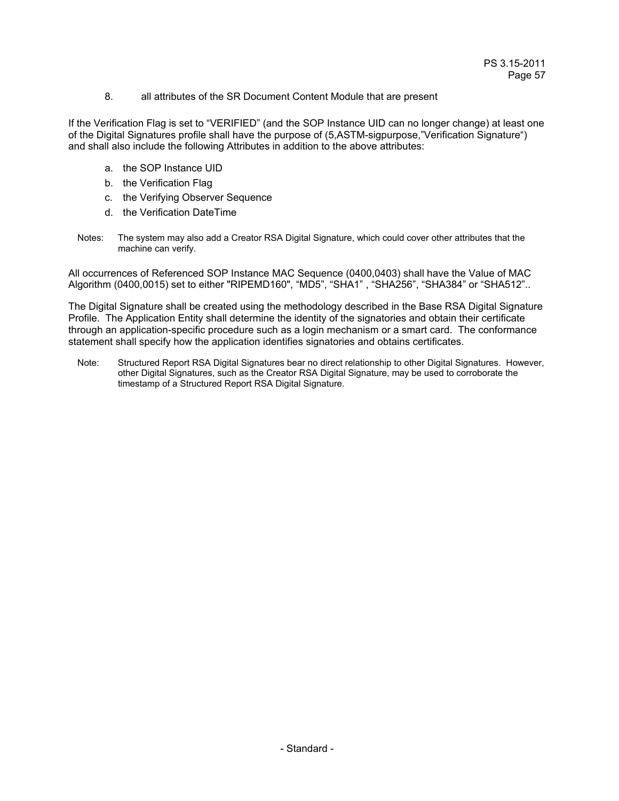8. all attributes of the SR Document Content Module that are present

If the Verification Flag is set to "VERIFIED" (and the SOP Instance UID can no longer change) at least one of the Digital Signatures profile shall have the purpose of (5,ASTM-sigpurpose,"Verification Signature") and shall also include the following Attributes in addition to the above attributes:

- a. the SOP Instance UID
- b. the Verification Flag
- c. the Verifying Observer Sequence
- d. the Verification DateTime
- Notes: The system may also add a Creator RSA Digital Signature, which could cover other attributes that the machine can verify.

All occurrences of Referenced SOP Instance MAC Sequence (0400,0403) shall have the Value of MAC Algorithm (0400,0015) set to either "RIPEMD160", "MD5", "SHA1" , "SHA256", "SHA384" or "SHA512"..

The Digital Signature shall be created using the methodology described in the Base RSA Digital Signature Profile. The Application Entity shall determine the identity of the signatories and obtain their certificate through an application-specific procedure such as a login mechanism or a smart card. The conformance statement shall specify how the application identifies signatories and obtains certificates.

Note: Structured Report RSA Digital Signatures bear no direct relationship to other Digital Signatures. However, other Digital Signatures, such as the Creator RSA Digital Signature, may be used to corroborate the timestamp of a Structured Report RSA Digital Signature.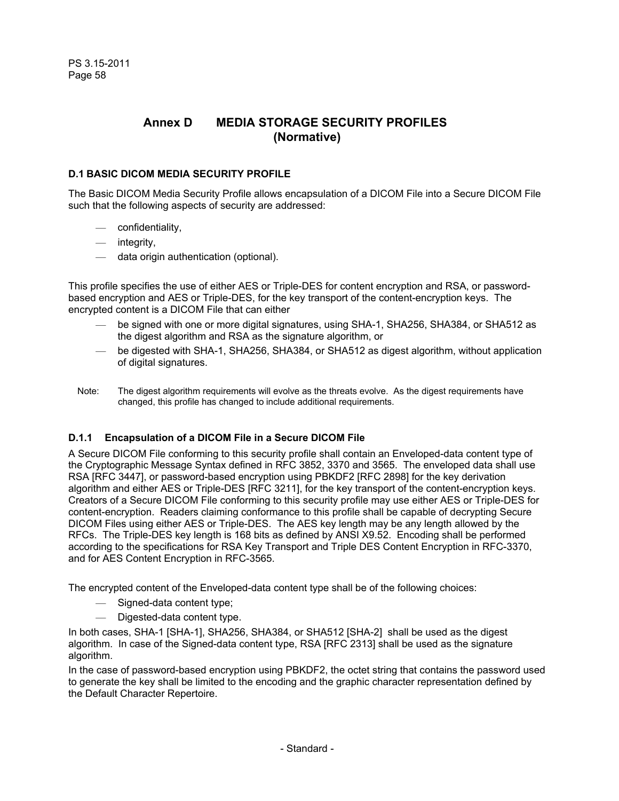# **Annex D MEDIA STORAGE SECURITY PROFILES (Normative)**

#### **D.1 BASIC DICOM MEDIA SECURITY PROFILE**

The Basic DICOM Media Security Profile allows encapsulation of a DICOM File into a Secure DICOM File such that the following aspects of security are addressed:

- confidentiality,
- integrity,
- data origin authentication (optional).

This profile specifies the use of either AES or Triple-DES for content encryption and RSA, or passwordbased encryption and AES or Triple-DES, for the key transport of the content-encryption keys. The encrypted content is a DICOM File that can either

- be signed with one or more digital signatures, using SHA-1, SHA256, SHA384, or SHA512 as the digest algorithm and RSA as the signature algorithm, or
- be digested with SHA-1, SHA256, SHA384, or SHA512 as digest algorithm, without application of digital signatures.
- Note: The digest algorithm requirements will evolve as the threats evolve. As the digest requirements have changed, this profile has changed to include additional requirements.

#### **D.1.1 Encapsulation of a DICOM File in a Secure DICOM File**

A Secure DICOM File conforming to this security profile shall contain an Enveloped-data content type of the Cryptographic Message Syntax defined in RFC 3852, 3370 and 3565. The enveloped data shall use RSA [RFC 3447], or password-based encryption using PBKDF2 [RFC 2898] for the key derivation algorithm and either AES or Triple-DES [RFC 3211], for the key transport of the content-encryption keys. Creators of a Secure DICOM File conforming to this security profile may use either AES or Triple-DES for content-encryption. Readers claiming conformance to this profile shall be capable of decrypting Secure DICOM Files using either AES or Triple-DES. The AES key length may be any length allowed by the RFCs. The Triple-DES key length is 168 bits as defined by ANSI X9.52. Encoding shall be performed according to the specifications for RSA Key Transport and Triple DES Content Encryption in RFC-3370, and for AES Content Encryption in RFC-3565.

The encrypted content of the Enveloped-data content type shall be of the following choices:

- Signed-data content type;
- Digested-data content type.

In both cases, SHA-1 [SHA-1], SHA256, SHA384, or SHA512 [SHA-2] shall be used as the digest algorithm. In case of the Signed-data content type, RSA [RFC 2313] shall be used as the signature algorithm.

In the case of password-based encryption using PBKDF2, the octet string that contains the password used to generate the key shall be limited to the encoding and the graphic character representation defined by the Default Character Repertoire.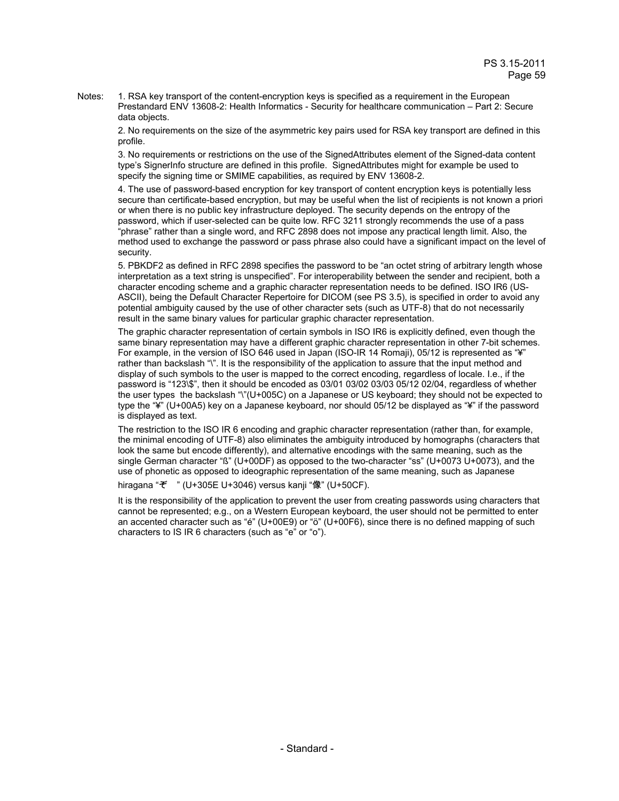Notes: 1. RSA key transport of the content-encryption keys is specified as a requirement in the European Prestandard ENV 13608-2: Health Informatics - Security for healthcare communication – Part 2: Secure data objects.

 2. No requirements on the size of the asymmetric key pairs used for RSA key transport are defined in this profile.

 3. No requirements or restrictions on the use of the SignedAttributes element of the Signed-data content type's SignerInfo structure are defined in this profile. SignedAttributes might for example be used to specify the signing time or SMIME capabilities, as required by ENV 13608-2.

 4. The use of password-based encryption for key transport of content encryption keys is potentially less secure than certificate-based encryption, but may be useful when the list of recipients is not known a priori or when there is no public key infrastructure deployed. The security depends on the entropy of the password, which if user-selected can be quite low. RFC 3211 strongly recommends the use of a pass "phrase" rather than a single word, and RFC 2898 does not impose any practical length limit. Also, the method used to exchange the password or pass phrase also could have a significant impact on the level of security.

 5. PBKDF2 as defined in RFC 2898 specifies the password to be "an octet string of arbitrary length whose interpretation as a text string is unspecified". For interoperability between the sender and recipient, both a character encoding scheme and a graphic character representation needs to be defined. ISO IR6 (US-ASCII), being the Default Character Repertoire for DICOM (see PS 3.5), is specified in order to avoid any potential ambiguity caused by the use of other character sets (such as UTF-8) that do not necessarily result in the same binary values for particular graphic character representation.

 The graphic character representation of certain symbols in ISO IR6 is explicitly defined, even though the same binary representation may have a different graphic character representation in other 7-bit schemes. For example, in the version of ISO 646 used in Japan (ISO-IR 14 Romaji), 05/12 is represented as "¥" rather than backslash "\". It is the responsibility of the application to assure that the input method and display of such symbols to the user is mapped to the correct encoding, regardless of locale. I.e., if the password is "123\\$", then it should be encoded as 03/01 03/02 03/03 05/12 02/04, regardless of whether the user types the backslash "\"(U+005C) on a Japanese or US keyboard; they should not be expected to type the "¥" (U+00A5) key on a Japanese keyboard, nor should 05/12 be displayed as "¥" if the password is displayed as text.

 The restriction to the ISO IR 6 encoding and graphic character representation (rather than, for example, the minimal encoding of UTF-8) also eliminates the ambiguity introduced by homographs (characters that look the same but encode differently), and alternative encodings with the same meaning, such as the single German character " $\beta$ " (U+00DF) as opposed to the two-character "ss" (U+0073 U+0073), and the use of phonetic as opposed to ideographic representation of the same meaning, such as Japanese

hiragana "ぞ " (U+305E U+3046) versus kanji "像" (U+50CF).

It is the responsibility of the application to prevent the user from creating passwords using characters that cannot be represented; e.g., on a Western European keyboard, the user should not be permitted to enter an accented character such as "é" (U+00E9) or "ö" (U+00F6), since there is no defined mapping of such characters to IS IR 6 characters (such as "e" or "o").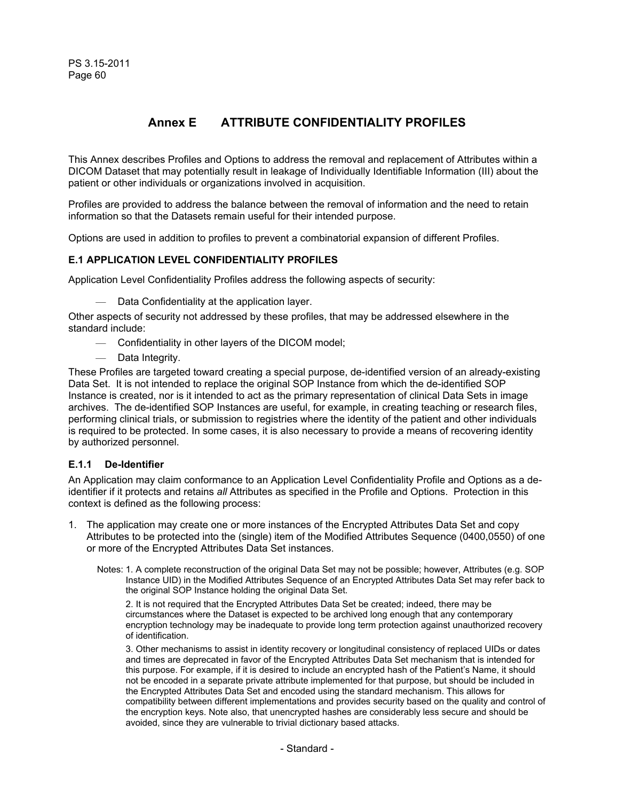# **Annex E ATTRIBUTE CONFIDENTIALITY PROFILES**

This Annex describes Profiles and Options to address the removal and replacement of Attributes within a DICOM Dataset that may potentially result in leakage of Individually Identifiable Information (III) about the patient or other individuals or organizations involved in acquisition.

Profiles are provided to address the balance between the removal of information and the need to retain information so that the Datasets remain useful for their intended purpose.

Options are used in addition to profiles to prevent a combinatorial expansion of different Profiles.

#### **E.1 APPLICATION LEVEL CONFIDENTIALITY PROFILES**

Application Level Confidentiality Profiles address the following aspects of security:

— Data Confidentiality at the application layer.

Other aspects of security not addressed by these profiles, that may be addressed elsewhere in the standard include:

- Confidentiality in other layers of the DICOM model;
- Data Integrity.

These Profiles are targeted toward creating a special purpose, de-identified version of an already-existing Data Set. It is not intended to replace the original SOP Instance from which the de-identified SOP Instance is created, nor is it intended to act as the primary representation of clinical Data Sets in image archives. The de-identified SOP Instances are useful, for example, in creating teaching or research files, performing clinical trials, or submission to registries where the identity of the patient and other individuals is required to be protected. In some cases, it is also necessary to provide a means of recovering identity by authorized personnel.

#### **E.1.1 De-Identifier**

An Application may claim conformance to an Application Level Confidentiality Profile and Options as a deidentifier if it protects and retains *all* Attributes as specified in the Profile and Options. Protection in this context is defined as the following process:

- 1. The application may create one or more instances of the Encrypted Attributes Data Set and copy Attributes to be protected into the (single) item of the Modified Attributes Sequence (0400,0550) of one or more of the Encrypted Attributes Data Set instances.
	- Notes: 1. A complete reconstruction of the original Data Set may not be possible; however, Attributes (e.g. SOP Instance UID) in the Modified Attributes Sequence of an Encrypted Attributes Data Set may refer back to the original SOP Instance holding the original Data Set.

 2. It is not required that the Encrypted Attributes Data Set be created; indeed, there may be circumstances where the Dataset is expected to be archived long enough that any contemporary encryption technology may be inadequate to provide long term protection against unauthorized recovery of identification.

 3. Other mechanisms to assist in identity recovery or longitudinal consistency of replaced UIDs or dates and times are deprecated in favor of the Encrypted Attributes Data Set mechanism that is intended for this purpose. For example, if it is desired to include an encrypted hash of the Patient's Name, it should not be encoded in a separate private attribute implemented for that purpose, but should be included in the Encrypted Attributes Data Set and encoded using the standard mechanism. This allows for compatibility between different implementations and provides security based on the quality and control of the encryption keys. Note also, that unencrypted hashes are considerably less secure and should be avoided, since they are vulnerable to trivial dictionary based attacks.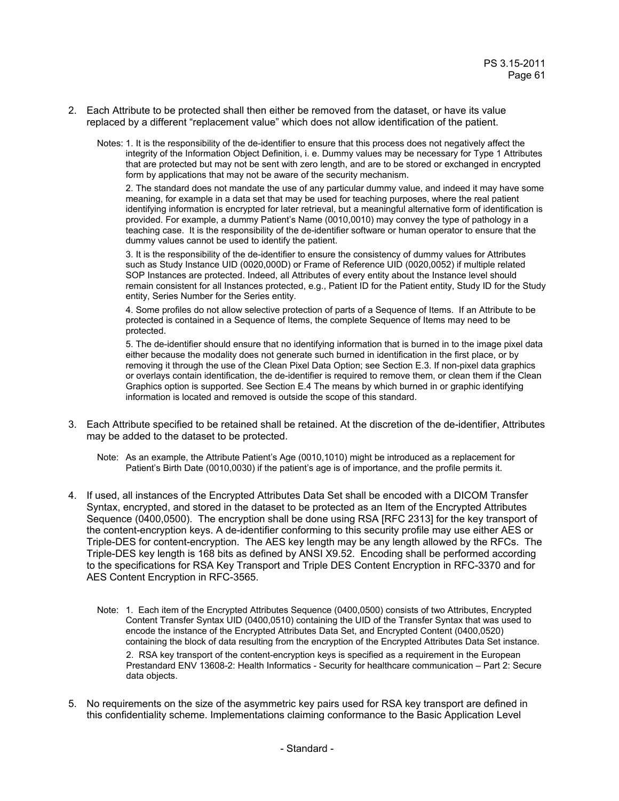- 2. Each Attribute to be protected shall then either be removed from the dataset, or have its value replaced by a different "replacement value" which does not allow identification of the patient.
	- Notes: 1. It is the responsibility of the de-identifier to ensure that this process does not negatively affect the integrity of the Information Object Definition, i. e. Dummy values may be necessary for Type 1 Attributes that are protected but may not be sent with zero length, and are to be stored or exchanged in encrypted form by applications that may not be aware of the security mechanism.

 2. The standard does not mandate the use of any particular dummy value, and indeed it may have some meaning, for example in a data set that may be used for teaching purposes, where the real patient identifying information is encrypted for later retrieval, but a meaningful alternative form of identification is provided. For example, a dummy Patient's Name (0010,0010) may convey the type of pathology in a teaching case. It is the responsibility of the de-identifier software or human operator to ensure that the dummy values cannot be used to identify the patient.

 3. It is the responsibility of the de-identifier to ensure the consistency of dummy values for Attributes such as Study Instance UID (0020,000D) or Frame of Reference UID (0020,0052) if multiple related SOP Instances are protected. Indeed, all Attributes of every entity about the Instance level should remain consistent for all Instances protected, e.g., Patient ID for the Patient entity, Study ID for the Study entity, Series Number for the Series entity.

 4. Some profiles do not allow selective protection of parts of a Sequence of Items. If an Attribute to be protected is contained in a Sequence of Items, the complete Sequence of Items may need to be protected.

 5. The de-identifier should ensure that no identifying information that is burned in to the image pixel data either because the modality does not generate such burned in identification in the first place, or by removing it through the use of the Clean Pixel Data Option; see Section E.3. If non-pixel data graphics or overlays contain identification, the de-identifier is required to remove them, or clean them if the Clean Graphics option is supported. See Section E.4 The means by which burned in or graphic identifying information is located and removed is outside the scope of this standard.

- 3. Each Attribute specified to be retained shall be retained. At the discretion of the de-identifier, Attributes may be added to the dataset to be protected.
	- Note: As an example, the Attribute Patient's Age (0010,1010) might be introduced as a replacement for Patient's Birth Date (0010,0030) if the patient's age is of importance, and the profile permits it.
- 4. If used, all instances of the Encrypted Attributes Data Set shall be encoded with a DICOM Transfer Syntax, encrypted, and stored in the dataset to be protected as an Item of the Encrypted Attributes Sequence (0400,0500). The encryption shall be done using RSA [RFC 2313] for the key transport of the content-encryption keys. A de-identifier conforming to this security profile may use either AES or Triple-DES for content-encryption. The AES key length may be any length allowed by the RFCs. The Triple-DES key length is 168 bits as defined by ANSI X9.52. Encoding shall be performed according to the specifications for RSA Key Transport and Triple DES Content Encryption in RFC-3370 and for AES Content Encryption in RFC-3565.
	- Note: 1. Each item of the Encrypted Attributes Sequence (0400,0500) consists of two Attributes, Encrypted Content Transfer Syntax UID (0400,0510) containing the UID of the Transfer Syntax that was used to encode the instance of the Encrypted Attributes Data Set, and Encrypted Content (0400,0520) containing the block of data resulting from the encryption of the Encrypted Attributes Data Set instance. 2. RSA key transport of the content-encryption keys is specified as a requirement in the European Prestandard ENV 13608-2: Health Informatics - Security for healthcare communication – Part 2: Secure data objects.
- 5. No requirements on the size of the asymmetric key pairs used for RSA key transport are defined in this confidentiality scheme. Implementations claiming conformance to the Basic Application Level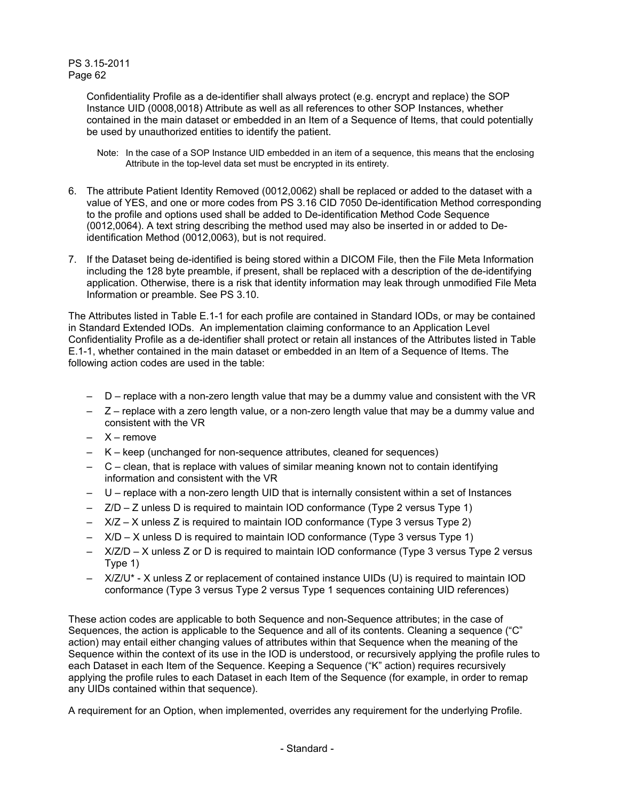PS 3.15-2011 Page 62

> Confidentiality Profile as a de-identifier shall always protect (e.g. encrypt and replace) the SOP Instance UID (0008,0018) Attribute as well as all references to other SOP Instances, whether contained in the main dataset or embedded in an Item of a Sequence of Items, that could potentially be used by unauthorized entities to identify the patient.

- Note: In the case of a SOP Instance UID embedded in an item of a sequence, this means that the enclosing Attribute in the top-level data set must be encrypted in its entirety.
- 6. The attribute Patient Identity Removed (0012,0062) shall be replaced or added to the dataset with a value of YES, and one or more codes from PS 3.16 CID 7050 De-identification Method corresponding to the profile and options used shall be added to De-identification Method Code Sequence (0012,0064). A text string describing the method used may also be inserted in or added to Deidentification Method (0012,0063), but is not required.
- 7. If the Dataset being de-identified is being stored within a DICOM File, then the File Meta Information including the 128 byte preamble, if present, shall be replaced with a description of the de-identifying application. Otherwise, there is a risk that identity information may leak through unmodified File Meta Information or preamble. See PS 3.10.

The Attributes listed in Table E.1-1 for each profile are contained in Standard IODs, or may be contained in Standard Extended IODs. An implementation claiming conformance to an Application Level Confidentiality Profile as a de-identifier shall protect or retain all instances of the Attributes listed in Table E.1-1, whether contained in the main dataset or embedded in an Item of a Sequence of Items. The following action codes are used in the table:

- D replace with a non-zero length value that may be a dummy value and consistent with the VR
- $Z$  replace with a zero length value, or a non-zero length value that may be a dummy value and consistent with the VR
- $X$  remove
- K keep (unchanged for non-sequence attributes, cleaned for sequences)
- C clean, that is replace with values of similar meaning known not to contain identifying information and consistent with the VR
- U replace with a non-zero length UID that is internally consistent within a set of Instances
- Z/D Z unless D is required to maintain IOD conformance (Type 2 versus Type 1)
- X/Z X unless Z is required to maintain IOD conformance (Type 3 versus Type 2)
- X/D X unless D is required to maintain IOD conformance (Type 3 versus Type 1)
- X/Z/D X unless Z or D is required to maintain IOD conformance (Type 3 versus Type 2 versus Type 1)
- X/Z/U\* X unless Z or replacement of contained instance UIDs (U) is required to maintain IOD conformance (Type 3 versus Type 2 versus Type 1 sequences containing UID references)

These action codes are applicable to both Sequence and non-Sequence attributes; in the case of Sequences, the action is applicable to the Sequence and all of its contents. Cleaning a sequence ("C" action) may entail either changing values of attributes within that Sequence when the meaning of the Sequence within the context of its use in the IOD is understood, or recursively applying the profile rules to each Dataset in each Item of the Sequence. Keeping a Sequence ("K" action) requires recursively applying the profile rules to each Dataset in each Item of the Sequence (for example, in order to remap any UIDs contained within that sequence).

A requirement for an Option, when implemented, overrides any requirement for the underlying Profile.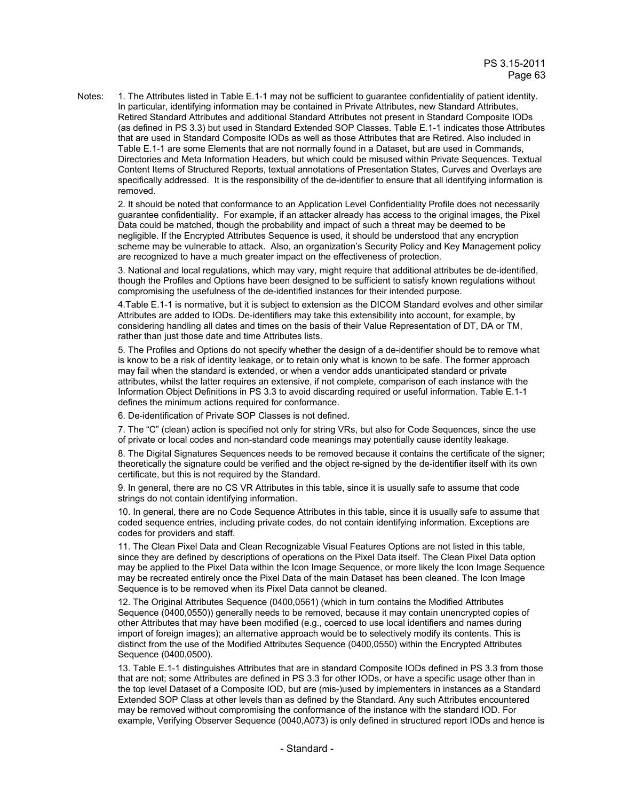Notes: 1. The Attributes listed in Table E.1-1 may not be sufficient to guarantee confidentiality of patient identity. In particular, identifying information may be contained in Private Attributes, new Standard Attributes, Retired Standard Attributes and additional Standard Attributes not present in Standard Composite IODs (as defined in PS 3.3) but used in Standard Extended SOP Classes. Table E.1-1 indicates those Attributes that are used in Standard Composite IODs as well as those Attributes that are Retired. Also included in Table E.1-1 are some Elements that are not normally found in a Dataset, but are used in Commands, Directories and Meta Information Headers, but which could be misused within Private Sequences. Textual Content Items of Structured Reports, textual annotations of Presentation States, Curves and Overlays are specifically addressed. It is the responsibility of the de-identifier to ensure that all identifying information is removed.

 2. It should be noted that conformance to an Application Level Confidentiality Profile does not necessarily guarantee confidentiality. For example, if an attacker already has access to the original images, the Pixel Data could be matched, though the probability and impact of such a threat may be deemed to be negligible. If the Encrypted Attributes Sequence is used, it should be understood that any encryption scheme may be vulnerable to attack. Also, an organization's Security Policy and Key Management policy are recognized to have a much greater impact on the effectiveness of protection.

 3. National and local regulations, which may vary, might require that additional attributes be de-identified, though the Profiles and Options have been designed to be sufficient to satisfy known regulations without compromising the usefulness of the de-identified instances for their intended purpose.

 4.Table E.1-1 is normative, but it is subject to extension as the DICOM Standard evolves and other similar Attributes are added to IODs. De-identifiers may take this extensibility into account, for example, by considering handling all dates and times on the basis of their Value Representation of DT, DA or TM, rather than just those date and time Attributes lists.

 5. The Profiles and Options do not specify whether the design of a de-identifier should be to remove what is know to be a risk of identity leakage, or to retain only what is known to be safe. The former approach may fail when the standard is extended, or when a vendor adds unanticipated standard or private attributes, whilst the latter requires an extensive, if not complete, comparison of each instance with the Information Object Definitions in PS 3.3 to avoid discarding required or useful information. Table E.1-1 defines the minimum actions required for conformance.

6. De-identification of Private SOP Classes is not defined.

 7. The "C" (clean) action is specified not only for string VRs, but also for Code Sequences, since the use of private or local codes and non-standard code meanings may potentially cause identity leakage.

 8. The Digital Signatures Sequences needs to be removed because it contains the certificate of the signer; theoretically the signature could be verified and the object re-signed by the de-identifier itself with its own certificate, but this is not required by the Standard.

 9. In general, there are no CS VR Attributes in this table, since it is usually safe to assume that code strings do not contain identifying information.

 10. In general, there are no Code Sequence Attributes in this table, since it is usually safe to assume that coded sequence entries, including private codes, do not contain identifying information. Exceptions are codes for providers and staff.

 11. The Clean Pixel Data and Clean Recognizable Visual Features Options are not listed in this table, since they are defined by descriptions of operations on the Pixel Data itself. The Clean Pixel Data option may be applied to the Pixel Data within the Icon Image Sequence, or more likely the Icon Image Sequence may be recreated entirely once the Pixel Data of the main Dataset has been cleaned. The Icon Image Sequence is to be removed when its Pixel Data cannot be cleaned.

 12. The Original Attributes Sequence (0400,0561) (which in turn contains the Modified Attributes Sequence (0400,0550)) generally needs to be removed, because it may contain unencrypted copies of other Attributes that may have been modified (e.g., coerced to use local identifiers and names during import of foreign images); an alternative approach would be to selectively modify its contents. This is distinct from the use of the Modified Attributes Sequence (0400,0550) within the Encrypted Attributes Sequence (0400,0500).

 13. Table E.1-1 distinguishes Attributes that are in standard Composite IODs defined in PS 3.3 from those that are not; some Attributes are defined in PS 3.3 for other IODs, or have a specific usage other than in the top level Dataset of a Composite IOD, but are (mis-)used by implementers in instances as a Standard Extended SOP Class at other levels than as defined by the Standard. Any such Attributes encountered may be removed without compromising the conformance of the instance with the standard IOD. For example, Verifying Observer Sequence (0040,A073) is only defined in structured report IODs and hence is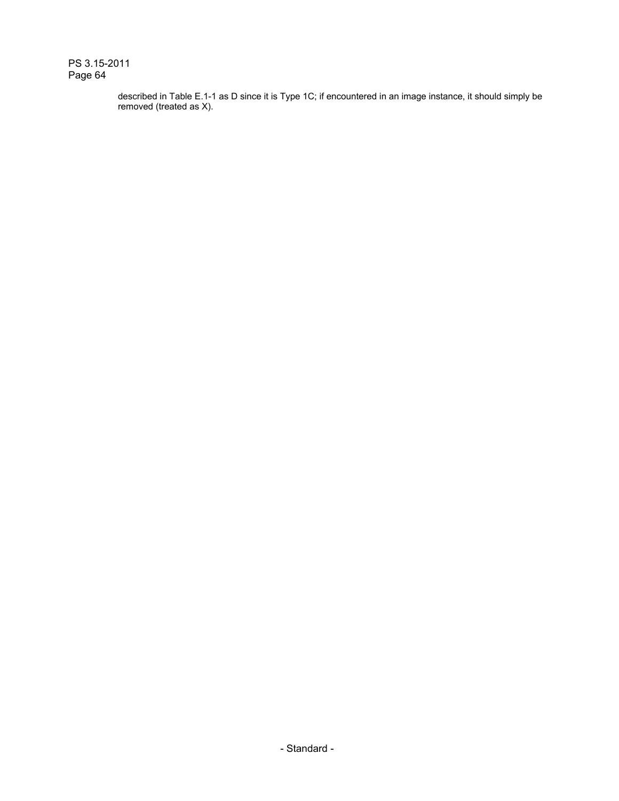PS 3.15-2011 Page 64

> described in Table E.1-1 as D since it is Type 1C; if encountered in an image instance, it should simply be removed (treated as X).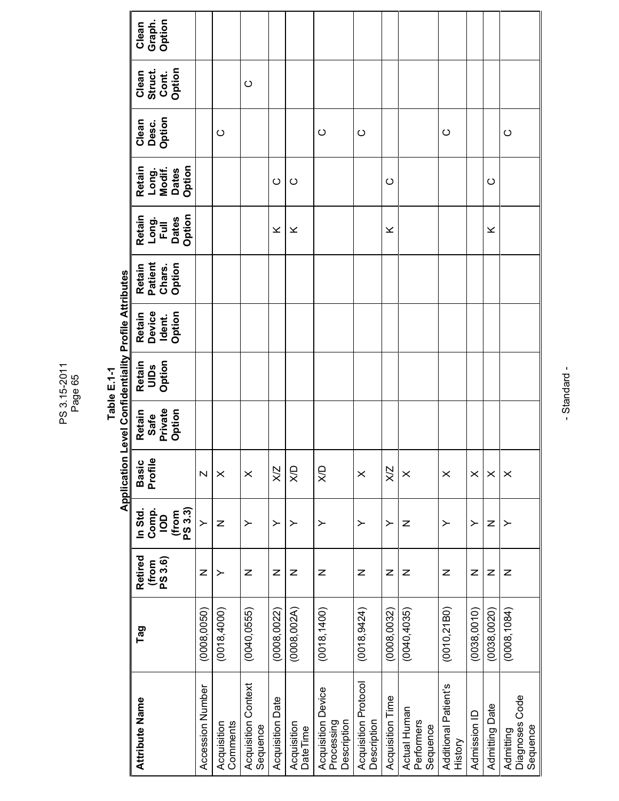# Table E.1-1<br>Application Level Confidentiality Profile Attributes **Application Level Confidentiality Profile Attributes Table E.1-1**

| Clean<br>Graph.<br>Option                              |                         |                         |                                        |                         |                                |                                                        |                                     |                  |                                        |                                 |              |                |                                         |
|--------------------------------------------------------|-------------------------|-------------------------|----------------------------------------|-------------------------|--------------------------------|--------------------------------------------------------|-------------------------------------|------------------|----------------------------------------|---------------------------------|--------------|----------------|-----------------------------------------|
| Clean<br>Struct.<br>Cont.<br>Option                    |                         |                         | $\circ$                                |                         |                                |                                                        |                                     |                  |                                        |                                 |              |                |                                         |
| Clean<br>Desc.<br>Option                               |                         | ပ                       |                                        |                         |                                | $\circ$                                                | $\circ$                             |                  |                                        | ပ                               |              |                | $\circ$                                 |
| Option<br>Retain<br>Long.<br>Modif.<br><b>Dates</b>    |                         |                         |                                        | $\circ$                 | $\circ$                        |                                                        |                                     | $\circ$          |                                        |                                 |              | $\circ$        |                                         |
| Option<br>Retain<br>Long.<br>Full<br><b>Dates</b>      |                         |                         |                                        | $\geq$                  | $\times$                       |                                                        |                                     | ⊻                |                                        |                                 |              | ×              |                                         |
| Patient<br>Retain<br>Option<br>Chars.                  |                         |                         |                                        |                         |                                |                                                        |                                     |                  |                                        |                                 |              |                |                                         |
| Retain<br>Device<br>Option<br>Ident.                   |                         |                         |                                        |                         |                                |                                                        |                                     |                  |                                        |                                 |              |                |                                         |
| Retain<br>UIDs<br>Option                               |                         |                         |                                        |                         |                                |                                                        |                                     |                  |                                        |                                 |              |                |                                         |
| Private<br>Option<br>Retain<br>Safe                    |                         |                         |                                        |                         |                                |                                                        |                                     |                  |                                        |                                 |              |                |                                         |
| Basic<br>Profile                                       | $\overline{\mathsf{N}}$ | $\times$                | $\pmb{\times}$                         | XZ                      | χD                             | χD                                                     | $\times$                            | XZ               | $\times$                               | $\times$                        | $\times$     | $\times$       | $\times$                                |
| PS 3.3)<br>In Std.<br>Comp.<br>(from<br>$\overline{5}$ | ≻                       | Z                       | ≻                                      | $\succ$                 | ≻                              | ≻                                                      | ≻                                   | ≻                | Z                                      | ≻                               | ≻            | Z              | ≻                                       |
| Retired<br>PS 3.6)<br>(from                            | Z                       | ≻                       | Z                                      | Z                       | Z                              | Z                                                      | $\mathsf{z}$                        | Z                | Z                                      | Z                               | Z            | Z              | Z                                       |
| Tag                                                    | (0008, 0050)            | (0018,4000)             | (0040, 0555)                           | (0008, 0022)            | (0008, 002A)                   | (0018, 1400)                                           | (0018, 9424)                        | (0008, 0032)     | (0040, 4035)                           | (0010, 21B0)                    | (0038, 0010) | (0038, 0020)   | (0008, 1084)                            |
| Attribute Name                                         | Accession Number        | Comments<br>Acquisition | <b>Acquisition Context</b><br>Sequence | <b>Acquisition Date</b> | Acquisition<br><b>DateTime</b> | <b>Acquisition Device</b><br>Description<br>Processing | Acquisition Protocol<br>Description | Acquisition Time | Actual Human<br>Performers<br>Sequence | Additional Patient's<br>History | Admission ID | Admitting Date | Diagnoses Code<br>Sequence<br>Admitting |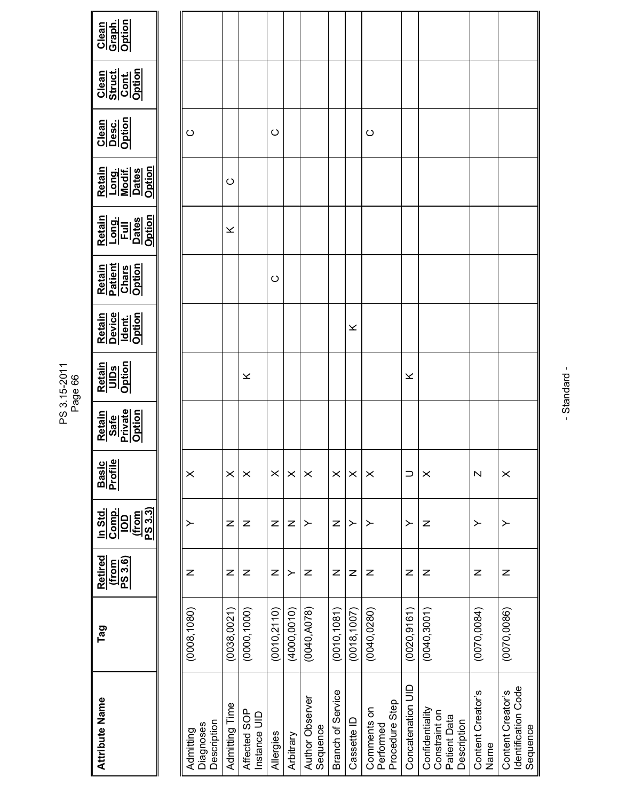| Clean<br>Graph.<br>Option                             |                                       |                |                              |              |             |                             |                   |              |                                            |                   |                                                                 |                           |                                                      |
|-------------------------------------------------------|---------------------------------------|----------------|------------------------------|--------------|-------------|-----------------------------|-------------------|--------------|--------------------------------------------|-------------------|-----------------------------------------------------------------|---------------------------|------------------------------------------------------|
| Clean<br>Struct<br>Option                             |                                       |                |                              |              |             |                             |                   |              |                                            |                   |                                                                 |                           |                                                      |
| Clean<br>Desc.<br>Option                              | $\circ$                               |                |                              | ပ            |             |                             |                   |              | $\circ$                                    |                   |                                                                 |                           |                                                      |
| Dates<br>Option<br><b>Retain</b><br>Long.<br>Modif.   |                                       | $\circ$        |                              |              |             |                             |                   |              |                                            |                   |                                                                 |                           |                                                      |
| Deta<br>Pution<br>Dation<br><b>Retain</b>             |                                       | ×              |                              |              |             |                             |                   |              |                                            |                   |                                                                 |                           |                                                      |
| Patient<br>Chars<br>Option<br><b>Retain</b>           |                                       |                |                              | $\circ$      |             |                             |                   |              |                                            |                   |                                                                 |                           |                                                      |
| <b>Device</b><br>Option<br><b>Retain</b><br>Ident.    |                                       |                |                              |              |             |                             |                   | ⊻            |                                            |                   |                                                                 |                           |                                                      |
| <u>union</u><br><b>Retain</b>                         |                                       |                | ⊻                            |              |             |                             |                   |              |                                            | ⊻                 |                                                                 |                           |                                                      |
| Safe<br>Private<br>Option<br><b>Retain</b>            |                                       |                |                              |              |             |                             |                   |              |                                            |                   |                                                                 |                           |                                                      |
| <b>Basic</b><br>Profile<br>Profil                     | $\times$                              | $\times$       | $\times$                     | $\times$     | $\times$    | $\pmb{\times}$              | $\times$          | $\times$     | $\times$                                   | $\supset$         | $\times$                                                        | $\mathsf{N}$              | $\times$                                             |
| Comp.<br>PS 3.3<br>In Std.<br>(from<br>$\overline{5}$ | ≻                                     | Z              | Z                            | Z            | Z           | ≻                           | Z                 | ≻            | ≻                                          | $\succ$           | Z                                                               | ≻                         | $\succ$                                              |
| Retired<br>PS 3.6)<br>(from                           | Z                                     | Z              | Z                            | Z            | ≻           | Z                           | Z                 | z            | Z                                          | Z                 | Z                                                               | Z                         | Z                                                    |
| Tag                                                   | (0008, 1080)                          | (0038, 0021)   | (0000, 1000)                 | (0010, 2110) | (4000,0010) | (0040, A078)                | (0010, 1081)      | (0018, 1007) | (0040, 0280)                               | (0020, 9161)      | (0040, 3001)                                                    | (0070,0084)               | (0070,0086)                                          |
| Attribute Name                                        | Description<br>Diagnoses<br>Admitting | Admitting Time | Affected SOP<br>Instance UID | Allergies    | Arbitrary   | Author Observer<br>Sequence | Branch of Service | Cassette ID  | Procedure Step<br>Comments on<br>Performed | Concatenation UID | Confidentiality<br>Constraint on<br>Patient Data<br>Description | Content Creator's<br>Name | Identification Code<br>Content Creator's<br>Sequence |

PS 3.15-2011<br>Page 66

PS 3.15-2011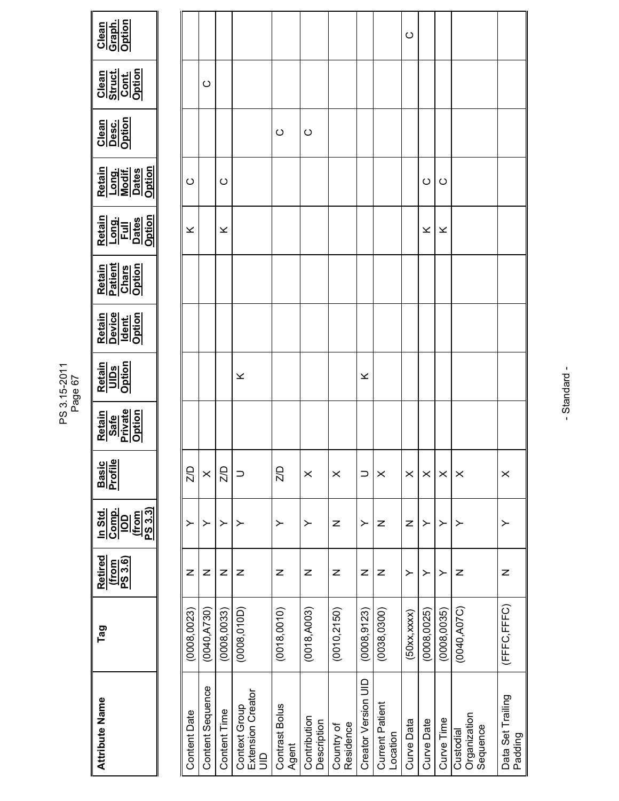| Clean<br>Graph.<br>Option                                          |                     |                  |              |                                                |                         |                             |                         |                     |                                    | ပ           |              |                |                                      |                              |
|--------------------------------------------------------------------|---------------------|------------------|--------------|------------------------------------------------|-------------------------|-----------------------------|-------------------------|---------------------|------------------------------------|-------------|--------------|----------------|--------------------------------------|------------------------------|
| Clean<br>Struct<br>Obtion                                          |                     | ပ                |              |                                                |                         |                             |                         |                     |                                    |             |              |                |                                      |                              |
| Clean<br>Desc.<br>Option                                           |                     |                  |              |                                                | $\circ$                 | $\circ$                     |                         |                     |                                    |             |              |                |                                      |                              |
| <b>Retain</b><br><u>Long:</u><br><u>Modif:</u><br>Dation<br>Option | ပ                   |                  | $\circ$      |                                                |                         |                             |                         |                     |                                    |             | $\circ$      | $\circ$        |                                      |                              |
| Retain<br><u>Long</u><br><u>Long</u><br>Dation<br>Option           | ×                   |                  | ×            |                                                |                         |                             |                         |                     |                                    |             | ⊻            | ×              |                                      |                              |
| Retain<br>Patient<br><b>Chars</b><br><b>Option</b>                 |                     |                  |              |                                                |                         |                             |                         |                     |                                    |             |              |                |                                      |                              |
| <u>Retain</u><br>Device<br><u>Ident.</u><br>Option                 |                     |                  |              |                                                |                         |                             |                         |                     |                                    |             |              |                |                                      |                              |
| <b>Retain</b><br>UIDS<br>Option                                    |                     |                  |              | ×                                              |                         |                             |                         | ×                   |                                    |             |              |                |                                      |                              |
| Retain<br>Safe<br>Private<br>Option                                |                     |                  |              |                                                |                         |                             |                         |                     |                                    |             |              |                |                                      |                              |
| Basic<br>Profile                                                   | 2D                  | $\times$         | ZD           | $\supset$                                      | ZD                      | $\pmb{\times}$              | $\times$                | $\supset$           | $\times$                           | $\times$    | $\times$     | $\pmb{\times}$ | $\times$                             | $\times$                     |
| PS 3.3)<br>In Std.<br>Comp.<br>$\frac{2}{3}$                       | ≻                   | ≻                | $\succ$      | ≻                                              | ≻                       | ≻                           | Z                       | ≻                   | Z                                  | Z           | ≻            | ≻              | ≻                                    | $\succ$                      |
| Retired<br>$\frac{\text{(from)}}{\text{PS }3.6}$                   | Z                   | Z                | Z            | z                                              | $\mathsf{z}$            | Z                           | $\mathsf{z}$            | Z                   | Z                                  | ≻           | ≻            | ≻              | Z                                    | Z                            |
| Tag                                                                | (0008, 0023)        | (0040, A730)     | (0008, 0033) | (0008, 010D)                                   | (0018, 0010)            | (0018, A003)                | (0010, 2150)            | (0008, 9123)        | (0038, 0300)                       | (50xx,xxxx) | (0008, 0025) | (0008,0035)    | (0040, A07C)                         | (FFFC,FFFC)                  |
| Attribute Name                                                     | <b>Content Date</b> | Content Sequence | Content Time | Extension Creator<br>Context Group<br>$\equiv$ | Contrast Bolus<br>Agent | Contribution<br>Description | Residence<br>Country of | Creator Version UID | <b>Current Patient</b><br>Location | Curve Data  | Curve Date   | Curve Time     | Organization<br>Sequence<br>Custodia | Data Set Trailing<br>Padding |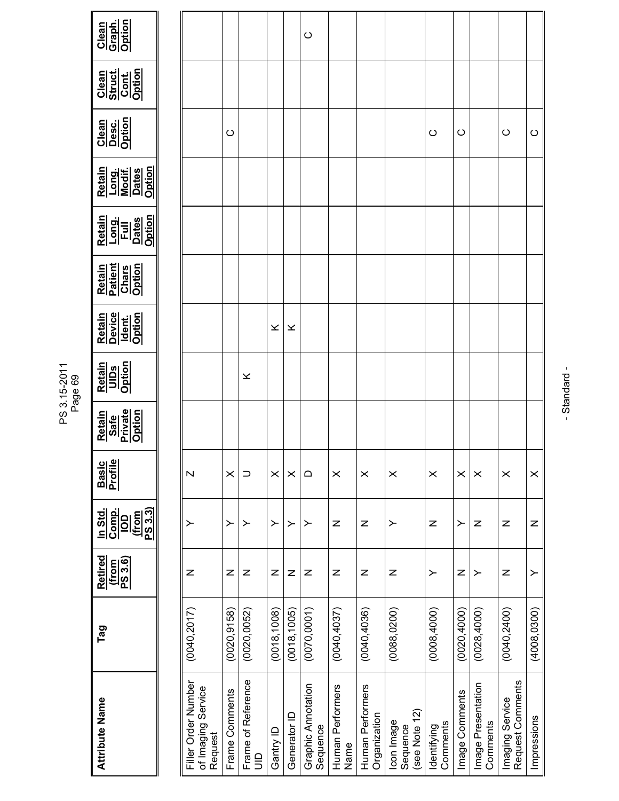| Clean<br>Graph.<br>Option                                 |                                                      |                |                                |              |              | $\circ$                        |                          |                                  |                                         |                         |                |                                |                                     |                |
|-----------------------------------------------------------|------------------------------------------------------|----------------|--------------------------------|--------------|--------------|--------------------------------|--------------------------|----------------------------------|-----------------------------------------|-------------------------|----------------|--------------------------------|-------------------------------------|----------------|
| Clean<br>Struct<br>Ontion                                 |                                                      |                |                                |              |              |                                |                          |                                  |                                         |                         |                |                                |                                     |                |
| Clean<br>Desc.<br>Obtion                                  |                                                      | $\circ$        |                                |              |              |                                |                          |                                  |                                         | ပ                       | $\circ$        |                                | $\circ$                             | $\circ$        |
| Option<br>Retain<br><u>Long.</u><br>Dates                 |                                                      |                |                                |              |              |                                |                          |                                  |                                         |                         |                |                                |                                     |                |
| Option<br>Retain<br><u>Long.</u><br>Dates                 |                                                      |                |                                |              |              |                                |                          |                                  |                                         |                         |                |                                |                                     |                |
| <b>Patient</b><br><b>Retain</b><br><b>Chars</b><br>Option |                                                      |                |                                |              |              |                                |                          |                                  |                                         |                         |                |                                |                                     |                |
| Retain<br>Device<br>Ident.<br>Option                      |                                                      |                |                                | ×            | ×            |                                |                          |                                  |                                         |                         |                |                                |                                     |                |
| <b>Retain</b><br>UIDS<br>Option                           |                                                      |                | ×                              |              |              |                                |                          |                                  |                                         |                         |                |                                |                                     |                |
| Retain<br>Safe<br>Private<br>Option                       |                                                      |                |                                |              |              |                                |                          |                                  |                                         |                         |                |                                |                                     |                |
| Basic<br>Profile                                          | $\mathsf{N}$                                         | $\pmb{\times}$ | $\supset$                      | $\times$     | $\times$     | $\Box$                         | $\times$                 | $\times$                         | $\times$                                | $\times$                | $\times$       | $\times$                       | $\times$                            | $\pmb{\times}$ |
| Comp.<br>PS 3.3)<br>In Std.<br>(from<br>$\overline{5}$    | ≻                                                    | $\succ$        | ≻                              | $\succ$      | $\succ$      | ≻                              | Z                        | Z                                | ≻                                       | Z                       | $\succ$        | Z                              | Z                                   | Z              |
| Retired<br>PS 3.6)<br>(from                               | z                                                    | Z              | Z                              | Z            | Z            | Z                              | Z                        | Z                                | Z                                       | ≻                       | Z              | ≻                              | z                                   | ≻              |
| Tag                                                       | (0040, 2017)                                         | (0020, 9158)   | (0020, 0052)                   | (0018, 1008) | (0018, 1005) | (0070,0001)                    | (0040, 4037)             | (0040, 4036)                     | (0088, 0200)                            | (0008, 4000)            | (0020, 4000)   | (0028, 4000)                   | (0040, 2400)                        | (4008, 0300)   |
| Attribute Name                                            | Filler Order Number<br>of Imaging Service<br>Request | Frame Comments | Frame of Reference<br>$\equiv$ | Gantry ID    | Generator ID | Graphic Annotation<br>Sequence | Human Performers<br>Name | Human Performers<br>Organization | (see Note 12)<br>Icon Image<br>Sequence | Comments<br>ldentifying | Image Comments | Image Presentation<br>Comments | Request Comments<br>Imaging Service | Impressions    |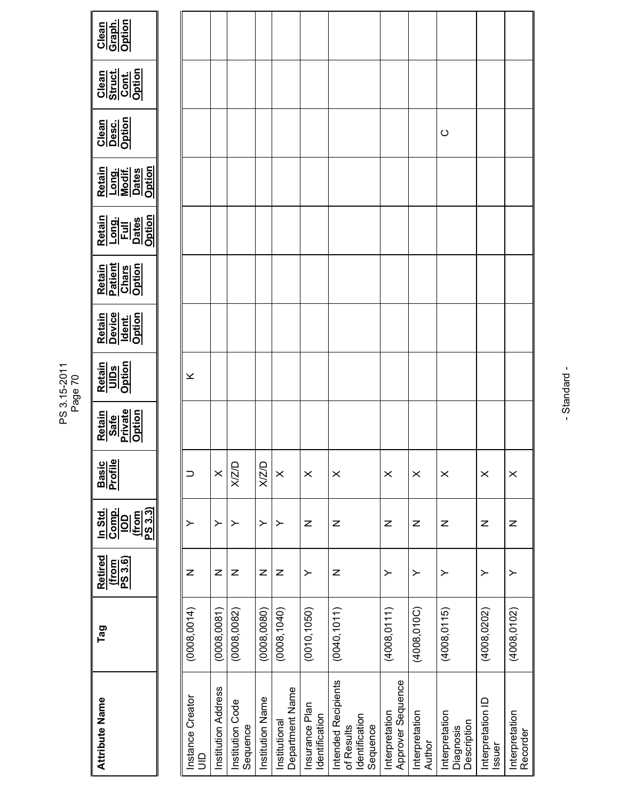| Clean<br>Graph.<br>Option                             |                                   |                     |                              |                  |                                  |                                  |                                                                 |                                     |                          |                                            |                             |                            |
|-------------------------------------------------------|-----------------------------------|---------------------|------------------------------|------------------|----------------------------------|----------------------------------|-----------------------------------------------------------------|-------------------------------------|--------------------------|--------------------------------------------|-----------------------------|----------------------------|
| Clean<br>Struct<br>Ontion                             |                                   |                     |                              |                  |                                  |                                  |                                                                 |                                     |                          |                                            |                             |                            |
| Clean<br>Desc.<br>Option                              |                                   |                     |                              |                  |                                  |                                  |                                                                 |                                     |                          | $\circ$                                    |                             |                            |
| Retain<br>Long<br>Long<br>Dation<br>Dition            |                                   |                     |                              |                  |                                  |                                  |                                                                 |                                     |                          |                                            |                             |                            |
| <b>Retain</b><br><u>Long</u><br>Long Sidion<br>Dation |                                   |                     |                              |                  |                                  |                                  |                                                                 |                                     |                          |                                            |                             |                            |
| Retain<br>Patient<br>Chars<br>Option                  |                                   |                     |                              |                  |                                  |                                  |                                                                 |                                     |                          |                                            |                             |                            |
| <u>Retain</u><br>Device<br><u>Ident.</u><br>Option    |                                   |                     |                              |                  |                                  |                                  |                                                                 |                                     |                          |                                            |                             |                            |
| <b>Retain</b><br>UIDS<br>Option                       | $\times$                          |                     |                              |                  |                                  |                                  |                                                                 |                                     |                          |                                            |                             |                            |
| Retain<br>Safe<br>Private<br>Option                   |                                   |                     |                              |                  |                                  |                                  |                                                                 |                                     |                          |                                            |                             |                            |
| <u>Basic</u><br>Profile                               | ⊃                                 | $\times$            | <b>XIZID</b>                 | <b>XZ/D</b>      | $\times$                         | $\times$                         | $\times$                                                        | $\times$                            | $\times$                 | $\times$                                   | $\times$                    | $\times$                   |
| In Std.<br>Comp.<br>PS 3.3)<br>$rac{10}{\text{from}}$ | ≻                                 | ≻                   | ≻                            | $\succ$          | ≻                                | Z                                | Z                                                               | Z                                   | Z                        | Z                                          | Z                           | Z                          |
| <b>Retired</b><br>PS 3.6)<br>(from                    | Z                                 | z                   | Z                            | Z                | z                                | ≻                                | z                                                               | ≻                                   | ≻                        | $\succ$                                    | ≻                           | $\succ$                    |
| Tag                                                   | (0008, 0014)                      | (0008, 0081)        | (0008, 0082)                 | (0008, 0080)     | (0008, 1040)                     | (0010, 1050)                     | (0040, 1011)                                                    | (4008, 0111)                        | (4008, 010C)             | (4008, 0115)                               | (4008, 0202)                | (4008, 0102)               |
| Attribute Name                                        | Instance Creator<br>$\frac{1}{2}$ | Institution Address | Institution Code<br>Sequence | Institution Name | Department Name<br>Institutional | Insurance Plan<br>Identification | Intended Recipients<br>Identification<br>Sequence<br>of Results | Approver Sequence<br>Interpretation | Interpretation<br>Author | Interpretation<br>Description<br>Diagnosis | Interpretation ID<br>Issuer | Interpretation<br>Recorder |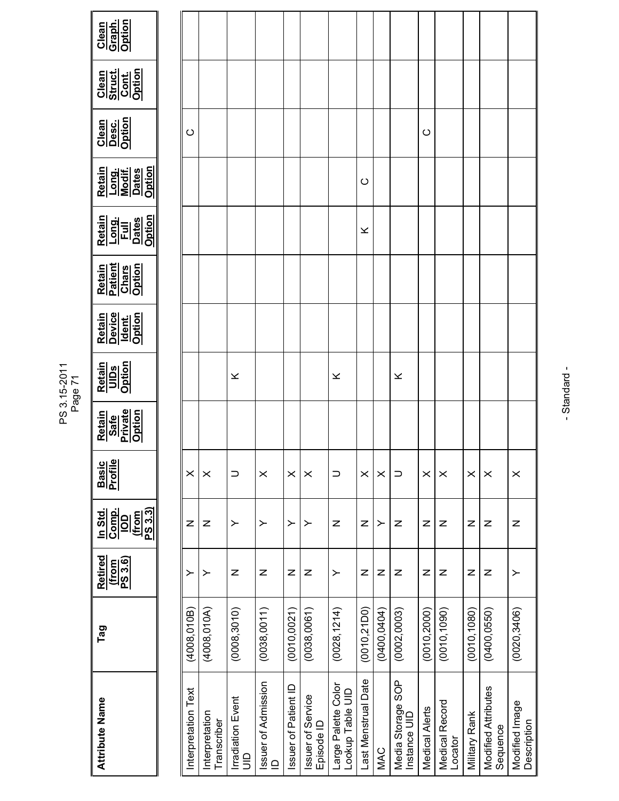| Attribute Name                          | Tag          | Retired<br>$\frac{\text{(from)}}{\text{PS }3.6}$ | PS 3.3)<br>Comp.<br>In Std.<br>(from<br>$\overline{5}$ | m<br><b>Basic</b><br>Profile | Retain<br>Safe<br>Private<br>Option | <b>Retain</b><br>UIDS<br>Option | <u>Retain</u><br>Device<br><u>Ident.</u><br>Option | <b>Retain</b><br><b>Patient</b><br>Chars<br>Option | Retain<br><u>Long</u><br>Long Siden<br>Dation | Retain<br>Long<br>Long<br>Dation<br>Dotion | Clean<br>Desc.<br>Option | Clean<br>Struct<br>Option | Clean<br>Graph.<br>Option |
|-----------------------------------------|--------------|--------------------------------------------------|--------------------------------------------------------|------------------------------|-------------------------------------|---------------------------------|----------------------------------------------------|----------------------------------------------------|-----------------------------------------------|--------------------------------------------|--------------------------|---------------------------|---------------------------|
|                                         |              |                                                  |                                                        |                              |                                     |                                 |                                                    |                                                    |                                               |                                            |                          |                           |                           |
| Interpretation Text                     | (4008, 010B) | ≻                                                | Z                                                      | $\times$                     |                                     |                                 |                                                    |                                                    |                                               |                                            | $\circ$                  |                           |                           |
| Interpretation<br>Transcriber           | (4008, 010A) | ≻                                                | Z                                                      | $\times$                     |                                     |                                 |                                                    |                                                    |                                               |                                            |                          |                           |                           |
| Irradiation Event<br>$\frac{1}{2}$      | (0008, 3010) | Z                                                | ≻                                                      | $\supset$                    |                                     | $\times$                        |                                                    |                                                    |                                               |                                            |                          |                           |                           |
| Issuer of Admission<br>$\supseteq$      | (0038, 0011) | Z                                                | ≻                                                      | $\times$                     |                                     |                                 |                                                    |                                                    |                                               |                                            |                          |                           |                           |
| <b>Issuer of Patient ID</b>             | (0010, 0021) | Z                                                | ≻                                                      | $\times$                     |                                     |                                 |                                                    |                                                    |                                               |                                            |                          |                           |                           |
| Issuer of Service<br>Episode ID         | (0038, 0061) | Z                                                | ≻                                                      | $\times$                     |                                     |                                 |                                                    |                                                    |                                               |                                            |                          |                           |                           |
| Large Palette Color<br>Lookup Table UID | (0028, 1214) | ≻                                                | Z                                                      | $\supset$                    |                                     | ×                               |                                                    |                                                    |                                               |                                            |                          |                           |                           |
| Last Menstrual Date                     | (0010, 2100) | Z                                                | Z                                                      | $\times$                     |                                     |                                 |                                                    |                                                    | ×                                             | ပ                                          |                          |                           |                           |
| MAC                                     | (0400,0040)  | Z                                                | ≻                                                      | $\times$                     |                                     |                                 |                                                    |                                                    |                                               |                                            |                          |                           |                           |
| SOP<br>Media Storage<br>Instance UID    | (0002, 0003) | z                                                | Z                                                      | ⊃                            |                                     | $\times$                        |                                                    |                                                    |                                               |                                            |                          |                           |                           |
| Medical Alerts                          | (0010, 2000) | Z                                                | Z                                                      | $\times$                     |                                     |                                 |                                                    |                                                    |                                               |                                            | ပ                        |                           |                           |
| Medical Record<br>Locator               | (0010, 1090) | z                                                | Z                                                      | $\times$                     |                                     |                                 |                                                    |                                                    |                                               |                                            |                          |                           |                           |
| Military Rank                           | (0010, 1080) | z                                                | z                                                      | $\times$                     |                                     |                                 |                                                    |                                                    |                                               |                                            |                          |                           |                           |
| Modified Attributes<br>Sequence         | (0400, 0550) | Z                                                | Z                                                      | $\times$                     |                                     |                                 |                                                    |                                                    |                                               |                                            |                          |                           |                           |
| Modified Image<br>Description           | (0020, 3406) | ≻                                                | Z                                                      | $\times$                     |                                     |                                 |                                                    |                                                    |                                               |                                            |                          |                           |                           |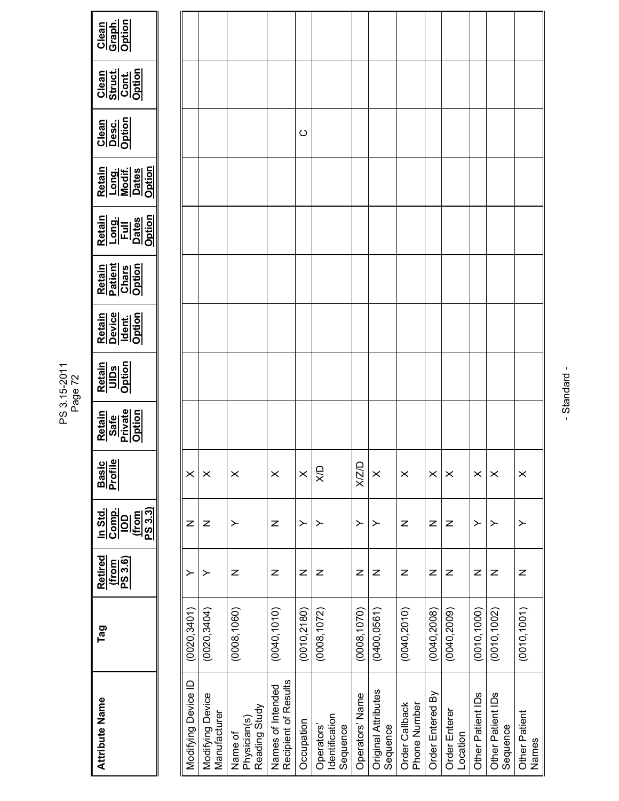| Clean<br>Graph.<br>Option                                         |                     |                                  |                                          |                                           |              |                                          |                 |                                        |                                |                  |                           |                   |                               |                        |
|-------------------------------------------------------------------|---------------------|----------------------------------|------------------------------------------|-------------------------------------------|--------------|------------------------------------------|-----------------|----------------------------------------|--------------------------------|------------------|---------------------------|-------------------|-------------------------------|------------------------|
| Clean<br>Struct<br>Option                                         |                     |                                  |                                          |                                           |              |                                          |                 |                                        |                                |                  |                           |                   |                               |                        |
| Clean<br>Desc.<br>Option                                          |                     |                                  |                                          |                                           | $\circ$      |                                          |                 |                                        |                                |                  |                           |                   |                               |                        |
| Option<br>Retain<br><u>Long.</u><br><u>Modif.</u><br><b>Dates</b> |                     |                                  |                                          |                                           |              |                                          |                 |                                        |                                |                  |                           |                   |                               |                        |
| Dates<br>Option<br>Retain<br><u>Long.</u><br>Eul                  |                     |                                  |                                          |                                           |              |                                          |                 |                                        |                                |                  |                           |                   |                               |                        |
| <b>Retain</b><br>Patient<br><b>Chars</b><br>Option                |                     |                                  |                                          |                                           |              |                                          |                 |                                        |                                |                  |                           |                   |                               |                        |
| <u>Retain</u><br>Device<br><u>Jdent.</u><br>Option                |                     |                                  |                                          |                                           |              |                                          |                 |                                        |                                |                  |                           |                   |                               |                        |
| Retain<br><u>JIDS</u><br>Option                                   |                     |                                  |                                          |                                           |              |                                          |                 |                                        |                                |                  |                           |                   |                               |                        |
| Retain<br>Safe<br>Private<br>Option                               |                     |                                  |                                          |                                           |              |                                          |                 |                                        |                                |                  |                           |                   |                               |                        |
| Basic<br>Profile                                                  | $\times$            | $\times$                         | $\times$                                 | $\pmb{\times}$                            | $\times$     | КУ)                                      | <b>XIZID</b>    | $\pmb{\times}$                         | $\pmb{\times}$                 | $\times$         | $\times$                  | $\times$          | $\times$                      | $\pmb{\times}$         |
| In Std.<br>Comp.<br>PS3.3)<br><u>(from</u><br>$\overline{5}$      | Z                   | Z                                | ≻                                        | $\mathsf{z}$                              | $\succ$      | ≻                                        | ≻               | ≻                                      | Z                              | Z                | Z                         | ≻                 | ≻                             | ≻                      |
| Retired<br>PS 3.6)<br>(from                                       | ≻                   | ≻                                | Z                                        | $\mathsf{z}$                              | Z            | Z                                        | Z               | $\mathsf z$                            | Z                              | Z                | Z                         | $\mathsf{z}$      | Z                             | Z                      |
| Tag                                                               | (0020, 3401)        | (0020, 3404)                     | (0008, 1060)                             | (0040, 1010)                              | (0010, 2180) | (0008, 1072)                             | (0008, 1070)    | (0400, 0561)                           | (0040, 2010)                   | (0040, 2008)     | (0040, 2009)              | (0010, 1000)      | (0010, 1002)                  | (0010, 1001)           |
| <b>Attribute Name</b>                                             | Modifying Device ID | Modifying Device<br>Manufacturer | Reading Study<br>Physician(s)<br>Name of | Recipient of Results<br>Names of Intended | Occupation   | Identification<br>Operators'<br>Sequence | Operators' Name | <b>Original Attributes</b><br>Sequence | Order Callback<br>Phone Number | Order Entered By | Order Enterer<br>Location | Other Patient IDs | Other Patient IDs<br>Sequence | Other Patient<br>Names |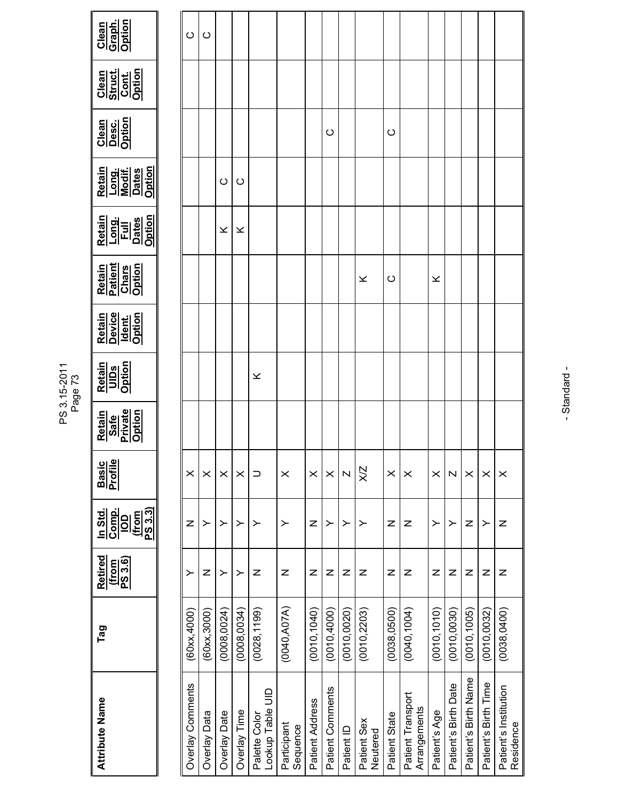| Clean<br>Graph.<br>Option                             | $\circ$          | $\circ$      |                                 |              |                                   |                         |                 |                  |              |                         |               |                                   |               |                         |                      |                      |                                    |
|-------------------------------------------------------|------------------|--------------|---------------------------------|--------------|-----------------------------------|-------------------------|-----------------|------------------|--------------|-------------------------|---------------|-----------------------------------|---------------|-------------------------|----------------------|----------------------|------------------------------------|
| Clean<br>Struct<br>Option                             |                  |              |                                 |              |                                   |                         |                 |                  |              |                         |               |                                   |               |                         |                      |                      |                                    |
| Clean<br>Desc.<br>Option                              |                  |              |                                 |              |                                   |                         |                 | ပ                |              |                         | ပ             |                                   |               |                         |                      |                      |                                    |
| Retain<br><u>Long:</u><br><u>Long is</u><br>Dation    |                  |              | $\circ$                         | $\circ$      |                                   |                         |                 |                  |              |                         |               |                                   |               |                         |                      |                      |                                    |
| <b>Retain</b><br><u>Long</u><br>Long Siden<br>Dation  |                  |              | $\overline{\underline{\smile}}$ | $\times$     |                                   |                         |                 |                  |              |                         |               |                                   |               |                         |                      |                      |                                    |
| Retain<br>Patient<br>Chars<br>Option                  |                  |              |                                 |              |                                   |                         |                 |                  |              | $\times$                | ပ             |                                   | ⊻             |                         |                      |                      |                                    |
| <u>Retain</u><br>Device<br><u>Jdent.</u><br>Option    |                  |              |                                 |              |                                   |                         |                 |                  |              |                         |               |                                   |               |                         |                      |                      |                                    |
| Retain<br>UID <sub>S</sub><br>Option                  |                  |              |                                 |              | ×                                 |                         |                 |                  |              |                         |               |                                   |               |                         |                      |                      |                                    |
| Retain<br>Safe<br>Private<br>Option                   |                  |              |                                 |              |                                   |                         |                 |                  |              |                         |               |                                   |               |                         |                      |                      |                                    |
| Ш<br>Basic<br>Profile<br>Profil                       | $\times$         | $\times$     | $\times$                        | $\times$     | ⊃                                 | $\times$                | $\times$        | $\times$         | $\mathbb N$  | XZ                      | $\times$      | $\times$                          | ×             | $\overline{\mathsf{N}}$ | $\times$             | $\times$             | $\times$                           |
| In Std.<br>PS 3.3<br>Comp.<br>(from<br>$\overline{5}$ | Z                | ≻            | ≻                               | ≻            | ≻                                 | ≻                       | Z               | ≻                | ≻            | ≻                       | Z             | Z                                 | ≻             | ≻                       | Z                    | ≻                    | Z                                  |
| Retired<br>PS 3.6)<br>(from                           | ≻                | z            | ≻                               | ≻            | z                                 | Z                       | Z               | z                | z            | z                       | Z             | z                                 | z             | z                       | z                    | z                    | Z                                  |
| Tag                                                   | (60x, 4000)      | (60x, 3000)  | (0008, 0024)                    | (0008,0034)  | (0028, 1199)                      | (0040, A07A)            | (0010, 1040)    | (0010, 0000)     | (0010, 0020) | (0010, 2203)            | (0038, 0500)  | (001, 0001)                       | (0010, 1010)  | (0010, 0030)            | (0010, 1005)         | (0010, 0032)         | (0038, 0400)                       |
| Attribute Name                                        | Overlay Comments | Overlay Data | Overlay Date                    | Overlay Time | Lookup Table UID<br>Palette Color | Participant<br>Sequence | Patient Address | Patient Comments | Patient ID   | Patient Sex<br>Neutered | Patient State | Patient Transport<br>Arrangements | Patient's Age | Patient's Birth Date    | Patient's Birth Name | Patient's Birth Time | Patient's Institution<br>Residence |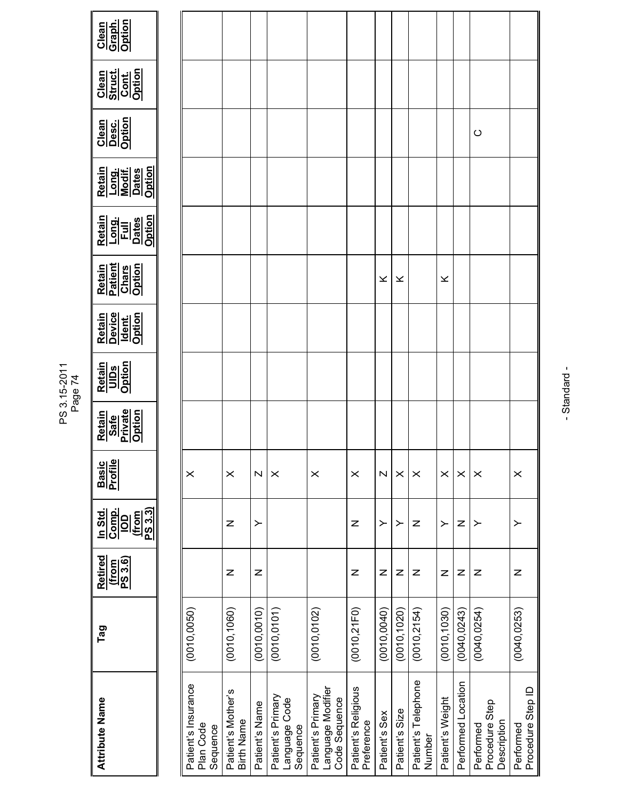| Clean<br>Graph.<br>Option                                    |                                              |                                         |                |                                                |                                                         |                                   |               |                |                               |                  |                    |                                            |                                |
|--------------------------------------------------------------|----------------------------------------------|-----------------------------------------|----------------|------------------------------------------------|---------------------------------------------------------|-----------------------------------|---------------|----------------|-------------------------------|------------------|--------------------|--------------------------------------------|--------------------------------|
| Clean<br>Struct<br>Option                                    |                                              |                                         |                |                                                |                                                         |                                   |               |                |                               |                  |                    |                                            |                                |
| Clean<br>Desc.<br>Option                                     |                                              |                                         |                |                                                |                                                         |                                   |               |                |                               |                  |                    | $\circ$                                    |                                |
| Retain<br>Long<br><u>Joditi</u><br>Dation<br>Dotion          |                                              |                                         |                |                                                |                                                         |                                   |               |                |                               |                  |                    |                                            |                                |
| Retain<br><u>Long</u><br>Long<br>Dation                      |                                              |                                         |                |                                                |                                                         |                                   |               |                |                               |                  |                    |                                            |                                |
| Retain<br>Patient<br>Chars<br>Option                         |                                              |                                         |                |                                                |                                                         |                                   | ×             | $\geq$         |                               | ×                |                    |                                            |                                |
| <b>Retain</b><br>Device<br><u>Ident</u><br>Option            |                                              |                                         |                |                                                |                                                         |                                   |               |                |                               |                  |                    |                                            |                                |
| <b>Retain</b><br>UIDS<br>Option                              |                                              |                                         |                |                                                |                                                         |                                   |               |                |                               |                  |                    |                                            |                                |
| Retain<br>Safe<br>Private<br>Option                          |                                              |                                         |                |                                                |                                                         |                                   |               |                |                               |                  |                    |                                            |                                |
| Basic<br>Profile                                             | $\times$                                     | $\times$                                | N              | $\times$                                       | $\times$                                                | $\pmb{\times}$                    | $\mathbb N$   | $\times$       | $\times$                      | $\times$         | $\times$           | $\times$                                   | $\pmb{\times}$                 |
| Comp.<br>PS 3.3)<br>In Std.<br><u>(from</u><br>$\frac{1}{2}$ |                                              | Z                                       | ≻              |                                                |                                                         | Z                                 | ≻             | ≻              | Z                             | $\succ$          | Z                  | ≻                                          | ≻                              |
| Retired<br>$\frac{\text{from}}{\text{PS}3.6}$                |                                              | Z                                       | Z              |                                                |                                                         | Z                                 | $\mathsf{z}$  | Z              | Z                             | Z                | Z                  | Z                                          | Z                              |
| Tag                                                          | (0010, 0050)                                 | (0010, 1060)                            | (0010, 0010)   | (0010, 0101)                                   | (0010, 0102)                                            | (0010, 21F0)                      | (0010, 0040)  | (0010, 1020)   | (0010, 2154)                  | (0010, 1030)     | (0040, 0243)       | (0040, 0254)                               | (0040, 0253)                   |
| Attribute Name                                               | Patient's Insurance<br>Plan Code<br>Sequence | Patient's Mother's<br><b>Birth Name</b> | Patient's Name | Patient's Primary<br>Language Code<br>Sequence | Language Modifier<br>Patient's Primary<br>Code Sequence | Patient's Religious<br>Preference | Patient's Sex | Patient's Size | Patient's Telephone<br>Number | Patient's Weight | Performed Location | Procedure Step<br>Description<br>Performed | Procedure Step ID<br>Performed |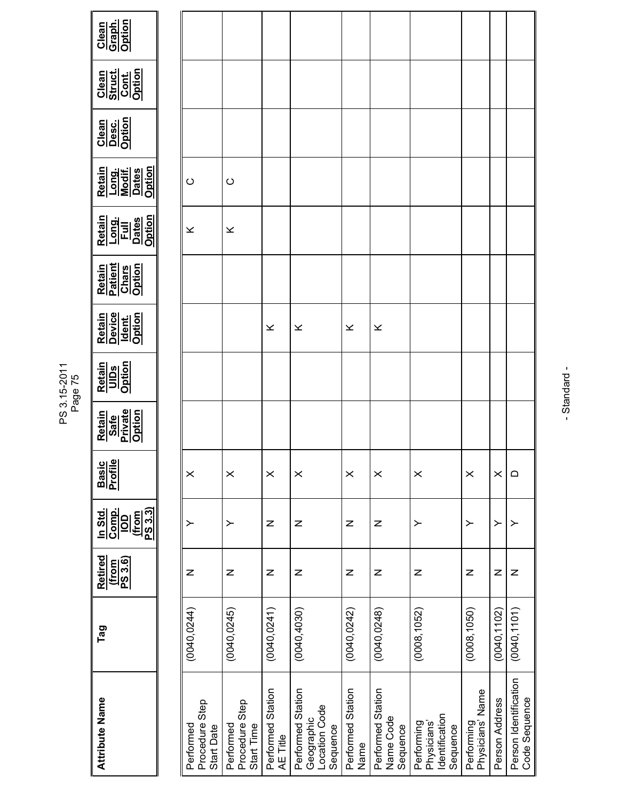| Clean<br>Graph.<br>Option                              |                                           |                                           |                               |                                                              |                                                  |                                            |                                                         |                                |                |                                        |
|--------------------------------------------------------|-------------------------------------------|-------------------------------------------|-------------------------------|--------------------------------------------------------------|--------------------------------------------------|--------------------------------------------|---------------------------------------------------------|--------------------------------|----------------|----------------------------------------|
| Clean<br>Struct<br>Ontion                              |                                           |                                           |                               |                                                              |                                                  |                                            |                                                         |                                |                |                                        |
| Clean<br>Desc.<br>Option                               |                                           |                                           |                               |                                                              |                                                  |                                            |                                                         |                                |                |                                        |
| Retain<br><u>Long:</u><br><u>Long Sibion</u>           | ပ                                         | $\circ$                                   |                               |                                                              |                                                  |                                            |                                                         |                                |                |                                        |
| Retain<br><u>Long</u><br>Long<br>Dation                | $\overline{\underline{\smile}}$           | $\overline{\underline{\mathbf{x}}}$       |                               |                                                              |                                                  |                                            |                                                         |                                |                |                                        |
| <b>Retain</b><br><b>Patient</b><br>Chars<br>Option     |                                           |                                           |                               |                                                              |                                                  |                                            |                                                         |                                |                |                                        |
| Retain<br>Device<br><u>Option</u>                      |                                           |                                           | $\geq$                        | ×                                                            | $\overline{\underline{\boldsymbol{\mathsf{x}}}}$ | $\pmb{\times}$                             |                                                         |                                |                |                                        |
| <b>Retain</b><br>UIDS<br>Option                        |                                           |                                           |                               |                                                              |                                                  |                                            |                                                         |                                |                |                                        |
| Retain<br>Safe<br>Private<br>Option                    |                                           |                                           |                               |                                                              |                                                  |                                            |                                                         |                                |                |                                        |
| Basic<br>Profile                                       | $\times$                                  | $\times$                                  | $\times$                      | $\times$                                                     | $\times$                                         | $\times$                                   | $\times$                                                | $\times$                       | $\times$       | $\Omega$                               |
| PS 3.3)<br>Comp.<br>In Std.<br>(from<br>$\overline{a}$ | ≻                                         | ≻                                         | Z                             | Z                                                            | $\mathsf z$                                      | Z                                          | $\succ$                                                 | ≻                              | ≻              | ≻                                      |
| Retired<br>PS 3.6)<br>(from                            | z                                         | Z                                         | Z                             | Z                                                            | z                                                | Z                                          | Z                                                       | Z                              | Z              | Z                                      |
| Tag                                                    | (0040, 0244)                              | (0040, 0245)                              | (0040, 0241)                  | (0040, 4030)                                                 | (0040, 0242)                                     | (0040, 0248)                               | (0008, 1052)                                            | (0008, 1050)                   | (0040, 1102)   | (0040, 1101)                           |
| Attribute Name                                         | Procedure Step<br>Performed<br>Start Date | Procedure Step<br>Start Time<br>Performed | Performed Station<br>AE Title | Performed Station<br>Location Code<br>Geographic<br>Sequence | Performed Station<br>Name                        | Performed Station<br>Name Code<br>Sequence | Identification<br>Physicians'<br>Performing<br>Sequence | Physicians' Name<br>Performing | Person Address | Person Identification<br>Code Sequence |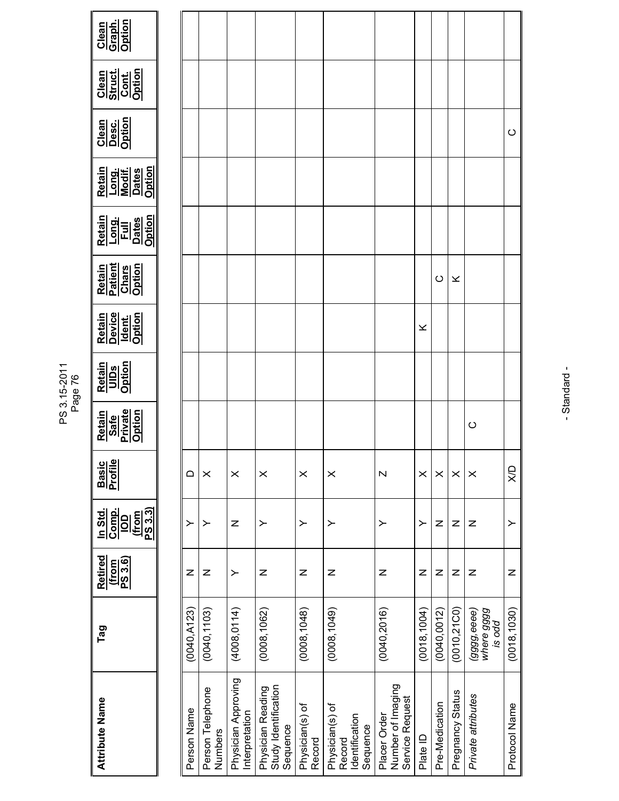| Clean<br>Graph.<br>Option                             |              |                             |                                       |                                                       |                           |                                                         |                                                      |              |                |                  |                                     |               |
|-------------------------------------------------------|--------------|-----------------------------|---------------------------------------|-------------------------------------------------------|---------------------------|---------------------------------------------------------|------------------------------------------------------|--------------|----------------|------------------|-------------------------------------|---------------|
| dean<br>Clean<br>Skipping                             |              |                             |                                       |                                                       |                           |                                                         |                                                      |              |                |                  |                                     |               |
| Clean<br>Desc.<br>Option                              |              |                             |                                       |                                                       |                           |                                                         |                                                      |              |                |                  |                                     | $\circ$       |
| Retain<br>Long<br>Long<br>Dation<br>Dotion            |              |                             |                                       |                                                       |                           |                                                         |                                                      |              |                |                  |                                     |               |
| <b>Retain</b><br><u>Long II</u><br>Long Biblion       |              |                             |                                       |                                                       |                           |                                                         |                                                      |              |                |                  |                                     |               |
| <b>Retain</b><br>Patient<br>Chars<br>Option           |              |                             |                                       |                                                       |                           |                                                         |                                                      |              | $\circ$        | ×                |                                     |               |
| <u>Retain</u><br>Device<br><u>Ident.</u><br>Option    |              |                             |                                       |                                                       |                           |                                                         |                                                      | ×            |                |                  |                                     |               |
| <b>Retain</b><br>UID <sub>S</sub><br>Option           |              |                             |                                       |                                                       |                           |                                                         |                                                      |              |                |                  |                                     |               |
| Retain<br>Safe<br>Private<br>Option                   |              |                             |                                       |                                                       |                           |                                                         |                                                      |              |                |                  | $\circ$                             |               |
| <b>Basic</b><br>Profile<br><b>Profile</b>             | $\Box$       | $\times$                    | $\times$                              | $\times$                                              | $\times$                  | $\times$                                                | $\mathbb N$                                          | $\times$     | ×              | $\times$         | $\times$                            | Š             |
| In Std.<br>Comp.<br>PS 3.3)<br>(from<br>$\frac{1}{2}$ | ≻            | ≻                           | $\mathbf{z}$                          | ≻                                                     | ≻                         | $\succ$                                                 | $\succ$                                              | ≻            | Z              | z                | Z                                   | $\succ$       |
| Retired<br>PS 3.6<br><u>(from</u>                     | Z            | Z                           | ≻                                     | Z                                                     | z                         | Z                                                       | Z                                                    | Z            | Z              | Z                | Z                                   | Z             |
| Tag                                                   | (0040, A123) | (0040, 1103)                | (4008, 0114)                          | (0008, 1062)                                          | (0008, 1048)              | (0008, 1049)                                            | (0040, 2016)                                         | (0018, 1004) | (0040, 0012)   | (0010, 21C0)     | where gggg<br>(gggg,eeee)<br>is odd | (0018, 1030)  |
| Attribute Name                                        | Person Name  | Person Telephone<br>Numbers | Physician Approving<br>Interpretation | Study Identification<br>Physician Reading<br>Sequence | Physician(s) of<br>Record | Physician(s) of<br>Identification<br>Sequence<br>Record | Number of Imaging<br>Service Request<br>Placer Order | Plate ID     | Pre-Medication | Pregnancy Status | Private attributes                  | Protocol Name |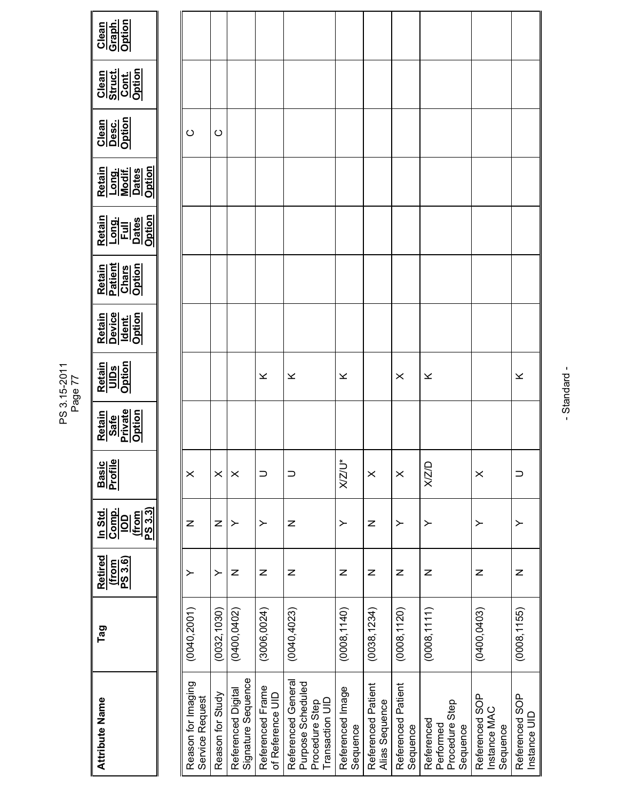| Clean<br>Graph.<br>Option                                  |                                       |                  |                                          |                                      |                                                                              |                              |                                      |                                |                                                       |                                            |                                |
|------------------------------------------------------------|---------------------------------------|------------------|------------------------------------------|--------------------------------------|------------------------------------------------------------------------------|------------------------------|--------------------------------------|--------------------------------|-------------------------------------------------------|--------------------------------------------|--------------------------------|
| Clean<br>Struct<br>Ontion                                  |                                       |                  |                                          |                                      |                                                                              |                              |                                      |                                |                                                       |                                            |                                |
| Clean<br>Desc.<br>Option                                   | $\circ$                               | $\circ$          |                                          |                                      |                                                                              |                              |                                      |                                |                                                       |                                            |                                |
| Dates<br>Option<br>Retain<br><u>Long.</u><br><u>Modif.</u> |                                       |                  |                                          |                                      |                                                                              |                              |                                      |                                |                                                       |                                            |                                |
| <b>Retain</b><br><u>Long</u><br>Long<br>Dation             |                                       |                  |                                          |                                      |                                                                              |                              |                                      |                                |                                                       |                                            |                                |
| Retain<br>Patient<br>Chars<br>Option                       |                                       |                  |                                          |                                      |                                                                              |                              |                                      |                                |                                                       |                                            |                                |
| <u>Retain</u><br>Device<br><u>Ident.</u><br>Option         |                                       |                  |                                          |                                      |                                                                              |                              |                                      |                                |                                                       |                                            |                                |
| <b>Retain</b><br>UIDS<br>Option                            |                                       |                  |                                          | $\times$                             | ×                                                                            | $\geq$                       |                                      | $\times$                       | $\times$                                              |                                            | $\times$                       |
| Retain<br>Safe<br>Private<br>Option                        |                                       |                  |                                          |                                      |                                                                              |                              |                                      |                                |                                                       |                                            |                                |
| <b>Basic</b><br>Profile                                    | $\times$                              | $\times$         | $\times$                                 | $\supset$                            | ⊃                                                                            | <b>NZV</b>                   | $\times$                             | $\pmb{\times}$                 | <b>XIZID</b>                                          | $\pmb{\times}$                             | ⊃                              |
| In Std.<br>Comp.<br>PS3.3)<br>(from<br>$\frac{1}{2}$       | Z                                     | Z                | ≻                                        | ≻                                    | Z                                                                            | $\succ$                      | Z                                    | $\succ$                        | ≻                                                     | ≻                                          | ≻                              |
| Retired<br><u>(from</u><br>PS 3.6)                         | ≻                                     | ≻                | $\mathsf z$                              | Z                                    | Z                                                                            | Z                            | Z                                    | Z                              | Z                                                     | Z                                          | Z                              |
| Tag                                                        | (0040, 2001)                          | (0032, 1030)     | (0400, 0402)                             | (3006, 0024)                         | (0040, 4023)                                                                 | (0008, 1140)                 | (0038, 1234)                         | (0008, 1120)                   | (0008, 1111)                                          | (0400, 0403)                               | (0008, 1155)                   |
| Attribute Name                                             | Reason for Imaging<br>Service Request | Reason for Study | Signature Sequence<br>Referenced Digital | Referenced Frame<br>of Reference UID | Referenced General<br>Purpose Scheduled<br>Transaction UID<br>Procedure Step | Referenced Image<br>Sequence | Referenced Patient<br>Alias Sequence | Referenced Patient<br>Sequence | Procedure Step<br>Referenced<br>Performed<br>Sequence | Referenced SOP<br>Instance MAC<br>Sequence | Referenced SOP<br>Instance UID |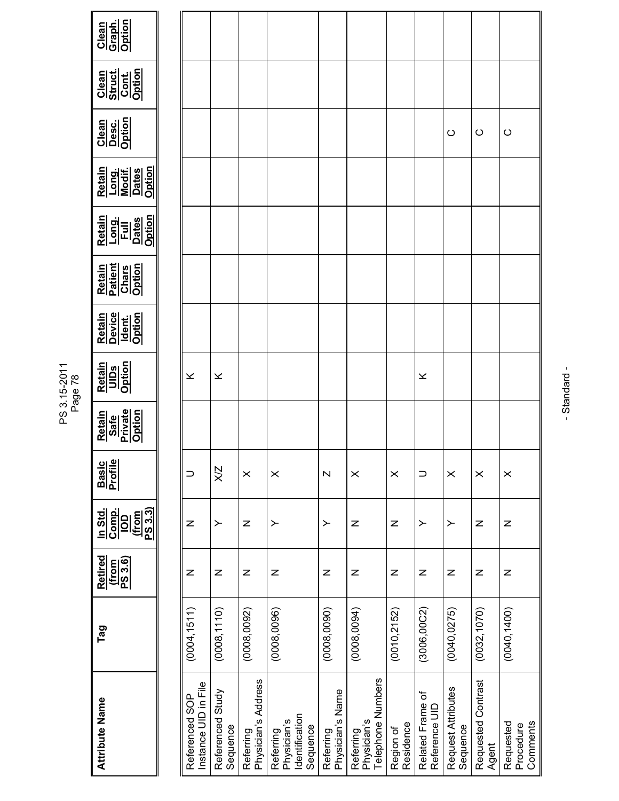| Clean<br>Graph.<br>Option                                 |                                        |                              |                                  |                                                        |                               |                                               |                        |                                   |                                |                             |                                    |
|-----------------------------------------------------------|----------------------------------------|------------------------------|----------------------------------|--------------------------------------------------------|-------------------------------|-----------------------------------------------|------------------------|-----------------------------------|--------------------------------|-----------------------------|------------------------------------|
| Clean<br>Struct<br>Obtion                                 |                                        |                              |                                  |                                                        |                               |                                               |                        |                                   |                                |                             |                                    |
| Clean<br>Desc.<br>Option                                  |                                        |                              |                                  |                                                        |                               |                                               |                        |                                   | $\circ$                        | ပ                           | $\circ$                            |
| Retain<br>Long<br>Long<br>Dation<br>Dotion                |                                        |                              |                                  |                                                        |                               |                                               |                        |                                   |                                |                             |                                    |
| Retain<br>Long<br>Lief Bildion<br>Dation                  |                                        |                              |                                  |                                                        |                               |                                               |                        |                                   |                                |                             |                                    |
| <b>Retain</b><br>Patient<br><b>Chars</b><br><b>Option</b> |                                        |                              |                                  |                                                        |                               |                                               |                        |                                   |                                |                             |                                    |
| <u>Retain</u><br>Device<br><u>Ident.</u><br>Option        |                                        |                              |                                  |                                                        |                               |                                               |                        |                                   |                                |                             |                                    |
| <b>Retain</b><br>UIDS<br>Option                           | ×                                      | $\times$                     |                                  |                                                        |                               |                                               |                        | ⊻                                 |                                |                             |                                    |
| Retain<br>Safe<br>Private<br>Option                       |                                        |                              |                                  |                                                        |                               |                                               |                        |                                   |                                |                             |                                    |
| <b>Basic</b><br>Profile                                   | ⊃                                      | X/Z                          | $\pmb{\times}$                   | $\times$                                               | $\mathbb N$                   | $\times$                                      | $\times$               | ⊃                                 | $\times$                       | $\times$                    | $\pmb{\times}$                     |
| PS 3.3)<br>In Std.<br>Comp.<br>(from<br>$\overline{5}$    | Z                                      | ≻                            | z                                | $\succ$                                                | ≻                             | Z                                             | $\mathsf z$            | ≻                                 | ≻                              | Z                           | Z                                  |
| Retired<br>PS 3.6)<br><u>(from</u>                        | Z                                      | Z                            | z                                | Z                                                      | Z                             | Z                                             | z                      | Z                                 | z                              | Z                           | Z                                  |
| Tag                                                       | (0004, 1511)                           | (0008, 1110)                 | (0008, 0092)                     | (0008, 0096)                                           | (0008, 0090)                  | (0008, 0094)                                  | (0010, 2152)           | (3006, 00C2)                      | (0040, 0275)                   | (0032, 1070)                | (0040, 1400)                       |
| Attribute Name                                            | Instance UID in File<br>Referenced SOP | Referenced Study<br>Sequence | Physician's Address<br>Referring | Identification<br>Physician's<br>Sequence<br>Referring | Physician's Name<br>Referring | Telephone Numbers<br>Physician's<br>Referring | Region of<br>Residence | Related Frame of<br>Reference UID | Request Attributes<br>Sequence | Requested Contrast<br>Agent | Comments<br>Requested<br>Procedure |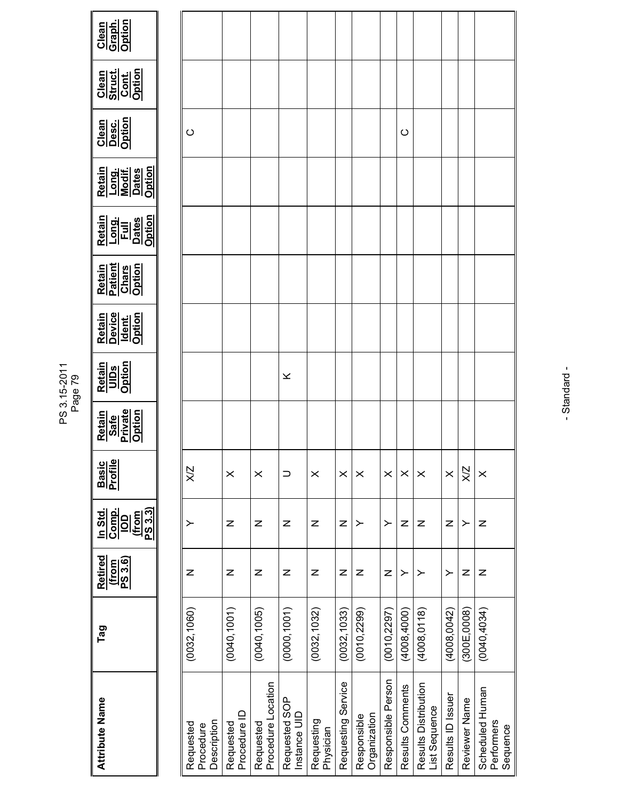| <b>Retired</b><br>PS 3.6)<br><u>(from</u> |
|-------------------------------------------|
|                                           |
| X/Z<br>≻                                  |
| $\times$<br>Z                             |
| $\times$<br>Z                             |
| $\supset$<br>z                            |
| $\times$<br>Z                             |
| $\times$<br>Z                             |
| $\times$<br>≻                             |
| $\times$<br>$\succ$                       |
| $\times$<br>Z                             |
| $\times$<br>Z                             |
| $\times$<br>z                             |
| XIZ<br>≻                                  |
| $\pmb{\times}$<br>Z                       |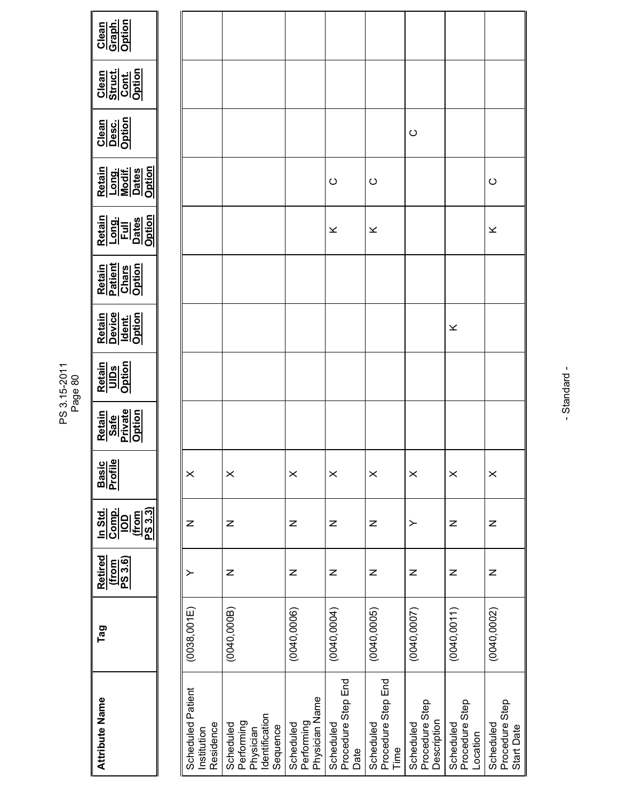| <b>Clean</b><br>Cleapin<br>Cleapin                    |                                               |                                                                    |                                           |                                         |                                         |                                            |                                         |                                           |
|-------------------------------------------------------|-----------------------------------------------|--------------------------------------------------------------------|-------------------------------------------|-----------------------------------------|-----------------------------------------|--------------------------------------------|-----------------------------------------|-------------------------------------------|
|                                                       |                                               |                                                                    |                                           |                                         |                                         |                                            |                                         |                                           |
| <b>Clean</b><br>Desc.<br>Option                       |                                               |                                                                    |                                           |                                         |                                         | $\circ$                                    |                                         |                                           |
| Retain<br><u>Long:</u><br><u>Long: T</u><br>Dation    |                                               |                                                                    |                                           | $\circ$                                 | $\circ$                                 |                                            |                                         | $\circ$                                   |
| Retain<br><u>Long</u><br>Long<br>Dation<br>Dotion     |                                               |                                                                    |                                           | ×                                       | $\times$                                |                                            |                                         | $\times$                                  |
| Retain<br>Patient<br>Chars<br>Option                  |                                               |                                                                    |                                           |                                         |                                         |                                            |                                         |                                           |
| <b>Retain</b><br>Device<br><u>Ident</u><br>Option     |                                               |                                                                    |                                           |                                         |                                         |                                            | $\times$                                |                                           |
| <b>Retain</b><br>UIDS<br>Option                       |                                               |                                                                    |                                           |                                         |                                         |                                            |                                         |                                           |
| Retain<br>Safe<br>Private<br>Option                   |                                               |                                                                    |                                           |                                         |                                         |                                            |                                         |                                           |
| Basic<br>Profile                                      | $\times$                                      | $\times$                                                           | $\times$                                  | $\times$                                | $\times$                                | $\times$                                   | $\times$                                | $\times$                                  |
| Comp.<br>PS 3.3<br>In Std.<br>(from<br>$\overline{5}$ | Z                                             | Z                                                                  | Z                                         | Z                                       | Z                                       | ≻                                          | Z                                       | Z                                         |
| Retired<br>PS 3.6)<br>(from                           | ≻                                             | Z                                                                  | Z                                         | Z                                       | Z                                       | Z                                          | Z                                       | Z                                         |
| Tag                                                   | (0038,001E)                                   | (0040,000B)                                                        | (0040,0006)                               | (0040,0004)                             | (0040,0005)                             | (000,0400)                                 | (0040, 0011)                            | (0040, 0002)                              |
| Attribute Name                                        | Scheduled Patient<br>Residence<br>Institution | Identification<br>Performing<br>Scheduled<br>Sequence<br>Physician | Physician Name<br>Performing<br>Scheduled | Procedure Step End<br>Scheduled<br>Date | Procedure Step End<br>Scheduled<br>Time | Procedure Step<br>Description<br>Scheduled | Procedure Step<br>Scheduled<br>Location | Procedure Step<br>Scheduled<br>Start Date |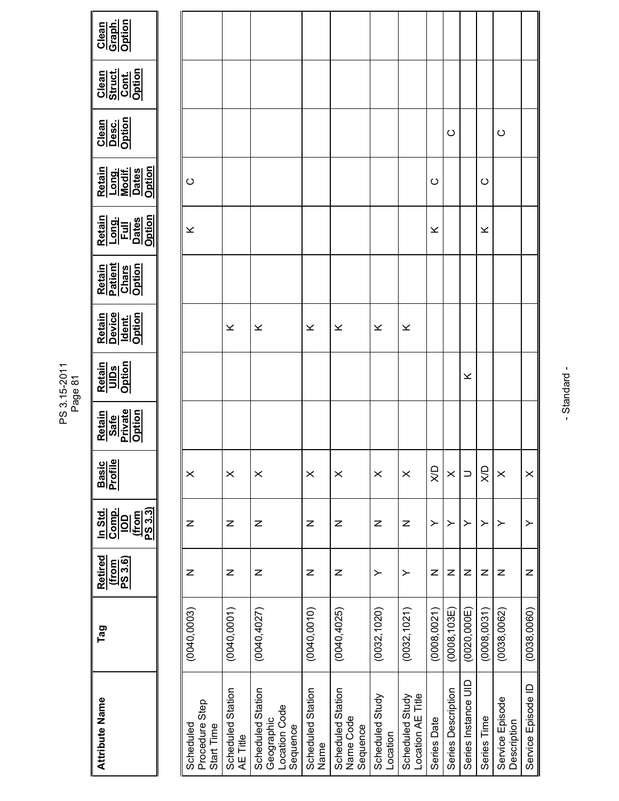| Attribute Name                                               | Tag          | Retired<br>PS 3.6)<br>(from | PS 3.3)<br>In Std.<br>Comp.<br>(from<br>$\overline{5}$ | Basic<br>Profile | Retain<br>Safe<br>Private<br>Option | <u>Retain</u><br>UIDS<br>Option | <b>Retain</b><br>Device<br><u>Ident</u><br>Option | <u>Retain</u><br>Patient<br>Chars<br>Option | Dates<br>Option<br>Retain<br>Long.<br>Eul | Option<br>Retain<br><u>Long.</u><br><u>Modif.</u><br><b>Dates</b> | Clean<br>Desc.<br>Option | Clean<br>Struct,<br>Clotion | Clean<br>Graph.<br>Option |
|--------------------------------------------------------------|--------------|-----------------------------|--------------------------------------------------------|------------------|-------------------------------------|---------------------------------|---------------------------------------------------|---------------------------------------------|-------------------------------------------|-------------------------------------------------------------------|--------------------------|-----------------------------|---------------------------|
|                                                              |              |                             |                                                        |                  |                                     |                                 |                                                   |                                             |                                           |                                                                   |                          |                             |                           |
| Procedure Step<br>Scheduled<br>Start Time                    | (0040,0003)  | Z                           | Z                                                      | $\times$         |                                     |                                 |                                                   |                                             | ×                                         | $\circ$                                                           |                          |                             |                           |
| Scheduled Station<br>AE Title                                | (0040,0001)  | Z                           | Z                                                      | $\times$         |                                     |                                 | $\overline{\underline{\boldsymbol{\mathsf{x}}}}$  |                                             |                                           |                                                                   |                          |                             |                           |
| Scheduled Station<br>Location Code<br>Geographic<br>Sequence | (0040, 4027) | Z                           | Z                                                      | $\times$         |                                     |                                 | $\times$                                          |                                             |                                           |                                                                   |                          |                             |                           |
| Scheduled Station<br>Name                                    | (0040, 0010) | Z                           | $\mathsf z$                                            | $\times$         |                                     |                                 | $\times$                                          |                                             |                                           |                                                                   |                          |                             |                           |
| Scheduled Station<br>Name Code<br>Sequence                   | (0040, 4025) | Z                           | Z                                                      | $\times$         |                                     |                                 | $\overline{\underline{\boldsymbol{\mathsf{x}}}}$  |                                             |                                           |                                                                   |                          |                             |                           |
| Scheduled Study<br>Location                                  | (0032, 1020) | $\succ$                     | $\mathsf{z}% _{0}\!\left( \mathsf{z}\right)$           | $\pmb{\times}$   |                                     |                                 | $\times$                                          |                                             |                                           |                                                                   |                          |                             |                           |
| Location AE Title<br>Scheduled Study                         | (0032, 1021) | ≻                           | Z                                                      | $\times$         |                                     |                                 | $\times$                                          |                                             |                                           |                                                                   |                          |                             |                           |
| Series Date                                                  | (0008, 0021) | Z                           | $\succ$                                                | ax               |                                     |                                 |                                                   |                                             | ⊻                                         | ပ                                                                 |                          |                             |                           |
| Series Description                                           | (0008, 103E) | z                           | ≻                                                      | $\times$         |                                     |                                 |                                                   |                                             |                                           |                                                                   | ပ                        |                             |                           |
| Series Instance UID                                          | (0020,000E)  | z                           | ≻                                                      | $\supset$        |                                     | ×                               |                                                   |                                             |                                           |                                                                   |                          |                             |                           |
| Series Time                                                  | (0008,0031)  | Z                           | ≻                                                      | $\frac{1}{2}$    |                                     |                                 |                                                   |                                             | ⊻                                         | $\circ$                                                           |                          |                             |                           |
| Service Episode<br>Description                               | (0038, 0062) | Z                           | ≻                                                      | $\pmb{\times}$   |                                     |                                 |                                                   |                                             |                                           |                                                                   | $\circ$                  |                             |                           |
| Service Episode ID                                           | (0038, 0060) | Z                           | ≻                                                      | $\times$         |                                     |                                 |                                                   |                                             |                                           |                                                                   |                          |                             |                           |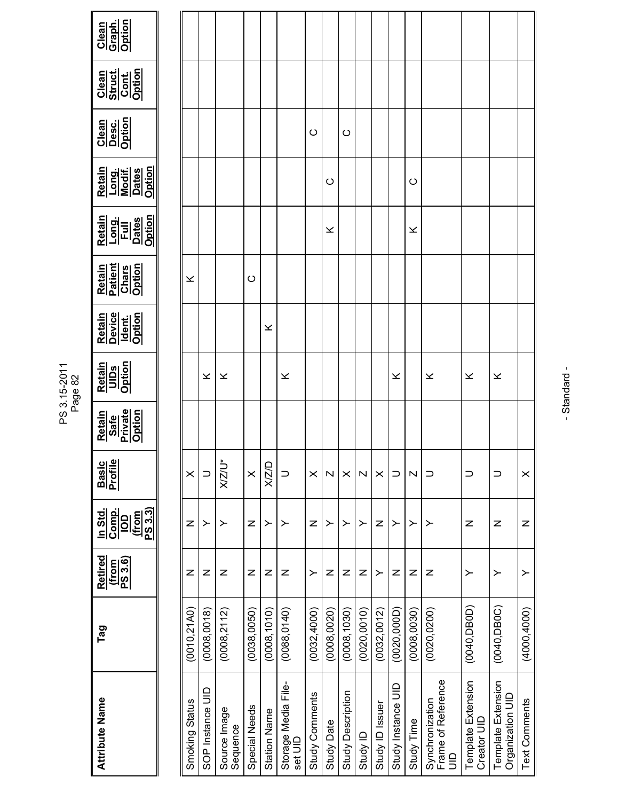| Clean<br>Graph.<br>Option                              |                |                                     |                            |               |                     |                                     |                |                   |                   |              |                 |                    |              |                                                       |                                   |                                        |                      |
|--------------------------------------------------------|----------------|-------------------------------------|----------------------------|---------------|---------------------|-------------------------------------|----------------|-------------------|-------------------|--------------|-----------------|--------------------|--------------|-------------------------------------------------------|-----------------------------------|----------------------------------------|----------------------|
| Clean<br>Struct<br>Ontion                              |                |                                     |                            |               |                     |                                     |                |                   |                   |              |                 |                    |              |                                                       |                                   |                                        |                      |
| Clean<br>Desc.<br>Option                               |                |                                     |                            |               |                     |                                     | $\circ$        |                   | $\circ$           |              |                 |                    |              |                                                       |                                   |                                        |                      |
| Retain<br>Long<br>Long Siden<br>Dation                 |                |                                     |                            |               |                     |                                     |                | $\circ$           |                   |              |                 |                    | $\circ$      |                                                       |                                   |                                        |                      |
| <b>Retain</b><br><u>Long</u><br>Long<br>Dation         |                |                                     |                            |               |                     |                                     |                | $\geq$            |                   |              |                 |                    | ×            |                                                       |                                   |                                        |                      |
| <b>Retain</b><br><b>Patient</b><br>Chars<br>Option     | ×              |                                     |                            | $\circ$       |                     |                                     |                |                   |                   |              |                 |                    |              |                                                       |                                   |                                        |                      |
| Retain<br>Device<br><u>Ident.</u><br>Option            |                |                                     |                            |               | ×                   |                                     |                |                   |                   |              |                 |                    |              |                                                       |                                   |                                        |                      |
| Retain<br><u>UIDs</u><br>Option                        |                | $\overline{\underline{\mathsf{x}}}$ | $\times$                   |               |                     | $\overline{\underline{\mathsf{x}}}$ |                |                   |                   |              |                 | ×                  |              | $\geq$                                                | ×                                 | $\times$                               |                      |
| Retain<br>Safe<br>Private<br>Option                    |                |                                     |                            |               |                     |                                     |                |                   |                   |              |                 |                    |              |                                                       |                                   |                                        |                      |
| Basic<br>Profile                                       | $\times$       | $\supset$                           | $\pmb{\ast}$<br><b>NZV</b> | $\times$      | <b>XIZID</b>        | $\supset$                           | $\times$       | N                 | $\times$          | N            | $\times$        | コ                  | $\mathbb N$  | ⊃                                                     | ⊃                                 | ⊃                                      | $\times$             |
| In Std.<br>Comp.<br>PS 3.3)<br>(from<br>$\overline{5}$ | z              | ≻                                   | ≻                          | Z             | ≻                   | ≻                                   | Z              | ≻                 | ≻                 | ≻            | Z               | ≻                  | ≻            | ≻                                                     | Z                                 | Z                                      | Z                    |
| <b>Retired</b><br>$\frac{\text{from}}{\text{PS}3.6}$   | Z              | Z                                   | Z                          | Z             | z                   | Z                                   | ≻              | Z                 | Z                 | Z            | ≻               | Z                  | Z            | z                                                     | ≻                                 | ≻                                      | $\succ$              |
| Tag                                                    | (0010, 21A0)   | (0008, 0018)                        | (0008, 2112)               | (0038, 0050)  | (0008, 1010)        | (0088, 0140)                        | (0032, 4000)   | (0008, 0020)      | (0008, 1030)      | (0020, 0010) | (0032, 0012)    | (0020, 000D)       | (0008, 0030) | (0020, 0200)                                          | (0040, DB0D)                      | (0040, DBOC)                           | (4000, 4000)         |
| Attribute Name                                         | Smoking Status | SOP Instance UID                    | Source Image<br>Sequence   | Special Needs | <b>Station Name</b> | Storage Media File-<br>set UID      | Study Comments | <b>Study Date</b> | Study Description | Study ID     | Study ID Issuer | Study Instance UID | Study Time   | Frame of Reference<br>Synchronization<br>$\mathbf{r}$ | Template Extension<br>Creator UID | Template Extension<br>Organization UID | <b>Text Comments</b> |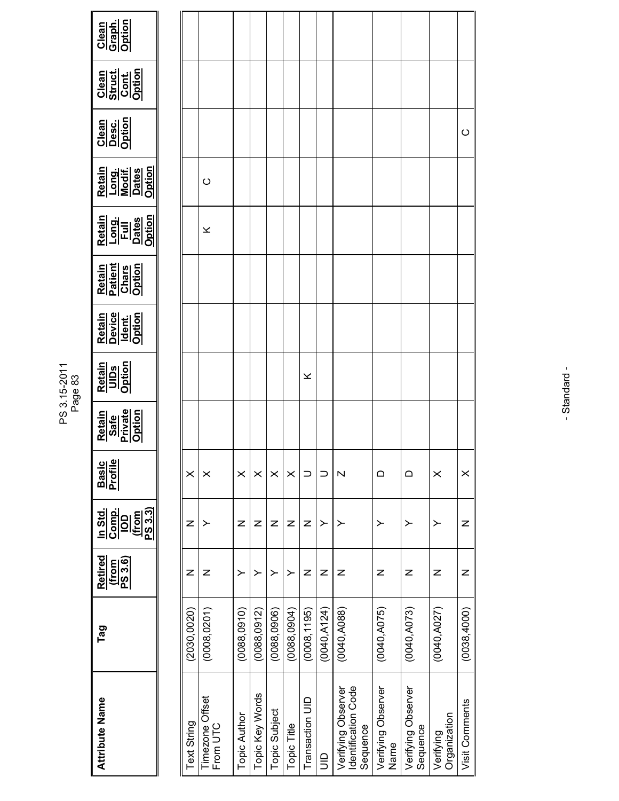| Clean<br>Graph<br>Option                                |              |                             |              |                 |               |             |                 |              |                                                       |                            |                                |                           |                |
|---------------------------------------------------------|--------------|-----------------------------|--------------|-----------------|---------------|-------------|-----------------|--------------|-------------------------------------------------------|----------------------------|--------------------------------|---------------------------|----------------|
| Clean<br>Struct,<br>Obtion                              |              |                             |              |                 |               |             |                 |              |                                                       |                            |                                |                           |                |
| Clean<br>Desc.<br>Option                                |              |                             |              |                 |               |             |                 |              |                                                       |                            |                                |                           | $\circ$        |
| Retain<br>Long<br>Long<br>Dation<br>Dotion              |              | $\circ$                     |              |                 |               |             |                 |              |                                                       |                            |                                |                           |                |
| Retain<br><u>Long</u><br>Long Sidion<br>Dation          |              | ×                           |              |                 |               |             |                 |              |                                                       |                            |                                |                           |                |
| <u>Retain</u><br>Patient<br>Chars<br>Option             |              |                             |              |                 |               |             |                 |              |                                                       |                            |                                |                           |                |
| <b>Retain</b><br>Device<br><u>Ident</u><br>Option       |              |                             |              |                 |               |             |                 |              |                                                       |                            |                                |                           |                |
| Retain<br><u>JIDS</u><br>Option                         |              |                             |              |                 |               |             | ×               |              |                                                       |                            |                                |                           |                |
| Retain<br>Safe<br>Private<br>Option                     |              |                             |              |                 |               |             |                 |              |                                                       |                            |                                |                           |                |
| Profile<br><b>Basic</b>                                 | $\times$     | $\times$                    | $\times$     | $\times$        | $\times$      | $\times$    | $\supset$       | コ            | $\overline{\mathsf{N}}$                               | $\Omega$                   | $\Omega$                       | $\times$                  | $\times$       |
| Comp.<br>PS 3.3)<br>In Std.<br>(from<br>$\overline{5}$  | Z            | ≻                           | Z            | Z               | Z             | Z           | Z               | ≻            | ≻                                                     | ≻                          | ≻                              | ≻                         | Z              |
| Retired<br>$(\underbrace{\text{from}}_{\text{PS }3.6)}$ | Z            | Z                           | ≻            | ≻               | ≻             | ≻           | Z               | Z            | z                                                     | Z                          | Z                              | Z                         | Z              |
| Tag                                                     | (2030, 0020) | (0008, 0201)                | (0088,0910)  | (0088, 0912)    | (0088,0906)   | (0088,0904) | (0008, 1195)    | (0040, A124) | (0040, A088)                                          | (0040, A075)               | (0040, A073)                   | (0040, A027)              | (0038,4000)    |
| Attribute Name                                          | Text String  | Timezone Offset<br>From UTC | Topic Author | Topic Key Words | Topic Subject | Topic Title | Transaction UID | $\equiv$     | Identification Code<br>Verifying Observer<br>Sequence | Verifying Observer<br>Name | Verifying Observer<br>Sequence | Organization<br>Verifying | Visit Comments |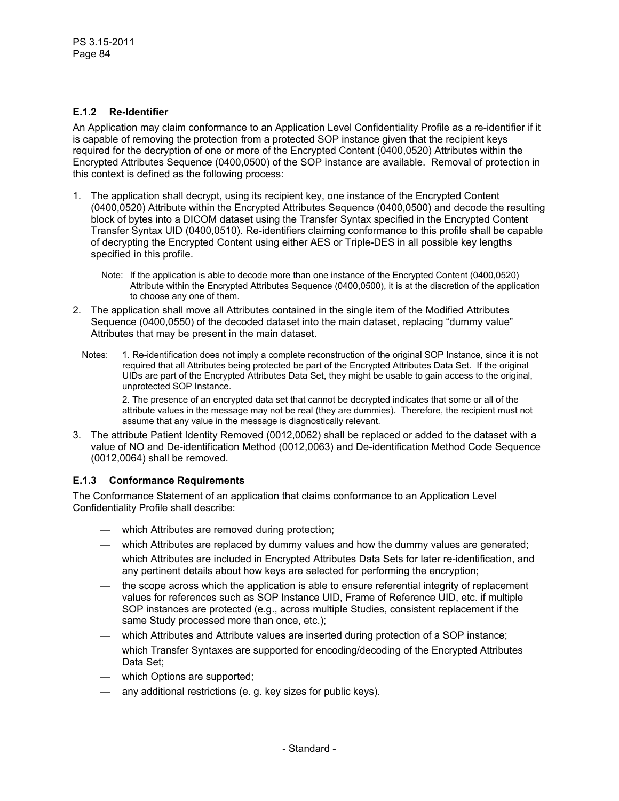### **E.1.2 Re-Identifier**

An Application may claim conformance to an Application Level Confidentiality Profile as a re-identifier if it is capable of removing the protection from a protected SOP instance given that the recipient keys required for the decryption of one or more of the Encrypted Content (0400,0520) Attributes within the Encrypted Attributes Sequence (0400,0500) of the SOP instance are available. Removal of protection in this context is defined as the following process:

- 1. The application shall decrypt, using its recipient key, one instance of the Encrypted Content (0400,0520) Attribute within the Encrypted Attributes Sequence (0400,0500) and decode the resulting block of bytes into a DICOM dataset using the Transfer Syntax specified in the Encrypted Content Transfer Syntax UID (0400,0510). Re-identifiers claiming conformance to this profile shall be capable of decrypting the Encrypted Content using either AES or Triple-DES in all possible key lengths specified in this profile.
	- Note: If the application is able to decode more than one instance of the Encrypted Content (0400,0520) Attribute within the Encrypted Attributes Sequence (0400,0500), it is at the discretion of the application to choose any one of them.
- 2. The application shall move all Attributes contained in the single item of the Modified Attributes Sequence (0400,0550) of the decoded dataset into the main dataset, replacing "dummy value" Attributes that may be present in the main dataset.
	- Notes: 1. Re-identification does not imply a complete reconstruction of the original SOP Instance, since it is not required that all Attributes being protected be part of the Encrypted Attributes Data Set. If the original UIDs are part of the Encrypted Attributes Data Set, they might be usable to gain access to the original, unprotected SOP Instance.

 2. The presence of an encrypted data set that cannot be decrypted indicates that some or all of the attribute values in the message may not be real (they are dummies). Therefore, the recipient must not assume that any value in the message is diagnostically relevant.

3. The attribute Patient Identity Removed (0012,0062) shall be replaced or added to the dataset with a value of NO and De-identification Method (0012,0063) and De-identification Method Code Sequence (0012,0064) shall be removed.

### **E.1.3 Conformance Requirements**

The Conformance Statement of an application that claims conformance to an Application Level Confidentiality Profile shall describe:

- which Attributes are removed during protection;
- which Attributes are replaced by dummy values and how the dummy values are generated;
- which Attributes are included in Encrypted Attributes Data Sets for later re-identification, and any pertinent details about how keys are selected for performing the encryption;
- the scope across which the application is able to ensure referential integrity of replacement values for references such as SOP Instance UID, Frame of Reference UID, etc. if multiple SOP instances are protected (e.g., across multiple Studies, consistent replacement if the same Study processed more than once, etc.);
- which Attributes and Attribute values are inserted during protection of a SOP instance;
- which Transfer Syntaxes are supported for encoding/decoding of the Encrypted Attributes Data Set;
- which Options are supported;
- any additional restrictions (e. g. key sizes for public keys).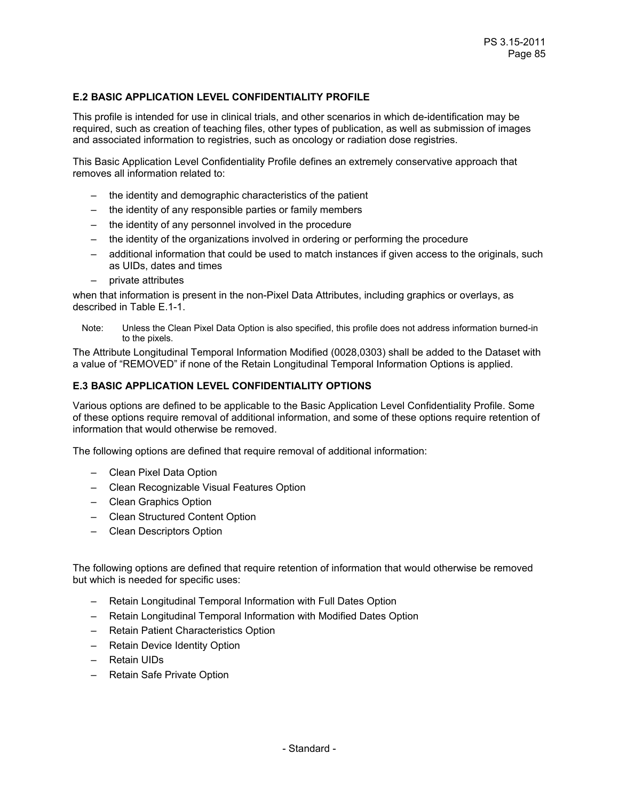### **E.2 BASIC APPLICATION LEVEL CONFIDENTIALITY PROFILE**

This profile is intended for use in clinical trials, and other scenarios in which de-identification may be required, such as creation of teaching files, other types of publication, as well as submission of images and associated information to registries, such as oncology or radiation dose registries.

This Basic Application Level Confidentiality Profile defines an extremely conservative approach that removes all information related to:

- the identity and demographic characteristics of the patient
- the identity of any responsible parties or family members
- the identity of any personnel involved in the procedure
- the identity of the organizations involved in ordering or performing the procedure
- additional information that could be used to match instances if given access to the originals, such as UIDs, dates and times
- private attributes

when that information is present in the non-Pixel Data Attributes, including graphics or overlays, as described in Table E.1-1.

Note: Unless the Clean Pixel Data Option is also specified, this profile does not address information burned-in to the pixels.

The Attribute Longitudinal Temporal Information Modified (0028,0303) shall be added to the Dataset with a value of "REMOVED" if none of the Retain Longitudinal Temporal Information Options is applied.

### **E.3 BASIC APPLICATION LEVEL CONFIDENTIALITY OPTIONS**

Various options are defined to be applicable to the Basic Application Level Confidentiality Profile. Some of these options require removal of additional information, and some of these options require retention of information that would otherwise be removed.

The following options are defined that require removal of additional information:

- Clean Pixel Data Option
- Clean Recognizable Visual Features Option
- Clean Graphics Option
- Clean Structured Content Option
- Clean Descriptors Option

The following options are defined that require retention of information that would otherwise be removed but which is needed for specific uses:

- Retain Longitudinal Temporal Information with Full Dates Option
- Retain Longitudinal Temporal Information with Modified Dates Option
- Retain Patient Characteristics Option
- Retain Device Identity Option
- Retain UIDs
- Retain Safe Private Option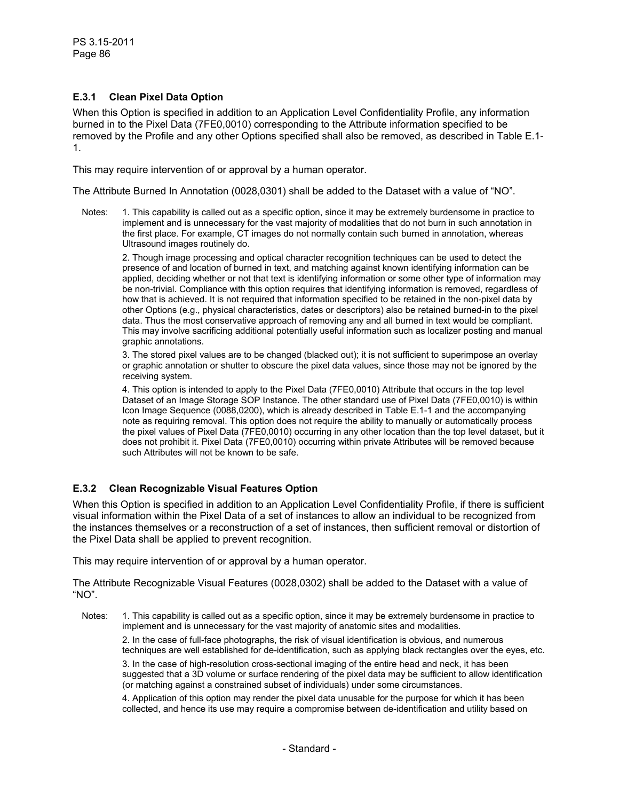## **E.3.1 Clean Pixel Data Option**

When this Option is specified in addition to an Application Level Confidentiality Profile, any information burned in to the Pixel Data (7FE0,0010) corresponding to the Attribute information specified to be removed by the Profile and any other Options specified shall also be removed, as described in Table E.1- 1.

This may require intervention of or approval by a human operator.

The Attribute Burned In Annotation (0028,0301) shall be added to the Dataset with a value of "NO".

Notes: 1. This capability is called out as a specific option, since it may be extremely burdensome in practice to implement and is unnecessary for the vast majority of modalities that do not burn in such annotation in the first place. For example, CT images do not normally contain such burned in annotation, whereas Ultrasound images routinely do.

 2. Though image processing and optical character recognition techniques can be used to detect the presence of and location of burned in text, and matching against known identifying information can be applied, deciding whether or not that text is identifying information or some other type of information may be non-trivial. Compliance with this option requires that identifying information is removed, regardless of how that is achieved. It is not required that information specified to be retained in the non-pixel data by other Options (e.g., physical characteristics, dates or descriptors) also be retained burned-in to the pixel data. Thus the most conservative approach of removing any and all burned in text would be compliant. This may involve sacrificing additional potentially useful information such as localizer posting and manual graphic annotations.

 3. The stored pixel values are to be changed (blacked out); it is not sufficient to superimpose an overlay or graphic annotation or shutter to obscure the pixel data values, since those may not be ignored by the receiving system.

 4. This option is intended to apply to the Pixel Data (7FE0,0010) Attribute that occurs in the top level Dataset of an Image Storage SOP Instance. The other standard use of Pixel Data (7FE0,0010) is within Icon Image Sequence (0088,0200), which is already described in Table E.1-1 and the accompanying note as requiring removal. This option does not require the ability to manually or automatically process the pixel values of Pixel Data (7FE0,0010) occurring in any other location than the top level dataset, but it does not prohibit it. Pixel Data (7FE0,0010) occurring within private Attributes will be removed because such Attributes will not be known to be safe.

### **E.3.2 Clean Recognizable Visual Features Option**

When this Option is specified in addition to an Application Level Confidentiality Profile, if there is sufficient visual information within the Pixel Data of a set of instances to allow an individual to be recognized from the instances themselves or a reconstruction of a set of instances, then sufficient removal or distortion of the Pixel Data shall be applied to prevent recognition.

This may require intervention of or approval by a human operator.

The Attribute Recognizable Visual Features (0028,0302) shall be added to the Dataset with a value of "NO".

Notes: 1. This capability is called out as a specific option, since it may be extremely burdensome in practice to implement and is unnecessary for the vast majority of anatomic sites and modalities.

 2. In the case of full-face photographs, the risk of visual identification is obvious, and numerous techniques are well established for de-identification, such as applying black rectangles over the eyes, etc. 3. In the case of high-resolution cross-sectional imaging of the entire head and neck, it has been suggested that a 3D volume or surface rendering of the pixel data may be sufficient to allow identification (or matching against a constrained subset of individuals) under some circumstances.

 4. Application of this option may render the pixel data unusable for the purpose for which it has been collected, and hence its use may require a compromise between de-identification and utility based on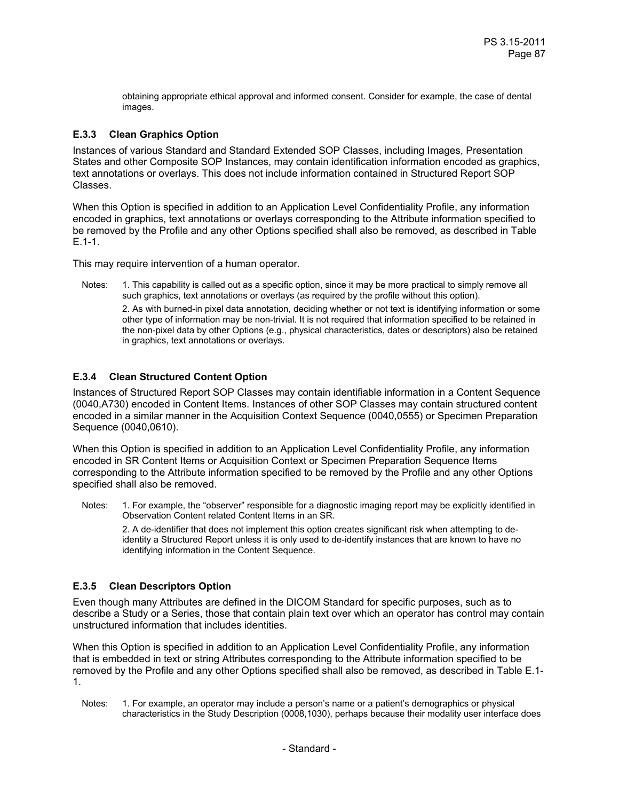obtaining appropriate ethical approval and informed consent. Consider for example, the case of dental images.

### **E.3.3 Clean Graphics Option**

Instances of various Standard and Standard Extended SOP Classes, including Images, Presentation States and other Composite SOP Instances, may contain identification information encoded as graphics, text annotations or overlays. This does not include information contained in Structured Report SOP Classes.

When this Option is specified in addition to an Application Level Confidentiality Profile, any information encoded in graphics, text annotations or overlays corresponding to the Attribute information specified to be removed by the Profile and any other Options specified shall also be removed, as described in Table E.1-1.

This may require intervention of a human operator.

Notes: 1. This capability is called out as a specific option, since it may be more practical to simply remove all such graphics, text annotations or overlays (as required by the profile without this option).

 2. As with burned-in pixel data annotation, deciding whether or not text is identifying information or some other type of information may be non-trivial. It is not required that information specified to be retained in the non-pixel data by other Options (e.g., physical characteristics, dates or descriptors) also be retained in graphics, text annotations or overlays.

#### **E.3.4 Clean Structured Content Option**

Instances of Structured Report SOP Classes may contain identifiable information in a Content Sequence (0040,A730) encoded in Content Items. Instances of other SOP Classes may contain structured content encoded in a similar manner in the Acquisition Context Sequence (0040,0555) or Specimen Preparation Sequence (0040,0610).

When this Option is specified in addition to an Application Level Confidentiality Profile, any information encoded in SR Content Items or Acquisition Context or Specimen Preparation Sequence Items corresponding to the Attribute information specified to be removed by the Profile and any other Options specified shall also be removed.

Notes: 1. For example, the "observer" responsible for a diagnostic imaging report may be explicitly identified in Observation Content related Content Items in an SR.

 2. A de-identifier that does not implement this option creates significant risk when attempting to deidentity a Structured Report unless it is only used to de-identify instances that are known to have no identifying information in the Content Sequence.

#### **E.3.5 Clean Descriptors Option**

Even though many Attributes are defined in the DICOM Standard for specific purposes, such as to describe a Study or a Series, those that contain plain text over which an operator has control may contain unstructured information that includes identities.

When this Option is specified in addition to an Application Level Confidentiality Profile, any information that is embedded in text or string Attributes corresponding to the Attribute information specified to be removed by the Profile and any other Options specified shall also be removed, as described in Table E.1- 1.

Notes: 1. For example, an operator may include a person's name or a patient's demographics or physical characteristics in the Study Description (0008,1030), perhaps because their modality user interface does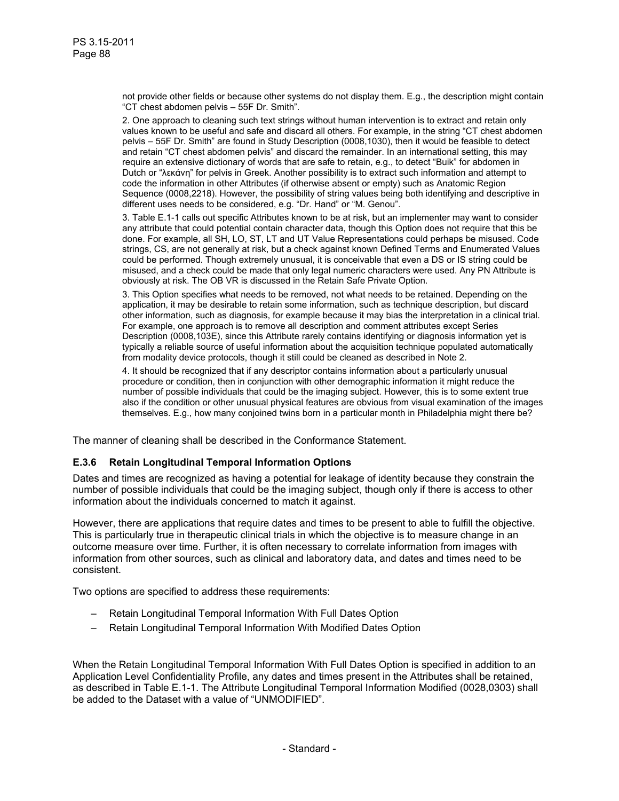not provide other fields or because other systems do not display them. E.g., the description might contain "CT chest abdomen pelvis – 55F Dr. Smith".

 2. One approach to cleaning such text strings without human intervention is to extract and retain only values known to be useful and safe and discard all others. For example, in the string "CT chest abdomen pelvis – 55F Dr. Smith" are found in Study Description (0008,1030), then it would be feasible to detect and retain "CT chest abdomen pelvis" and discard the remainder. In an international setting, this may require an extensive dictionary of words that are safe to retain, e.g., to detect "Buik" for abdomen in Dutch or "λεκάνη" for pelvis in Greek. Another possibility is to extract such information and attempt to code the information in other Attributes (if otherwise absent or empty) such as Anatomic Region Sequence (0008,2218). However, the possibility of string values being both identifying and descriptive in different uses needs to be considered, e.g. "Dr. Hand" or "M. Genou".

 3. Table E.1-1 calls out specific Attributes known to be at risk, but an implementer may want to consider any attribute that could potential contain character data, though this Option does not require that this be done. For example, all SH, LO, ST, LT and UT Value Representations could perhaps be misused. Code strings, CS, are not generally at risk, but a check against known Defined Terms and Enumerated Values could be performed. Though extremely unusual, it is conceivable that even a DS or IS string could be misused, and a check could be made that only legal numeric characters were used. Any PN Attribute is obviously at risk. The OB VR is discussed in the Retain Safe Private Option.

 3. This Option specifies what needs to be removed, not what needs to be retained. Depending on the application, it may be desirable to retain some information, such as technique description, but discard other information, such as diagnosis, for example because it may bias the interpretation in a clinical trial. For example, one approach is to remove all description and comment attributes except Series Description (0008,103E), since this Attribute rarely contains identifying or diagnosis information yet is typically a reliable source of useful information about the acquisition technique populated automatically from modality device protocols, though it still could be cleaned as described in Note 2.

 4. It should be recognized that if any descriptor contains information about a particularly unusual procedure or condition, then in conjunction with other demographic information it might reduce the number of possible individuals that could be the imaging subject. However, this is to some extent true also if the condition or other unusual physical features are obvious from visual examination of the images themselves. E.g., how many conjoined twins born in a particular month in Philadelphia might there be?

The manner of cleaning shall be described in the Conformance Statement.

#### **E.3.6 Retain Longitudinal Temporal Information Options**

Dates and times are recognized as having a potential for leakage of identity because they constrain the number of possible individuals that could be the imaging subject, though only if there is access to other information about the individuals concerned to match it against.

However, there are applications that require dates and times to be present to able to fulfill the objective. This is particularly true in therapeutic clinical trials in which the objective is to measure change in an outcome measure over time. Further, it is often necessary to correlate information from images with information from other sources, such as clinical and laboratory data, and dates and times need to be consistent.

Two options are specified to address these requirements:

- Retain Longitudinal Temporal Information With Full Dates Option
- Retain Longitudinal Temporal Information With Modified Dates Option

When the Retain Longitudinal Temporal Information With Full Dates Option is specified in addition to an Application Level Confidentiality Profile, any dates and times present in the Attributes shall be retained, as described in Table E.1-1. The Attribute Longitudinal Temporal Information Modified (0028,0303) shall be added to the Dataset with a value of "UNMODIFIED".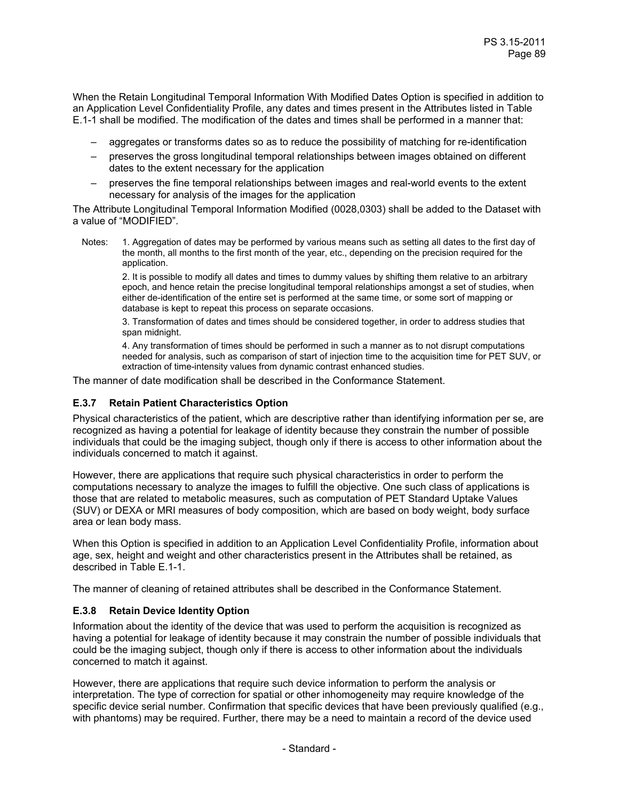When the Retain Longitudinal Temporal Information With Modified Dates Option is specified in addition to an Application Level Confidentiality Profile, any dates and times present in the Attributes listed in Table E.1-1 shall be modified. The modification of the dates and times shall be performed in a manner that:

- aggregates or transforms dates so as to reduce the possibility of matching for re-identification
- preserves the gross longitudinal temporal relationships between images obtained on different dates to the extent necessary for the application
- preserves the fine temporal relationships between images and real-world events to the extent necessary for analysis of the images for the application

The Attribute Longitudinal Temporal Information Modified (0028,0303) shall be added to the Dataset with a value of "MODIFIED".

Notes: 1. Aggregation of dates may be performed by various means such as setting all dates to the first day of the month, all months to the first month of the year, etc., depending on the precision required for the application.

 2. It is possible to modify all dates and times to dummy values by shifting them relative to an arbitrary epoch, and hence retain the precise longitudinal temporal relationships amongst a set of studies, when either de-identification of the entire set is performed at the same time, or some sort of mapping or database is kept to repeat this process on separate occasions.

 3. Transformation of dates and times should be considered together, in order to address studies that span midnight.

 4. Any transformation of times should be performed in such a manner as to not disrupt computations needed for analysis, such as comparison of start of injection time to the acquisition time for PET SUV, or extraction of time-intensity values from dynamic contrast enhanced studies.

The manner of date modification shall be described in the Conformance Statement.

#### **E.3.7 Retain Patient Characteristics Option**

Physical characteristics of the patient, which are descriptive rather than identifying information per se, are recognized as having a potential for leakage of identity because they constrain the number of possible individuals that could be the imaging subject, though only if there is access to other information about the individuals concerned to match it against.

However, there are applications that require such physical characteristics in order to perform the computations necessary to analyze the images to fulfill the objective. One such class of applications is those that are related to metabolic measures, such as computation of PET Standard Uptake Values (SUV) or DEXA or MRI measures of body composition, which are based on body weight, body surface area or lean body mass.

When this Option is specified in addition to an Application Level Confidentiality Profile, information about age, sex, height and weight and other characteristics present in the Attributes shall be retained, as described in Table E.1-1.

The manner of cleaning of retained attributes shall be described in the Conformance Statement.

#### **E.3.8 Retain Device Identity Option**

Information about the identity of the device that was used to perform the acquisition is recognized as having a potential for leakage of identity because it may constrain the number of possible individuals that could be the imaging subject, though only if there is access to other information about the individuals concerned to match it against.

However, there are applications that require such device information to perform the analysis or interpretation. The type of correction for spatial or other inhomogeneity may require knowledge of the specific device serial number. Confirmation that specific devices that have been previously qualified (e.g., with phantoms) may be required. Further, there may be a need to maintain a record of the device used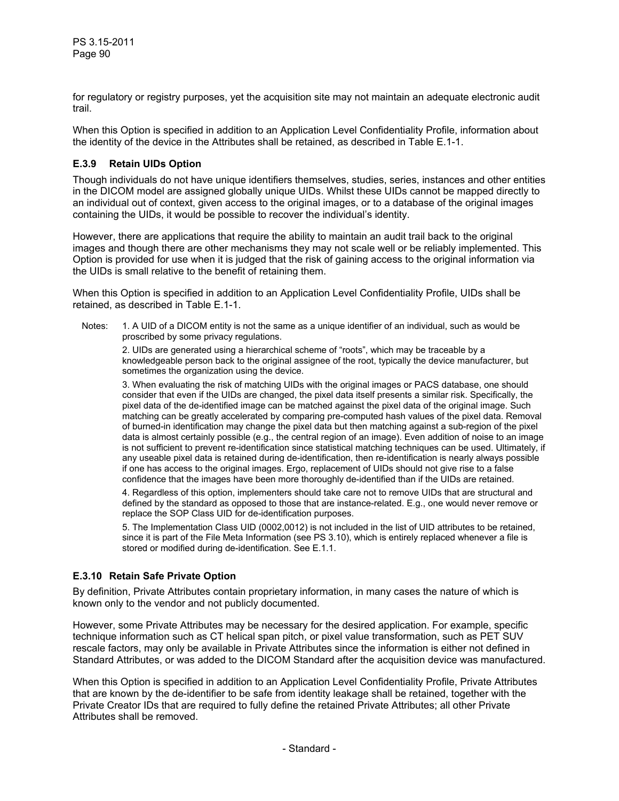for regulatory or registry purposes, yet the acquisition site may not maintain an adequate electronic audit trail.

When this Option is specified in addition to an Application Level Confidentiality Profile, information about the identity of the device in the Attributes shall be retained, as described in Table E.1-1.

### **E.3.9 Retain UIDs Option**

Though individuals do not have unique identifiers themselves, studies, series, instances and other entities in the DICOM model are assigned globally unique UIDs. Whilst these UIDs cannot be mapped directly to an individual out of context, given access to the original images, or to a database of the original images containing the UIDs, it would be possible to recover the individual's identity.

However, there are applications that require the ability to maintain an audit trail back to the original images and though there are other mechanisms they may not scale well or be reliably implemented. This Option is provided for use when it is judged that the risk of gaining access to the original information via the UIDs is small relative to the benefit of retaining them.

When this Option is specified in addition to an Application Level Confidentiality Profile, UIDs shall be retained, as described in Table E.1-1.

Notes: 1. A UID of a DICOM entity is not the same as a unique identifier of an individual, such as would be proscribed by some privacy regulations.

 2. UIDs are generated using a hierarchical scheme of "roots", which may be traceable by a knowledgeable person back to the original assignee of the root, typically the device manufacturer, but sometimes the organization using the device.

 3. When evaluating the risk of matching UIDs with the original images or PACS database, one should consider that even if the UIDs are changed, the pixel data itself presents a similar risk. Specifically, the pixel data of the de-identified image can be matched against the pixel data of the original image. Such matching can be greatly accelerated by comparing pre-computed hash values of the pixel data. Removal of burned-in identification may change the pixel data but then matching against a sub-region of the pixel data is almost certainly possible (e.g., the central region of an image). Even addition of noise to an image is not sufficient to prevent re-identification since statistical matching techniques can be used. Ultimately, if any useable pixel data is retained during de-identification, then re-identification is nearly always possible if one has access to the original images. Ergo, replacement of UIDs should not give rise to a false confidence that the images have been more thoroughly de-identified than if the UIDs are retained.

 4. Regardless of this option, implementers should take care not to remove UIDs that are structural and defined by the standard as opposed to those that are instance-related. E.g., one would never remove or replace the SOP Class UID for de-identification purposes.

 5. The Implementation Class UID (0002,0012) is not included in the list of UID attributes to be retained, since it is part of the File Meta Information (see PS 3.10), which is entirely replaced whenever a file is stored or modified during de-identification. See E.1.1.

### **E.3.10 Retain Safe Private Option**

By definition, Private Attributes contain proprietary information, in many cases the nature of which is known only to the vendor and not publicly documented.

However, some Private Attributes may be necessary for the desired application. For example, specific technique information such as CT helical span pitch, or pixel value transformation, such as PET SUV rescale factors, may only be available in Private Attributes since the information is either not defined in Standard Attributes, or was added to the DICOM Standard after the acquisition device was manufactured.

When this Option is specified in addition to an Application Level Confidentiality Profile, Private Attributes that are known by the de-identifier to be safe from identity leakage shall be retained, together with the Private Creator IDs that are required to fully define the retained Private Attributes; all other Private Attributes shall be removed.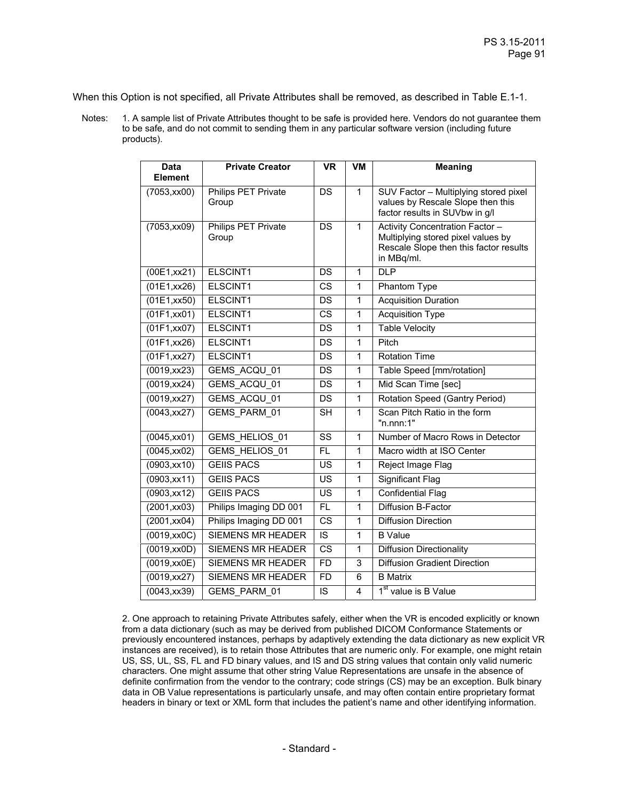When this Option is not specified, all Private Attributes shall be removed, as described in Table E.1-1.

Notes: 1. A sample list of Private Attributes thought to be safe is provided here. Vendors do not guarantee them to be safe, and do not commit to sending them in any particular software version (including future products).

| <b>Data</b><br><b>Element</b> | <b>Private Creator</b>       | <b>VR</b>                | VM                      | <b>Meaning</b>                                                                                                                       |
|-------------------------------|------------------------------|--------------------------|-------------------------|--------------------------------------------------------------------------------------------------------------------------------------|
| $(7053, x \times 00)$         | Philips PET Private<br>Group | $\overline{DS}$          | $\mathbf{1}$            | SUV Factor - Multiplying stored pixel<br>values by Rescale Slope then this<br>factor results in SUVbw in g/l                         |
| (7053, xx09)                  | Philips PET Private<br>Group | $\overline{DS}$          | $\mathbf{1}$            | <b>Activity Concentration Factor -</b><br>Multiplying stored pixel values by<br>Rescale Slope then this factor results<br>in MBq/ml. |
| (00E1, xx21)                  | ELSCINT1                     | <b>DS</b>                | 1                       | DLP                                                                                                                                  |
| (01E1, xx26)                  | ELSCINT1                     | $\overline{\text{cs}}$   | $\mathbf{1}$            | Phantom Type                                                                                                                         |
| (01E1, xx50)                  | ELSCINT1                     | DS                       | 1                       | <b>Acquisition Duration</b>                                                                                                          |
| (01F1, xx01)                  | ELSCINT1                     | $\overline{\text{cs}}$   | 1                       | <b>Acquisition Type</b>                                                                                                              |
| (01F1, xx07)                  | ELSCINT1                     | DS                       | 1                       | <b>Table Velocity</b>                                                                                                                |
| (01F1, xx26)                  | ELSCINT1                     | DS                       | 1                       | Pitch                                                                                                                                |
| (01F1, xx27)                  | ELSCINT1                     | DS                       | 1                       | <b>Rotation Time</b>                                                                                                                 |
| (0019, xx23)                  | GEMS ACQU 01                 | DS                       | 1                       | Table Speed [mm/rotation]                                                                                                            |
| (0019, xx24)                  | <b>GEMS ACQU 01</b>          | <b>DS</b>                | 1                       | Mid Scan Time [sec]                                                                                                                  |
| (0019, xx27)                  | GEMS ACQU 01                 | $\overline{DS}$          | 1                       | Rotation Speed (Gantry Period)                                                                                                       |
| (0043, xx27)                  | GEMS PARM 01                 | <b>SH</b>                | 1                       | Scan Pitch Ratio in the form<br>"n.nnn:1"                                                                                            |
| $(0045, x \times 01)$         | GEMS HELIOS 01               | $\overline{\text{ss}}$   | 1                       | Number of Macro Rows in Detector                                                                                                     |
| $(0045, x \times 02)$         | GEMS HELIOS 01               | FL                       | $\mathbf{1}$            | Macro width at ISO Center                                                                                                            |
| (0903, xx10)                  | <b>GEIIS PACS</b>            | <b>US</b>                | 1                       | Reject Image Flag                                                                                                                    |
| (0903, xx11)                  | <b>GEIIS PACS</b>            | <b>US</b>                | $\mathbf{1}$            | <b>Significant Flag</b>                                                                                                              |
| (0903, xx12)                  | <b>GEIIS PACS</b>            | $\overline{\mathsf{US}}$ | 1                       | <b>Confidential Flag</b>                                                                                                             |
| (2001, xx03)                  | Philips Imaging DD 001       | FL.                      | 1                       | <b>Diffusion B-Factor</b>                                                                                                            |
| $(2001, x \times 04)$         | Philips Imaging DD 001       | $\overline{\text{CS}}$   | 1                       | <b>Diffusion Direction</b>                                                                                                           |
| (0019, xx0C)                  | <b>SIEMENS MR HEADER</b>     | $\overline{S}$           | 1                       | <b>B</b> Value                                                                                                                       |
| (0019, xx0D)                  | <b>SIEMENS MR HEADER</b>     | $\overline{\text{cs}}$   | 1                       | <b>Diffusion Directionality</b>                                                                                                      |
| (0019, xx0E)                  | <b>SIEMENS MR HEADER</b>     | FD                       | 3                       | <b>Diffusion Gradient Direction</b>                                                                                                  |
| (0019, xx27)                  | <b>SIEMENS MR HEADER</b>     | <b>FD</b>                | 6                       | <b>B</b> Matrix                                                                                                                      |
| $(0043, x \times 39)$         | <b>GEMS PARM 01</b>          | $\overline{\mathsf{IS}}$ | $\overline{\mathbf{4}}$ | 1 <sup>st</sup> value is B Value                                                                                                     |

 2. One approach to retaining Private Attributes safely, either when the VR is encoded explicitly or known from a data dictionary (such as may be derived from published DICOM Conformance Statements or previously encountered instances, perhaps by adaptively extending the data dictionary as new explicit VR instances are received), is to retain those Attributes that are numeric only. For example, one might retain US, SS, UL, SS, FL and FD binary values, and IS and DS string values that contain only valid numeric characters. One might assume that other string Value Representations are unsafe in the absence of definite confirmation from the vendor to the contrary; code strings (CS) may be an exception. Bulk binary data in OB Value representations is particularly unsafe, and may often contain entire proprietary format headers in binary or text or XML form that includes the patient's name and other identifying information.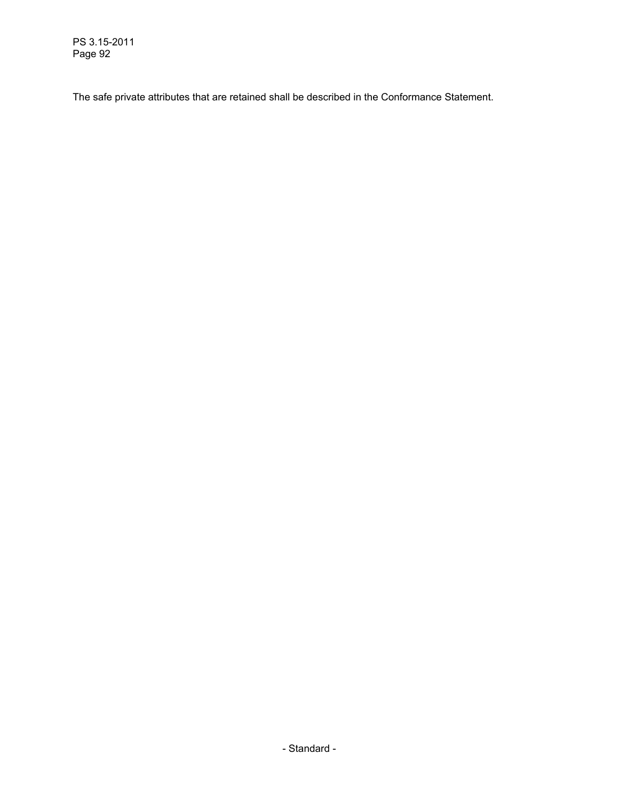The safe private attributes that are retained shall be described in the Conformance Statement.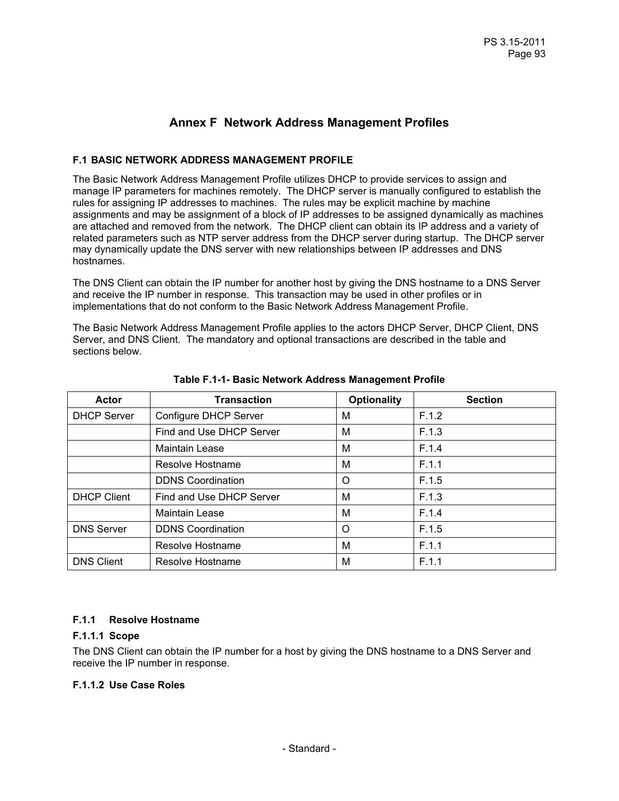# **Annex F Network Address Management Profiles**

### **F.1 BASIC NETWORK ADDRESS MANAGEMENT PROFILE**

The Basic Network Address Management Profile utilizes DHCP to provide services to assign and manage IP parameters for machines remotely. The DHCP server is manually configured to establish the rules for assigning IP addresses to machines. The rules may be explicit machine by machine assignments and may be assignment of a block of IP addresses to be assigned dynamically as machines are attached and removed from the network. The DHCP client can obtain its IP address and a variety of related parameters such as NTP server address from the DHCP server during startup. The DHCP server may dynamically update the DNS server with new relationships between IP addresses and DNS hostnames.

The DNS Client can obtain the IP number for another host by giving the DNS hostname to a DNS Server and receive the IP number in response. This transaction may be used in other profiles or in implementations that do not conform to the Basic Network Address Management Profile.

The Basic Network Address Management Profile applies to the actors DHCP Server, DHCP Client, DNS Server, and DNS Client. The mandatory and optional transactions are described in the table and sections below.

| Actor              | <b>Transaction</b>       | <b>Optionality</b> | <b>Section</b> |
|--------------------|--------------------------|--------------------|----------------|
| <b>DHCP Server</b> | Configure DHCP Server    | M                  | F.1.2          |
|                    | Find and Use DHCP Server | M                  | F.1.3          |
|                    | <b>Maintain Lease</b>    | M                  | F.1.4          |
|                    | Resolve Hostname         | M                  | F.1.1          |
|                    | <b>DDNS Coordination</b> | O                  | F.1.5          |
| <b>DHCP Client</b> | Find and Use DHCP Server | M                  | F.1.3          |
|                    | <b>Maintain Lease</b>    | M                  | F.1.4          |
| <b>DNS Server</b>  | <b>DDNS Coordination</b> | O                  | F.1.5          |
|                    | Resolve Hostname         | M                  | F.1.1          |
| <b>DNS Client</b>  | Resolve Hostname         | M                  | F.1.1          |

**Table F.1-1- Basic Network Address Management Profile** 

### **F.1.1 Resolve Hostname**

### **F.1.1.1 Scope**

The DNS Client can obtain the IP number for a host by giving the DNS hostname to a DNS Server and receive the IP number in response.

### **F.1.1.2 Use Case Roles**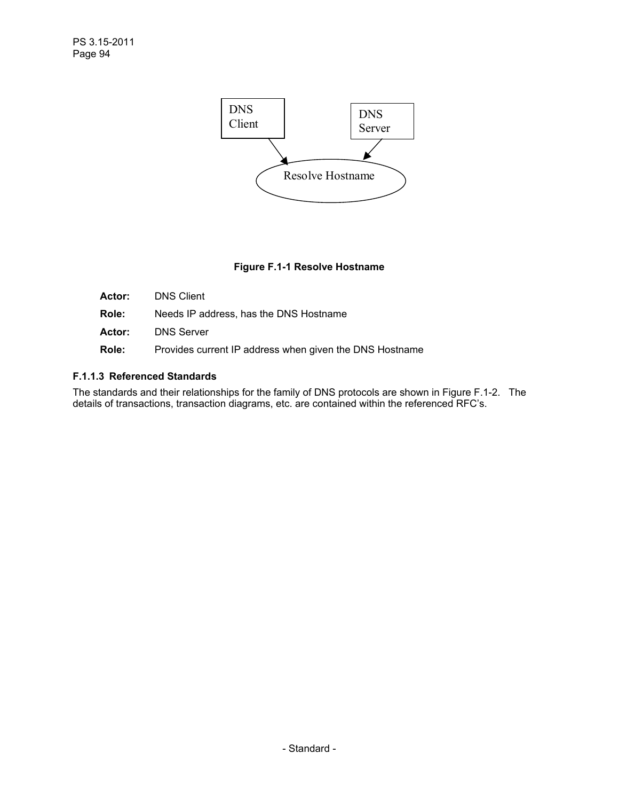

**Figure F.1-1 Resolve Hostname** 

|       | <b>Actor:</b> DNS Client               |
|-------|----------------------------------------|
| Role: | Needs IP address, has the DNS Hostname |
|       | <b>Actor:</b> DNS Server               |

**Role:** Provides current IP address when given the DNS Hostname

# **F.1.1.3 Referenced Standards**

The standards and their relationships for the family of DNS protocols are shown in Figure F.1-2. The details of transactions, transaction diagrams, etc. are contained within the referenced RFC's.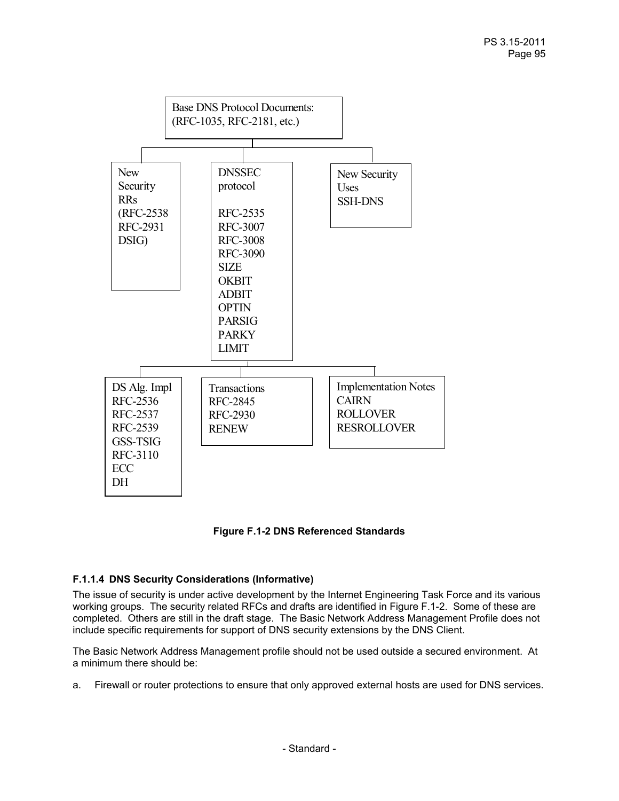

**Figure F.1-2 DNS Referenced Standards** 

# **F.1.1.4 DNS Security Considerations (Informative)**

The issue of security is under active development by the Internet Engineering Task Force and its various working groups. The security related RFCs and drafts are identified in Figure F.1-2. Some of these are completed. Others are still in the draft stage. The Basic Network Address Management Profile does not include specific requirements for support of DNS security extensions by the DNS Client.

The Basic Network Address Management profile should not be used outside a secured environment. At a minimum there should be:

a. Firewall or router protections to ensure that only approved external hosts are used for DNS services.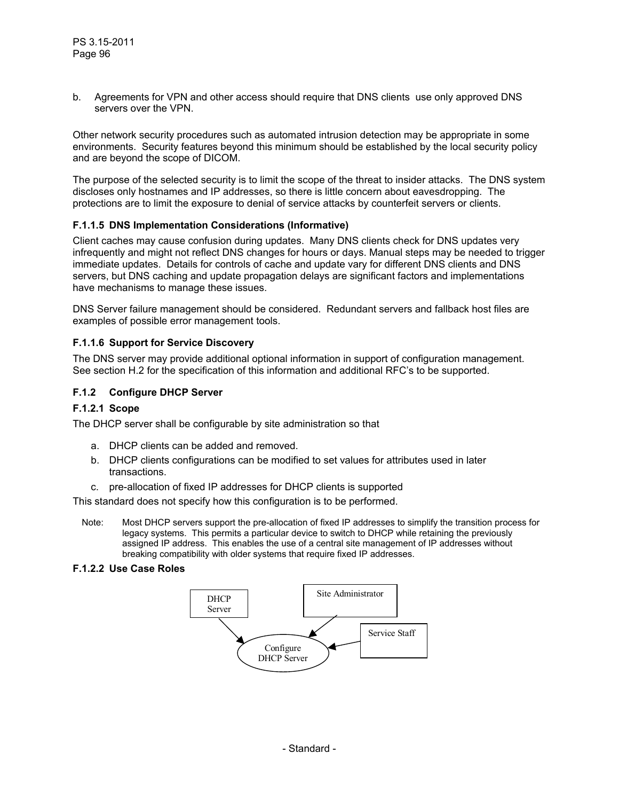b. Agreements for VPN and other access should require that DNS clients use only approved DNS servers over the VPN.

Other network security procedures such as automated intrusion detection may be appropriate in some environments. Security features beyond this minimum should be established by the local security policy and are beyond the scope of DICOM.

The purpose of the selected security is to limit the scope of the threat to insider attacks. The DNS system discloses only hostnames and IP addresses, so there is little concern about eavesdropping. The protections are to limit the exposure to denial of service attacks by counterfeit servers or clients.

#### **F.1.1.5 DNS Implementation Considerations (Informative)**

Client caches may cause confusion during updates. Many DNS clients check for DNS updates very infrequently and might not reflect DNS changes for hours or days. Manual steps may be needed to trigger immediate updates. Details for controls of cache and update vary for different DNS clients and DNS servers, but DNS caching and update propagation delays are significant factors and implementations have mechanisms to manage these issues.

DNS Server failure management should be considered. Redundant servers and fallback host files are examples of possible error management tools.

#### **F.1.1.6 Support for Service Discovery**

The DNS server may provide additional optional information in support of configuration management. See section H.2 for the specification of this information and additional RFC's to be supported.

#### **F.1.2 Configure DHCP Server**

#### **F.1.2.1 Scope**

The DHCP server shall be configurable by site administration so that

- a. DHCP clients can be added and removed.
- b. DHCP clients configurations can be modified to set values for attributes used in later transactions.
- c. pre-allocation of fixed IP addresses for DHCP clients is supported

This standard does not specify how this configuration is to be performed.

Note: Most DHCP servers support the pre-allocation of fixed IP addresses to simplify the transition process for legacy systems. This permits a particular device to switch to DHCP while retaining the previously assigned IP address. This enables the use of a central site management of IP addresses without breaking compatibility with older systems that require fixed IP addresses.

#### **F.1.2.2 Use Case Roles**

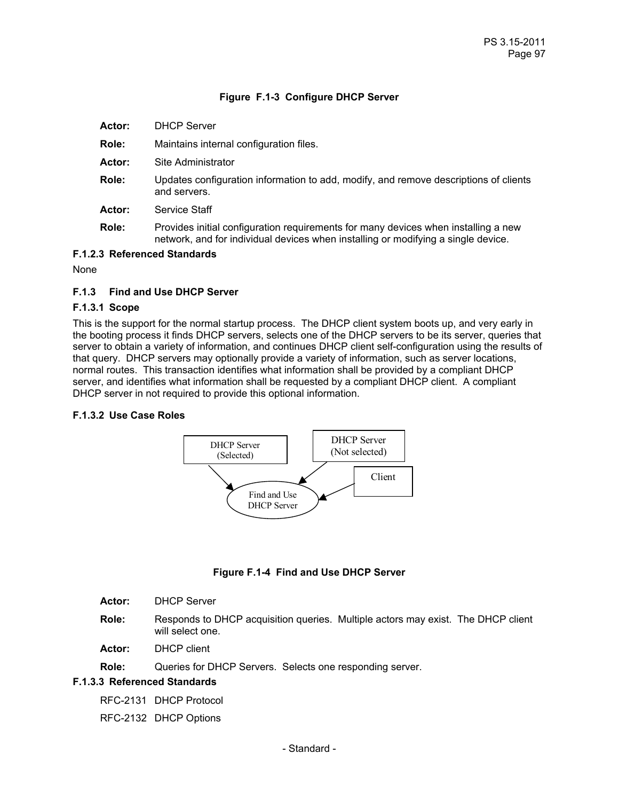### **Figure F.1-3 Configure DHCP Server**

- **Actor:** DHCP Server
- **Role:** Maintains internal configuration files.
- **Actor:** Site Administrator
- **Role:** Updates configuration information to add, modify, and remove descriptions of clients and servers.
- **Actor:** Service Staff
- **Role:** Provides initial configuration requirements for many devices when installing a new network, and for individual devices when installing or modifying a single device.

#### **F.1.2.3 Referenced Standards**

None

### **F.1.3 Find and Use DHCP Server**

#### **F.1.3.1 Scope**

This is the support for the normal startup process. The DHCP client system boots up, and very early in the booting process it finds DHCP servers, selects one of the DHCP servers to be its server, queries that server to obtain a variety of information, and continues DHCP client self-configuration using the results of that query. DHCP servers may optionally provide a variety of information, such as server locations, normal routes. This transaction identifies what information shall be provided by a compliant DHCP server, and identifies what information shall be requested by a compliant DHCP client. A compliant DHCP server in not required to provide this optional information.

### **F.1.3.2 Use Case Roles**



**Figure F.1-4 Find and Use DHCP Server** 

- **Actor:** DHCP Server
- **Role:** Responds to DHCP acquisition queries. Multiple actors may exist. The DHCP client will select one.

**Actor:** DHCP client

**Role:** Queries for DHCP Servers. Selects one responding server.

#### **F.1.3.3 Referenced Standards**

RFC-2131 DHCP Protocol

RFC-2132 DHCP Options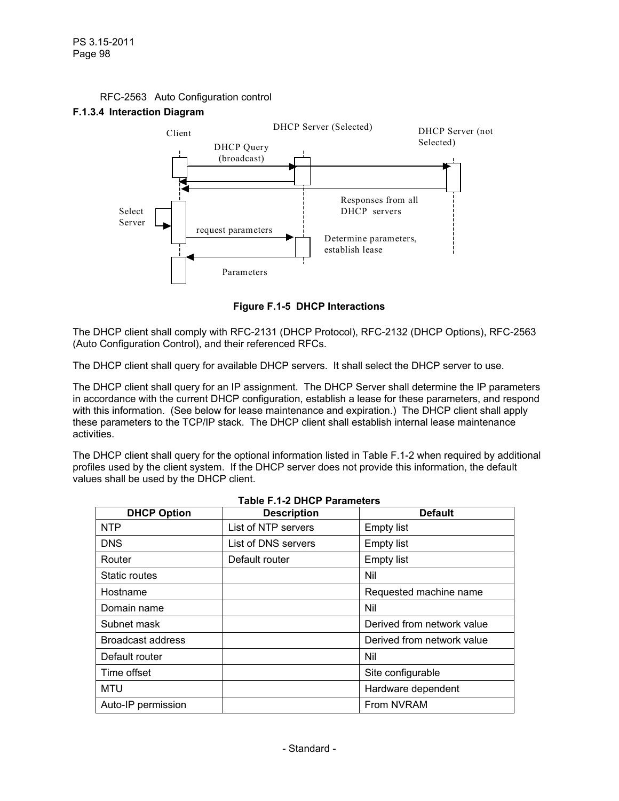## **F.1.3.4 Interaction Diagram**



**Figure F.1-5 DHCP Interactions** 

The DHCP client shall comply with RFC-2131 (DHCP Protocol), RFC-2132 (DHCP Options), RFC-2563 (Auto Configuration Control), and their referenced RFCs.

The DHCP client shall query for available DHCP servers. It shall select the DHCP server to use.

The DHCP client shall query for an IP assignment. The DHCP Server shall determine the IP parameters in accordance with the current DHCP configuration, establish a lease for these parameters, and respond with this information. (See below for lease maintenance and expiration.) The DHCP client shall apply these parameters to the TCP/IP stack. The DHCP client shall establish internal lease maintenance activities.

The DHCP client shall query for the optional information listed in Table F.1-2 when required by additional profiles used by the client system. If the DHCP server does not provide this information, the default values shall be used by the DHCP client.

| <b>Table F.1-2 DHCP Parameters</b> |                     |                            |  |
|------------------------------------|---------------------|----------------------------|--|
| <b>DHCP Option</b>                 | <b>Description</b>  | <b>Default</b>             |  |
| <b>NTP</b>                         | List of NTP servers | <b>Empty list</b>          |  |
| <b>DNS</b>                         | List of DNS servers | <b>Empty list</b>          |  |
| Router                             | Default router      | <b>Empty list</b>          |  |
| Static routes                      |                     | Nil                        |  |
| Hostname                           |                     | Requested machine name     |  |
| Domain name                        |                     | Nil                        |  |
| Subnet mask                        |                     | Derived from network value |  |
| Broadcast address                  |                     | Derived from network value |  |
| Default router                     |                     | Nil                        |  |
| Time offset                        |                     | Site configurable          |  |
| MTU                                |                     | Hardware dependent         |  |
| Auto-IP permission                 |                     | From NVRAM                 |  |

RFC-2563 Auto Configuration control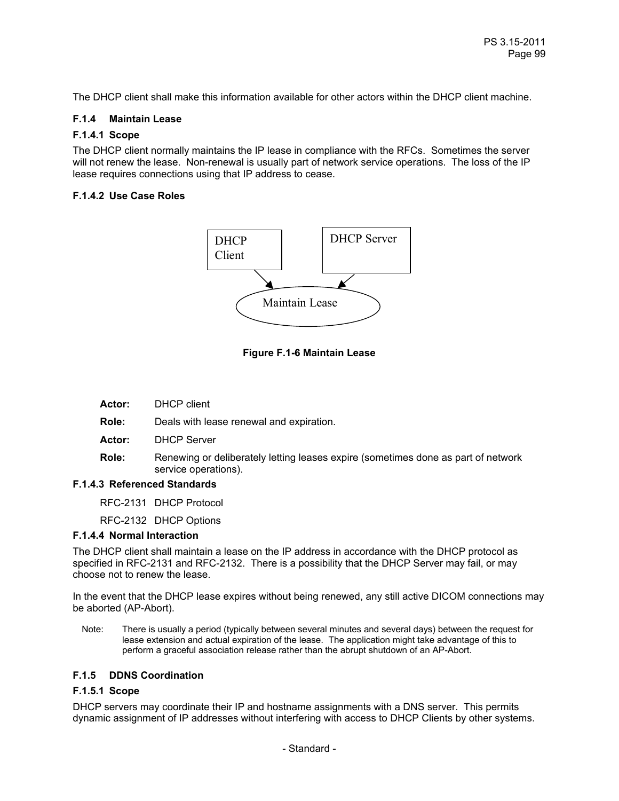The DHCP client shall make this information available for other actors within the DHCP client machine.

### **F.1.4 Maintain Lease**

#### **F.1.4.1 Scope**

The DHCP client normally maintains the IP lease in compliance with the RFCs. Sometimes the server will not renew the lease. Non-renewal is usually part of network service operations. The loss of the IP lease requires connections using that IP address to cease.

#### **F.1.4.2 Use Case Roles**



**Figure F.1-6 Maintain Lease** 

**Role:** Deals with lease renewal and expiration.

**Actor:** DHCP Server

**Role:** Renewing or deliberately letting leases expire (sometimes done as part of network service operations).

#### **F.1.4.3 Referenced Standards**

RFC-2131 DHCP Protocol

RFC-2132 DHCP Options

#### **F.1.4.4 Normal Interaction**

The DHCP client shall maintain a lease on the IP address in accordance with the DHCP protocol as specified in RFC-2131 and RFC-2132. There is a possibility that the DHCP Server may fail, or may choose not to renew the lease.

In the event that the DHCP lease expires without being renewed, any still active DICOM connections may be aborted (AP-Abort).

Note: There is usually a period (typically between several minutes and several days) between the request for lease extension and actual expiration of the lease. The application might take advantage of this to perform a graceful association release rather than the abrupt shutdown of an AP-Abort.

#### **F.1.5 DDNS Coordination**

#### **F.1.5.1 Scope**

DHCP servers may coordinate their IP and hostname assignments with a DNS server. This permits dynamic assignment of IP addresses without interfering with access to DHCP Clients by other systems.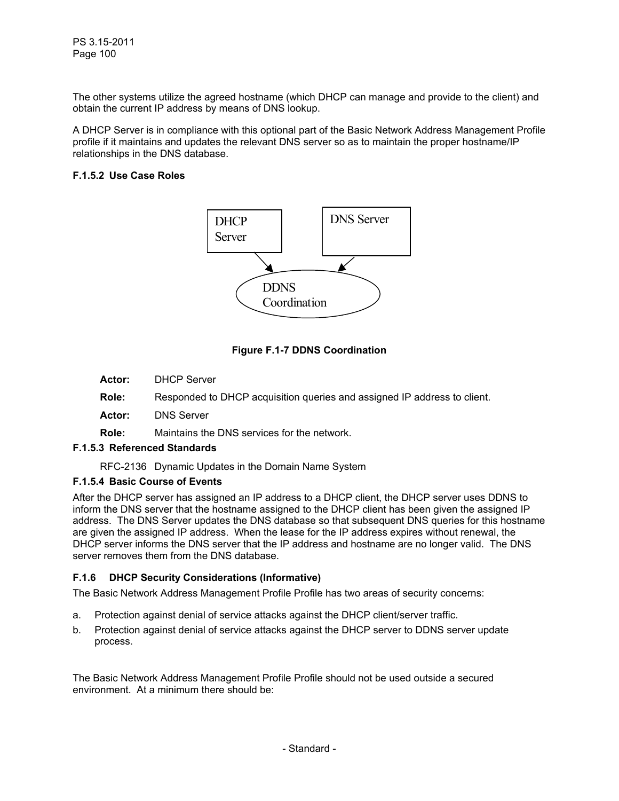The other systems utilize the agreed hostname (which DHCP can manage and provide to the client) and obtain the current IP address by means of DNS lookup.

A DHCP Server is in compliance with this optional part of the Basic Network Address Management Profile profile if it maintains and updates the relevant DNS server so as to maintain the proper hostname/IP relationships in the DNS database.

### **F.1.5.2 Use Case Roles**



### **Figure F.1-7 DDNS Coordination**

- **Actor:** DHCP Server
- **Role:** Responded to DHCP acquisition queries and assigned IP address to client.
- **Actor:** DNS Server
- **Role:** Maintains the DNS services for the network.

#### **F.1.5.3 Referenced Standards**

RFC-2136 Dynamic Updates in the Domain Name System

#### **F.1.5.4 Basic Course of Events**

After the DHCP server has assigned an IP address to a DHCP client, the DHCP server uses DDNS to inform the DNS server that the hostname assigned to the DHCP client has been given the assigned IP address. The DNS Server updates the DNS database so that subsequent DNS queries for this hostname are given the assigned IP address. When the lease for the IP address expires without renewal, the DHCP server informs the DNS server that the IP address and hostname are no longer valid. The DNS server removes them from the DNS database.

### **F.1.6 DHCP Security Considerations (Informative)**

The Basic Network Address Management Profile Profile has two areas of security concerns:

- a. Protection against denial of service attacks against the DHCP client/server traffic.
- b. Protection against denial of service attacks against the DHCP server to DDNS server update process.

The Basic Network Address Management Profile Profile should not be used outside a secured environment. At a minimum there should be: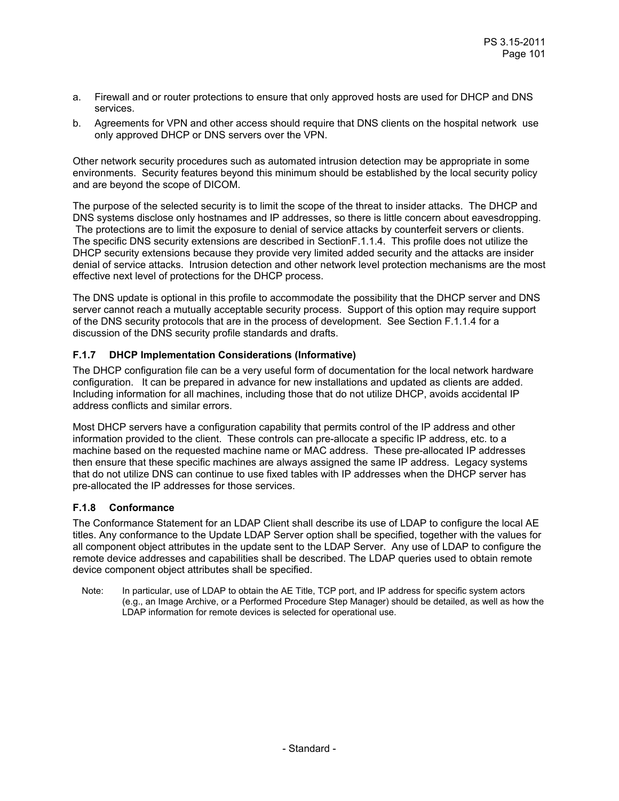- a. Firewall and or router protections to ensure that only approved hosts are used for DHCP and DNS services.
- b. Agreements for VPN and other access should require that DNS clients on the hospital network use only approved DHCP or DNS servers over the VPN.

Other network security procedures such as automated intrusion detection may be appropriate in some environments. Security features beyond this minimum should be established by the local security policy and are beyond the scope of DICOM.

The purpose of the selected security is to limit the scope of the threat to insider attacks. The DHCP and DNS systems disclose only hostnames and IP addresses, so there is little concern about eavesdropping. The protections are to limit the exposure to denial of service attacks by counterfeit servers or clients. The specific DNS security extensions are described in SectionF.1.1.4. This profile does not utilize the DHCP security extensions because they provide very limited added security and the attacks are insider denial of service attacks. Intrusion detection and other network level protection mechanisms are the most effective next level of protections for the DHCP process.

The DNS update is optional in this profile to accommodate the possibility that the DHCP server and DNS server cannot reach a mutually acceptable security process. Support of this option may require support of the DNS security protocols that are in the process of development. See Section F.1.1.4 for a discussion of the DNS security profile standards and drafts.

### **F.1.7 DHCP Implementation Considerations (Informative)**

The DHCP configuration file can be a very useful form of documentation for the local network hardware configuration. It can be prepared in advance for new installations and updated as clients are added. Including information for all machines, including those that do not utilize DHCP, avoids accidental IP address conflicts and similar errors.

Most DHCP servers have a configuration capability that permits control of the IP address and other information provided to the client. These controls can pre-allocate a specific IP address, etc. to a machine based on the requested machine name or MAC address. These pre-allocated IP addresses then ensure that these specific machines are always assigned the same IP address. Legacy systems that do not utilize DNS can continue to use fixed tables with IP addresses when the DHCP server has pre-allocated the IP addresses for those services.

### **F.1.8 Conformance**

The Conformance Statement for an LDAP Client shall describe its use of LDAP to configure the local AE titles. Any conformance to the Update LDAP Server option shall be specified, together with the values for all component object attributes in the update sent to the LDAP Server. Any use of LDAP to configure the remote device addresses and capabilities shall be described. The LDAP queries used to obtain remote device component object attributes shall be specified.

Note: In particular, use of LDAP to obtain the AE Title, TCP port, and IP address for specific system actors (e.g., an Image Archive, or a Performed Procedure Step Manager) should be detailed, as well as how the LDAP information for remote devices is selected for operational use.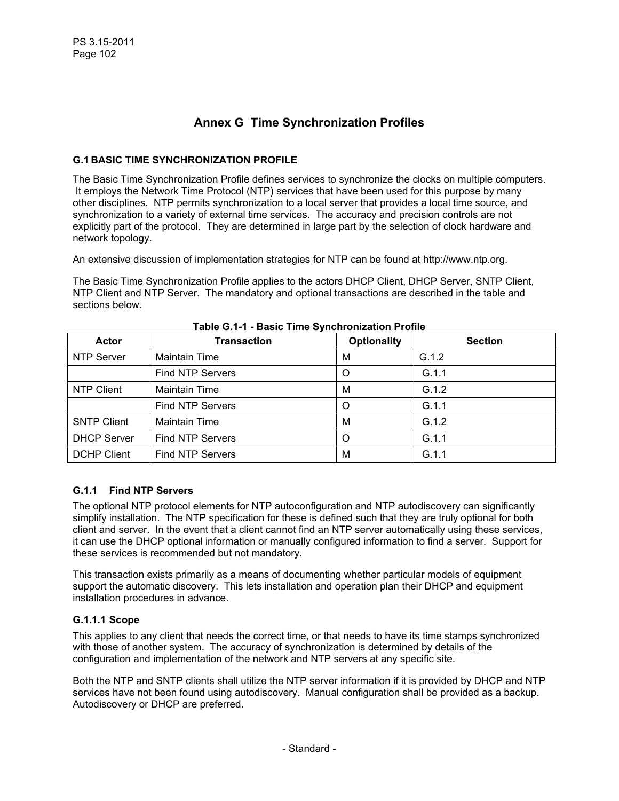# **Annex G Time Synchronization Profiles**

### **G.1 BASIC TIME SYNCHRONIZATION PROFILE**

The Basic Time Synchronization Profile defines services to synchronize the clocks on multiple computers. It employs the Network Time Protocol (NTP) services that have been used for this purpose by many other disciplines. NTP permits synchronization to a local server that provides a local time source, and synchronization to a variety of external time services. The accuracy and precision controls are not explicitly part of the protocol. They are determined in large part by the selection of clock hardware and network topology.

An extensive discussion of implementation strategies for NTP can be found at http://www.ntp.org.

The Basic Time Synchronization Profile applies to the actors DHCP Client, DHCP Server, SNTP Client, NTP Client and NTP Server. The mandatory and optional transactions are described in the table and sections below.

| Actor              | <b>Transaction</b>      | <b>Optionality</b> | <b>Section</b> |
|--------------------|-------------------------|--------------------|----------------|
| <b>NTP Server</b>  | <b>Maintain Time</b>    | M                  | G.1.2          |
|                    | <b>Find NTP Servers</b> | O                  | G.1.1          |
| <b>NTP Client</b>  | Maintain Time           | M                  | G.1.2          |
|                    | <b>Find NTP Servers</b> | Ω                  | G.1.1          |
| <b>SNTP Client</b> | Maintain Time           | M                  | G.1.2          |
| <b>DHCP Server</b> | <b>Find NTP Servers</b> | O                  | G.1.1          |
| <b>DCHP Client</b> | <b>Find NTP Servers</b> | M                  | G.1.1          |

**Table G.1-1 - Basic Time Synchronization Profile** 

# **G.1.1 Find NTP Servers**

The optional NTP protocol elements for NTP autoconfiguration and NTP autodiscovery can significantly simplify installation. The NTP specification for these is defined such that they are truly optional for both client and server. In the event that a client cannot find an NTP server automatically using these services, it can use the DHCP optional information or manually configured information to find a server. Support for these services is recommended but not mandatory.

This transaction exists primarily as a means of documenting whether particular models of equipment support the automatic discovery. This lets installation and operation plan their DHCP and equipment installation procedures in advance.

### **G.1.1.1 Scope**

This applies to any client that needs the correct time, or that needs to have its time stamps synchronized with those of another system. The accuracy of synchronization is determined by details of the configuration and implementation of the network and NTP servers at any specific site.

Both the NTP and SNTP clients shall utilize the NTP server information if it is provided by DHCP and NTP services have not been found using autodiscovery. Manual configuration shall be provided as a backup. Autodiscovery or DHCP are preferred.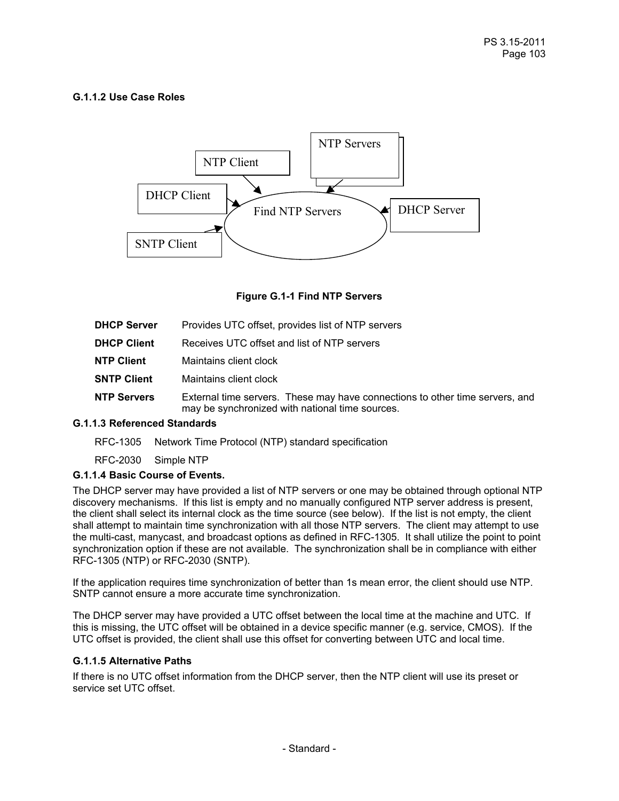## **G.1.1.2 Use Case Roles**



#### **Figure G.1-1 Find NTP Servers**

| <b>DHCP Server</b> | Provides UTC offset, provides list of NTP servers                                                                               |  |  |
|--------------------|---------------------------------------------------------------------------------------------------------------------------------|--|--|
| <b>DHCP Client</b> | Receives UTC offset and list of NTP servers                                                                                     |  |  |
| NTP Client         | Maintains client clock                                                                                                          |  |  |
| <b>SNTP Client</b> | Maintains client clock                                                                                                          |  |  |
| NTP Servers        | External time servers. These may have connections to other time servers, and<br>may be synchronized with national time sources. |  |  |

#### **G.1.1.3 Referenced Standards**

RFC-1305 Network Time Protocol (NTP) standard specification

RFC-2030 Simple NTP

#### **G.1.1.4 Basic Course of Events.**

The DHCP server may have provided a list of NTP servers or one may be obtained through optional NTP discovery mechanisms. If this list is empty and no manually configured NTP server address is present, the client shall select its internal clock as the time source (see below). If the list is not empty, the client shall attempt to maintain time synchronization with all those NTP servers. The client may attempt to use the multi-cast, manycast, and broadcast options as defined in RFC-1305. It shall utilize the point to point synchronization option if these are not available. The synchronization shall be in compliance with either RFC-1305 (NTP) or RFC-2030 (SNTP).

If the application requires time synchronization of better than 1s mean error, the client should use NTP. SNTP cannot ensure a more accurate time synchronization.

The DHCP server may have provided a UTC offset between the local time at the machine and UTC. If this is missing, the UTC offset will be obtained in a device specific manner (e.g. service, CMOS). If the UTC offset is provided, the client shall use this offset for converting between UTC and local time.

#### **G.1.1.5 Alternative Paths**

If there is no UTC offset information from the DHCP server, then the NTP client will use its preset or service set UTC offset.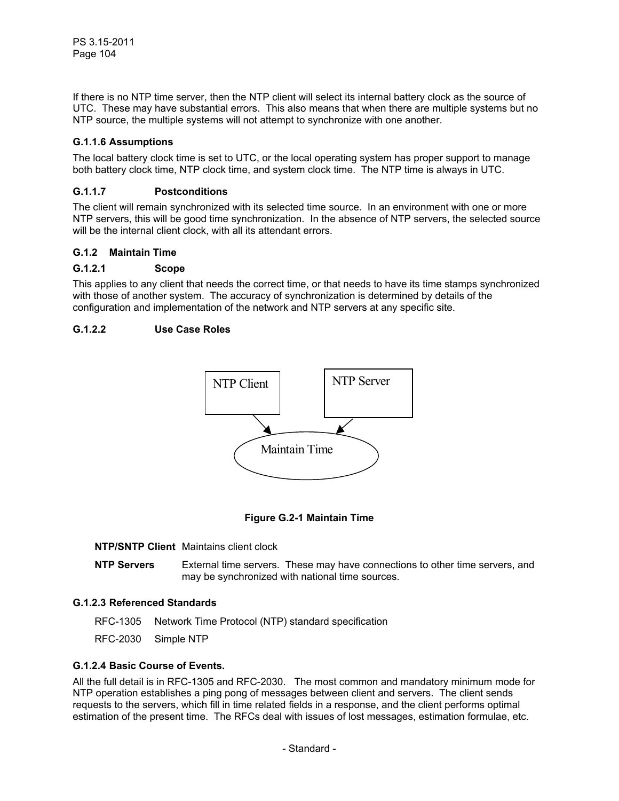If there is no NTP time server, then the NTP client will select its internal battery clock as the source of UTC. These may have substantial errors. This also means that when there are multiple systems but no NTP source, the multiple systems will not attempt to synchronize with one another.

### **G.1.1.6 Assumptions**

The local battery clock time is set to UTC, or the local operating system has proper support to manage both battery clock time, NTP clock time, and system clock time. The NTP time is always in UTC.

### **G.1.1.7 Postconditions**

The client will remain synchronized with its selected time source. In an environment with one or more NTP servers, this will be good time synchronization. In the absence of NTP servers, the selected source will be the internal client clock, with all its attendant errors.

### **G.1.2 Maintain Time**

#### **G.1.2.1 Scope**

This applies to any client that needs the correct time, or that needs to have its time stamps synchronized with those of another system. The accuracy of synchronization is determined by details of the configuration and implementation of the network and NTP servers at any specific site.

### **G.1.2.2 Use Case Roles**



### **Figure G.2-1 Maintain Time**

#### **NTP/SNTP Client** Maintains client clock

**NTP Servers** External time servers. These may have connections to other time servers, and may be synchronized with national time sources.

#### **G.1.2.3 Referenced Standards**

RFC-1305 Network Time Protocol (NTP) standard specification

RFC-2030 Simple NTP

#### **G.1.2.4 Basic Course of Events.**

All the full detail is in RFC-1305 and RFC-2030. The most common and mandatory minimum mode for NTP operation establishes a ping pong of messages between client and servers. The client sends requests to the servers, which fill in time related fields in a response, and the client performs optimal estimation of the present time. The RFCs deal with issues of lost messages, estimation formulae, etc.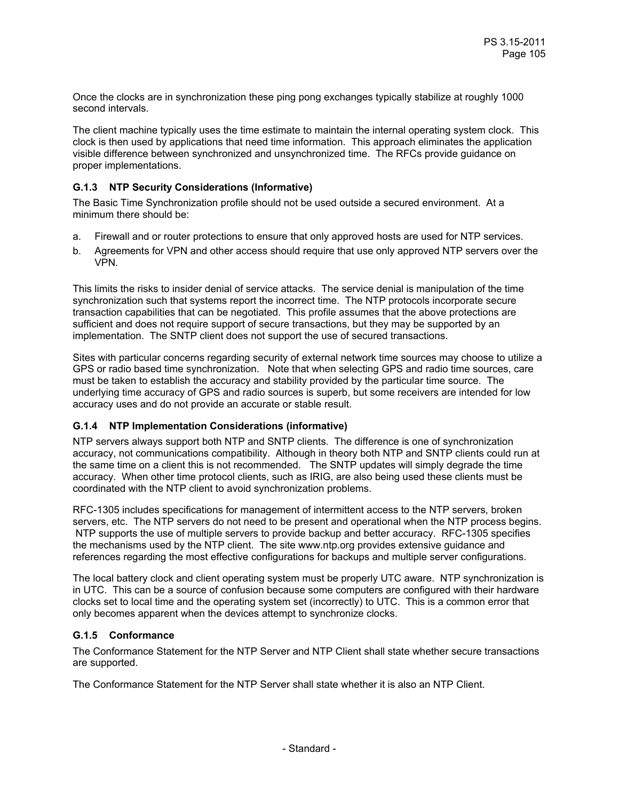Once the clocks are in synchronization these ping pong exchanges typically stabilize at roughly 1000 second intervals.

The client machine typically uses the time estimate to maintain the internal operating system clock. This clock is then used by applications that need time information. This approach eliminates the application visible difference between synchronized and unsynchronized time. The RFCs provide guidance on proper implementations.

### **G.1.3 NTP Security Considerations (Informative)**

The Basic Time Synchronization profile should not be used outside a secured environment. At a minimum there should be:

- a. Firewall and or router protections to ensure that only approved hosts are used for NTP services.
- b. Agreements for VPN and other access should require that use only approved NTP servers over the VPN.

This limits the risks to insider denial of service attacks. The service denial is manipulation of the time synchronization such that systems report the incorrect time. The NTP protocols incorporate secure transaction capabilities that can be negotiated. This profile assumes that the above protections are sufficient and does not require support of secure transactions, but they may be supported by an implementation. The SNTP client does not support the use of secured transactions.

Sites with particular concerns regarding security of external network time sources may choose to utilize a GPS or radio based time synchronization. Note that when selecting GPS and radio time sources, care must be taken to establish the accuracy and stability provided by the particular time source. The underlying time accuracy of GPS and radio sources is superb, but some receivers are intended for low accuracy uses and do not provide an accurate or stable result.

#### **G.1.4 NTP Implementation Considerations (informative)**

NTP servers always support both NTP and SNTP clients. The difference is one of synchronization accuracy, not communications compatibility. Although in theory both NTP and SNTP clients could run at the same time on a client this is not recommended. The SNTP updates will simply degrade the time accuracy. When other time protocol clients, such as IRIG, are also being used these clients must be coordinated with the NTP client to avoid synchronization problems.

RFC-1305 includes specifications for management of intermittent access to the NTP servers, broken servers, etc. The NTP servers do not need to be present and operational when the NTP process begins. NTP supports the use of multiple servers to provide backup and better accuracy. RFC-1305 specifies the mechanisms used by the NTP client. The site www.ntp.org provides extensive guidance and references regarding the most effective configurations for backups and multiple server configurations.

The local battery clock and client operating system must be properly UTC aware. NTP synchronization is in UTC. This can be a source of confusion because some computers are configured with their hardware clocks set to local time and the operating system set (incorrectly) to UTC. This is a common error that only becomes apparent when the devices attempt to synchronize clocks.

#### **G.1.5 Conformance**

The Conformance Statement for the NTP Server and NTP Client shall state whether secure transactions are supported.

The Conformance Statement for the NTP Server shall state whether it is also an NTP Client.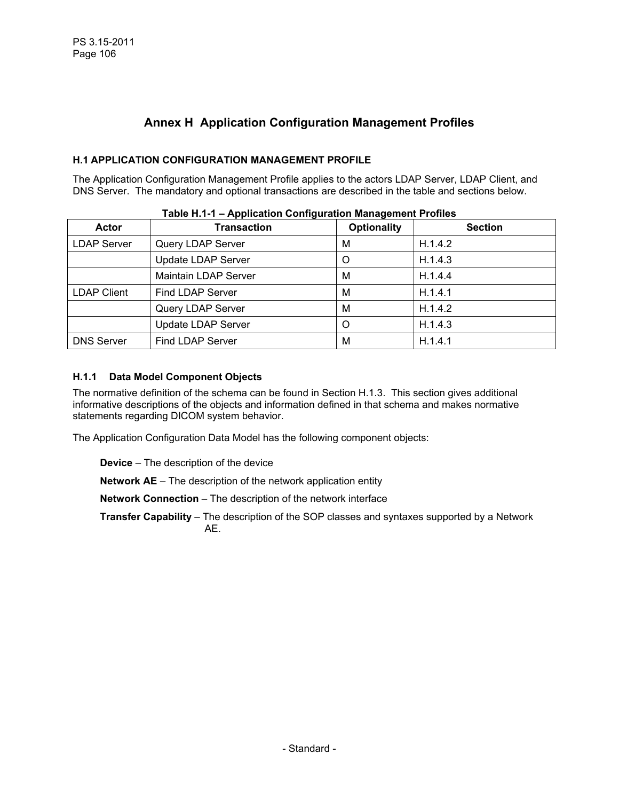# **Annex H Application Configuration Management Profiles**

### **H.1 APPLICATION CONFIGURATION MANAGEMENT PROFILE**

The Application Configuration Management Profile applies to the actors LDAP Server, LDAP Client, and DNS Server. The mandatory and optional transactions are described in the table and sections below.

| Actor              | <b>Transaction</b>        | <b>Optionality</b> | <b>Section</b> |
|--------------------|---------------------------|--------------------|----------------|
| <b>LDAP Server</b> | Query LDAP Server         | М                  | H.1.4.2        |
|                    | <b>Update LDAP Server</b> | O                  | H.1.4.3        |
|                    | Maintain LDAP Server      | M                  | H.1.4.4        |
| <b>LDAP Client</b> | Find LDAP Server          | M                  | H.1.4.1        |
|                    | Query LDAP Server         | M                  | H.1.4.2        |
|                    | <b>Update LDAP Server</b> | O                  | H.1.4.3        |
| <b>DNS Server</b>  | Find LDAP Server          | M                  | H.1.4.1        |

**Table H.1-1 – Application Configuration Management Profiles** 

### **H.1.1 Data Model Component Objects**

The normative definition of the schema can be found in Section H.1.3. This section gives additional informative descriptions of the objects and information defined in that schema and makes normative statements regarding DICOM system behavior.

The Application Configuration Data Model has the following component objects:

**Device** – The description of the device

**Network AE** – The description of the network application entity

**Network Connection** – The description of the network interface

**Transfer Capability** – The description of the SOP classes and syntaxes supported by a Network AE.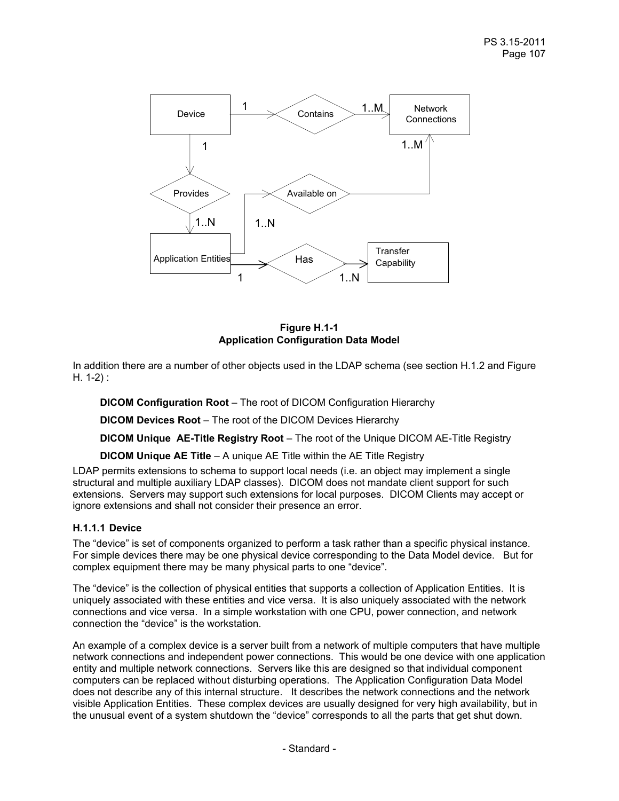

**Figure H.1-1 Application Configuration Data Model** 

In addition there are a number of other objects used in the LDAP schema (see section H.1.2 and Figure H. 1-2) :

**DICOM Configuration Root** – The root of DICOM Configuration Hierarchy

**DICOM Devices Root** – The root of the DICOM Devices Hierarchy

**DICOM Unique AE-Title Registry Root** – The root of the Unique DICOM AE-Title Registry

**DICOM Unique AE Title** – A unique AE Title within the AE Title Registry

LDAP permits extensions to schema to support local needs (i.e. an object may implement a single structural and multiple auxiliary LDAP classes). DICOM does not mandate client support for such extensions. Servers may support such extensions for local purposes. DICOM Clients may accept or ignore extensions and shall not consider their presence an error.

### **H.1.1.1 Device**

The "device" is set of components organized to perform a task rather than a specific physical instance. For simple devices there may be one physical device corresponding to the Data Model device. But for complex equipment there may be many physical parts to one "device".

The "device" is the collection of physical entities that supports a collection of Application Entities. It is uniquely associated with these entities and vice versa. It is also uniquely associated with the network connections and vice versa. In a simple workstation with one CPU, power connection, and network connection the "device" is the workstation.

An example of a complex device is a server built from a network of multiple computers that have multiple network connections and independent power connections. This would be one device with one application entity and multiple network connections. Servers like this are designed so that individual component computers can be replaced without disturbing operations. The Application Configuration Data Model does not describe any of this internal structure. It describes the network connections and the network visible Application Entities. These complex devices are usually designed for very high availability, but in the unusual event of a system shutdown the "device" corresponds to all the parts that get shut down.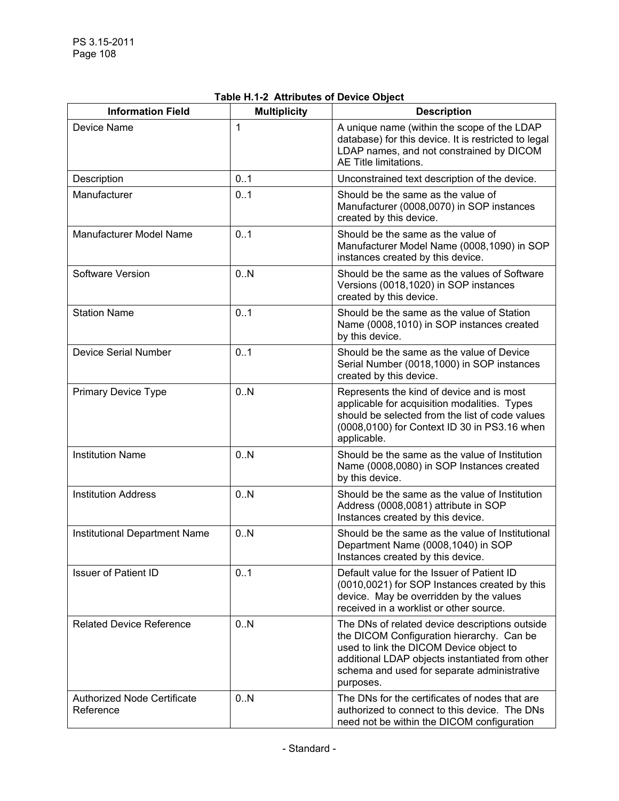| Table H.1-2 Attributes of Device Object         |                     |                                                                                                                                                                                                                                                       |  |
|-------------------------------------------------|---------------------|-------------------------------------------------------------------------------------------------------------------------------------------------------------------------------------------------------------------------------------------------------|--|
| <b>Information Field</b>                        | <b>Multiplicity</b> | <b>Description</b>                                                                                                                                                                                                                                    |  |
| Device Name                                     | 1                   | A unique name (within the scope of the LDAP<br>database) for this device. It is restricted to legal<br>LDAP names, and not constrained by DICOM<br>AE Title limitations.                                                                              |  |
| Description                                     | 0.1                 | Unconstrained text description of the device.                                                                                                                                                                                                         |  |
| Manufacturer                                    | 0.1                 | Should be the same as the value of<br>Manufacturer (0008,0070) in SOP instances<br>created by this device.                                                                                                                                            |  |
| Manufacturer Model Name                         | 0.1                 | Should be the same as the value of<br>Manufacturer Model Name (0008,1090) in SOP<br>instances created by this device.                                                                                                                                 |  |
| Software Version                                | 0.N                 | Should be the same as the values of Software<br>Versions (0018,1020) in SOP instances<br>created by this device.                                                                                                                                      |  |
| <b>Station Name</b>                             | 0.1                 | Should be the same as the value of Station<br>Name (0008,1010) in SOP instances created<br>by this device.                                                                                                                                            |  |
| <b>Device Serial Number</b>                     | 0.1                 | Should be the same as the value of Device<br>Serial Number (0018,1000) in SOP instances<br>created by this device.                                                                                                                                    |  |
| <b>Primary Device Type</b>                      | 0.N                 | Represents the kind of device and is most<br>applicable for acquisition modalities. Types<br>should be selected from the list of code values<br>(0008,0100) for Context ID 30 in PS3.16 when<br>applicable.                                           |  |
| <b>Institution Name</b>                         | 0.N                 | Should be the same as the value of Institution<br>Name (0008,0080) in SOP Instances created<br>by this device.                                                                                                                                        |  |
| <b>Institution Address</b>                      | 0.N                 | Should be the same as the value of Institution<br>Address (0008,0081) attribute in SOP<br>Instances created by this device.                                                                                                                           |  |
| Institutional Department Name                   | 0N                  | Should be the same as the value of Institutional<br>Department Name (0008,1040) in SOP<br>Instances created by this device.                                                                                                                           |  |
| <b>Issuer of Patient ID</b>                     | 0.1                 | Default value for the Issuer of Patient ID<br>(0010,0021) for SOP Instances created by this<br>device. May be overridden by the values<br>received in a worklist or other source.                                                                     |  |
| <b>Related Device Reference</b>                 | 0.N                 | The DNs of related device descriptions outside<br>the DICOM Configuration hierarchy. Can be<br>used to link the DICOM Device object to<br>additional LDAP objects instantiated from other<br>schema and used for separate administrative<br>purposes. |  |
| <b>Authorized Node Certificate</b><br>Reference | 0.N                 | The DNs for the certificates of nodes that are<br>authorized to connect to this device. The DNs<br>need not be within the DICOM configuration                                                                                                         |  |

### **Table H.1-2 Attributes of Device Object**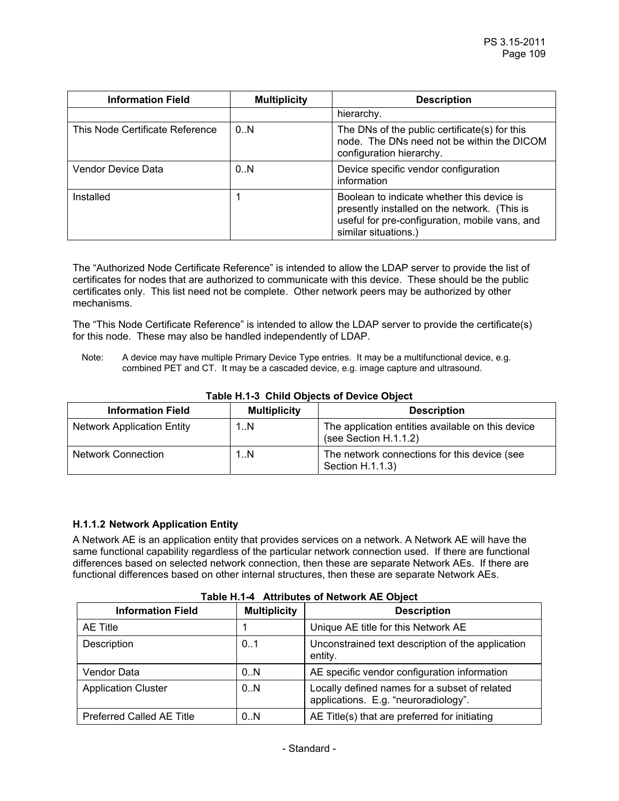| <b>Information Field</b>        | <b>Multiplicity</b> | <b>Description</b>                                                                                                                                                   |
|---------------------------------|---------------------|----------------------------------------------------------------------------------------------------------------------------------------------------------------------|
|                                 |                     | hierarchy.                                                                                                                                                           |
| This Node Certificate Reference | 0.N                 | The DNs of the public certificate(s) for this<br>node. The DNs need not be within the DICOM<br>configuration hierarchy.                                              |
| Vendor Device Data              | 0.N                 | Device specific vendor configuration<br>information                                                                                                                  |
| Installed                       |                     | Boolean to indicate whether this device is<br>presently installed on the network. (This is<br>useful for pre-configuration, mobile vans, and<br>similar situations.) |

The "Authorized Node Certificate Reference" is intended to allow the LDAP server to provide the list of certificates for nodes that are authorized to communicate with this device. These should be the public certificates only. This list need not be complete. Other network peers may be authorized by other mechanisms.

The "This Node Certificate Reference" is intended to allow the LDAP server to provide the certificate(s) for this node. These may also be handled independently of LDAP.

Note: A device may have multiple Primary Device Type entries. It may be a multifunctional device, e.g. combined PET and CT. It may be a cascaded device, e.g. image capture and ultrasound.

| <b>Information Field</b>          | <b>Multiplicity</b> | <b>Description</b>                                                         |
|-----------------------------------|---------------------|----------------------------------------------------------------------------|
| <b>Network Application Entity</b> | 1N                  | The application entities available on this device<br>(see Section H.1.1.2) |
| <b>Network Connection</b>         | 1N                  | The network connections for this device (see<br>Section H.1.1.3)           |

**Table H.1-3 Child Objects of Device Object** 

# **H.1.1.2 Network Application Entity**

A Network AE is an application entity that provides services on a network. A Network AE will have the same functional capability regardless of the particular network connection used. If there are functional differences based on selected network connection, then these are separate Network AEs. If there are functional differences based on other internal structures, then these are separate Network AEs.

| Table H.T-4 Attributes of Network AE Object |                     |                                                                                       |  |
|---------------------------------------------|---------------------|---------------------------------------------------------------------------------------|--|
| <b>Information Field</b>                    | <b>Multiplicity</b> | <b>Description</b>                                                                    |  |
| AE Title                                    |                     | Unique AE title for this Network AE                                                   |  |
| Description                                 | 0.1                 | Unconstrained text description of the application<br>entity.                          |  |
| Vendor Data                                 | 0.N                 | AE specific vendor configuration information                                          |  |
| <b>Application Cluster</b>                  | 0.N                 | Locally defined names for a subset of related<br>applications. E.g. "neuroradiology". |  |
| <b>Preferred Called AE Title</b>            | 0.N                 | AE Title(s) that are preferred for initiating                                         |  |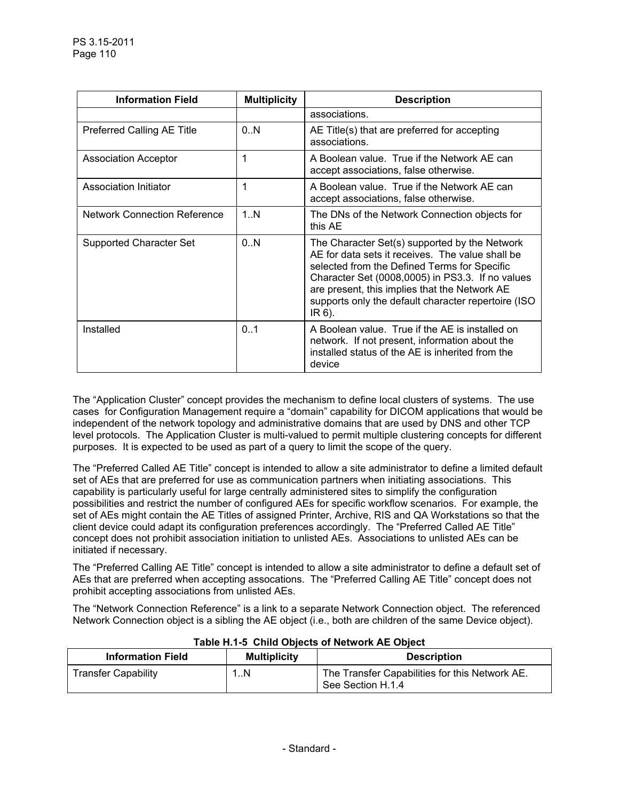| <b>Information Field</b>            | <b>Multiplicity</b> | <b>Description</b>                                                                                                                                                                                                                                                                                                       |
|-------------------------------------|---------------------|--------------------------------------------------------------------------------------------------------------------------------------------------------------------------------------------------------------------------------------------------------------------------------------------------------------------------|
|                                     |                     | associations.                                                                                                                                                                                                                                                                                                            |
| Preferred Calling AE Title          | 0.N                 | AE Title(s) that are preferred for accepting<br>associations.                                                                                                                                                                                                                                                            |
| <b>Association Acceptor</b>         | 1                   | A Boolean value. True if the Network AE can<br>accept associations, false otherwise.                                                                                                                                                                                                                                     |
| <b>Association Initiator</b>        | 1                   | A Boolean value. True if the Network AE can<br>accept associations, false otherwise.                                                                                                                                                                                                                                     |
| <b>Network Connection Reference</b> | 1. N                | The DNs of the Network Connection objects for<br>this AE                                                                                                                                                                                                                                                                 |
| Supported Character Set             | 0. N                | The Character Set(s) supported by the Network<br>AE for data sets it receives. The value shall be<br>selected from the Defined Terms for Specific<br>Character Set (0008,0005) in PS3.3. If no values<br>are present, this implies that the Network AE<br>supports only the default character repertoire (ISO<br>$IR6$ . |
| Installed                           | 0.1                 | A Boolean value. True if the AE is installed on<br>network. If not present, information about the<br>installed status of the AE is inherited from the<br>device                                                                                                                                                          |

The "Application Cluster" concept provides the mechanism to define local clusters of systems. The use cases for Configuration Management require a "domain" capability for DICOM applications that would be independent of the network topology and administrative domains that are used by DNS and other TCP level protocols. The Application Cluster is multi-valued to permit multiple clustering concepts for different purposes. It is expected to be used as part of a query to limit the scope of the query.

The "Preferred Called AE Title" concept is intended to allow a site administrator to define a limited default set of AEs that are preferred for use as communication partners when initiating associations. This capability is particularly useful for large centrally administered sites to simplify the configuration possibilities and restrict the number of configured AEs for specific workflow scenarios. For example, the set of AEs might contain the AE Titles of assigned Printer, Archive, RIS and QA Workstations so that the client device could adapt its configuration preferences accordingly. The "Preferred Called AE Title" concept does not prohibit association initiation to unlisted AEs. Associations to unlisted AEs can be initiated if necessary.

The "Preferred Calling AE Title" concept is intended to allow a site administrator to define a default set of AEs that are preferred when accepting assocations. The "Preferred Calling AE Title" concept does not prohibit accepting associations from unlisted AEs.

The "Network Connection Reference" is a link to a separate Network Connection object. The referenced Network Connection object is a sibling the AE object (i.e., both are children of the same Device object).

| $1400$ The $\sigma$ villiar opposed of nothern the oppose |                     |                                                                     |  |
|-----------------------------------------------------------|---------------------|---------------------------------------------------------------------|--|
| <b>Information Field</b>                                  | <b>Multiplicity</b> | <b>Description</b>                                                  |  |
| <b>Transfer Capability</b>                                | 1N                  | The Transfer Capabilities for this Network AE.<br>See Section H.1.4 |  |

# **Table H.1-5 Child Objects of Network AE Object**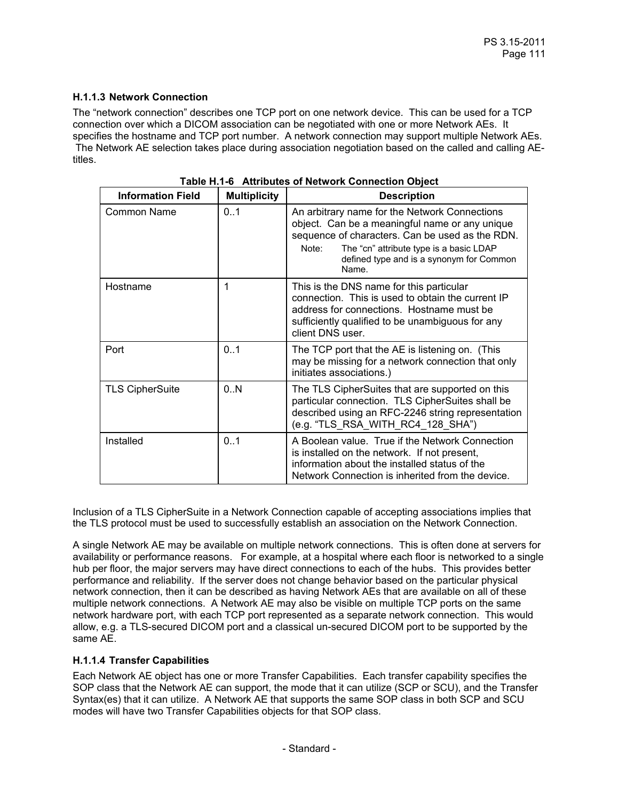# **H.1.1.3 Network Connection**

The "network connection" describes one TCP port on one network device. This can be used for a TCP connection over which a DICOM association can be negotiated with one or more Network AEs. It specifies the hostname and TCP port number. A network connection may support multiple Network AEs. The Network AE selection takes place during association negotiation based on the called and calling AEtitles.

| <b>Information Field</b> | <b>Multiplicity</b> | <b>Description</b>                                                                                                                                                                                                                                          |
|--------------------------|---------------------|-------------------------------------------------------------------------------------------------------------------------------------------------------------------------------------------------------------------------------------------------------------|
| Common Name              | 0.1                 | An arbitrary name for the Network Connections<br>object. Can be a meaningful name or any unique<br>sequence of characters. Can be used as the RDN.<br>Note:<br>The "cn" attribute type is a basic LDAP<br>defined type and is a synonym for Common<br>Name. |
| Hostname                 | 1                   | This is the DNS name for this particular<br>connection. This is used to obtain the current IP<br>address for connections. Hostname must be<br>sufficiently qualified to be unambiguous for any<br>client DNS user.                                          |
| Port                     | 0.1                 | The TCP port that the AE is listening on. (This<br>may be missing for a network connection that only<br>initiates associations.)                                                                                                                            |
| <b>TLS CipherSuite</b>   | 0.N                 | The TLS CipherSuites that are supported on this<br>particular connection. TLS CipherSuites shall be<br>described using an RFC-2246 string representation<br>(e.g. "TLS_RSA_WITH_RC4_128_SHA")                                                               |
| Installed                | 0.1                 | A Boolean value. True if the Network Connection<br>is installed on the network. If not present,<br>information about the installed status of the<br>Network Connection is inherited from the device.                                                        |

**Table H.1-6 Attributes of Network Connection Object** 

Inclusion of a TLS CipherSuite in a Network Connection capable of accepting associations implies that the TLS protocol must be used to successfully establish an association on the Network Connection.

A single Network AE may be available on multiple network connections. This is often done at servers for availability or performance reasons. For example, at a hospital where each floor is networked to a single hub per floor, the major servers may have direct connections to each of the hubs. This provides better performance and reliability. If the server does not change behavior based on the particular physical network connection, then it can be described as having Network AEs that are available on all of these multiple network connections. A Network AE may also be visible on multiple TCP ports on the same network hardware port, with each TCP port represented as a separate network connection. This would allow, e.g. a TLS-secured DICOM port and a classical un-secured DICOM port to be supported by the same AE.

# **H.1.1.4 Transfer Capabilities**

Each Network AE object has one or more Transfer Capabilities. Each transfer capability specifies the SOP class that the Network AE can support, the mode that it can utilize (SCP or SCU), and the Transfer Syntax(es) that it can utilize. A Network AE that supports the same SOP class in both SCP and SCU modes will have two Transfer Capabilities objects for that SOP class.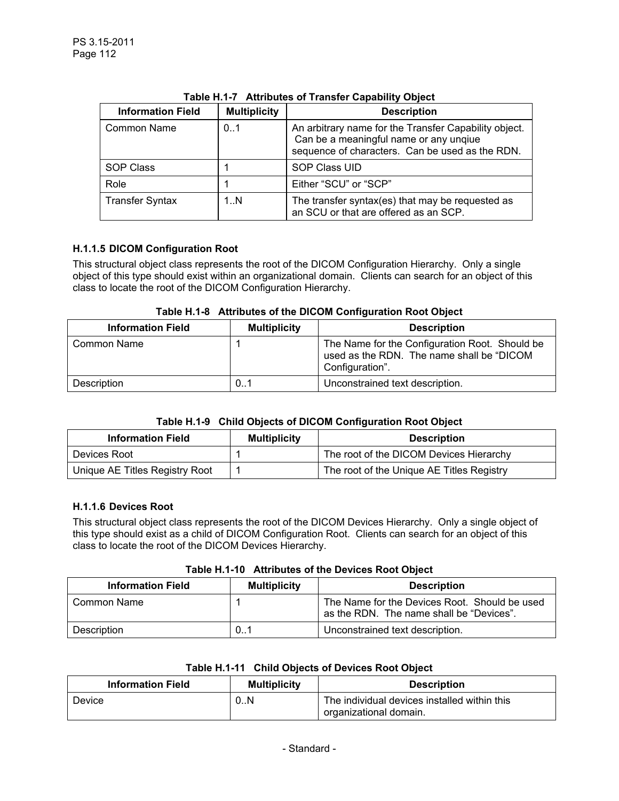| THE POSSESSION OF LIGHTSTON WARRAINLY WATER |                     |                                                                                                                                                    |
|---------------------------------------------|---------------------|----------------------------------------------------------------------------------------------------------------------------------------------------|
| <b>Information Field</b>                    | <b>Multiplicity</b> | <b>Description</b>                                                                                                                                 |
| <b>Common Name</b>                          | 0.1                 | An arbitrary name for the Transfer Capability object.<br>Can be a meaningful name or any unqiue<br>sequence of characters. Can be used as the RDN. |
| <b>SOP Class</b>                            |                     | <b>SOP Class UID</b>                                                                                                                               |
| Role                                        |                     | Either "SCU" or "SCP"                                                                                                                              |
| <b>Transfer Syntax</b>                      | 1. N                | The transfer syntax(es) that may be requested as<br>an SCU or that are offered as an SCP.                                                          |

| Table H.1-7 Attributes of Transfer Capability Object |  |
|------------------------------------------------------|--|
|                                                      |  |

# **H.1.1.5 DICOM Configuration Root**

This structural object class represents the root of the DICOM Configuration Hierarchy. Only a single object of this type should exist within an organizational domain. Clients can search for an object of this class to locate the root of the DICOM Configuration Hierarchy.

|  |  |  | Table H.1-8 Attributes of the DICOM Configuration Root Object |  |
|--|--|--|---------------------------------------------------------------|--|
|--|--|--|---------------------------------------------------------------|--|

| <b>Information Field</b> | <b>Multiplicity</b> | <b>Description</b>                                                                                              |
|--------------------------|---------------------|-----------------------------------------------------------------------------------------------------------------|
| Common Name              |                     | The Name for the Configuration Root. Should be<br>used as the RDN. The name shall be "DICOM"<br>Configuration". |
| Description              | 0.1                 | Unconstrained text description.                                                                                 |

# **Table H.1-9 Child Objects of DICOM Configuration Root Object**

| <b>Information Field</b>       | <b>Multiplicity</b> | <b>Description</b>                        |
|--------------------------------|---------------------|-------------------------------------------|
| Devices Root                   |                     | The root of the DICOM Devices Hierarchy   |
| Unique AE Titles Registry Root |                     | The root of the Unique AE Titles Registry |

# **H.1.1.6 Devices Root**

This structural object class represents the root of the DICOM Devices Hierarchy. Only a single object of this type should exist as a child of DICOM Configuration Root. Clients can search for an object of this class to locate the root of the DICOM Devices Hierarchy.

| <b>Information Field</b> | <b>Multiplicity</b> | <b>Description</b>                                                                        |
|--------------------------|---------------------|-------------------------------------------------------------------------------------------|
| Common Name              |                     | The Name for the Devices Root. Should be used<br>as the RDN. The name shall be "Devices". |
| Description              | 0.1                 | Unconstrained text description.                                                           |

# **Table H.1-11 Child Objects of Devices Root Object**

| <b>Information Field</b> | <b>Multiplicity</b> | <b>Description</b>                                                     |
|--------------------------|---------------------|------------------------------------------------------------------------|
| Device                   | 0.N                 | The individual devices installed within this<br>organizational domain. |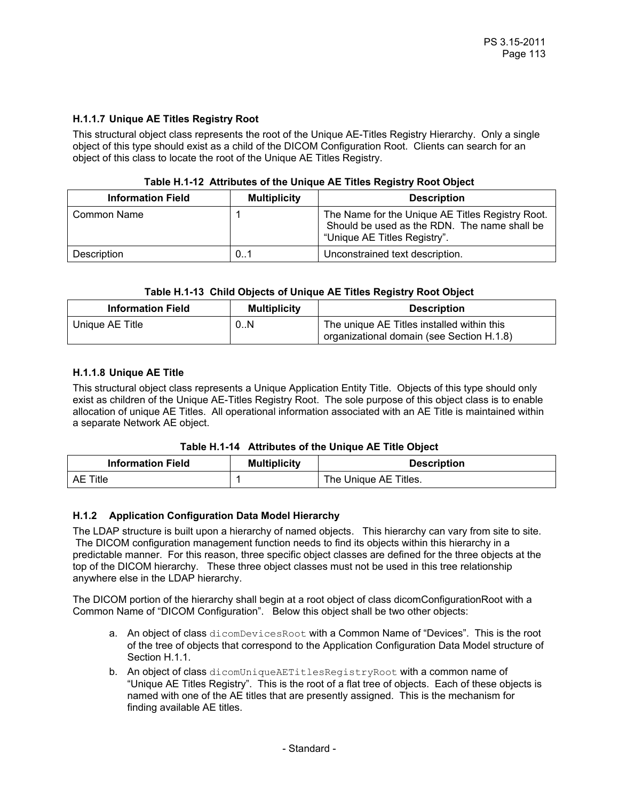## **H.1.1.7 Unique AE Titles Registry Root**

This structural object class represents the root of the Unique AE-Titles Registry Hierarchy. Only a single object of this type should exist as a child of the DICOM Configuration Root. Clients can search for an object of this class to locate the root of the Unique AE Titles Registry.

### **Table H.1-12 Attributes of the Unique AE Titles Registry Root Object**

| <b>Information Field</b> | <b>Multiplicity</b> | <b>Description</b>                                                                                                               |
|--------------------------|---------------------|----------------------------------------------------------------------------------------------------------------------------------|
| Common Name              |                     | The Name for the Unique AE Titles Registry Root.<br>Should be used as the RDN. The name shall be<br>"Unique AE Titles Registry". |
| Description              | 0.1                 | Unconstrained text description.                                                                                                  |

### **Table H.1-13 Child Objects of Unique AE Titles Registry Root Object**

| <b>Information Field</b> | <b>Multiplicity</b> | <b>Description</b>                                                                      |
|--------------------------|---------------------|-----------------------------------------------------------------------------------------|
| Unique AE Title          | 0.N                 | The unique AE Titles installed within this<br>organizational domain (see Section H.1.8) |

# **H.1.1.8 Unique AE Title**

This structural object class represents a Unique Application Entity Title. Objects of this type should only exist as children of the Unique AE-Titles Registry Root. The sole purpose of this object class is to enable allocation of unique AE Titles. All operational information associated with an AE Title is maintained within a separate Network AE object.

### **Table H.1-14 Attributes of the Unique AE Title Object**

| <b>Information Field</b> | <b>Multiplicity</b> | <b>Description</b>    |
|--------------------------|---------------------|-----------------------|
| <b>AE Title</b>          |                     | The Unique AE Titles. |

# **H.1.2 Application Configuration Data Model Hierarchy**

The LDAP structure is built upon a hierarchy of named objects. This hierarchy can vary from site to site. The DICOM configuration management function needs to find its objects within this hierarchy in a predictable manner. For this reason, three specific object classes are defined for the three objects at the top of the DICOM hierarchy. These three object classes must not be used in this tree relationship anywhere else in the LDAP hierarchy.

The DICOM portion of the hierarchy shall begin at a root object of class dicomConfigurationRoot with a Common Name of "DICOM Configuration". Below this object shall be two other objects:

- a. An object of class dicomDevicesRoot with a Common Name of "Devices". This is the root of the tree of objects that correspond to the Application Configuration Data Model structure of Section H.1.1.
- b. An object of class dicomUniqueAETitlesRegistryRoot with a common name of "Unique AE Titles Registry". This is the root of a flat tree of objects. Each of these objects is named with one of the AE titles that are presently assigned. This is the mechanism for finding available AE titles.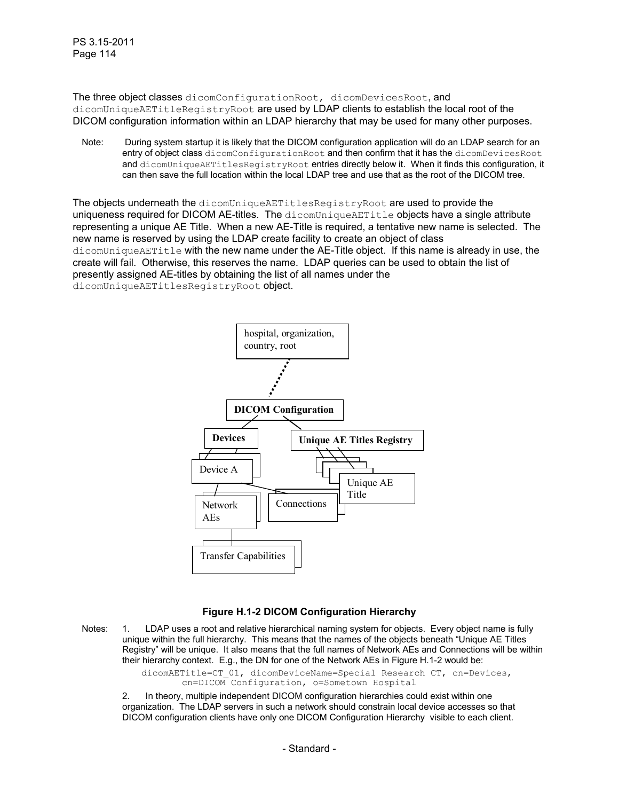PS 3.15-2011 Page 114

The three object classes dicomConfigurationRoot, dicomDevicesRoot, and dicomUniqueAETitleRegistryRoot are used by LDAP clients to establish the local root of the DICOM configuration information within an LDAP hierarchy that may be used for many other purposes.

Note: During system startup it is likely that the DICOM configuration application will do an LDAP search for an entry of object class dicomConfigurationRoot and then confirm that it has the dicomDevicesRoot and dicomUniqueAETitlesRegistryRoot entries directly below it. When it finds this configuration, it can then save the full location within the local LDAP tree and use that as the root of the DICOM tree.

The objects underneath the dicomUniqueAETitlesRegistryRoot are used to provide the uniqueness required for DICOM AE-titles. The dicomUniqueAETitle objects have a single attribute representing a unique AE Title. When a new AE-Title is required, a tentative new name is selected. The new name is reserved by using the LDAP create facility to create an object of class dicomUniqueAETitle with the new name under the AE-Title object. If this name is already in use, the create will fail. Otherwise, this reserves the name. LDAP queries can be used to obtain the list of presently assigned AE-titles by obtaining the list of all names under the dicomUniqueAETitlesRegistryRoot object.



## **Figure H.1-2 DICOM Configuration Hierarchy**

Notes: 1. LDAP uses a root and relative hierarchical naming system for objects. Every object name is fully unique within the full hierarchy. This means that the names of the objects beneath "Unique AE Titles Registry" will be unique. It also means that the full names of Network AEs and Connections will be within their hierarchy context. E.g., the DN for one of the Network AEs in Figure H.1-2 would be:

dicomAETitle=CT\_01, dicomDeviceName=Special Research CT, cn=Devices, cn=DICOM Configuration, o=Sometown Hospital

 2. In theory, multiple independent DICOM configuration hierarchies could exist within one organization. The LDAP servers in such a network should constrain local device accesses so that DICOM configuration clients have only one DICOM Configuration Hierarchy visible to each client.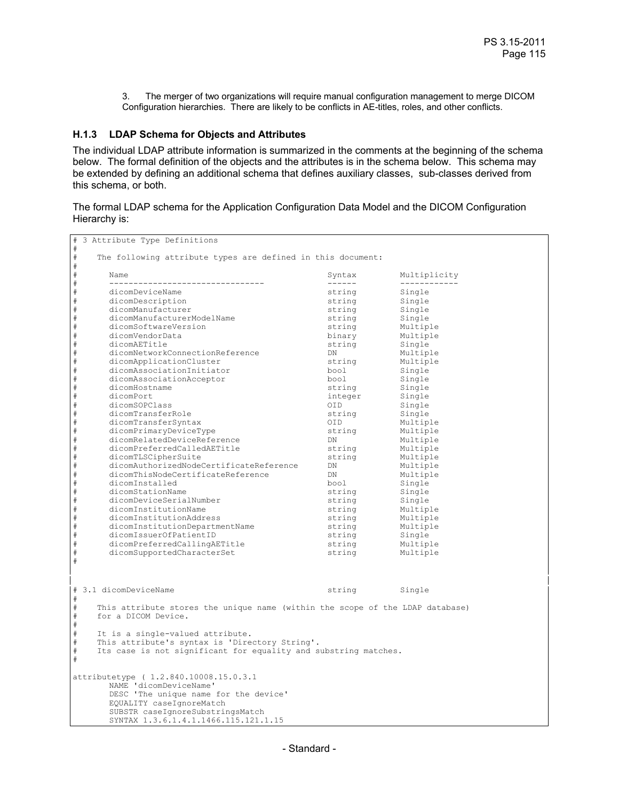3. The merger of two organizations will require manual configuration management to merge DICOM Configuration hierarchies. There are likely to be conflicts in AE-titles, roles, and other conflicts.

### **H.1.3 LDAP Schema for Objects and Attributes**

The individual LDAP attribute information is summarized in the comments at the beginning of the schema below. The formal definition of the objects and the attributes is in the schema below. This schema may be extended by defining an additional schema that defines auxiliary classes, sub-classes derived from this schema, or both.

The formal LDAP schema for the Application Configuration Data Model and the DICOM Configuration Hierarchy is:

|            | # 3 Attribute Type Definitions                                                |         |                                                                                                     |  |  |
|------------|-------------------------------------------------------------------------------|---------|-----------------------------------------------------------------------------------------------------|--|--|
| #          | The following attribute types are defined in this document:                   |         |                                                                                                     |  |  |
| $\#$       |                                                                               |         |                                                                                                     |  |  |
| $\#$       | Name                                                                          | Syntax  | Multiplicity                                                                                        |  |  |
| #          | __________________________________                                            | ------- | ------------                                                                                        |  |  |
| $\#$       | dicomDeviceName                                                               | string  | Single<br>Single<br>Single<br>Single<br>Multiple<br>Multiple<br>Multiple<br>Multiple<br>Single<br>C |  |  |
| $\#$       | dicomDescription                                                              | string  |                                                                                                     |  |  |
| $\#$       | dicomManufacturer                                                             | string  |                                                                                                     |  |  |
| $\#$       | dicomManufacturerModelName                                                    | string  |                                                                                                     |  |  |
| $\#$       | dicomSoftwareVersion                                                          | string  |                                                                                                     |  |  |
| $\#$       | dicomVendorData                                                               | binary  |                                                                                                     |  |  |
| $\#$       | dicomAETitle                                                                  | string  |                                                                                                     |  |  |
| $\#$       | dicomNetworkConnectionReference                                               | DN      |                                                                                                     |  |  |
| $\#$       | dicomApplicationCluster                                                       | string  |                                                                                                     |  |  |
| $\#$       | dicomAssociationInitiator                                                     | bool    |                                                                                                     |  |  |
| $\#$       | dicomAssociationAcceptor                                                      | bool    | Single                                                                                              |  |  |
| $\#$       | dicomHostname                                                                 | string  | Single                                                                                              |  |  |
| $\#$       | dicomPort                                                                     | integer | Single                                                                                              |  |  |
| $\#$       | dicomSOPClass                                                                 | OID     | Single                                                                                              |  |  |
| $\#$       | dicomTransferRole                                                             | string  |                                                                                                     |  |  |
| $^{\rm +}$ | dicomTransferSyntax                                                           | OID     | Single<br>Single<br>Multiple<br>Multiple                                                            |  |  |
| $\#$       | dicomPrimaryDeviceType                                                        | string  |                                                                                                     |  |  |
| $\#$       | dicomRelatedDeviceReference                                                   | DN      | Multiple                                                                                            |  |  |
| $^{\rm +}$ | dicomPreferredCalledAETitle                                                   | string  | Multiple                                                                                            |  |  |
| $\#$       | dicomTLSCipherSuite                                                           | string  | Multiple                                                                                            |  |  |
| $^{\rm +}$ | dicomAuthorizedNodeCertificateReference                                       | DN      | Multiple                                                                                            |  |  |
| $\#$       | dicomThisNodeCertificateReference                                             | DN      | Multiple                                                                                            |  |  |
| $\#$       | dicomInstalled                                                                | bool    | Single                                                                                              |  |  |
| $\#$       | dicomStationName                                                              | string  | Single                                                                                              |  |  |
| $\#$       | dicomDeviceSerialNumber                                                       | string  | Single                                                                                              |  |  |
| $\#$       | dicomInstitutionName                                                          | string  | Multiple                                                                                            |  |  |
| $\#$       | dicomInstitutionAddress                                                       | string  | Multiple                                                                                            |  |  |
| $^{\rm +}$ | dicomInstitutionDepartmentName                                                | string  | Multiple                                                                                            |  |  |
| #          | dicomIssuerOfPatientID                                                        | string  | Single                                                                                              |  |  |
| $^{\rm +}$ | dicomPreferredCallingAETitle                                                  | string  | Multiple                                                                                            |  |  |
| #          | dicomSupportedCharacterSet                                                    | string  | Multiple                                                                                            |  |  |
|            |                                                                               |         |                                                                                                     |  |  |
|            | # 3.1 dicomDeviceName                                                         |         | string Single                                                                                       |  |  |
|            |                                                                               |         |                                                                                                     |  |  |
| #          | This attribute stores the unique name (within the scope of the LDAP database) |         |                                                                                                     |  |  |
| $\#$       | for a DICOM Device.                                                           |         |                                                                                                     |  |  |
| #          |                                                                               |         |                                                                                                     |  |  |
| #          | It is a single-valued attribute.                                              |         |                                                                                                     |  |  |
| #          | This attribute's syntax is 'Directory String'.                                |         |                                                                                                     |  |  |
| #          | Its case is not significant for equality and substring matches.               |         |                                                                                                     |  |  |
|            |                                                                               |         |                                                                                                     |  |  |
|            |                                                                               |         |                                                                                                     |  |  |
|            | attributetype (1.2.840.10008.15.0.3.1                                         |         |                                                                                                     |  |  |
|            | NAME 'dicomDeviceName'<br>DESC 'The unique name for the device'               |         |                                                                                                     |  |  |
|            | EQUALITY caseIqnoreMatch                                                      |         |                                                                                                     |  |  |
|            | SUBSTR caseIgnoreSubstringsMatch                                              |         |                                                                                                     |  |  |
|            | SYNTAX 1.3.6.1.4.1.1466.115.121.1.15                                          |         |                                                                                                     |  |  |
|            |                                                                               |         |                                                                                                     |  |  |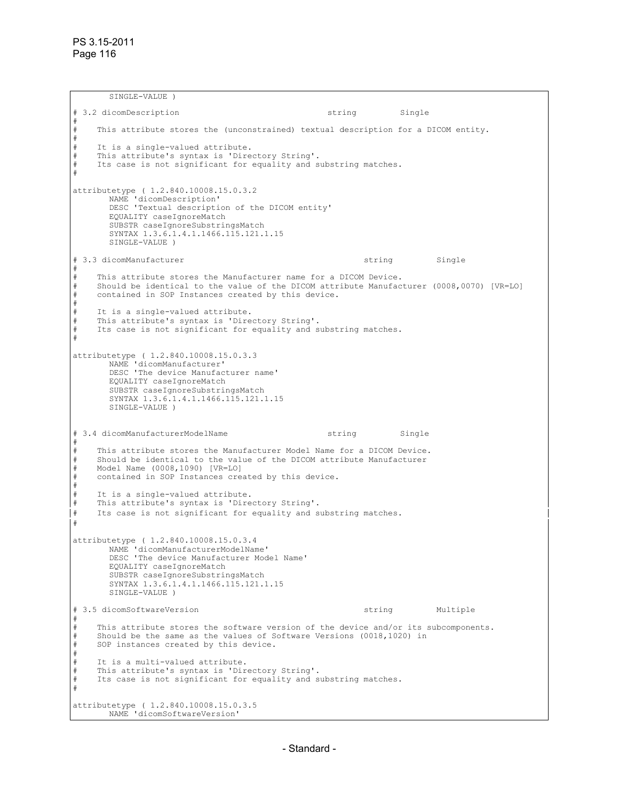SINGLE-VALUE ) # 3.2 dicomDescription string Single # # This attribute stores the (unconstrained) textual description for a DICOM entity.  $\begin{array}{c} \# \\ \# \end{array}$ It is a single-valued attribute. # This attribute's syntax is 'Directory String'. # Its case is not significant for equality and substring matches. # attributetype ( 1.2.840.10008.15.0.3.2 NAME 'dicomDescription' DESC 'Textual description of the DICOM entity' EQUALITY caseIgnoreMatch SUBSTR caseIgnoreSubstringsMatch SYNTAX 1.3.6.1.4.1.1466.115.121.1.15 SINGLE-VALUE ) # 3.3 dicomManufacturer string Single # # This attribute stores the Manufacturer name for a DICOM Device. # Should be identical to the value of the DICOM attribute Manufacturer (0008,0070) [VR=LO] contained in SOP Instances created by this device. # # It is a single-valued attribute. # This attribute's syntax is 'Directory String'. # Its case is not significant for equality and substring matches. # attributetype ( 1.2.840.10008.15.0.3.3 NAME 'dicomManufacturer' DESC 'The device Manufacturer name' EQUALITY caseIgnoreMatch SUBSTR caseIgnoreSubstringsMatch SYNTAX 1.3.6.1.4.1.1466.115.121.1.15 SINGLE-VALUE ) # 3.4 dicomManufacturerModelName string string Single # # This attribute stores the Manufacturer Model Name for a DICOM Device. # Should be identical to the value of the DICOM attribute Manufacturer<br># Model Name (0008,1090) [VR=LO] # Model Name (0008,1090) [VR=LO] contained in SOP Instances created by this device. # # It is a single-valued attribute. This attribute's syntax is 'Directory String'. # Its case is not significant for equality and substring matches. # attributetype ( 1.2.840.10008.15.0.3.4 NAME 'dicomManufacturerModelName' DESC 'The device Manufacturer Model Name' EQUALITY caseIgnoreMatch SUBSTR caseIgnoreSubstringsMatch SYNTAX 1.3.6.1.4.1.1466.115.121.1.15 SINGLE-VALUE ) # 3.5 dicomSoftwareVersion string Multiple  $*$ <br># # This attribute stores the software version of the device and/or its subcomponents. # Should be the same as the values of Software Versions (0018,1020) in<br># SOP instances created by this device. SOP instances created by this device. # % It is a multi-valued attribute.<br># This attribute's syntax is 'Dir This attribute's syntax is 'Directory String'. # Its case is not significant for equality and substring matches. # attributetype ( 1.2.840.10008.15.0.3.5 NAME 'dicomSoftwareVersion'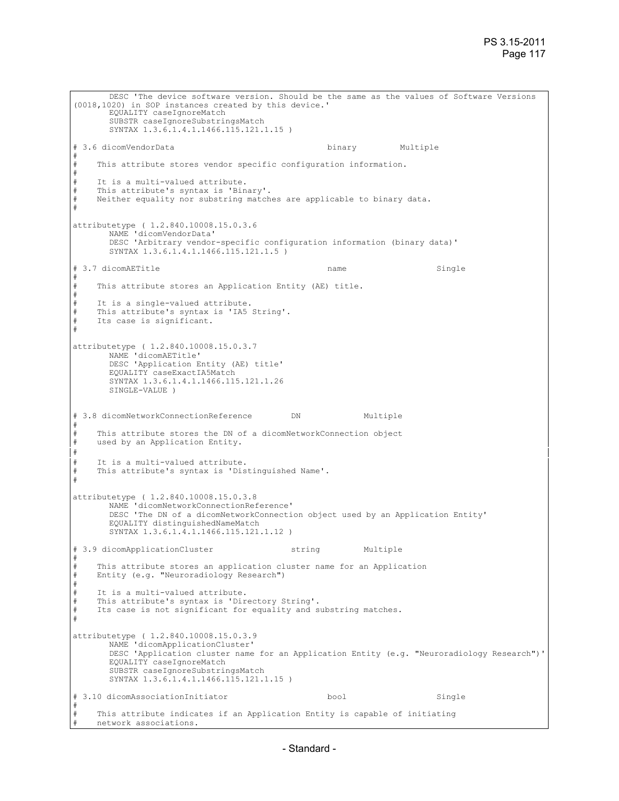```
 DESC 'The device software version. Should be the same as the values of Software Versions 
(0018,1020) in SOP instances created by this device.' 
       EQUALITY caseIgnoreMatch
        SUBSTR caseIgnoreSubstringsMatch 
        SYNTAX 1.3.6.1.4.1.1466.115.121.1.15 ) 
# 3.6 dicomVendorData binary Multiple 
# 
# This attribute stores vendor specific configuration information. 
# 
# It is a multi-valued attribute. 
# This attribute's syntax is 'Binary'. 
    Neither equality nor substring matches are applicable to binary data.
# 
attributetype ( 1.2.840.10008.15.0.3.6 
        NAME 'dicomVendorData' 
        DESC 'Arbitrary vendor-specific configuration information (binary data)' 
        SYNTAX 1.3.6.1.4.1.1466.115.121.1.5 ) 
# 3.7 dicomAETitle name Single 
# 
    This attribute stores an Application Entity (AE) title.
# 
# It is a single-valued attribute. 
# This attribute's syntax is 'IA5 String'. 
    Its case is significant.
# 
attributetype ( 1.2.840.10008.15.0.3.7 
        NAME 'dicomAETitle' 
        DESC 'Application Entity (AE) title' 
        EQUALITY caseExactIA5Match 
        SYNTAX 1.3.6.1.4.1.1466.115.121.1.26 
        SINGLE-VALUE ) 
# 3.8 dicomNetworkConnectionReference DN Multiple 
# 
# This attribute stores the DN of a dicomNetworkConnection object 
# used by an Application Entity. 
# 
# It is a multi-valued attribute. 
    This attribute's syntax is 'Distinguished Name'.
# 
attributetype ( 1.2.840.10008.15.0.3.8 
        NAME 'dicomNetworkConnectionReference' 
        DESC 'The DN of a dicomNetworkConnection object used by an Application Entity' 
        EQUALITY distinguishedNameMatch 
        SYNTAX 1.3.6.1.4.1.1466.115.121.1.12 ) 
# 3.9 dicomApplicationCluster <a>
string Multiple<br/>
Multiple
# 
# This attribute stores an application cluster name for an Application 
# Entity (e.g. "Neuroradiology Research") 
# 
# It is a multi-valued attribute.<br># This attribute's syntax is 'Dir
    This attribute's syntax is 'Directory String'.
# Its case is not significant for equality and substring matches. 
# 
attributetype ( 1.2.840.10008.15.0.3.9 
        NAME 'dicomApplicationCluster' 
        DESC 'Application cluster name for an Application Entity (e.g. "Neuroradiology Research")' 
        EQUALITY caseIgnoreMatch 
        SUBSTR caseIgnoreSubstringsMatch 
        SYNTAX 1.3.6.1.4.1.1466.115.121.1.15 ) 
# 3.10 dicomAssociationInitiator bool Single 
# 
# This attribute indicates if an Application Entity is capable of initiating 
    network associations.
```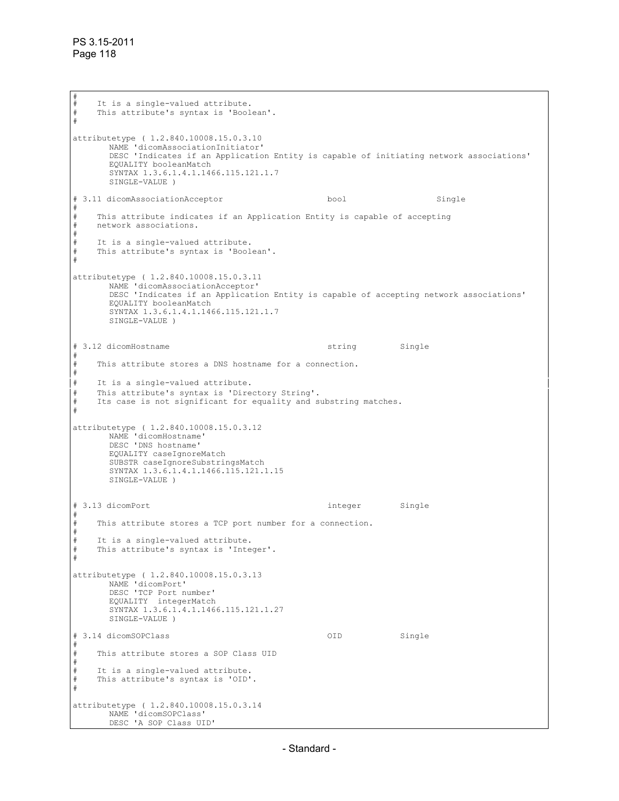```
# 
# It is a single-valued attribute. 
    This attribute's syntax is 'Boolean'.
# 
attributetype ( 1.2.840.10008.15.0.3.10 
       NAME 'dicomAssociationInitiator' 
        DESC 'Indicates if an Application Entity is capable of initiating network associations' 
       EQUALITY booleanMatch 
        SYNTAX 1.3.6.1.4.1.1466.115.121.1.7 
        SINGLE-VALUE ) 
# 3.11 dicomAssociationAcceptor bool Single 
# 
# This attribute indicates if an Application Entity is capable of accepting 
    network associations.
# 
# It is a single-valued attribute. 
    This attribute's syntax is 'Boolean'.
# 
attributetype ( 1.2.840.10008.15.0.3.11 
       NAME 'dicomAssociationAcceptor' 
       DESC 'Indicates if an Application Entity is capable of accepting network associations' 
       EQUALITY booleanMatch 
       SYNTAX 1.3.6.1.4.1.1466.115.121.1.7 
       SINGLE-VALUE ) 
# 3.12 dicomHostname string Single
\begin{array}{c} \# \\ \# \end{array}This attribute stores a DNS hostname for a connection.
# 
# It is a single-valued attribute. 
# This attribute's syntax is 'Directory String'. 
# Its case is not significant for equality and substring matches. 
# 
attributetype ( 1.2.840.10008.15.0.3.12 
       NAME 'dicomHostname' 
       DESC 'DNS hostname' 
        EQUALITY caseIgnoreMatch 
       SUBSTR caseIgnoreSubstringsMatch 
       SYNTAX 1.3.6.1.4.1.1466.115.121.1.15 
       SINGLE-VALUE ) 
# 3.13 dicomPort integer Single 
# 
    This attribute stores a TCP port number for a connection.
# 
# It is a single-valued attribute. 
    This attribute's syntax is 'Integer'.
# 
attributetype ( 1.2.840.10008.15.0.3.13 
 NAME 'dicomPort' 
 DESC 'TCP Port number' 
       EQUALITY integerMatch 
       SYNTAX 1.3.6.1.4.1.1466.115.121.1.27 
       SINGLE-VALUE ) 
# 3.14 dicomSOPClass OID Single 
# 
# This attribute stores a SOP Class UID 
# 
# It is a single-valued attribute. 
# This attribute's syntax is 'OID'. 
# 
attributetype ( 1.2.840.10008.15.0.3.14 
       NAME 'dicomSOPClass' 
       DESC 'A SOP Class UID'
```

```
- Standard -
```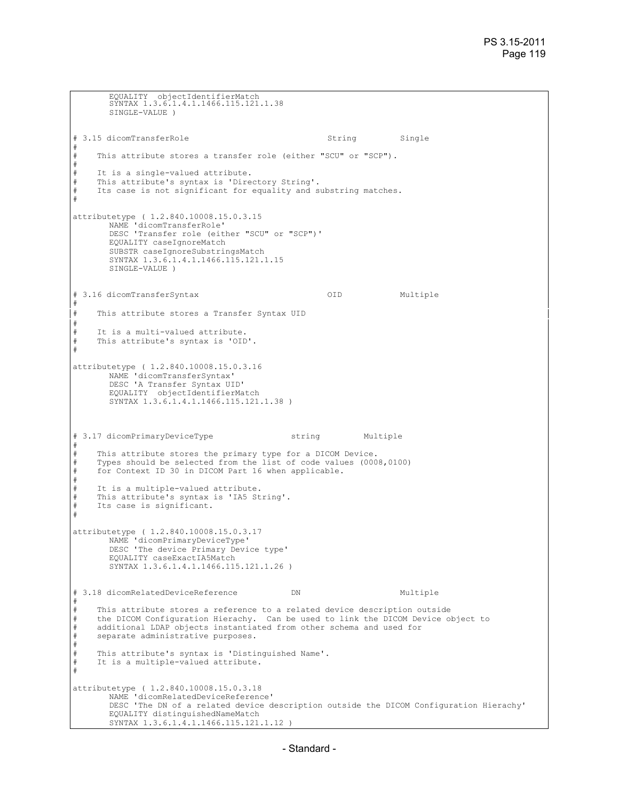EQUALITY objectIdentifierMatch SYNTAX 1.3.6.1.4.1.1466.115.121.1.38 SINGLE-VALUE ) # 3.15 dicomTransferRole String Single # # This attribute stores a transfer role (either "SCU" or "SCP"). # # It is a single-valued attribute.<br># This attribute's syntax is 'Dire # This attribute's syntax is 'Directory String'. # Its case is not significant for equality and substring matches. # attributetype ( 1.2.840.10008.15.0.3.15 NAME 'dicomTransferRole' DESC 'Transfer role (either "SCU" or "SCP")' EQUALITY caseIgnoreMatch SUBSTR caseIgnoreSubstringsMatch SYNTAX 1.3.6.1.4.1.1466.115.121.1.15 SINGLE-VALUE ) # 3.16 dicomTransferSyntax OID Multiple # # This attribute stores a Transfer Syntax UID # # It is a multi-valued attribute. This attribute's syntax is 'OID'. # attributetype ( 1.2.840.10008.15.0.3.16 NAME 'dicomTransferSyntax' DESC 'A Transfer Syntax UID' EQUALITY objectIdentifierMatch SYNTAX 1.3.6.1.4.1.1466.115.121.1.38 ) # 3.17 dicomPrimaryDeviceType <br>string Multiple # # This attribute stores the primary type for a DICOM Device. # Types should be selected from the list of code values (0008,0100)<br># for Context ID 30 in DICOM Part 16 when applicable for Context ID 30 in DICOM Part 16 when applicable. # # It is a multiple-valued attribute. # This attribute's syntax is 'IA5 String'. Its case is significant. # attributetype ( 1.2.840.10008.15.0.3.17 NAME 'dicomPrimaryDeviceType' DESC 'The device Primary Device type' EQUALITY caseExactIA5Match SYNTAX 1.3.6.1.4.1.1466.115.121.1.26 ) # 3.18 dicomRelatedDeviceReference DN Multiple # # This attribute stores a reference to a related device description outside # the DICOM Configuration Hierachy. Can be used to link the DICOM Device object to<br># additional LDAP objects instantiated from other schema and used for # additional LDAP objects instantiated from other schema and used for<br># separate administrative purposes. separate administrative purposes. # # This attribute's syntax is 'Distinguished Name'. It is a multiple-valued attribute. # attributetype ( 1.2.840.10008.15.0.3.18 NAME 'dicomRelatedDeviceReference' DESC 'The DN of a related device description outside the DICOM Configuration Hierachy' EQUALITY distinguishedNameMatch SYNTAX 1.3.6.1.4.1.1466.115.121.1.12 )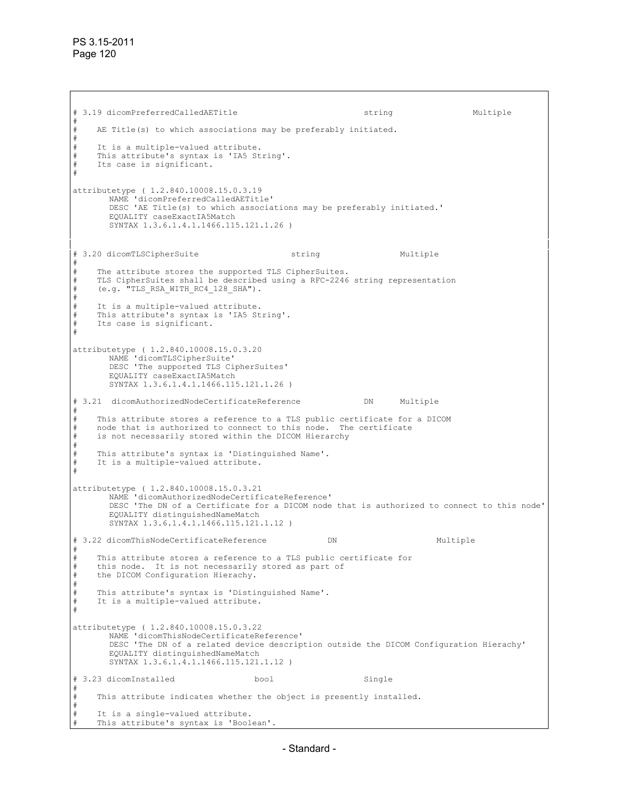# 3.19 dicomPreferredCalledAETitle string Multiple # # AE Title(s) to which associations may be preferably initiated.  $\begin{array}{c} \# \\ \# \end{array}$ It is a multiple-valued attribute. # This attribute's syntax is 'IA5 String'. Its case is significant. # attributetype ( 1.2.840.10008.15.0.3.19 NAME 'dicomPreferredCalledAETitle' DESC 'AE Title(s) to which associations may be preferably initiated.' EQUALITY caseExactIA5Match SYNTAX 1.3.6.1.4.1.1466.115.121.1.26 ) # 3.20 dicomTLSCipherSuite string Multiple # # The attribute stores the supported TLS CipherSuites. # TLS CipherSuites shall be described using a RFC-2246 string representation (e.g. "TLS RSA WITH RC4 128 SHA"). # # It is a multiple-valued attribute. # This attribute's syntax is 'IA5 String'. Its case is significant. # attributetype ( 1.2.840.10008.15.0.3.20 NAME 'dicomTLSCipherSuite' DESC 'The supported TLS CipherSuites' EQUALITY caseExactIA5Match SYNTAX 1.3.6.1.4.1.1466.115.121.1.26 ) # 3.21 dicomAuthorizedNodeCertificateReference DN Multiple # # This attribute stores a reference to a TLS public certificate for a DICOM node that is authorized to connect to this node. The certificate # is not necessarily stored within the DICOM Hierarchy # # This attribute's syntax is 'Distinguished Name'. It is a multiple-valued attribute. # attributetype ( 1.2.840.10008.15.0.3.21 NAME 'dicomAuthorizedNodeCertificateReference' DESC 'The DN of a Certificate for a DICOM node that is authorized to connect to this node' EQUALITY distinguishedNameMatch SYNTAX 1.3.6.1.4.1.1466.115.121.1.12 ) # 3.22 dicomThisNodeCertificateReference DN DN Multiple # # This attribute stores a reference to a TLS public certificate for this node. It is not necessarily stored as part of # the DICOM Configuration Hierachy. # # This attribute's syntax is 'Distinguished Name'. It is a multiple-valued attribute. # attributetype ( 1.2.840.10008.15.0.3.22 NAME 'dicomThisNodeCertificateReference' DESC 'The DN of a related device description outside the DICOM Configuration Hierachy' EQUALITY distinguishedNameMatch SYNTAX 1.3.6.1.4.1.1466.115.121.1.12 ) # 3.23 dicomInstalled bool Single # # This attribute indicates whether the object is presently installed. # # It is a single-valued attribute. This attribute's syntax is 'Boolean'.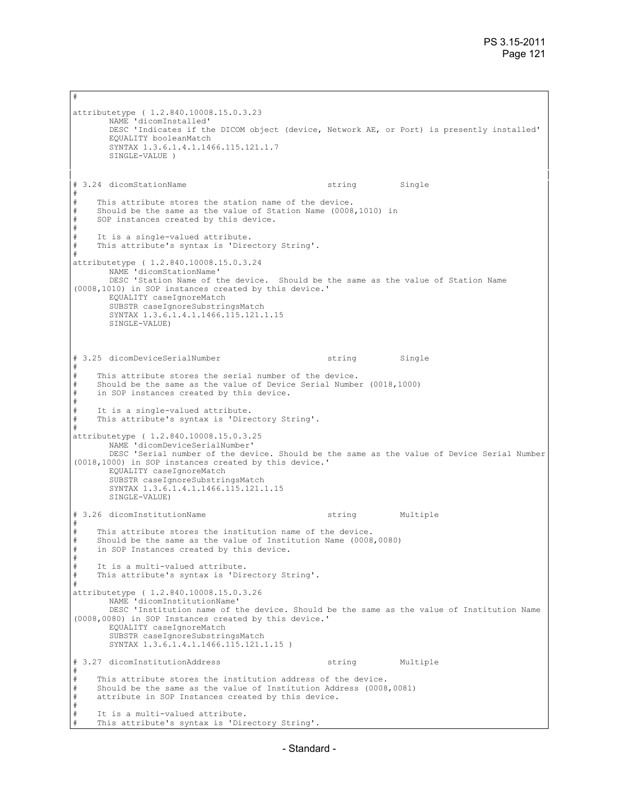# attributetype ( 1.2.840.10008.15.0.3.23 NAME 'dicomInstalled' DESC 'Indicates if the DICOM object (device, Network AE, or Port) is presently installed' EQUALITY booleanMatch SYNTAX 1.3.6.1.4.1.1466.115.121.1.7 SINGLE-VALUE ) # 3.24 dicomStationName string Single  $*$ <br> $*$ # This attribute stores the station name of the device. Should be the same as the value of Station Name (0008,1010) in # SOP instances created by this device. # # It is a single-valued attribute.<br># This attribute's syntax is 'Dire This attribute's syntax is 'Directory String'. # attributetype ( 1.2.840.10008.15.0.3.24 NAME 'dicomStationName' DESC 'Station Name of the device. Should be the same as the value of Station Name (0008,1010) in SOP instances created by this device.' EQUALITY caseIgnoreMatch SUBSTR caseIgnoreSubstringsMatch SYNTAX 1.3.6.1.4.1.1466.115.121.1.15 SINGLE-VALUE) # 3.25 dicomDeviceSerialNumber string Single # # This attribute stores the serial number of the device. # Should be the same as the value of Device Serial Number (0018,1000)<br># in SOP instances created by this device in SOP instances created by this device. # # It is a single-valued attribute. This attribute's syntax is 'Directory String'. # attributetype ( 1.2.840.10008.15.0.3.25 NAME 'dicomDeviceSerialNumber' DESC 'Serial number of the device. Should be the same as the value of Device Serial Number (0018,1000) in SOP instances created by this device.' EQUALITY caseIgnoreMatch SUBSTR caseIgnoreSubstringsMatch SYNTAX 1.3.6.1.4.1.1466.115.121.1.15 SINGLE-VALUE) # 3.26 dicomInstitutionName string Multiple # # This attribute stores the institution name of the device. # Should be the same as the value of Institution Name (0008,0080)<br># in SOP Instances created by this device in SOP Instances created by this device. # # It is a multi-valued attribute. # This attribute's syntax is 'Directory String'. # attributetype ( 1.2.840.10008.15.0.3.26 NAME 'dicomInstitutionName' DESC 'Institution name of the device. Should be the same as the value of Institution Name (0008,0080) in SOP Instances created by this device.' EQUALITY caseIgnoreMatch SUBSTR caseIgnoreSubstringsMatch SYNTAX 1.3.6.1.4.1.1466.115.121.1.15 ) # 3.27 dicomInstitutionAddress string Multiple # # This attribute stores the institution address of the device. # Should be the same as the value of Institution Address (0008,0081) attribute in SOP Instances created by this device. # # It is a multi-valued attribute. This attribute's syntax is 'Directory String'.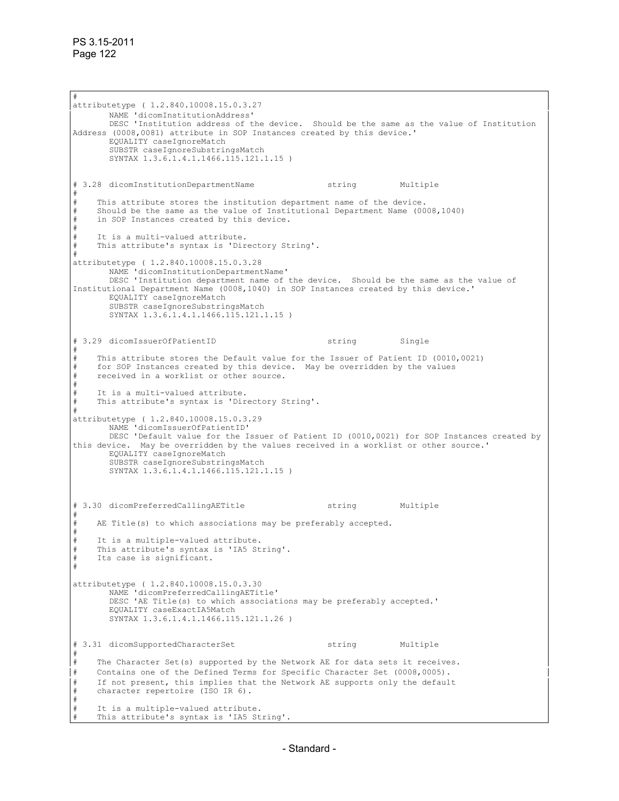# attributetype ( 1.2.840.10008.15.0.3.27 NAME 'dicomInstitutionAddress' DESC 'Institution address of the device. Should be the same as the value of Institution Address (0008,0081) attribute in SOP Instances created by this device.' EQUALITY caseIgnoreMatch SUBSTR caseIgnoreSubstringsMatch SYNTAX 1.3.6.1.4.1.1466.115.121.1.15 ) # 3.28 dicomInstitutionDepartmentName string Multiple # # This attribute stores the institution department name of the device. Should be the same as the value of Institutional Department Name (0008,1040) # in SOP Instances created by this device. # # It is a multi-valued attribute. This attribute's syntax is 'Directory String'. # attributetype ( 1.2.840.10008.15.0.3.28 NAME 'dicomInstitutionDepartmentName' DESC 'Institution department name of the device. Should be the same as the value of Institutional Department Name (0008,1040) in SOP Instances created by this device.' EQUALITY caseIgnoreMatch SUBSTR caseIgnoreSubstringsMatch SYNTAX 1.3.6.1.4.1.1466.115.121.1.15 ) # 3.29 dicomIssuerOfPatientID string Single # # This attribute stores the Default value for the Issuer of Patient ID (0010,0021) # for SOP Instances created by this device. May be overridden by the values # received in a worklist or other source. # It is a multi-valued attribute. # This attribute's syntax is 'Directory String'. # attributetype ( 1.2.840.10008.15.0.3.29 NAME 'dicomIssuerOfPatientID' DESC 'Default value for the Issuer of Patient ID (0010,0021) for SOP Instances created by this device. May be overridden by the values received in a worklist or other source.' EQUALITY caseIgnoreMatch SUBSTR caseIgnoreSubstringsMatch SYNTAX 1.3.6.1.4.1.1466.115.121.1.15 ) # 3.30 dicomPreferredCallingAETitle string Multiple # AE Title(s) to which associations may be preferably accepted. # # It is a multiple-valued attribute. # This attribute's syntax is 'IA5 String'. Its case is significant. # attributetype ( 1.2.840.10008.15.0.3.30 NAME 'dicomPreferredCallingAETitle' DESC 'AE Title(s) to which associations may be preferably accepted.' EQUALITY caseExactIA5Match SYNTAX 1.3.6.1.4.1.1466.115.121.1.26 ) # 3.31 dicomSupportedCharacterSet string Multiple # # The Character Set(s) supported by the Network AE for data sets it receives. # Contains one of the Defined Terms for Specific Character Set (0008,0005). # If not present, this implies that the Network AE supports only the default # character repertoire (ISO IR 6). # # It is a multiple-valued attribute. This attribute's syntax is 'IA5 String'.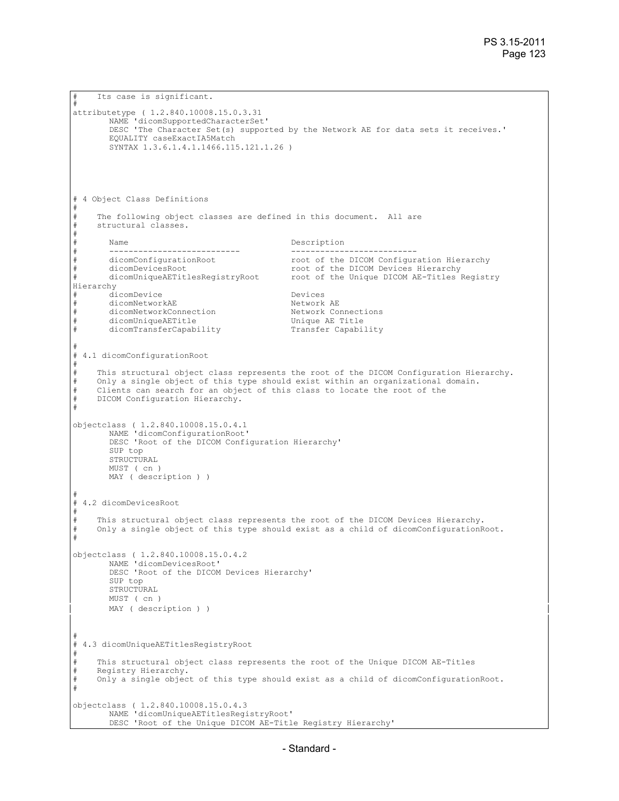```
Its case is significant.
# 
attributetype ( 1.2.840.10008.15.0.3.31 
        NAME 'dicomSupportedCharacterSet' 
       DESC 'The Character Set(s) supported by the Network AE for data sets it receives.'
         EQUALITY caseExactIA5Match 
        SYNTAX 1.3.6.1.4.1.1466.115.121.1.26 ) 
# 4 Object Class Definitions 
# 
# The following object classes are defined in this document. All are 
     structural classes.
*<br>#
# Name Description 
# --------------------------- -------------------------- 
                                              root of the DICOM Configuration Hierarchy
# dicomDevicesRoot root of the DICOM Devices Hierarchy 
                                               root of the Unique DICOM AE-Titles Registry
Hierarchy 
# dicomDevice Devices 
# dicomNetworkAE                           Network AE<br># dicomNetworkConnection             Network Connections
# dicomNetworkConnection Network Connections 
# dicomUniqueAETitle<br># dicomTransferCapability
                                               # dicomTransferCapability Transfer Capability 
# 
# 4.1 dicomConfigurationRoot 
*<br>*# This structural object class represents the root of the DICOM Configuration Hierarchy.<br># Only a single object of this type should exist within an organizational domain.
     Only a single object of this type should exist within an organizational domain.
# Clients can search for an object of this class to locate the root of the<br># DICOM Configuration Hierarchy.
     DICOM Configuration Hierarchy.
# 
objectclass ( 1.2.840.10008.15.0.4.1 
 NAME 'dicomConfigurationRoot' 
 DESC 'Root of the DICOM Configuration Hierarchy' 
        SUP top 
         STRUCTURAL 
        MUST ( cn ) 
        MAY ( description ) ) 
# 
# 4.2 dicomDevicesRoot 
# 
# This structural object class represents the root of the DICOM Devices Hierarchy. 
     Only a single object of this type should exist as a child of dicomConfigurationRoot.
# 
objectclass ( 1.2.840.10008.15.0.4.2 
        NAME 'dicomDevicesRoot' 
        DESC 'Root of the DICOM Devices Hierarchy' 
        SUP top 
        STRUCTURAL 
        MUST ( cn ) 
        MAY ( description ) ) 
# 
# 4.3 dicomUniqueAETitlesRegistryRoot 
# 
# This structural object class represents the root of the Unique DICOM AE-Titles 
     Registry Hierarchy.
# Only a single object of this type should exist as a child of dicomConfigurationRoot. 
# 
objectclass ( 1.2.840.10008.15.0.4.3 
        NAME 'dicomUniqueAETitlesRegistryRoot' 
         DESC 'Root of the Unique DICOM AE-Title Registry Hierarchy'
```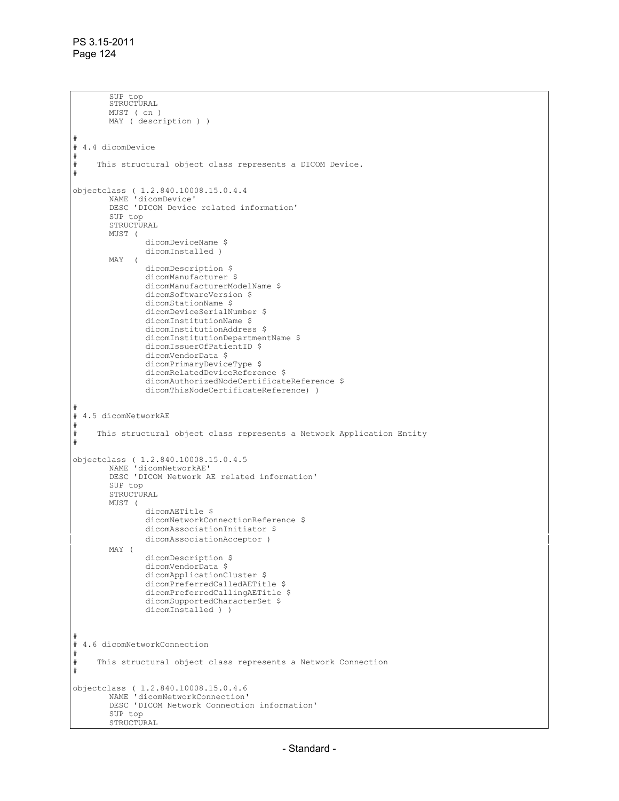```
 SUP top 
        STRUCTURAL
         MUST ( cn ) 
        MAY ( description ) ) 
# 
# 4.4 dicomDevice 
# 
     This structural object class represents a DICOM Device.
# 
objectclass ( 1.2.840.10008.15.0.4.4 
 NAME 'dicomDevice' 
 DESC 'DICOM Device related information' 
        SUP top 
        STRUCTURAL
        MUST ( 
                 dicomDeviceName $ 
                 dicomInstalled ) 
        MAY ( 
                 dicomDescription $ 
                 dicomManufacturer $ 
                 dicomManufacturerModelName $ 
                 dicomSoftwareVersion $ 
                 dicomStationName $ 
                 dicomDeviceSerialNumber $ 
                 dicomInstitutionName $ 
                 dicomInstitutionAddress $ 
                 dicomInstitutionDepartmentName $ 
                 dicomIssuerOfPatientID $ 
                 dicomVendorData $ 
                 dicomPrimaryDeviceType $ 
                 dicomRelatedDeviceReference $ 
                 dicomAuthorizedNodeCertificateReference $ 
                 dicomThisNodeCertificateReference) ) 
# 
# 4.5 dicomNetworkAE 
\begin{array}{c} \# \\ \# \end{array}This structural object class represents a Network Application Entity
# 
objectclass ( 1.2.840.10008.15.0.4.5 
 NAME 'dicomNetworkAE' 
         DESC 'DICOM Network AE related information' 
         SUP top 
       STRUCTURAL
        MUST ( 
                 dicomAETitle $ 
                 dicomNetworkConnectionReference $ 
                 dicomAssociationInitiator $ 
                 dicomAssociationAcceptor ) 
        MAY ( 
                 dicomDescription $ 
                 dicomVendorData $ 
                 dicomApplicationCluster $ 
                 dicomPreferredCalledAETitle $ 
                 dicomPreferredCallingAETitle $ 
                 dicomSupportedCharacterSet $ 
                 dicomInstalled ) ) 
# 
# 4.6 dicomNetworkConnection 
# 
     This structural object class represents a Network Connection
# 
objectclass ( 1.2.840.10008.15.0.4.6 
         NAME 'dicomNetworkConnection' 
         DESC 'DICOM Network Connection information' 
         SUP top 
         STRUCTURAL
```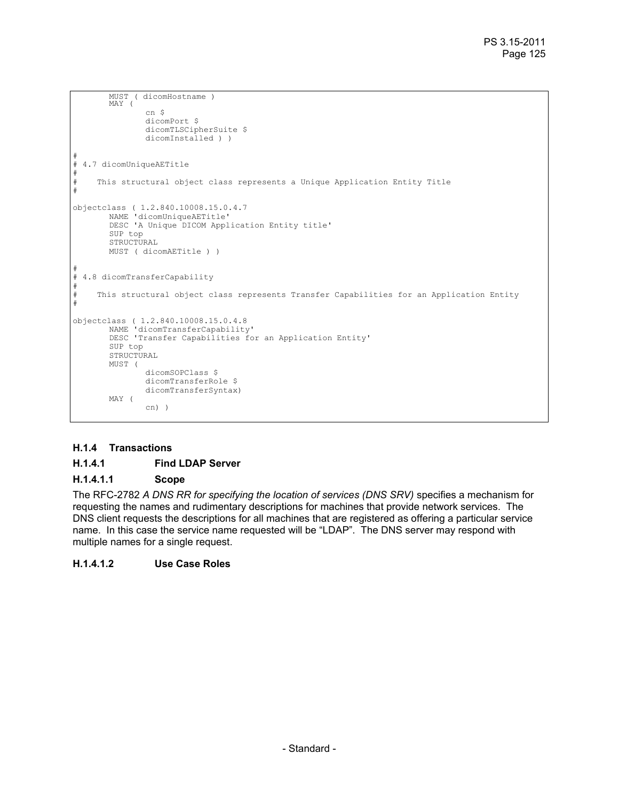```
 MUST ( dicomHostname ) 
         MAY ( 
                  cn $ 
                  dicomPort $ 
                  dicomTLSCipherSuite $ 
                  dicomInstalled ) ) 
# 
# 4.7 dicomUniqueAETitle 
# 
     This structural object class represents a Unique Application Entity Title
# 
objectclass ( 1.2.840.10008.15.0.4.7 
         NAME 'dicomUniqueAETitle' 
         DESC 'A Unique DICOM Application Entity title' 
         SUP top 
         STRUCTURAL 
         MUST ( dicomAETitle ) ) 
# 
# 4.8 dicomTransferCapability 
\begin{array}{c} \# \\ \# \end{array}This structural object class represents Transfer Capabilities for an Application Entity
# 
objectclass ( 1.2.840.10008.15.0.4.8 
         NAME 'dicomTransferCapability' 
         DESC 'Transfer Capabilities for an Application Entity' 
         SUP top 
         STRUCTURAL 
         MUST ( 
                  dicomSOPClass $ 
                  dicomTransferRole $ 
                  dicomTransferSyntax) 
         MAY ( 
                 cn))
```
# **H.1.4 Transactions**

# **H.1.4.1 Find LDAP Server**

# **H.1.4.1.1 Scope**

The RFC-2782 *A DNS RR for specifying the location of services (DNS SRV)* specifies a mechanism for requesting the names and rudimentary descriptions for machines that provide network services. The DNS client requests the descriptions for all machines that are registered as offering a particular service name. In this case the service name requested will be "LDAP". The DNS server may respond with multiple names for a single request.

### **H.1.4.1.2 Use Case Roles**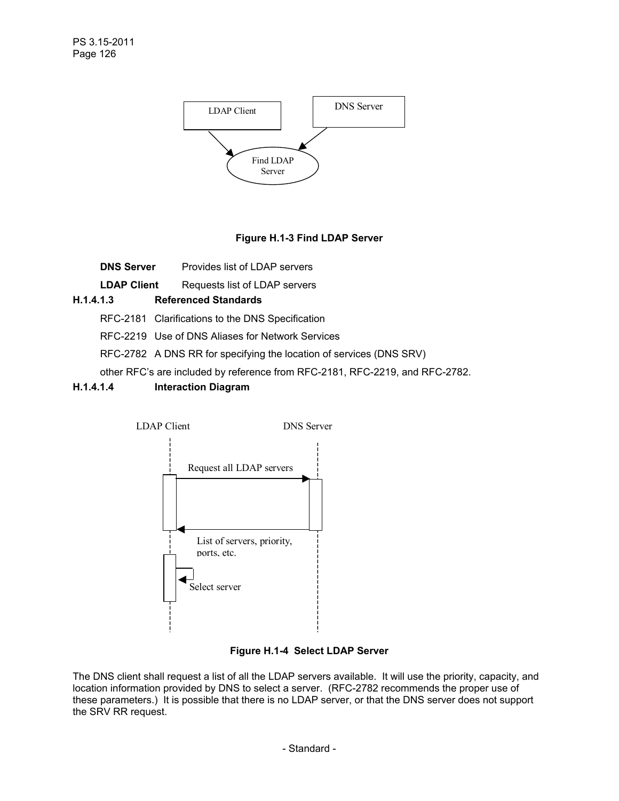

# **Figure H.1-3 Find LDAP Server**

|           | <b>DNS Server</b>  | Provides list of LDAP servers                                                |
|-----------|--------------------|------------------------------------------------------------------------------|
|           | <b>LDAP Client</b> | Requests list of LDAP servers                                                |
| H.1.4.1.3 |                    | <b>Referenced Standards</b>                                                  |
|           |                    | RFC-2181 Clarifications to the DNS Specification                             |
|           |                    | RFC-2219 Use of DNS Aliases for Network Services                             |
|           |                    | RFC-2782 A DNS RR for specifying the location of services (DNS SRV)          |
|           |                    | other RFC's are included by reference from RFC-2181, RFC-2219, and RFC-2782. |
|           |                    |                                                                              |

# **H.1.4.1.4 Interaction Diagram**



# **Figure H.1-4 Select LDAP Server**

The DNS client shall request a list of all the LDAP servers available. It will use the priority, capacity, and location information provided by DNS to select a server. (RFC-2782 recommends the proper use of these parameters.) It is possible that there is no LDAP server, or that the DNS server does not support the SRV RR request.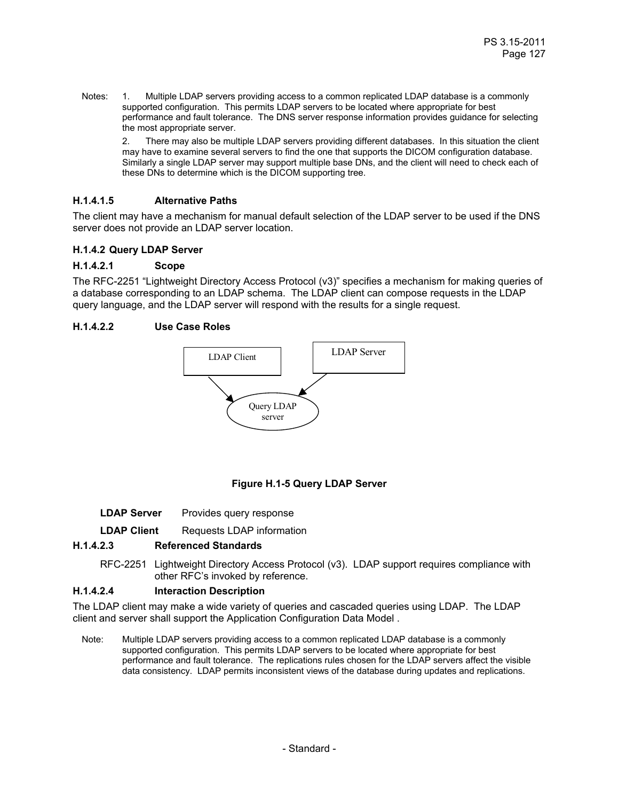Notes: 1. Multiple LDAP servers providing access to a common replicated LDAP database is a commonly supported configuration. This permits LDAP servers to be located where appropriate for best performance and fault tolerance. The DNS server response information provides guidance for selecting the most appropriate server.

 2. There may also be multiple LDAP servers providing different databases. In this situation the client may have to examine several servers to find the one that supports the DICOM configuration database. Similarly a single LDAP server may support multiple base DNs, and the client will need to check each of these DNs to determine which is the DICOM supporting tree.

## **H.1.4.1.5 Alternative Paths**

The client may have a mechanism for manual default selection of the LDAP server to be used if the DNS server does not provide an LDAP server location.

## **H.1.4.2 Query LDAP Server**

## **H.1.4.2.1 Scope**

The RFC-2251 "Lightweight Directory Access Protocol (v3)" specifies a mechanism for making queries of a database corresponding to an LDAP schema. The LDAP client can compose requests in the LDAP query language, and the LDAP server will respond with the results for a single request.

### **H.1.4.2.2 Use Case Roles**



# **Figure H.1-5 Query LDAP Server**

- **LDAP Server** Provides query response
- **LDAP Client** Requests LDAP information

## **H.1.4.2.3 Referenced Standards**

RFC-2251 Lightweight Directory Access Protocol (v3). LDAP support requires compliance with other RFC's invoked by reference.

### **H.1.4.2.4 Interaction Description**

The LDAP client may make a wide variety of queries and cascaded queries using LDAP. The LDAP client and server shall support the Application Configuration Data Model .

Note: Multiple LDAP servers providing access to a common replicated LDAP database is a commonly supported configuration. This permits LDAP servers to be located where appropriate for best performance and fault tolerance. The replications rules chosen for the LDAP servers affect the visible data consistency. LDAP permits inconsistent views of the database during updates and replications.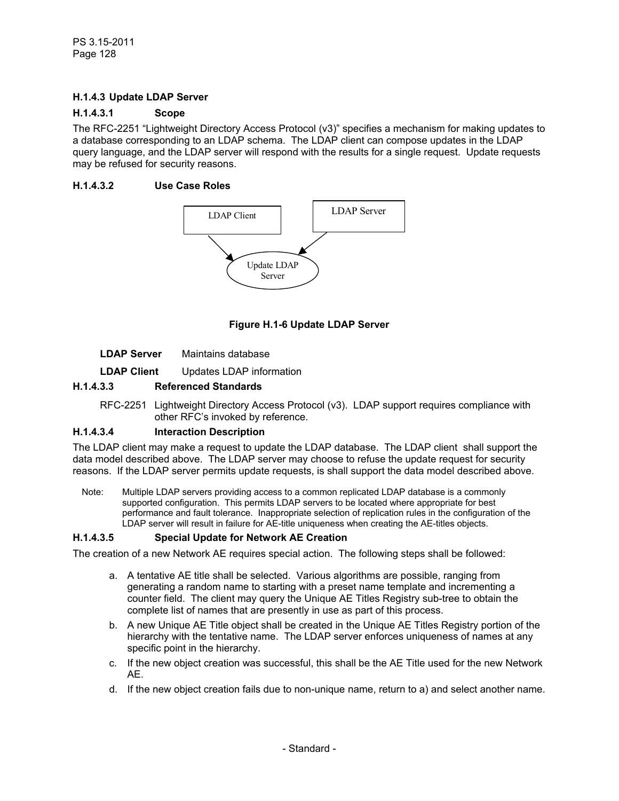# **H.1.4.3 Update LDAP Server**

# **H.1.4.3.1 Scope**

The RFC-2251 "Lightweight Directory Access Protocol (v3)" specifies a mechanism for making updates to a database corresponding to an LDAP schema. The LDAP client can compose updates in the LDAP query language, and the LDAP server will respond with the results for a single request. Update requests may be refused for security reasons.

# **H.1.4.3.2 Use Case Roles**



## **Figure H.1-6 Update LDAP Server**

### **LDAP Server** Maintains database

**LDAP Client** Updates LDAP information

# **H.1.4.3.3 Referenced Standards**

RFC-2251 Lightweight Directory Access Protocol (v3). LDAP support requires compliance with other RFC's invoked by reference.

## **H.1.4.3.4 Interaction Description**

The LDAP client may make a request to update the LDAP database. The LDAP client shall support the data model described above. The LDAP server may choose to refuse the update request for security reasons. If the LDAP server permits update requests, is shall support the data model described above.

Note: Multiple LDAP servers providing access to a common replicated LDAP database is a commonly supported configuration. This permits LDAP servers to be located where appropriate for best performance and fault tolerance. Inappropriate selection of replication rules in the configuration of the LDAP server will result in failure for AE-title uniqueness when creating the AE-titles objects.

### **H.1.4.3.5 Special Update for Network AE Creation**

The creation of a new Network AE requires special action. The following steps shall be followed:

- a. A tentative AE title shall be selected. Various algorithms are possible, ranging from generating a random name to starting with a preset name template and incrementing a counter field. The client may query the Unique AE Titles Registry sub-tree to obtain the complete list of names that are presently in use as part of this process.
- b. A new Unique AE Title object shall be created in the Unique AE Titles Registry portion of the hierarchy with the tentative name. The LDAP server enforces uniqueness of names at any specific point in the hierarchy.
- c. If the new object creation was successful, this shall be the AE Title used for the new Network AE.
- d. If the new object creation fails due to non-unique name, return to a) and select another name.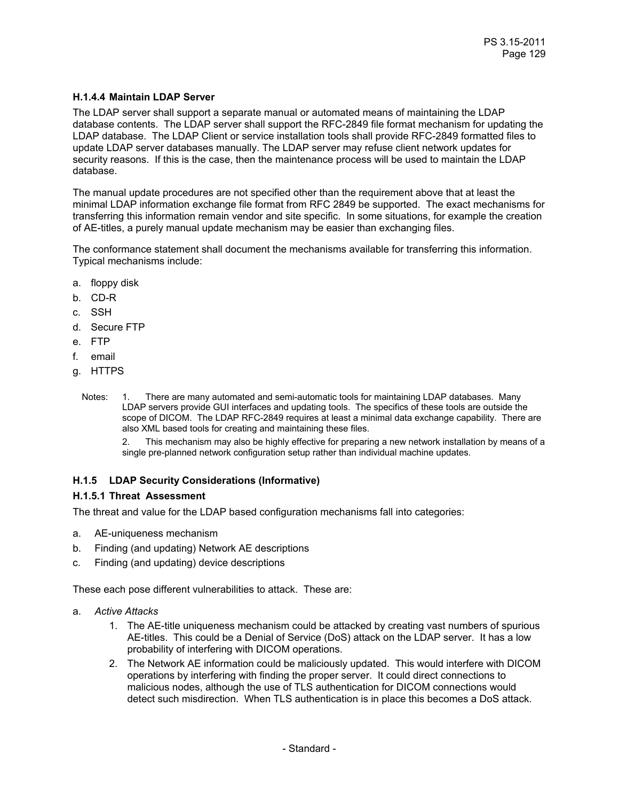# **H.1.4.4 Maintain LDAP Server**

The LDAP server shall support a separate manual or automated means of maintaining the LDAP database contents. The LDAP server shall support the RFC-2849 file format mechanism for updating the LDAP database. The LDAP Client or service installation tools shall provide RFC-2849 formatted files to update LDAP server databases manually. The LDAP server may refuse client network updates for security reasons. If this is the case, then the maintenance process will be used to maintain the LDAP database.

The manual update procedures are not specified other than the requirement above that at least the minimal LDAP information exchange file format from RFC 2849 be supported. The exact mechanisms for transferring this information remain vendor and site specific. In some situations, for example the creation of AE-titles, a purely manual update mechanism may be easier than exchanging files.

The conformance statement shall document the mechanisms available for transferring this information. Typical mechanisms include:

- a. floppy disk
- b. CD-R
- c. SSH
- d. Secure FTP
- e. FTP
- f. email
- g. HTTPS
	- Notes: 1. There are many automated and semi-automatic tools for maintaining LDAP databases. Many LDAP servers provide GUI interfaces and updating tools. The specifics of these tools are outside the scope of DICOM. The LDAP RFC-2849 requires at least a minimal data exchange capability. There are also XML based tools for creating and maintaining these files.

 2. This mechanism may also be highly effective for preparing a new network installation by means of a single pre-planned network configuration setup rather than individual machine updates.

# **H.1.5 LDAP Security Considerations (Informative)**

### **H.1.5.1 Threat Assessment**

The threat and value for the LDAP based configuration mechanisms fall into categories:

- a. AE-uniqueness mechanism
- b. Finding (and updating) Network AE descriptions
- c. Finding (and updating) device descriptions

These each pose different vulnerabilities to attack. These are:

- a. *Active Attacks*
	- 1. The AE-title uniqueness mechanism could be attacked by creating vast numbers of spurious AE-titles. This could be a Denial of Service (DoS) attack on the LDAP server. It has a low probability of interfering with DICOM operations.
	- 2. The Network AE information could be maliciously updated. This would interfere with DICOM operations by interfering with finding the proper server. It could direct connections to malicious nodes, although the use of TLS authentication for DICOM connections would detect such misdirection. When TLS authentication is in place this becomes a DoS attack.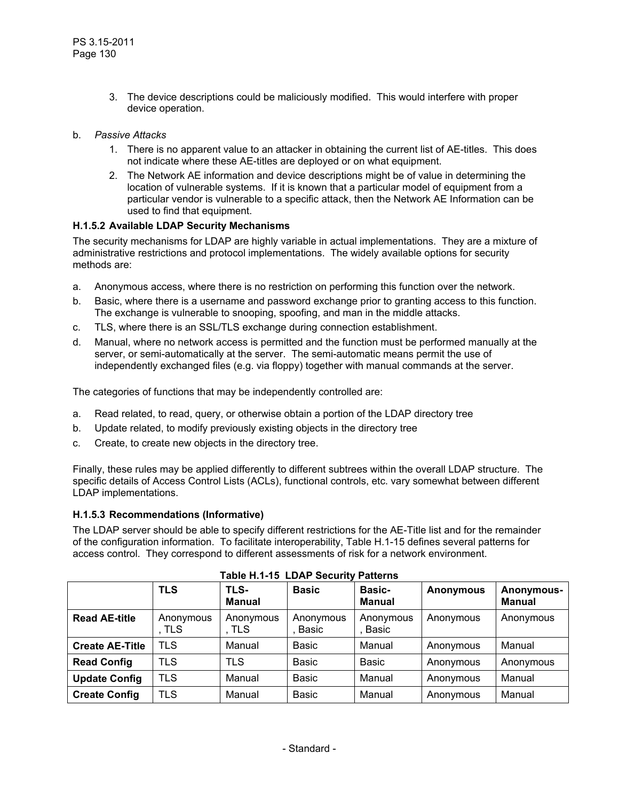3. The device descriptions could be maliciously modified. This would interfere with proper device operation.

### b. *Passive Attacks*

- 1. There is no apparent value to an attacker in obtaining the current list of AE-titles. This does not indicate where these AE-titles are deployed or on what equipment.
- 2. The Network AE information and device descriptions might be of value in determining the location of vulnerable systems. If it is known that a particular model of equipment from a particular vendor is vulnerable to a specific attack, then the Network AE Information can be used to find that equipment.

## **H.1.5.2 Available LDAP Security Mechanisms**

The security mechanisms for LDAP are highly variable in actual implementations. They are a mixture of administrative restrictions and protocol implementations. The widely available options for security methods are:

- a. Anonymous access, where there is no restriction on performing this function over the network.
- b. Basic, where there is a username and password exchange prior to granting access to this function. The exchange is vulnerable to snooping, spoofing, and man in the middle attacks.
- c. TLS, where there is an SSL/TLS exchange during connection establishment.
- d. Manual, where no network access is permitted and the function must be performed manually at the server, or semi-automatically at the server. The semi-automatic means permit the use of independently exchanged files (e.g. via floppy) together with manual commands at the server.

The categories of functions that may be independently controlled are:

- a. Read related, to read, query, or otherwise obtain a portion of the LDAP directory tree
- b. Update related, to modify previously existing objects in the directory tree
- c. Create, to create new objects in the directory tree.

Finally, these rules may be applied differently to different subtrees within the overall LDAP structure. The specific details of Access Control Lists (ACLs), functional controls, etc. vary somewhat between different LDAP implementations.

### **H.1.5.3 Recommendations (Informative)**

The LDAP server should be able to specify different restrictions for the AE-Title list and for the remainder of the configuration information. To facilitate interoperability, Table H.1-15 defines several patterns for access control. They correspond to different assessments of risk for a network environment.

|                        | <b>TLS</b> | TLS-<br><b>Manual</b> | IADIG II.I-IJ LUAF JELUIILV<br><b>Basic</b> | гацынэ<br>Basic-<br><b>Manual</b> | <b>Anonymous</b> | Anonymous-<br><b>Manual</b> |
|------------------------|------------|-----------------------|---------------------------------------------|-----------------------------------|------------------|-----------------------------|
| <b>Read AE-title</b>   | Anonymous  | Anonymous             | Anonymous                                   | Anonymous                         | Anonymous        | Anonymous                   |
|                        | , TLS      | , TLS                 | Basic                                       | Basic                             |                  |                             |
| <b>Create AE-Title</b> | <b>TLS</b> | Manual                | Basic                                       | Manual                            | Anonymous        | Manual                      |
| <b>Read Config</b>     | TLS        | TLS                   | Basic                                       | <b>Basic</b>                      | Anonymous        | Anonymous                   |
| <b>Update Config</b>   | <b>TLS</b> | Manual                | Basic                                       | Manual                            | Anonymous        | Manual                      |
| <b>Create Config</b>   | TLS        | Manual                | <b>Basic</b>                                | Manual                            | Anonymous        | Manual                      |

# **Table H.1-15 LDAP Security Patterns**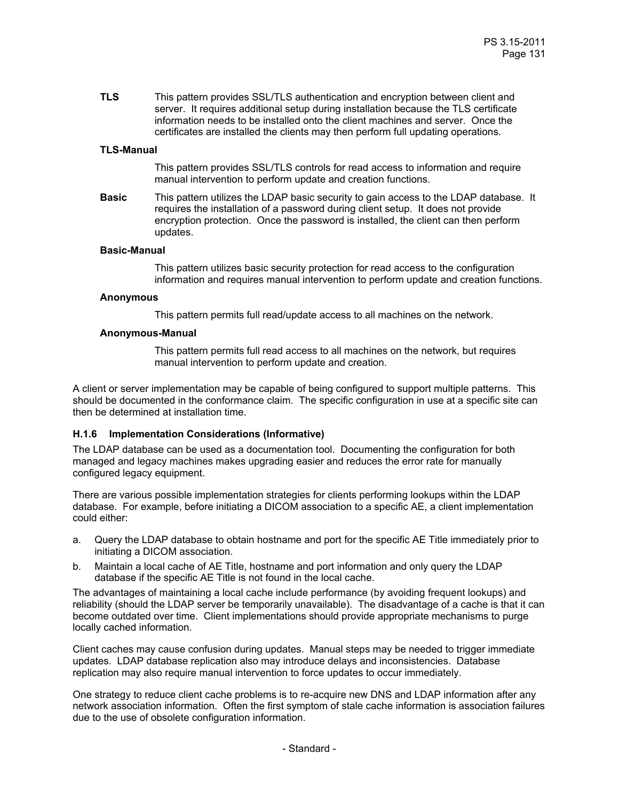**TLS** This pattern provides SSL/TLS authentication and encryption between client and server. It requires additional setup during installation because the TLS certificate information needs to be installed onto the client machines and server. Once the certificates are installed the clients may then perform full updating operations.

## **TLS-Manual**

This pattern provides SSL/TLS controls for read access to information and require manual intervention to perform update and creation functions.

**Basic** This pattern utilizes the LDAP basic security to gain access to the LDAP database. It requires the installation of a password during client setup. It does not provide encryption protection. Once the password is installed, the client can then perform updates.

#### **Basic-Manual**

This pattern utilizes basic security protection for read access to the configuration information and requires manual intervention to perform update and creation functions.

#### **Anonymous**

This pattern permits full read/update access to all machines on the network.

#### **Anonymous-Manual**

 This pattern permits full read access to all machines on the network, but requires manual intervention to perform update and creation.

A client or server implementation may be capable of being configured to support multiple patterns. This should be documented in the conformance claim. The specific configuration in use at a specific site can then be determined at installation time.

### **H.1.6 Implementation Considerations (Informative)**

The LDAP database can be used as a documentation tool. Documenting the configuration for both managed and legacy machines makes upgrading easier and reduces the error rate for manually configured legacy equipment.

There are various possible implementation strategies for clients performing lookups within the LDAP database. For example, before initiating a DICOM association to a specific AE, a client implementation could either:

- a. Query the LDAP database to obtain hostname and port for the specific AE Title immediately prior to initiating a DICOM association.
- b. Maintain a local cache of AE Title, hostname and port information and only query the LDAP database if the specific AE Title is not found in the local cache.

The advantages of maintaining a local cache include performance (by avoiding frequent lookups) and reliability (should the LDAP server be temporarily unavailable). The disadvantage of a cache is that it can become outdated over time. Client implementations should provide appropriate mechanisms to purge locally cached information.

Client caches may cause confusion during updates. Manual steps may be needed to trigger immediate updates. LDAP database replication also may introduce delays and inconsistencies. Database replication may also require manual intervention to force updates to occur immediately.

One strategy to reduce client cache problems is to re-acquire new DNS and LDAP information after any network association information. Often the first symptom of stale cache information is association failures due to the use of obsolete configuration information.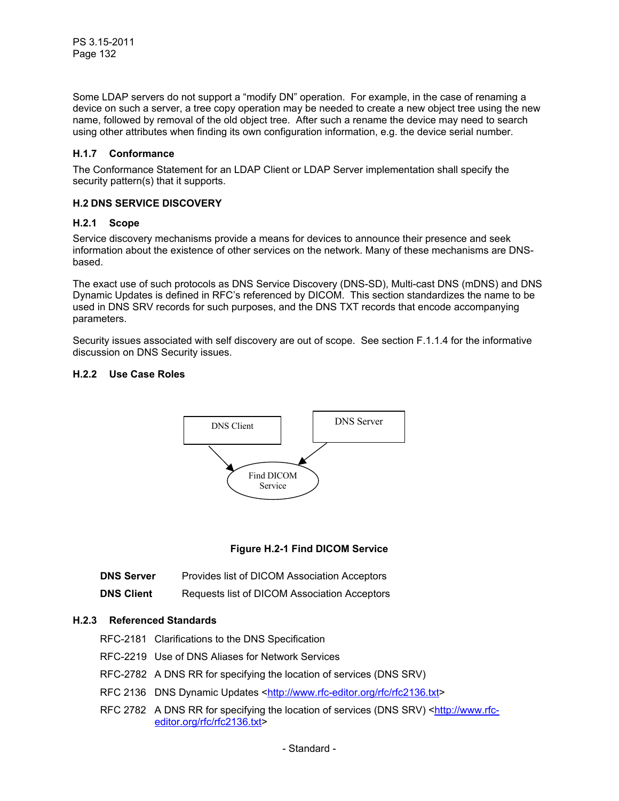Some LDAP servers do not support a "modify DN" operation. For example, in the case of renaming a device on such a server, a tree copy operation may be needed to create a new object tree using the new name, followed by removal of the old object tree. After such a rename the device may need to search using other attributes when finding its own configuration information, e.g. the device serial number.

## **H.1.7 Conformance**

The Conformance Statement for an LDAP Client or LDAP Server implementation shall specify the security pattern(s) that it supports.

## **H.2 DNS SERVICE DISCOVERY**

## **H.2.1 Scope**

Service discovery mechanisms provide a means for devices to announce their presence and seek information about the existence of other services on the network. Many of these mechanisms are DNSbased.

The exact use of such protocols as DNS Service Discovery (DNS-SD), Multi-cast DNS (mDNS) and DNS Dynamic Updates is defined in RFC's referenced by DICOM. This section standardizes the name to be used in DNS SRV records for such purposes, and the DNS TXT records that encode accompanying parameters.

Security issues associated with self discovery are out of scope. See section F.1.1.4 for the informative discussion on DNS Security issues.

## **H.2.2 Use Case Roles**



# **Figure H.2-1 Find DICOM Service**

| <b>DNS Server</b> | Provides list of DICOM Association Acceptors |
|-------------------|----------------------------------------------|
| <b>DNS Client</b> | Requests list of DICOM Association Acceptors |

### **H.2.3 Referenced Standards**

- RFC-2181 Clarifications to the DNS Specification
- RFC-2219 Use of DNS Aliases for Network Services
- RFC-2782 A DNS RR for specifying the location of services (DNS SRV)
- RFC 2136 DNS Dynamic Updates <http://www.rfc-editor.org/rfc/rfc2136.txt>
- RFC 2782 A DNS RR for specifying the location of services (DNS SRV) <http://www.rfceditor.org/rfc/rfc2136.txt>